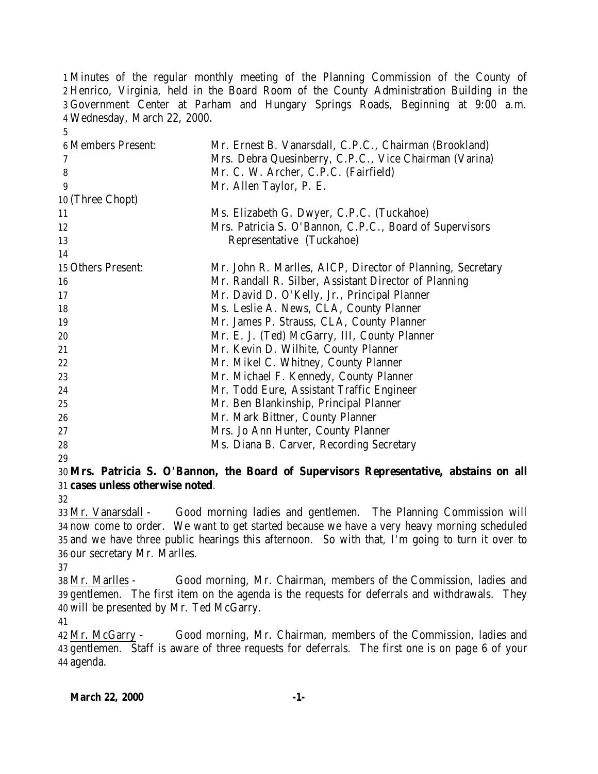Minutes of the regular monthly meeting of the Planning Commission of the County of Henrico, Virginia, held in the Board Room of the County Administration Building in the Government Center at Parham and Hungary Springs Roads, Beginning at 9:00 a.m. Wednesday, March 22, 2000.

| 5                         |                                                            |
|---------------------------|------------------------------------------------------------|
| <b>6 Members Present:</b> | Mr. Ernest B. Vanarsdall, C.P.C., Chairman (Brookland)     |
| 7                         | Mrs. Debra Quesinberry, C.P.C., Vice Chairman (Varina)     |
| 8                         | Mr. C. W. Archer, C.P.C. (Fairfield)                       |
| 9                         | Mr. Allen Taylor, P. E.                                    |
| 10 (Three Chopt)          |                                                            |
| 11                        | Ms. Elizabeth G. Dwyer, C.P.C. (Tuckahoe)                  |
| 12                        | Mrs. Patricia S. O'Bannon, C.P.C., Board of Supervisors    |
| 13                        | Representative (Tuckahoe)                                  |
| 14                        |                                                            |
| 15 Others Present:        | Mr. John R. Marlles, AICP, Director of Planning, Secretary |
| 16                        | Mr. Randall R. Silber, Assistant Director of Planning      |
| 17                        | Mr. David D. O'Kelly, Jr., Principal Planner               |
| 18                        | Ms. Leslie A. News, CLA, County Planner                    |
| 19                        | Mr. James P. Strauss, CLA, County Planner                  |
| 20                        | Mr. E. J. (Ted) McGarry, III, County Planner               |
| 21                        | Mr. Kevin D. Wilhite, County Planner                       |
| 22                        | Mr. Mikel C. Whitney, County Planner                       |
| 23                        | Mr. Michael F. Kennedy, County Planner                     |
| 24                        | Mr. Todd Eure, Assistant Traffic Engineer                  |
| 25                        | Mr. Ben Blankinship, Principal Planner                     |
| 26                        | Mr. Mark Bittner, County Planner                           |
| 27                        | Mrs. Jo Ann Hunter, County Planner                         |
| 28                        | Ms. Diana B. Carver, Recording Secretary                   |
|                           |                                                            |

## **Mrs. Patricia S. O'Bannon, the Board of Supervisors Representative, abstains on all cases unless otherwise noted**.

 Mr. Vanarsdall - Good morning ladies and gentlemen. The Planning Commission will now come to order. We want to get started because we have a very heavy morning scheduled and we have three public hearings this afternoon. So with that, I'm going to turn it over to our secretary Mr. Marlles.

 Mr. Marlles - Good morning, Mr. Chairman, members of the Commission, ladies and gentlemen. The first item on the agenda is the requests for deferrals and withdrawals. They will be presented by Mr. Ted McGarry.

 Mr. McGarry - Good morning, Mr. Chairman, members of the Commission, ladies and gentlemen. Staff is aware of three requests for deferrals. The first one is on page 6 of your agenda.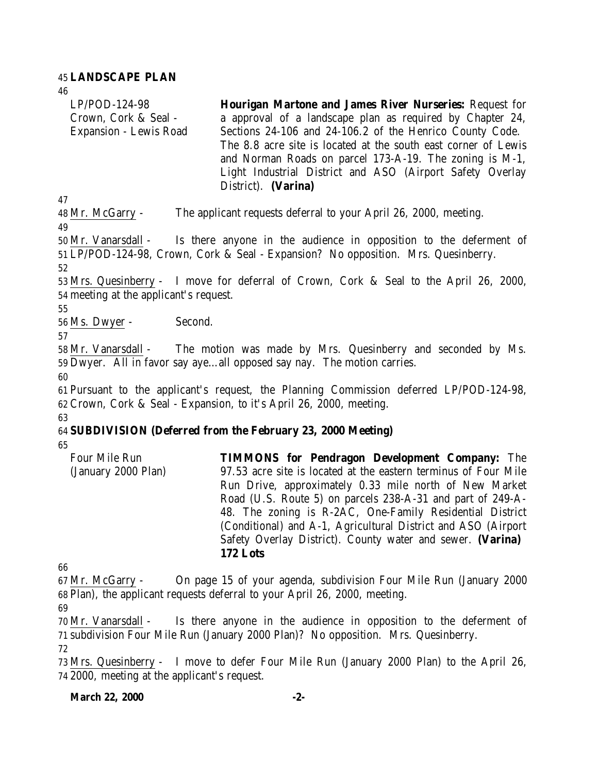### 45 **LANDSCAPE PLAN**

46

LP/POD-124-98 Crown, Cork & Seal - Expansion - Lewis Road **Hourigan Martone and James River Nurseries:** Request for a approval of a landscape plan as required by Chapter 24, Sections 24-106 and 24-106.2 of the Henrico County Code. The 8.8 acre site is located at the south east corner of Lewis and Norman Roads on parcel 173-A-19. The zoning is M-1, Light Industrial District and ASO (Airport Safety Overlay District). **(Varina)** 

47

48 Mr. McGarry - The applicant requests deferral to your April 26, 2000, meeting. 49

50 Mr. Vanarsdall - Is there anyone in the audience in opposition to the deferment of 51 LP/POD-124-98, Crown, Cork & Seal - Expansion? No opposition. Mrs. Quesinberry.

52

53 Mrs. Quesinberry - I move for deferral of Crown, Cork & Seal to the April 26, 2000, 54 meeting at the applicant's request.

55

56 Ms. Dwyer - Second.

57

58 Mr. Vanarsdall - The motion was made by Mrs. Quesinberry and seconded by Ms. 59 Dwyer. All in favor say aye…all opposed say nay. The motion carries.

60

61 Pursuant to the applicant's request, the Planning Commission deferred LP/POD-124-98, 62 Crown, Cork & Seal - Expansion, to it's April 26, 2000, meeting. 63

## 64 **SUBDIVISION (Deferred from the February 23, 2000 Meeting)**

65

| 97.53 acre site is located at the eastern terminus of Four Mile |
|-----------------------------------------------------------------|
|                                                                 |
| Run Drive, approximately 0.33 mile north of New Market          |
| Road (U.S. Route 5) on parcels 238-A-31 and part of 249-A-      |
| 48. The zoning is R-2AC, One-Family Residential District        |
| (Conditional) and A-1, Agricultural District and ASO (Airport)  |
| Safety Overlay District). County water and sewer. (Varina)      |
|                                                                 |
|                                                                 |

66

67 Mr. McGarry - On page 15 of your agenda, subdivision Four Mile Run (January 2000 68 Plan), the applicant requests deferral to your April 26, 2000, meeting.

69

70 Mr. Vanarsdall - Is there anyone in the audience in opposition to the deferment of 71 subdivision Four Mile Run (January 2000 Plan)? No opposition. Mrs. Quesinberry.

72

73 Mrs. Quesinberry - I move to defer Four Mile Run (January 2000 Plan) to the April 26, 74 2000, meeting at the applicant's request.

### **March 22, 2000 -2-**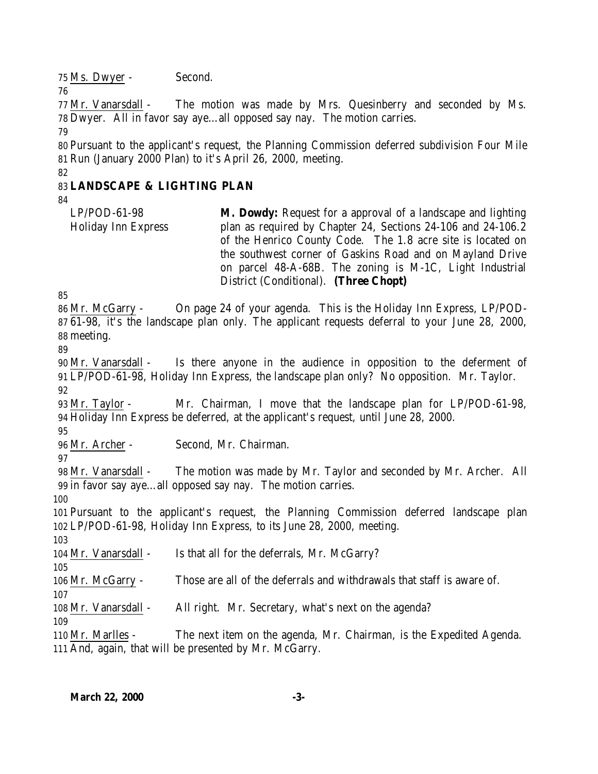Ms. Dwyer - Second.

 Mr. Vanarsdall - The motion was made by Mrs. Quesinberry and seconded by Ms. Dwyer. All in favor say aye…all opposed say nay. The motion carries.

 Pursuant to the applicant's request, the Planning Commission deferred subdivision Four Mile Run (January 2000 Plan) to it's April 26, 2000, meeting.

# **LANDSCAPE & LIGHTING PLAN**

LP/POD-61-98 Holiday Inn Express **M. Dowdy:** Request for a approval of a landscape and lighting plan as required by Chapter 24, Sections 24-106 and 24-106.2 of the Henrico County Code. The 1.8 acre site is located on the southwest corner of Gaskins Road and on Mayland Drive on parcel 48-A-68B. The zoning is M-1C, Light Industrial District (Conditional). **(Three Chopt)** 

 Mr. McGarry - On page 24 of your agenda. This is the Holiday Inn Express, LP/POD- 61-98, it's the landscape plan only. The applicant requests deferral to your June 28, 2000, meeting. 

 Mr. Vanarsdall - Is there anyone in the audience in opposition to the deferment of LP/POD-61-98, Holiday Inn Express, the landscape plan only? No opposition. Mr. Taylor. 

 Mr. Taylor - Mr. Chairman, I move that the landscape plan for LP/POD-61-98, Holiday Inn Express be deferred, at the applicant's request, until June 28, 2000.

Mr. Archer - Second, Mr. Chairman.

 Mr. Vanarsdall - The motion was made by Mr. Taylor and seconded by Mr. Archer. All in favor say aye…all opposed say nay. The motion carries.

 Pursuant to the applicant's request, the Planning Commission deferred landscape plan LP/POD-61-98, Holiday Inn Express, to its June 28, 2000, meeting.

 Mr. Vanarsdall - Is that all for the deferrals, Mr. McGarry?

Mr. McGarry - Those are all of the deferrals and withdrawals that staff is aware of.

Mr. Vanarsdall - All right. Mr. Secretary, what's next on the agenda?

 Mr. Marlles - The next item on the agenda, Mr. Chairman, is the Expedited Agenda. And, again, that will be presented by Mr. McGarry.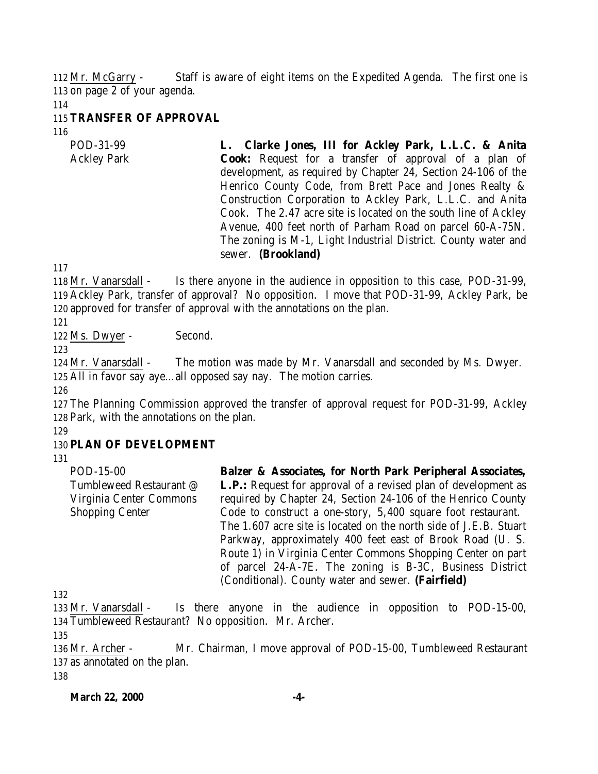112 Mr. McGarry - Staff is aware of eight items on the Expedited Agenda. The first one is 113 on page 2 of your agenda.

114

### 115 **TRANSFER OF APPROVAL**

116

POD-31-99 Ackley Park **L. Clarke Jones, III for Ackley Park, L.L.C. & Anita Cook:** Request for a transfer of approval of a plan of development, as required by Chapter 24, Section 24-106 of the Henrico County Code, from Brett Pace and Jones Realty & Construction Corporation to Ackley Park, L.L.C. and Anita Cook. The 2.47 acre site is located on the south line of Ackley Avenue, 400 feet north of Parham Road on parcel 60-A-75N. The zoning is M-1, Light Industrial District. County water and sewer. **(Brookland)** 

117

118 Mr. Vanarsdall - Is there anyone in the audience in opposition to this case, POD-31-99, 119 Ackley Park, transfer of approval? No opposition. I move that POD-31-99, Ackley Park, be 120 approved for transfer of approval with the annotations on the plan.

121

122 Ms. Dwyer - Second.

123

124 Mr. Vanarsdall - The motion was made by Mr. Vanarsdall and seconded by Ms. Dwyer. 125 All in favor say aye…all opposed say nay. The motion carries.

126

127 The Planning Commission approved the transfer of approval request for POD-31-99, Ackley 128 Park, with the annotations on the plan.

129

## 130 **PLAN OF DEVELOPMENT**

131

POD-15-00 Tumbleweed Restaurant @ Virginia Center Commons Shopping Center

**Balzer & Associates, for North Park Peripheral Associates, L.P.:** Request for approval of a revised plan of development as required by Chapter 24, Section 24-106 of the Henrico County Code to construct a one-story, 5,400 square foot restaurant. The 1.607 acre site is located on the north side of J.E.B. Stuart Parkway, approximately 400 feet east of Brook Road (U. S. Route 1) in Virginia Center Commons Shopping Center on part of parcel 24-A-7E. The zoning is B-3C, Business District (Conditional). County water and sewer. **(Fairfield)**

132

133 Mr. Vanarsdall - Is there anyone in the audience in opposition to POD-15-00, 134 Tumbleweed Restaurant? No opposition. Mr. Archer.

135

136 Mr. Archer - Mr. Chairman, I move approval of POD-15-00, Tumbleweed Restaurant 137 as annotated on the plan.

138

**March 22, 2000 -4-**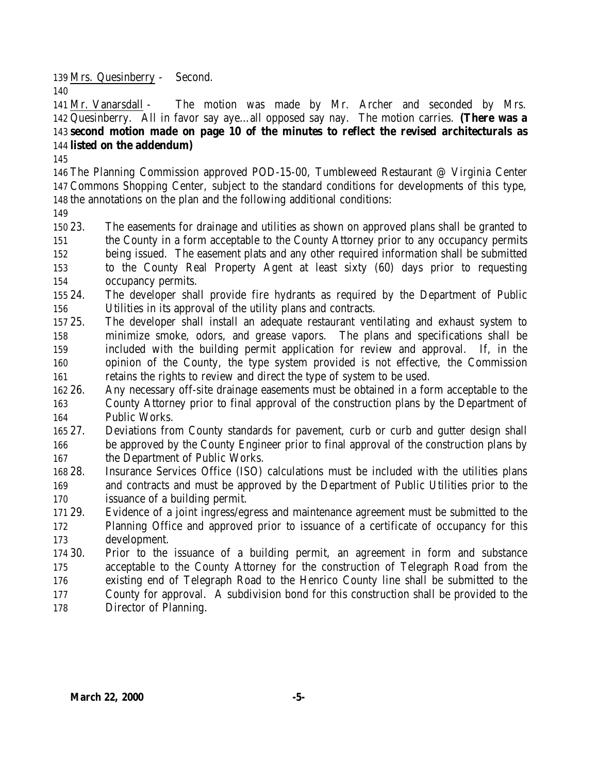Mrs. Quesinberry - Second. 

 Mr. Vanarsdall - The motion was made by Mr. Archer and seconded by Mrs. Quesinberry. All in favor say aye…all opposed say nay. The motion carries. **(There was a second motion made on page 10 of the minutes to reflect the revised architecturals as listed on the addendum)**

 The Planning Commission approved POD-15-00, Tumbleweed Restaurant @ Virginia Center Commons Shopping Center, subject to the standard conditions for developments of this type, the annotations on the plan and the following additional conditions:

 23. The easements for drainage and utilities as shown on approved plans shall be granted to the County in a form acceptable to the County Attorney prior to any occupancy permits being issued. The easement plats and any other required information shall be submitted to the County Real Property Agent at least sixty (60) days prior to requesting occupancy permits.

- 24. The developer shall provide fire hydrants as required by the Department of Public Utilities in its approval of the utility plans and contracts.
- 25. The developer shall install an adequate restaurant ventilating and exhaust system to minimize smoke, odors, and grease vapors. The plans and specifications shall be included with the building permit application for review and approval. If, in the opinion of the County, the type system provided is not effective, the Commission retains the rights to review and direct the type of system to be used.
- 26. Any necessary off-site drainage easements must be obtained in a form acceptable to the County Attorney prior to final approval of the construction plans by the Department of Public Works.
- 27. Deviations from County standards for pavement, curb or curb and gutter design shall be approved by the County Engineer prior to final approval of the construction plans by the Department of Public Works.
- 28. Insurance Services Office (ISO) calculations must be included with the utilities plans and contracts and must be approved by the Department of Public Utilities prior to the issuance of a building permit.
- 29. Evidence of a joint ingress/egress and maintenance agreement must be submitted to the Planning Office and approved prior to issuance of a certificate of occupancy for this development.
- 30. Prior to the issuance of a building permit, an agreement in form and substance acceptable to the County Attorney for the construction of Telegraph Road from the existing end of Telegraph Road to the Henrico County line shall be submitted to the County for approval. A subdivision bond for this construction shall be provided to the
- Director of Planning.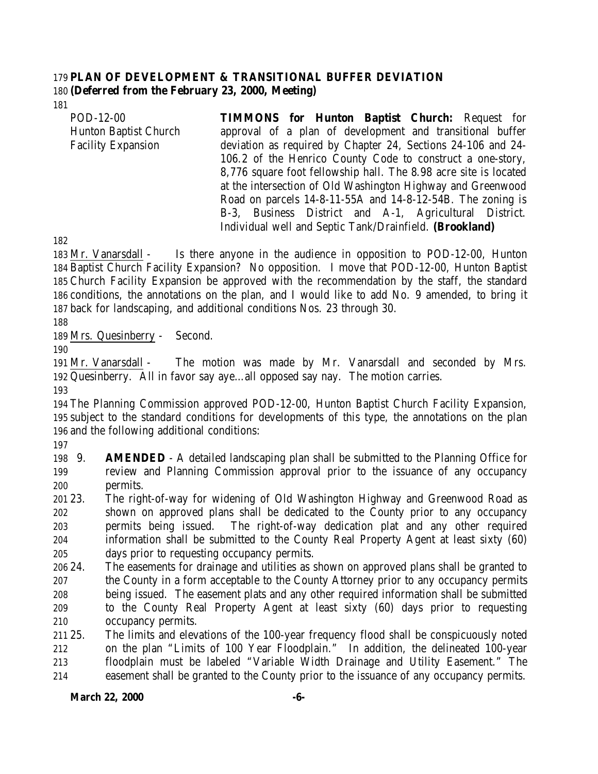### **PLAN OF DEVELOPMENT & TRANSITIONAL BUFFER DEVIATION (Deferred from the February 23, 2000, Meeting)**

POD-12-00 Hunton Baptist Church Facility Expansion **TIMMONS for Hunton Baptist Church:** Request for approval of a plan of development and transitional buffer deviation as required by Chapter 24, Sections 24-106 and 24- 106.2 of the Henrico County Code to construct a one-story, 8,776 square foot fellowship hall. The 8.98 acre site is located at the intersection of Old Washington Highway and Greenwood Road on parcels 14-8-11-55A and 14-8-12-54B. The zoning is B-3, Business District and A-1, Agricultural District. Individual well and Septic Tank/Drainfield. **(Brookland)**

 Mr. Vanarsdall - Is there anyone in the audience in opposition to POD-12-00, Hunton Baptist Church Facility Expansion? No opposition. I move that POD-12-00, Hunton Baptist Church Facility Expansion be approved with the recommendation by the staff, the standard conditions, the annotations on the plan, and I would like to add No. 9 amended, to bring it back for landscaping, and additional conditions Nos. 23 through 30.

Mrs. Quesinberry - Second.

 Mr. Vanarsdall - The motion was made by Mr. Vanarsdall and seconded by Mrs. Quesinberry. All in favor say aye…all opposed say nay. The motion carries.

 The Planning Commission approved POD-12-00, Hunton Baptist Church Facility Expansion, subject to the standard conditions for developments of this type, the annotations on the plan and the following additional conditions:

 9. **AMENDED** - A detailed landscaping plan shall be submitted to the Planning Office for review and Planning Commission approval prior to the issuance of any occupancy permits.

- 23. The right-of-way for widening of Old Washington Highway and Greenwood Road as shown on approved plans shall be dedicated to the County prior to any occupancy permits being issued. The right-of-way dedication plat and any other required information shall be submitted to the County Real Property Agent at least sixty (60) days prior to requesting occupancy permits.
- 24. The easements for drainage and utilities as shown on approved plans shall be granted to the County in a form acceptable to the County Attorney prior to any occupancy permits being issued. The easement plats and any other required information shall be submitted to the County Real Property Agent at least sixty (60) days prior to requesting occupancy permits.
- 25. The limits and elevations of the 100-year frequency flood shall be conspicuously noted on the plan "Limits of 100 Year Floodplain." In addition, the delineated 100-year floodplain must be labeled "Variable Width Drainage and Utility Easement." The easement shall be granted to the County prior to the issuance of any occupancy permits.

**March 22, 2000 -6-**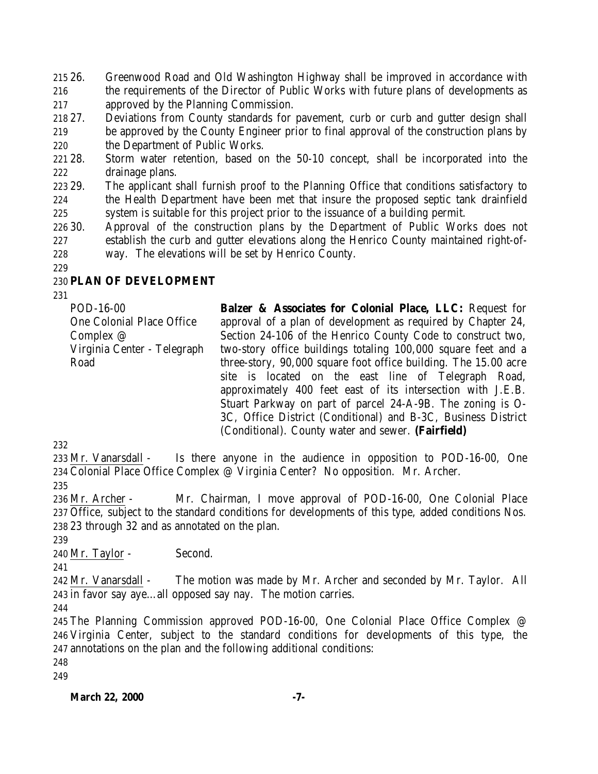26. Greenwood Road and Old Washington Highway shall be improved in accordance with the requirements of the Director of Public Works with future plans of developments as approved by the Planning Commission.

- 27. Deviations from County standards for pavement, curb or curb and gutter design shall be approved by the County Engineer prior to final approval of the construction plans by the Department of Public Works.
- 28. Storm water retention, based on the 50-10 concept, shall be incorporated into the drainage plans.
- 29. The applicant shall furnish proof to the Planning Office that conditions satisfactory to the Health Department have been met that insure the proposed septic tank drainfield 225 system is suitable for this project prior to the issuance of a building permit.
- 30. Approval of the construction plans by the Department of Public Works does not establish the curb and gutter elevations along the Henrico County maintained right-of-way. The elevations will be set by Henrico County.

## **PLAN OF DEVELOPMENT**

POD-16-00 One Colonial Place Office Complex @ Virginia Center - Telegraph Road

**Balzer & Associates for Colonial Place, LLC:** Request for approval of a plan of development as required by Chapter 24, Section 24-106 of the Henrico County Code to construct two, two-story office buildings totaling 100,000 square feet and a three-story, 90,000 square foot office building. The 15.00 acre site is located on the east line of Telegraph Road, approximately 400 feet east of its intersection with J.E.B. Stuart Parkway on part of parcel 24-A-9B. The zoning is O-3C, Office District (Conditional) and B-3C, Business District (Conditional). County water and sewer. **(Fairfield)**

 Mr. Vanarsdall - Is there anyone in the audience in opposition to POD-16-00, One Colonial Place Office Complex @ Virginia Center? No opposition. Mr. Archer. 

- Mr. Archer Mr. Chairman, I move approval of POD-16-00, One Colonial Place Office, subject to the standard conditions for developments of this type, added conditions Nos. 23 through 32 and as annotated on the plan.
- 

Mr. Taylor - Second.

 Mr. Vanarsdall - The motion was made by Mr. Archer and seconded by Mr. Taylor. All in favor say aye…all opposed say nay. The motion carries.

 The Planning Commission approved POD-16-00, One Colonial Place Office Complex @ Virginia Center, subject to the standard conditions for developments of this type, the annotations on the plan and the following additional conditions: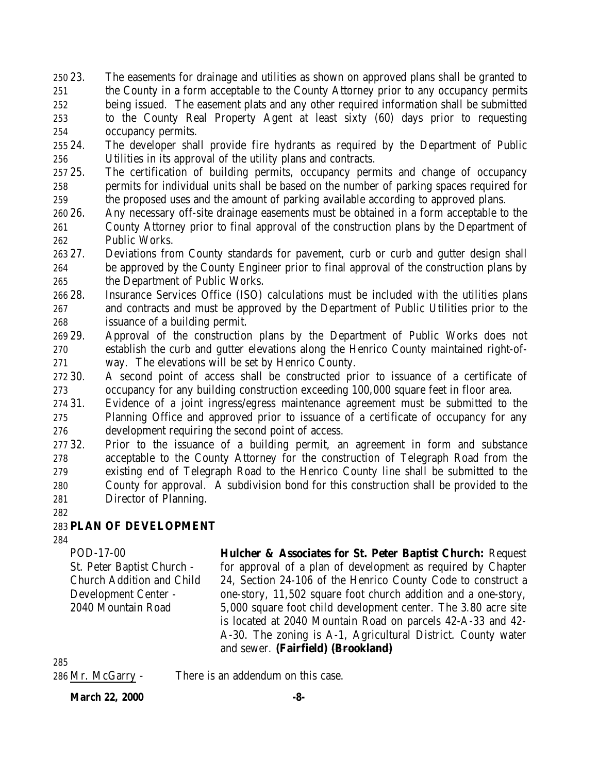- 23. The easements for drainage and utilities as shown on approved plans shall be granted to the County in a form acceptable to the County Attorney prior to any occupancy permits being issued. The easement plats and any other required information shall be submitted to the County Real Property Agent at least sixty (60) days prior to requesting occupancy permits.
- 24. The developer shall provide fire hydrants as required by the Department of Public Utilities in its approval of the utility plans and contracts.
- 25. The certification of building permits, occupancy permits and change of occupancy permits for individual units shall be based on the number of parking spaces required for the proposed uses and the amount of parking available according to approved plans.
- 26. Any necessary off-site drainage easements must be obtained in a form acceptable to the County Attorney prior to final approval of the construction plans by the Department of Public Works.
- 27. Deviations from County standards for pavement, curb or curb and gutter design shall be approved by the County Engineer prior to final approval of the construction plans by the Department of Public Works.
- 28. Insurance Services Office (ISO) calculations must be included with the utilities plans and contracts and must be approved by the Department of Public Utilities prior to the issuance of a building permit.
- 29. Approval of the construction plans by the Department of Public Works does not establish the curb and gutter elevations along the Henrico County maintained right-of-way. The elevations will be set by Henrico County.
- 30. A second point of access shall be constructed prior to issuance of a certificate of occupancy for any building construction exceeding 100,000 square feet in floor area.
- 31. Evidence of a joint ingress/egress maintenance agreement must be submitted to the Planning Office and approved prior to issuance of a certificate of occupancy for any development requiring the second point of access.
- 32. Prior to the issuance of a building permit, an agreement in form and substance acceptable to the County Attorney for the construction of Telegraph Road from the existing end of Telegraph Road to the Henrico County line shall be submitted to the County for approval. A subdivision bond for this construction shall be provided to the Director of Planning.
- 

# **PLAN OF DEVELOPMENT**

POD-17-00 St. Peter Baptist Church - Church Addition and Child Development Center - 2040 Mountain Road

**Hulcher & Associates for St. Peter Baptist Church:** Request for approval of a plan of development as required by Chapter 24, Section 24-106 of the Henrico County Code to construct a one-story, 11,502 square foot church addition and a one-story, 5,000 square foot child development center. The 3.80 acre site is located at 2040 Mountain Road on parcels 42-A-33 and 42- A-30. The zoning is A-1, Agricultural District. County water and sewer. **(Fairfield) (Brookland)**

Mr. McGarry - There is an addendum on this case.

**March 22, 2000 -8-**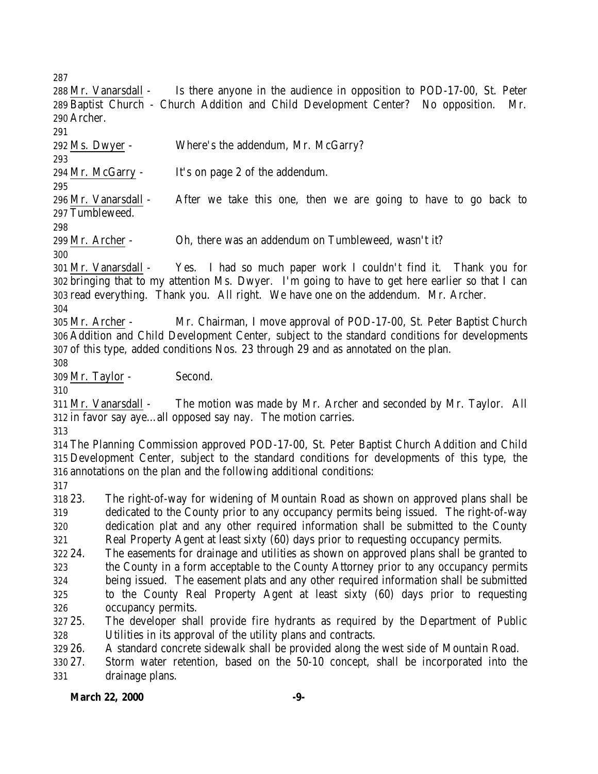Archer. Ms. Dwyer - Where's the addendum, Mr. McGarry? Mr. McGarry - It's on page 2 of the addendum. Mr. Vanarsdall - After we take this one, then we are going to have to go back to Tumbleweed. Mr. Archer - Oh, there was an addendum on Tumbleweed, wasn't it? Mr. Vanarsdall - Yes. I had so much paper work I couldn't find it. Thank you for bringing that to my attention Ms. Dwyer. I'm going to have to get here earlier so that I can read everything. Thank you. All right. We have one on the addendum. Mr. Archer. Mr. Archer - Mr. Chairman, I move approval of POD-17-00, St. Peter Baptist Church Addition and Child Development Center, subject to the standard conditions for developments of this type, added conditions Nos. 23 through 29 and as annotated on the plan. Mr. Taylor - Second. Mr. Vanarsdall - The motion was made by Mr. Archer and seconded by Mr. Taylor. All

 Mr. Vanarsdall - Is there anyone in the audience in opposition to POD-17-00, St. Peter Baptist Church - Church Addition and Child Development Center? No opposition. Mr.

- in favor say aye…all opposed say nay. The motion carries.
- 

 The Planning Commission approved POD-17-00, St. Peter Baptist Church Addition and Child Development Center, subject to the standard conditions for developments of this type, the annotations on the plan and the following additional conditions:

 23. The right-of-way for widening of Mountain Road as shown on approved plans shall be dedicated to the County prior to any occupancy permits being issued. The right-of-way dedication plat and any other required information shall be submitted to the County Real Property Agent at least sixty (60) days prior to requesting occupancy permits.

- 24. The easements for drainage and utilities as shown on approved plans shall be granted to the County in a form acceptable to the County Attorney prior to any occupancy permits being issued. The easement plats and any other required information shall be submitted to the County Real Property Agent at least sixty (60) days prior to requesting
- occupancy permits.
- 25. The developer shall provide fire hydrants as required by the Department of Public Utilities in its approval of the utility plans and contracts.

26. A standard concrete sidewalk shall be provided along the west side of Mountain Road.

 27. Storm water retention, based on the 50-10 concept, shall be incorporated into the drainage plans.

## **March 22, 2000 -9-**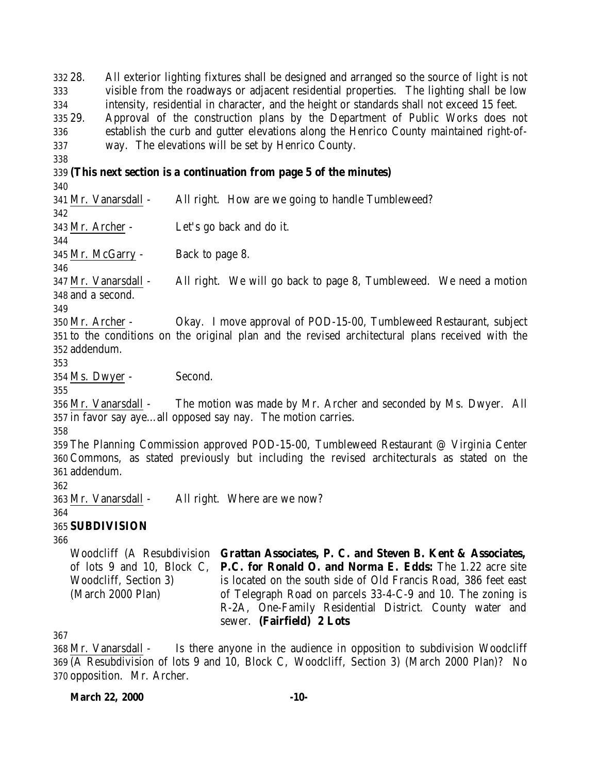28. All exterior lighting fixtures shall be designed and arranged so the source of light is not visible from the roadways or adjacent residential properties. The lighting shall be low intensity, residential in character, and the height or standards shall not exceed 15 feet. 29. Approval of the construction plans by the Department of Public Works does not establish the curb and gutter elevations along the Henrico County maintained right-of- way. The elevations will be set by Henrico County. **(This next section is a continuation from page 5 of the minutes)** Mr. Vanarsdall - All right. How are we going to handle Tumbleweed? Mr. Archer - Let's go back and do it. Mr. McGarry - Back to page 8. Mr. Vanarsdall - All right. We will go back to page 8, Tumbleweed. We need a motion and a second. Mr. Archer - Okay. I move approval of POD-15-00, Tumbleweed Restaurant, subject to the conditions on the original plan and the revised architectural plans received with the addendum. Ms. Dwyer - Second. Mr. Vanarsdall - The motion was made by Mr. Archer and seconded by Ms. Dwyer. All in favor say aye…all opposed say nay. The motion carries. The Planning Commission approved POD-15-00, Tumbleweed Restaurant @ Virginia Center Commons, as stated previously but including the revised architecturals as stated on the addendum. Mr. Vanarsdall - All right. Where are we now? **SUBDIVISION** Woodcliff (A Resubdivision **Grattan Associates, P. C. and Steven B. Kent & Associates,** of lots 9 and 10, Block C, Woodcliff, Section 3) (March 2000 Plan) **P.C. for Ronald O. and Norma E. Edds:** The 1.22 acre site is located on the south side of Old Francis Road, 386 feet east of Telegraph Road on parcels 33-4-C-9 and 10. The zoning is R-2A, One-Family Residential District. County water and

 Mr. Vanarsdall - Is there anyone in the audience in opposition to subdivision Woodcliff (A Resubdivision of lots 9 and 10, Block C, Woodcliff, Section 3) (March 2000 Plan)? No opposition. Mr. Archer.

sewer. **(Fairfield) 2 Lots**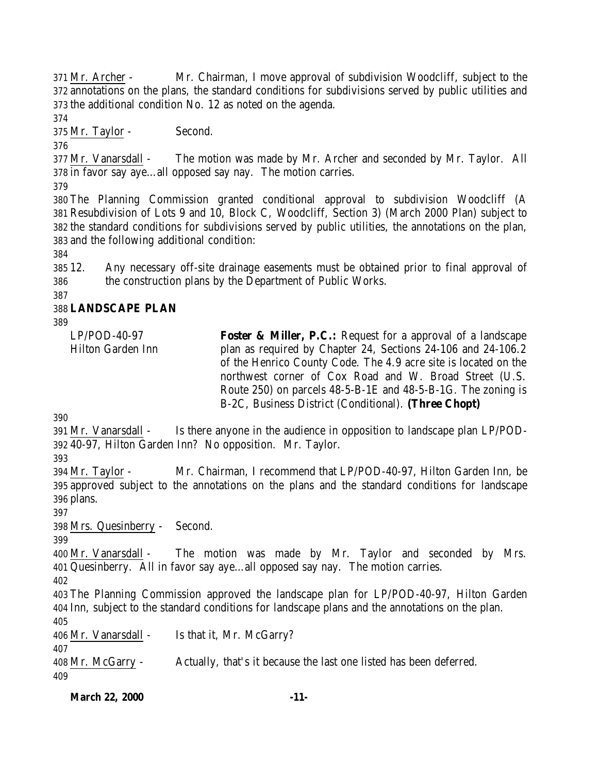Mr. Archer - Mr. Chairman, I move approval of subdivision Woodcliff, subject to the annotations on the plans, the standard conditions for subdivisions served by public utilities and the additional condition No. 12 as noted on the agenda.

Mr. Taylor - Second.

 Mr. Vanarsdall - The motion was made by Mr. Archer and seconded by Mr. Taylor. All in favor say aye…all opposed say nay. The motion carries.

 The Planning Commission granted conditional approval to subdivision Woodcliff (A Resubdivision of Lots 9 and 10, Block C, Woodcliff, Section 3) (March 2000 Plan) subject to the standard conditions for subdivisions served by public utilities, the annotations on the plan, and the following additional condition:

 12. Any necessary off-site drainage easements must be obtained prior to final approval of the construction plans by the Department of Public Works.

# **LANDSCAPE PLAN**

| LP/POD-40-97      | <b>Foster &amp; Miller, P.C.:</b> Request for a approval of a landscape |
|-------------------|-------------------------------------------------------------------------|
| Hilton Garden Inn | plan as required by Chapter 24, Sections 24-106 and 24-106.2            |
|                   | of the Henrico County Code. The 4.9 acre site is located on the         |
|                   | northwest corner of Cox Road and W. Broad Street (U.S.                  |
|                   | Route 250) on parcels 48-5-B-1E and 48-5-B-1G. The zoning is            |
|                   | B-2C, Business District (Conditional). (Three Chopt)                    |
|                   |                                                                         |

 Mr. Vanarsdall - Is there anyone in the audience in opposition to landscape plan LP/POD-40-97, Hilton Garden Inn? No opposition. Mr. Taylor.

 Mr. Taylor - Mr. Chairman, I recommend that LP/POD-40-97, Hilton Garden Inn, be approved subject to the annotations on the plans and the standard conditions for landscape plans.

Mrs. Quesinberry - Second.

 Mr. Vanarsdall - The motion was made by Mr. Taylor and seconded by Mrs. Quesinberry. All in favor say aye…all opposed say nay. The motion carries.

 The Planning Commission approved the landscape plan for LP/POD-40-97, Hilton Garden Inn, subject to the standard conditions for landscape plans and the annotations on the plan. 

Mr. Vanarsdall - Is that it, Mr. McGarry?

 Mr. McGarry - Actually, that's it because the last one listed has been deferred. 

```
March 22, 2000 -11-
```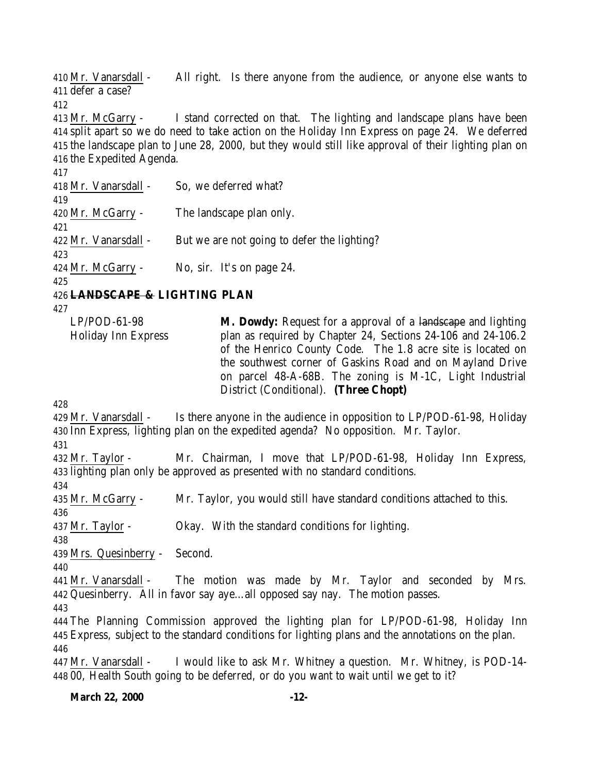Mr. Vanarsdall - All right. Is there anyone from the audience, or anyone else wants to defer a case? Mr. McGarry - I stand corrected on that. The lighting and landscape plans have been split apart so we do need to take action on the Holiday Inn Express on page 24. We deferred the landscape plan to June 28, 2000, but they would still like approval of their lighting plan on the Expedited Agenda. Mr. Vanarsdall - So, we deferred what? Mr. McGarry - The landscape plan only. Mr. Vanarsdall - But we are not going to defer the lighting? 424 Mr. McGarry - No, sir. It's on page 24. **LANDSCAPE & LIGHTING PLAN** LP/POD-61-98 Holiday Inn Express **M. Dowdy:** Request for a approval of a landscape and lighting plan as required by Chapter 24, Sections 24-106 and 24-106.2 of the Henrico County Code. The 1.8 acre site is located on the southwest corner of Gaskins Road and on Mayland Drive on parcel 48-A-68B. The zoning is M-1C, Light Industrial District (Conditional). **(Three Chopt)**  Mr. Vanarsdall - Is there anyone in the audience in opposition to LP/POD-61-98, Holiday Inn Express, lighting plan on the expedited agenda? No opposition. Mr. Taylor. Mr. Taylor - Mr. Chairman, I move that LP/POD-61-98, Holiday Inn Express, lighting plan only be approved as presented with no standard conditions. Mr. McGarry - Mr. Taylor, you would still have standard conditions attached to this. Mr. Taylor - Okay. With the standard conditions for lighting. Mrs. Quesinberry - Second. Mr. Vanarsdall - The motion was made by Mr. Taylor and seconded by Mrs. Quesinberry. All in favor say aye…all opposed say nay. The motion passes. The Planning Commission approved the lighting plan for LP/POD-61-98, Holiday Inn Express, subject to the standard conditions for lighting plans and the annotations on the plan. Mr. Vanarsdall - I would like to ask Mr. Whitney a question. Mr. Whitney, is POD-14- 00, Health South going to be deferred, or do you want to wait until we get to it?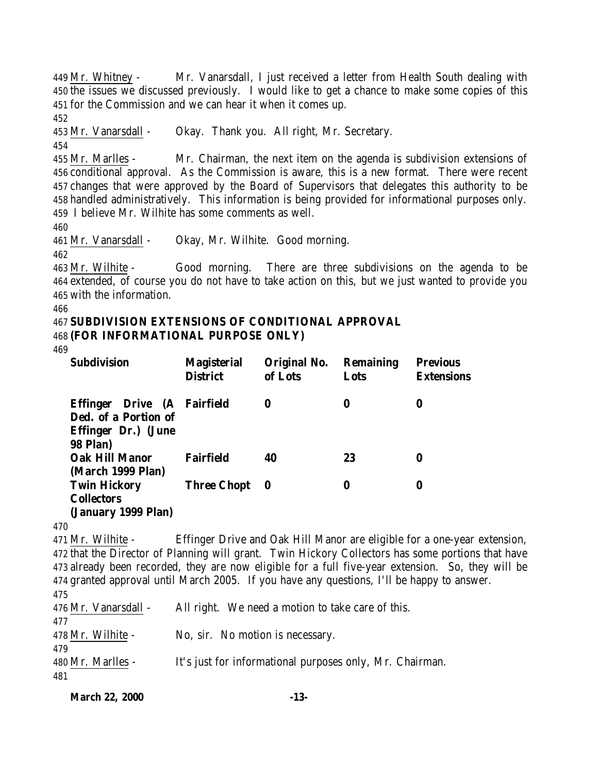Mr. Whitney - Mr. Vanarsdall, I just received a letter from Health South dealing with the issues we discussed previously. I would like to get a chance to make some copies of this for the Commission and we can hear it when it comes up.

Mr. Vanarsdall - Okay. Thank you. All right, Mr. Secretary.

 Mr. Marlles - Mr. Chairman, the next item on the agenda is subdivision extensions of conditional approval. As the Commission is aware, this is a new format. There were recent changes that were approved by the Board of Supervisors that delegates this authority to be handled administratively. This information is being provided for informational purposes only. I believe Mr. Wilhite has some comments as well.

Mr. Vanarsdall - Okay, Mr. Wilhite. Good morning.

 Mr. Wilhite - Good morning. There are three subdivisions on the agenda to be extended, of course you do not have to take action on this, but we just wanted to provide you with the information.

#### **SUBDIVISION EXTENSIONS OF CONDITIONAL APPROVAL (FOR INFORMATIONAL PURPOSE ONLY)**

| <b>Subdivision</b>                                                                                | <b>Magisterial</b><br><b>District</b> | Original No.<br>of Lots | <b>Remaining</b><br>Lots | <b>Previous</b><br><b>Extensions</b> |
|---------------------------------------------------------------------------------------------------|---------------------------------------|-------------------------|--------------------------|--------------------------------------|
| Drive (A Fairfield<br>Effinger<br>Ded. of a Portion of<br>Effinger Dr.) (June<br><b>98 Plan</b> ) |                                       | 0                       | 0                        | 0                                    |
| <b>Oak Hill Manor</b><br>(March 1999 Plan)                                                        | <b>Fairfield</b>                      | 40                      | 23                       | 0                                    |
| <b>Twin Hickory</b><br><b>Collectors</b><br>(January 1999 Plan)                                   | Three Chopt 0                         |                         | 0                        | 0                                    |

 Mr. Wilhite - Effinger Drive and Oak Hill Manor are eligible for a one-year extension, that the Director of Planning will grant. Twin Hickory Collectors has some portions that have already been recorded, they are now eligible for a full five-year extension. So, they will be granted approval until March 2005. If you have any questions, I'll be happy to answer. 

 Mr. Vanarsdall - All right. We need a motion to take care of this. Mr. Wilhite - No, sir. No motion is necessary. Mr. Marlles - It's just for informational purposes only, Mr. Chairman. 

```
March 22, 2000 -13-
```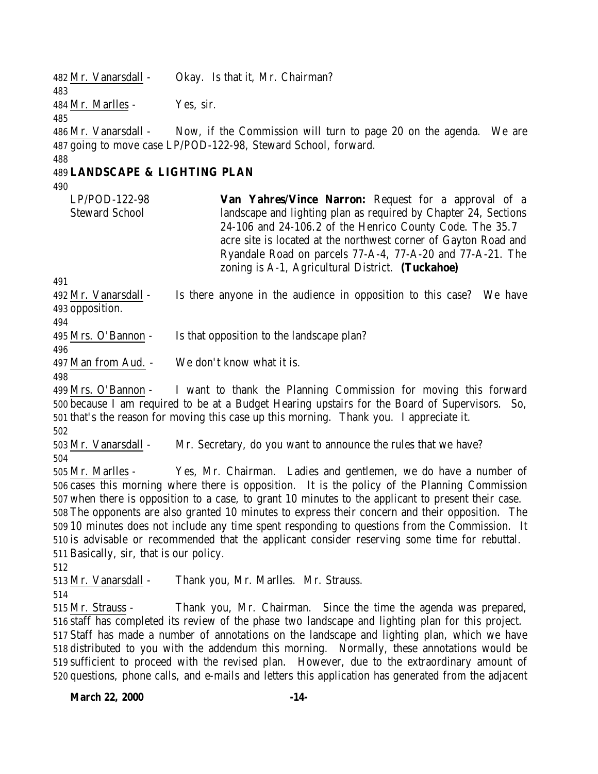482 Mr. Vanarsdall - Okay. Is that it, Mr. Chairman? Mr. Marlles - Yes, sir. Mr. Vanarsdall - Now, if the Commission will turn to page 20 on the agenda. We are going to move case LP/POD-122-98, Steward School, forward. **LANDSCAPE & LIGHTING PLAN** LP/POD-122-98 Steward School **Van Yahres/Vince Narron:** Request for a approval of a landscape and lighting plan as required by Chapter 24, Sections 24-106 and 24-106.2 of the Henrico County Code. The 35.7 acre site is located at the northwest corner of Gayton Road and Ryandale Road on parcels 77-A-4, 77-A-20 and 77-A-21. The zoning is A-1, Agricultural District. **(Tuckahoe)**  Mr. Vanarsdall - Is there anyone in the audience in opposition to this case? We have opposition. Mrs. O'Bannon - Is that opposition to the landscape plan? Man from Aud. - We don't know what it is. Mrs. O'Bannon - I want to thank the Planning Commission for moving this forward because I am required to be at a Budget Hearing upstairs for the Board of Supervisors. So, that's the reason for moving this case up this morning. Thank you. I appreciate it. Mr. Vanarsdall - Mr. Secretary, do you want to announce the rules that we have? Mr. Marlles - Yes, Mr. Chairman. Ladies and gentlemen, we do have a number of cases this morning where there is opposition. It is the policy of the Planning Commission when there is opposition to a case, to grant 10 minutes to the applicant to present their case. The opponents are also granted 10 minutes to express their concern and their opposition. The 10 minutes does not include any time spent responding to questions from the Commission. It is advisable or recommended that the applicant consider reserving some time for rebuttal. Basically, sir, that is our policy. Mr. Vanarsdall - Thank you, Mr. Marlles. Mr. Strauss. Mr. Strauss - Thank you, Mr. Chairman. Since the time the agenda was prepared, staff has completed its review of the phase two landscape and lighting plan for this project. Staff has made a number of annotations on the landscape and lighting plan, which we have distributed to you with the addendum this morning. Normally, these annotations would be sufficient to proceed with the revised plan. However, due to the extraordinary amount of questions, phone calls, and e-mails and letters this application has generated from the adjacent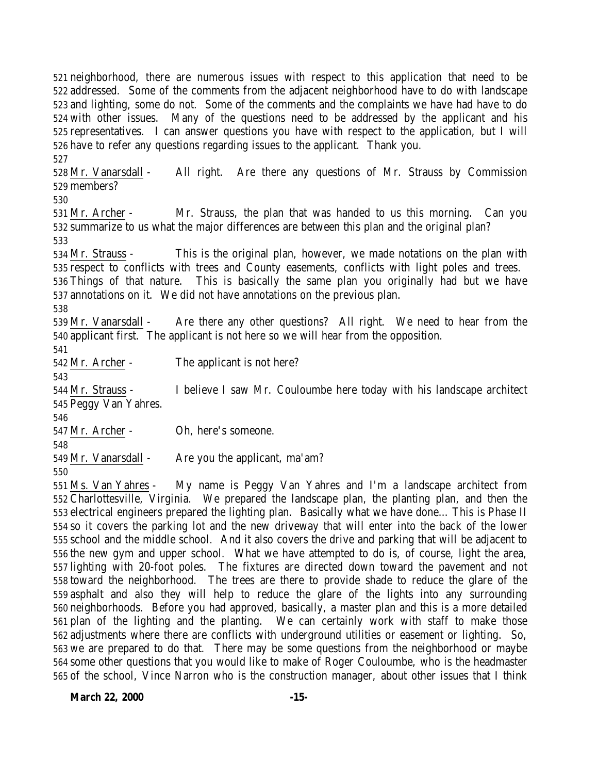neighborhood, there are numerous issues with respect to this application that need to be addressed. Some of the comments from the adjacent neighborhood have to do with landscape and lighting, some do not. Some of the comments and the complaints we have had have to do with other issues. Many of the questions need to be addressed by the applicant and his representatives. I can answer questions you have with respect to the application, but I will have to refer any questions regarding issues to the applicant. Thank you. 

 Mr. Vanarsdall - All right. Are there any questions of Mr. Strauss by Commission members?

 Mr. Archer - Mr. Strauss, the plan that was handed to us this morning. Can you summarize to us what the major differences are between this plan and the original plan? 

 Mr. Strauss - This is the original plan, however, we made notations on the plan with respect to conflicts with trees and County easements, conflicts with light poles and trees.

 Things of that nature. This is basically the same plan you originally had but we have annotations on it. We did not have annotations on the previous plan.

 Mr. Vanarsdall - Are there any other questions? All right. We need to hear from the applicant first. The applicant is not here so we will hear from the opposition.

Mr. Archer - The applicant is not here?

 Mr. Strauss - I believe I saw Mr. Couloumbe here today with his landscape architect Peggy Van Yahres.

Mr. Archer - Oh, here's someone.

Mr. Vanarsdall - Are you the applicant, ma'am?

 Ms. Van Yahres - My name is Peggy Van Yahres and I'm a landscape architect from Charlottesville, Virginia. We prepared the landscape plan, the planting plan, and then the electrical engineers prepared the lighting plan. Basically what we have done… This is Phase II so it covers the parking lot and the new driveway that will enter into the back of the lower school and the middle school. And it also covers the drive and parking that will be adjacent to the new gym and upper school. What we have attempted to do is, of course, light the area, lighting with 20-foot poles. The fixtures are directed down toward the pavement and not toward the neighborhood. The trees are there to provide shade to reduce the glare of the asphalt and also they will help to reduce the glare of the lights into any surrounding neighborhoods. Before you had approved, basically, a master plan and this is a more detailed plan of the lighting and the planting. We can certainly work with staff to make those adjustments where there are conflicts with underground utilities or easement or lighting. So, we are prepared to do that. There may be some questions from the neighborhood or maybe some other questions that you would like to make of Roger Couloumbe, who is the headmaster of the school, Vince Narron who is the construction manager, about other issues that I think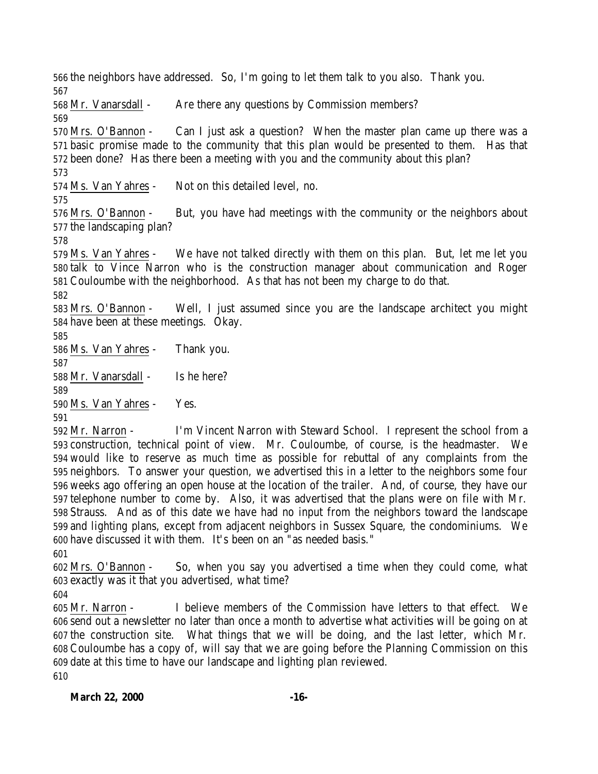the neighbors have addressed. So, I'm going to let them talk to you also. Thank you. Mr. Vanarsdall - Are there any questions by Commission members? Mrs. O'Bannon - Can I just ask a question? When the master plan came up there was a basic promise made to the community that this plan would be presented to them. Has that been done? Has there been a meeting with you and the community about this plan? Ms. Van Yahres - Not on this detailed level, no. Mrs. O'Bannon - But, you have had meetings with the community or the neighbors about the landscaping plan? Ms. Van Yahres - We have not talked directly with them on this plan. But, let me let you talk to Vince Narron who is the construction manager about communication and Roger Couloumbe with the neighborhood. As that has not been my charge to do that. Mrs. O'Bannon - Well, I just assumed since you are the landscape architect you might have been at these meetings. Okay. Ms. Van Yahres - Thank you. Mr. Vanarsdall - Is he here? Ms. Van Yahres - Yes. Mr. Narron - I'm Vincent Narron with Steward School. I represent the school from a

 construction, technical point of view. Mr. Couloumbe, of course, is the headmaster. We would like to reserve as much time as possible for rebuttal of any complaints from the neighbors. To answer your question, we advertised this in a letter to the neighbors some four weeks ago offering an open house at the location of the trailer. And, of course, they have our telephone number to come by. Also, it was advertised that the plans were on file with Mr. Strauss. And as of this date we have had no input from the neighbors toward the landscape and lighting plans, except from adjacent neighbors in Sussex Square, the condominiums. We have discussed it with them. It's been on an "as needed basis." 

 Mrs. O'Bannon - So, when you say you advertised a time when they could come, what exactly was it that you advertised, what time? 

 Mr. Narron - I believe members of the Commission have letters to that effect. We send out a newsletter no later than once a month to advertise what activities will be going on at the construction site. What things that we will be doing, and the last letter, which Mr. Couloumbe has a copy of, will say that we are going before the Planning Commission on this date at this time to have our landscape and lighting plan reviewed.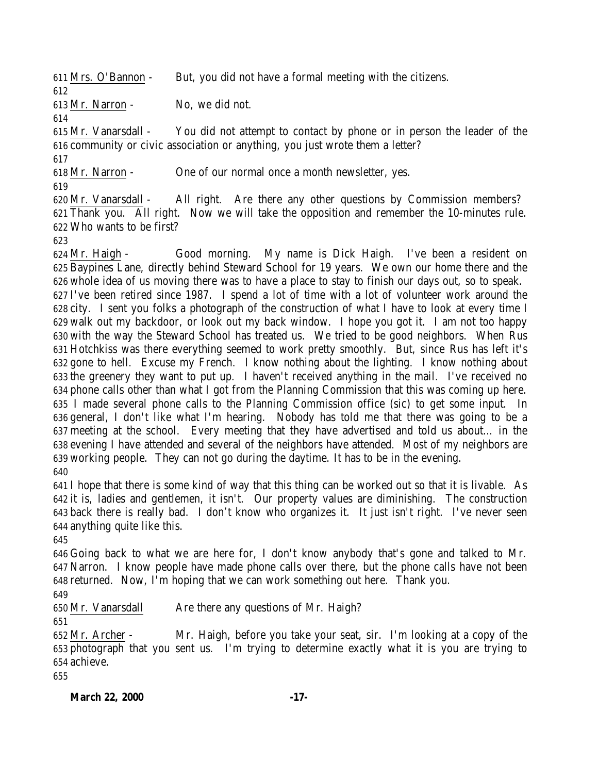Mrs. O'Bannon - But, you did not have a formal meeting with the citizens.

Mr. Narron - No, we did not.

 Mr. Vanarsdall - You did not attempt to contact by phone or in person the leader of the community or civic association or anything, you just wrote them a letter?

Mr. Narron - One of our normal once a month newsletter, yes.

 Mr. Vanarsdall - All right. Are there any other questions by Commission members? Thank you. All right. Now we will take the opposition and remember the 10-minutes rule. Who wants to be first?

 Mr. Haigh - Good morning. My name is Dick Haigh. I've been a resident on Baypines Lane, directly behind Steward School for 19 years. We own our home there and the whole idea of us moving there was to have a place to stay to finish our days out, so to speak. I've been retired since 1987. I spend a lot of time with a lot of volunteer work around the city. I sent you folks a photograph of the construction of what I have to look at every time I walk out my backdoor, or look out my back window. I hope you got it. I am not too happy with the way the Steward School has treated us. We tried to be good neighbors. When Rus Hotchkiss was there everything seemed to work pretty smoothly. But, since Rus has left it's gone to hell. Excuse my French. I know nothing about the lighting. I know nothing about the greenery they want to put up. I haven't received anything in the mail. I've received no phone calls other than what I got from the Planning Commission that this was coming up here. I made several phone calls to the Planning Commission office (sic) to get some input. In general, I don't like what I'm hearing. Nobody has told me that there was going to be a meeting at the school. Every meeting that they have advertised and told us about… in the evening I have attended and several of the neighbors have attended. Most of my neighbors are working people. They can not go during the daytime. It has to be in the evening. 

 I hope that there is some kind of way that this thing can be worked out so that it is livable. As it is, ladies and gentlemen, it isn't. Our property values are diminishing. The construction back there is really bad. I don't know who organizes it. It just isn't right. I've never seen anything quite like this.

 Going back to what we are here for, I don't know anybody that's gone and talked to Mr. Narron. I know people have made phone calls over there, but the phone calls have not been returned. Now, I'm hoping that we can work something out here. Thank you.

Mr. Vanarsdall Are there any questions of Mr. Haigh?

 Mr. Archer - Mr. Haigh, before you take your seat, sir. I'm looking at a copy of the photograph that you sent us. I'm trying to determine exactly what it is you are trying to achieve. 

**March 22, 2000 -17-**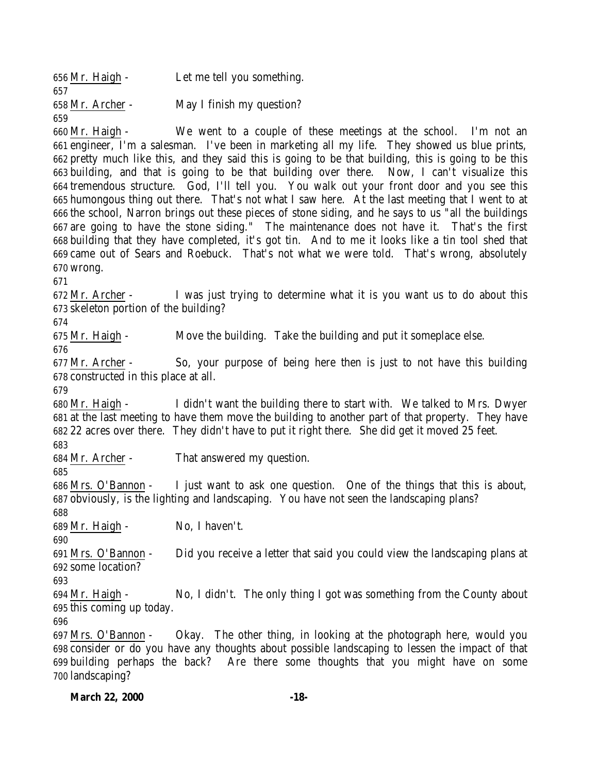Mr. Haigh - Let me tell you something. Mr. Archer - May I finish my question? 

 Mr. Haigh - We went to a couple of these meetings at the school. I'm not an engineer, I'm a salesman. I've been in marketing all my life. They showed us blue prints, pretty much like this, and they said this is going to be that building, this is going to be this building, and that is going to be that building over there. Now, I can't visualize this tremendous structure. God, I'll tell you. You walk out your front door and you see this humongous thing out there. That's not what I saw here. At the last meeting that I went to at the school, Narron brings out these pieces of stone siding, and he says to us "all the buildings are going to have the stone siding." The maintenance does not have it. That's the first building that they have completed, it's got tin. And to me it looks like a tin tool shed that came out of Sears and Roebuck. That's not what we were told. That's wrong, absolutely wrong.

 Mr. Archer - I was just trying to determine what it is you want us to do about this skeleton portion of the building?

Mr. Haigh - Move the building. Take the building and put it someplace else.

 Mr. Archer - So, your purpose of being here then is just to not have this building constructed in this place at all.

 Mr. Haigh - I didn't want the building there to start with. We talked to Mrs. Dwyer at the last meeting to have them move the building to another part of that property. They have 22 acres over there. They didn't have to put it right there. She did get it moved 25 feet.

Mr. Archer - That answered my question.

 Mrs. O'Bannon - I just want to ask one question. One of the things that this is about, obviously, is the lighting and landscaping. You have not seen the landscaping plans? 

Mr. Haigh - No, I haven't.

 Mrs. O'Bannon - Did you receive a letter that said you could view the landscaping plans at some location?

 Mr. Haigh - No, I didn't. The only thing I got was something from the County about this coming up today.

 Mrs. O'Bannon - Okay. The other thing, in looking at the photograph here, would you consider or do you have any thoughts about possible landscaping to lessen the impact of that building perhaps the back? Are there some thoughts that you might have on some landscaping?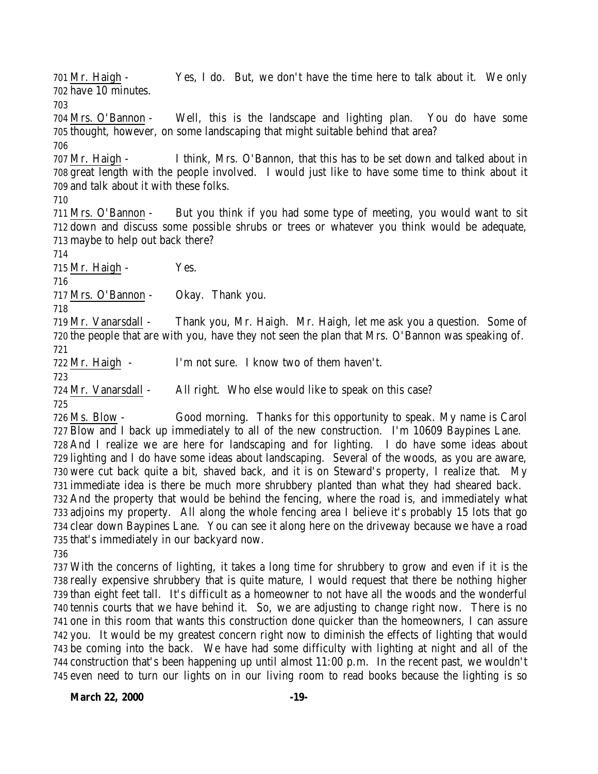Mr. Haigh - Yes, I do. But, we don't have the time here to talk about it. We only have 10 minutes.

 Mrs. O'Bannon - Well, this is the landscape and lighting plan. You do have some thought, however, on some landscaping that might suitable behind that area?

 Mr. Haigh - I think, Mrs. O'Bannon, that this has to be set down and talked about in great length with the people involved. I would just like to have some time to think about it and talk about it with these folks.

 Mrs. O'Bannon - But you think if you had some type of meeting, you would want to sit down and discuss some possible shrubs or trees or whatever you think would be adequate, maybe to help out back there?

715 Mr. Haigh - Yes.

Mrs. O'Bannon - Okay. Thank you.

 Mr. Vanarsdall - Thank you, Mr. Haigh. Mr. Haigh, let me ask you a question. Some of the people that are with you, have they not seen the plan that Mrs. O'Bannon was speaking of. 

Mr. Haigh - I'm not sure. I know two of them haven't.

Mr. Vanarsdall - All right. Who else would like to speak on this case?

 Ms. Blow - Good morning. Thanks for this opportunity to speak. My name is Carol Blow and I back up immediately to all of the new construction. I'm 10609 Baypines Lane. And I realize we are here for landscaping and for lighting. I do have some ideas about lighting and I do have some ideas about landscaping. Several of the woods, as you are aware, were cut back quite a bit, shaved back, and it is on Steward's property, I realize that. My immediate idea is there be much more shrubbery planted than what they had sheared back. And the property that would be behind the fencing, where the road is, and immediately what adjoins my property. All along the whole fencing area I believe it's probably 15 lots that go clear down Baypines Lane. You can see it along here on the driveway because we have a road that's immediately in our backyard now.

 With the concerns of lighting, it takes a long time for shrubbery to grow and even if it is the really expensive shrubbery that is quite mature, I would request that there be nothing higher than eight feet tall. It's difficult as a homeowner to not have all the woods and the wonderful tennis courts that we have behind it. So, we are adjusting to change right now. There is no one in this room that wants this construction done quicker than the homeowners, I can assure you. It would be my greatest concern right now to diminish the effects of lighting that would be coming into the back. We have had some difficulty with lighting at night and all of the construction that's been happening up until almost 11:00 p.m. In the recent past, we wouldn't even need to turn our lights on in our living room to read books because the lighting is so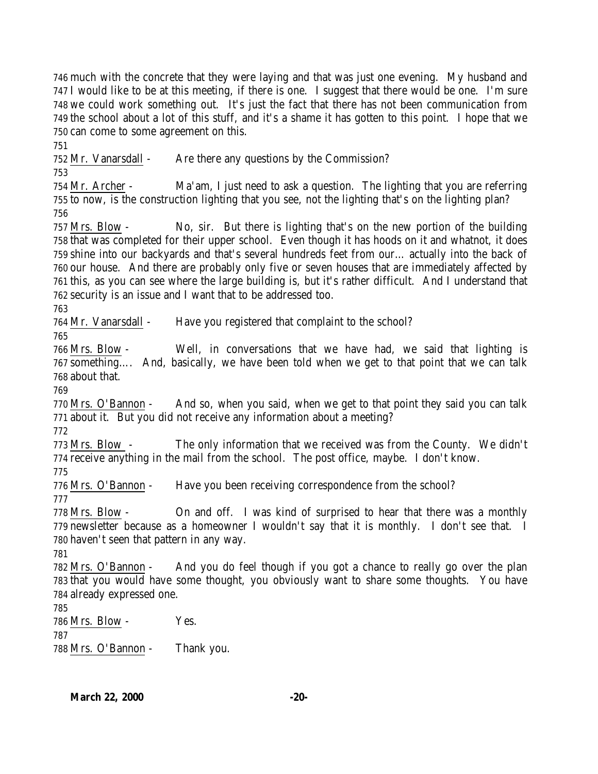much with the concrete that they were laying and that was just one evening. My husband and I would like to be at this meeting, if there is one. I suggest that there would be one. I'm sure we could work something out. It's just the fact that there has not been communication from the school about a lot of this stuff, and it's a shame it has gotten to this point. I hope that we can come to some agreement on this.

Mr. Vanarsdall - Are there any questions by the Commission?

 Mr. Archer - Ma'am, I just need to ask a question. The lighting that you are referring to now, is the construction lighting that you see, not the lighting that's on the lighting plan? 

 Mrs. Blow - No, sir. But there is lighting that's on the new portion of the building that was completed for their upper school. Even though it has hoods on it and whatnot, it does shine into our backyards and that's several hundreds feet from our… actually into the back of our house. And there are probably only five or seven houses that are immediately affected by this, as you can see where the large building is, but it's rather difficult. And I understand that security is an issue and I want that to be addressed too.

Mr. Vanarsdall - Have you registered that complaint to the school?

 Mrs. Blow - Well, in conversations that we have had, we said that lighting is something…. And, basically, we have been told when we get to that point that we can talk about that.

 Mrs. O'Bannon - And so, when you said, when we get to that point they said you can talk about it. But you did not receive any information about a meeting?

 Mrs. Blow - The only information that we received was from the County. We didn't receive anything in the mail from the school. The post office, maybe. I don't know. 

Mrs. O'Bannon - Have you been receiving correspondence from the school?

 Mrs. Blow - On and off. I was kind of surprised to hear that there was a monthly newsletter because as a homeowner I wouldn't say that it is monthly. I don't see that. I haven't seen that pattern in any way.

 Mrs. O'Bannon - And you do feel though if you got a chance to really go over the plan that you would have some thought, you obviously want to share some thoughts. You have already expressed one.

 Mrs. Blow - Yes. Mrs. O'Bannon - Thank you.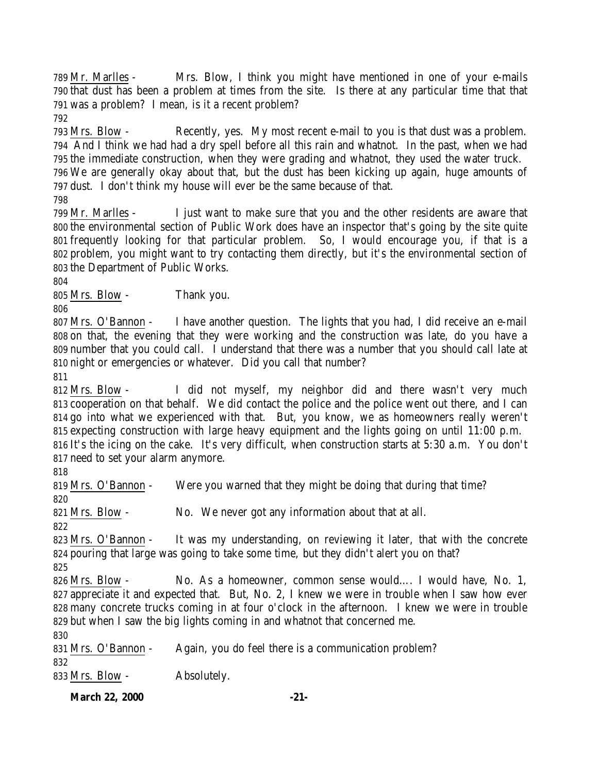Mr. Marlles - Mrs. Blow, I think you might have mentioned in one of your e-mails that dust has been a problem at times from the site. Is there at any particular time that that was a problem? I mean, is it a recent problem?

 Mrs. Blow - Recently, yes. My most recent e-mail to you is that dust was a problem. And I think we had had a dry spell before all this rain and whatnot. In the past, when we had the immediate construction, when they were grading and whatnot, they used the water truck. We are generally okay about that, but the dust has been kicking up again, huge amounts of dust. I don't think my house will ever be the same because of that.

 Mr. Marlles - I just want to make sure that you and the other residents are aware that the environmental section of Public Work does have an inspector that's going by the site quite frequently looking for that particular problem. So, I would encourage you, if that is a problem, you might want to try contacting them directly, but it's the environmental section of the Department of Public Works.

Mrs. Blow - Thank you.

 Mrs. O'Bannon - I have another question. The lights that you had, I did receive an e-mail on that, the evening that they were working and the construction was late, do you have a number that you could call. I understand that there was a number that you should call late at night or emergencies or whatever. Did you call that number?

 Mrs. Blow - I did not myself, my neighbor did and there wasn't very much cooperation on that behalf. We did contact the police and the police went out there, and I can go into what we experienced with that. But, you know, we as homeowners really weren't expecting construction with large heavy equipment and the lights going on until 11:00 p.m. It's the icing on the cake. It's very difficult, when construction starts at 5:30 a.m. You don't need to set your alarm anymore.

 Mrs. O'Bannon - Were you warned that they might be doing that during that time? Mrs. Blow - No. We never got any information about that at all. Mrs. O'Bannon - It was my understanding, on reviewing it later, that with the concrete pouring that large was going to take some time, but they didn't alert you on that? Mrs. Blow - No. As a homeowner, common sense would…. I would have, No. 1, appreciate it and expected that. But, No. 2, I knew we were in trouble when I saw how ever many concrete trucks coming in at four o'clock in the afternoon. I knew we were in trouble but when I saw the big lights coming in and whatnot that concerned me. Mrs. O'Bannon - Again, you do feel there is a communication problem? 

Mrs. Blow - Absolutely.

**March 22, 2000 -21-**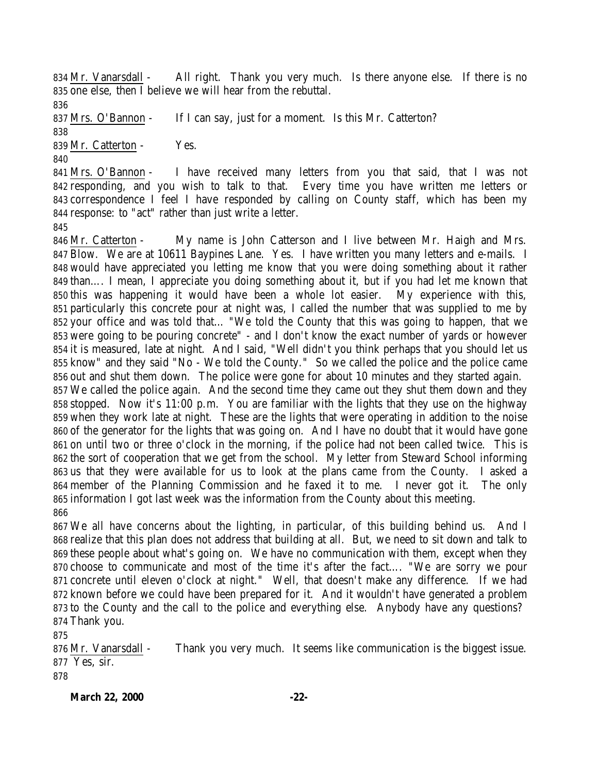Mr. Vanarsdall - All right. Thank you very much. Is there anyone else. If there is no one else, then I believe we will hear from the rebuttal.

Mrs. O'Bannon - If I can say, just for a moment. Is this Mr. Catterton?

839 Mr. Catterton - Yes.

 Mrs. O'Bannon - I have received many letters from you that said, that I was not responding, and you wish to talk to that. Every time you have written me letters or correspondence I feel I have responded by calling on County staff, which has been my response: to "act" rather than just write a letter.

 Mr. Catterton - My name is John Catterson and I live between Mr. Haigh and Mrs. Blow. We are at 10611 Baypines Lane. Yes. I have written you many letters and e-mails. I would have appreciated you letting me know that you were doing something about it rather than…. I mean, I appreciate you doing something about it, but if you had let me known that this was happening it would have been a whole lot easier. My experience with this, particularly this concrete pour at night was, I called the number that was supplied to me by your office and was told that… "We told the County that this was going to happen, that we were going to be pouring concrete" - and I don't know the exact number of yards or however it is measured, late at night. And I said, "Well didn't you think perhaps that you should let us know" and they said "No - We told the County." So we called the police and the police came out and shut them down. The police were gone for about 10 minutes and they started again. We called the police again. And the second time they came out they shut them down and they stopped. Now it's 11:00 p.m. You are familiar with the lights that they use on the highway when they work late at night. These are the lights that were operating in addition to the noise of the generator for the lights that was going on. And I have no doubt that it would have gone on until two or three o'clock in the morning, if the police had not been called twice. This is the sort of cooperation that we get from the school. My letter from Steward School informing us that they were available for us to look at the plans came from the County. I asked a member of the Planning Commission and he faxed it to me. I never got it. The only information I got last week was the information from the County about this meeting. 

 We all have concerns about the lighting, in particular, of this building behind us. And I realize that this plan does not address that building at all. But, we need to sit down and talk to these people about what's going on. We have no communication with them, except when they choose to communicate and most of the time it's after the fact…. "We are sorry we pour concrete until eleven o'clock at night." Well, that doesn't make any difference. If we had known before we could have been prepared for it. And it wouldn't have generated a problem to the County and the call to the police and everything else. Anybody have any questions? Thank you.

876 Mr. Vanarsdall - Thank you very much. It seems like communication is the biggest issue. Yes, sir. 

**March 22, 2000 -22-**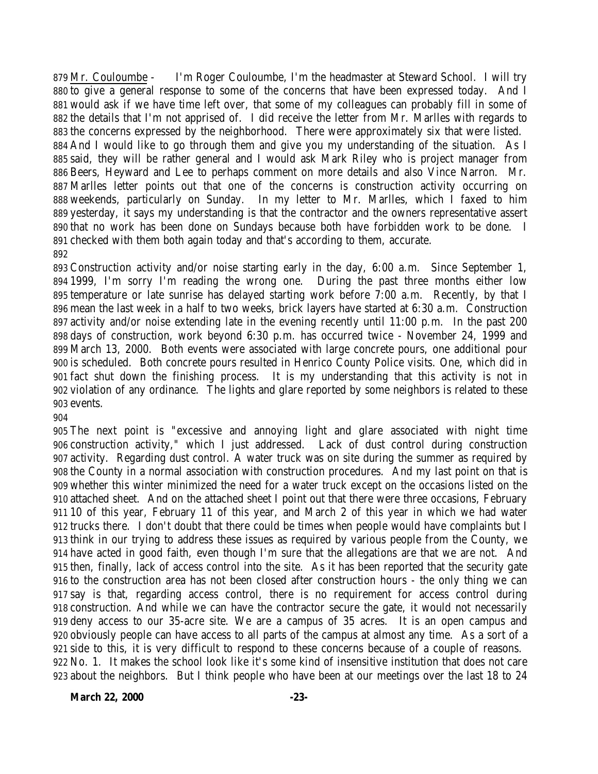Mr. Couloumbe - I'm Roger Couloumbe, I'm the headmaster at Steward School. I will try to give a general response to some of the concerns that have been expressed today. And I would ask if we have time left over, that some of my colleagues can probably fill in some of the details that I'm not apprised of. I did receive the letter from Mr. Marlles with regards to the concerns expressed by the neighborhood. There were approximately six that were listed. And I would like to go through them and give you my understanding of the situation. As I said, they will be rather general and I would ask Mark Riley who is project manager from Beers, Heyward and Lee to perhaps comment on more details and also Vince Narron. Mr. Marlles letter points out that one of the concerns is construction activity occurring on weekends, particularly on Sunday. In my letter to Mr. Marlles, which I faxed to him yesterday, it says my understanding is that the contractor and the owners representative assert that no work has been done on Sundays because both have forbidden work to be done. I checked with them both again today and that's according to them, accurate. 

 Construction activity and/or noise starting early in the day, 6:00 a.m. Since September 1, 1999, I'm sorry I'm reading the wrong one. During the past three months either low temperature or late sunrise has delayed starting work before 7:00 a.m. Recently, by that I mean the last week in a half to two weeks, brick layers have started at 6:30 a.m. Construction activity and/or noise extending late in the evening recently until 11:00 p.m. In the past 200 days of construction, work beyond 6:30 p.m. has occurred twice - November 24, 1999 and March 13, 2000. Both events were associated with large concrete pours, one additional pour is scheduled. Both concrete pours resulted in Henrico County Police visits. One, which did in fact shut down the finishing process. It is my understanding that this activity is not in violation of any ordinance. The lights and glare reported by some neighbors is related to these events.

 The next point is "excessive and annoying light and glare associated with night time construction activity," which I just addressed. Lack of dust control during construction activity. Regarding dust control. A water truck was on site during the summer as required by the County in a normal association with construction procedures. And my last point on that is whether this winter minimized the need for a water truck except on the occasions listed on the attached sheet. And on the attached sheet I point out that there were three occasions, February 10 of this year, February 11 of this year, and March 2 of this year in which we had water trucks there. I don't doubt that there could be times when people would have complaints but I think in our trying to address these issues as required by various people from the County, we have acted in good faith, even though I'm sure that the allegations are that we are not. And then, finally, lack of access control into the site. As it has been reported that the security gate to the construction area has not been closed after construction hours - the only thing we can say is that, regarding access control, there is no requirement for access control during construction. And while we can have the contractor secure the gate, it would not necessarily deny access to our 35-acre site. We are a campus of 35 acres. It is an open campus and obviously people can have access to all parts of the campus at almost any time. As a sort of a side to this, it is very difficult to respond to these concerns because of a couple of reasons. No. 1. It makes the school look like it's some kind of insensitive institution that does not care about the neighbors. But I think people who have been at our meetings over the last 18 to 24

**March 22, 2000 -23-**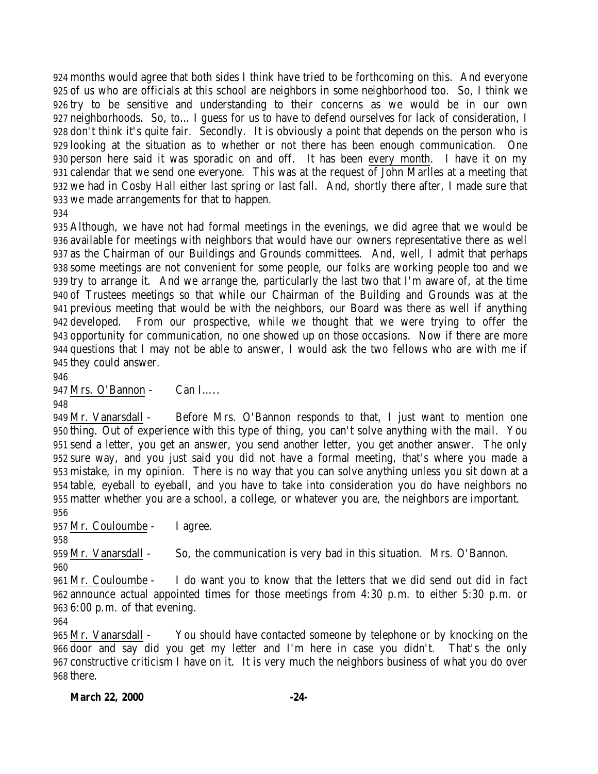months would agree that both sides I think have tried to be forthcoming on this. And everyone of us who are officials at this school are neighbors in some neighborhood too. So, I think we try to be sensitive and understanding to their concerns as we would be in our own neighborhoods. So, to… I guess for us to have to defend ourselves for lack of consideration, I don't think it's quite fair. Secondly. It is obviously a point that depends on the person who is looking at the situation as to whether or not there has been enough communication. One person here said it was sporadic on and off. It has been every month. I have it on my calendar that we send one everyone. This was at the request of John Marlles at a meeting that we had in Cosby Hall either last spring or last fall. And, shortly there after, I made sure that we made arrangements for that to happen.

 Although, we have not had formal meetings in the evenings, we did agree that we would be available for meetings with neighbors that would have our owners representative there as well as the Chairman of our Buildings and Grounds committees. And, well, I admit that perhaps some meetings are not convenient for some people, our folks are working people too and we try to arrange it. And we arrange the, particularly the last two that I'm aware of, at the time of Trustees meetings so that while our Chairman of the Building and Grounds was at the previous meeting that would be with the neighbors, our Board was there as well if anything developed. From our prospective, while we thought that we were trying to offer the opportunity for communication, no one showed up on those occasions. Now if there are more questions that I may not be able to answer, I would ask the two fellows who are with me if they could answer.

Mrs. O'Bannon - Can I…..

 Mr. Vanarsdall - Before Mrs. O'Bannon responds to that, I just want to mention one thing. Out of experience with this type of thing, you can't solve anything with the mail. You send a letter, you get an answer, you send another letter, you get another answer. The only sure way, and you just said you did not have a formal meeting, that's where you made a mistake, in my opinion. There is no way that you can solve anything unless you sit down at a table, eyeball to eyeball, and you have to take into consideration you do have neighbors no matter whether you are a school, a college, or whatever you are, the neighbors are important. 

Mr. Couloumbe - I agree.

Mr. Vanarsdall - So, the communication is very bad in this situation. Mrs. O'Bannon.

 Mr. Couloumbe - I do want you to know that the letters that we did send out did in fact announce actual appointed times for those meetings from 4:30 p.m. to either 5:30 p.m. or 6:00 p.m. of that evening.

 Mr. Vanarsdall - You should have contacted someone by telephone or by knocking on the door and say did you get my letter and I'm here in case you didn't. That's the only constructive criticism I have on it. It is very much the neighbors business of what you do over there.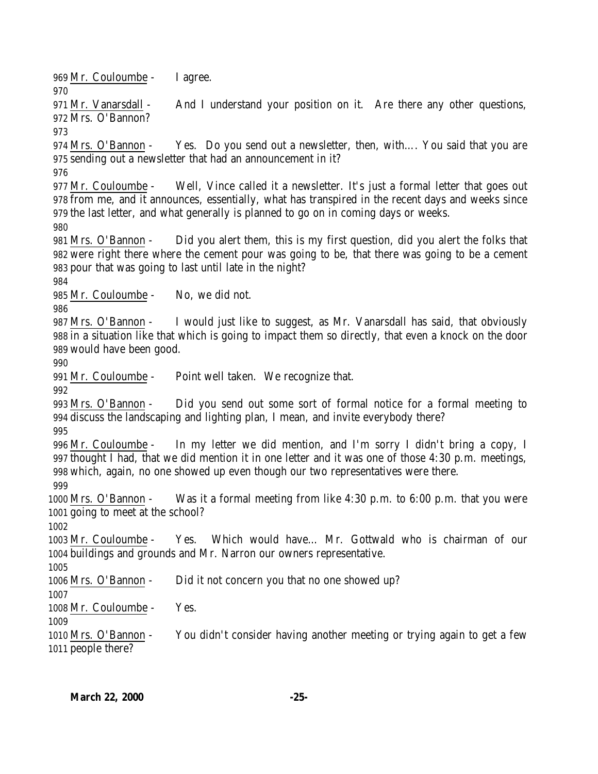Mr. Couloumbe - I agree.

971 Mr. Vanarsdall - And I understand your position on it. Are there any other questions, Mrs. O'Bannon?

 Mrs. O'Bannon - Yes. Do you send out a newsletter, then, with…. You said that you are sending out a newsletter that had an announcement in it?

 Mr. Couloumbe - Well, Vince called it a newsletter. It's just a formal letter that goes out from me, and it announces, essentially, what has transpired in the recent days and weeks since the last letter, and what generally is planned to go on in coming days or weeks.

 Mrs. O'Bannon - Did you alert them, this is my first question, did you alert the folks that were right there where the cement pour was going to be, that there was going to be a cement pour that was going to last until late in the night?

Mr. Couloumbe - No, we did not.

 Mrs. O'Bannon - I would just like to suggest, as Mr. Vanarsdall has said, that obviously in a situation like that which is going to impact them so directly, that even a knock on the door would have been good.

Mr. Couloumbe - Point well taken. We recognize that.

 Mrs. O'Bannon - Did you send out some sort of formal notice for a formal meeting to discuss the landscaping and lighting plan, I mean, and invite everybody there?

 Mr. Couloumbe - In my letter we did mention, and I'm sorry I didn't bring a copy, I thought I had, that we did mention it in one letter and it was one of those 4:30 p.m. meetings, which, again, no one showed up even though our two representatives were there.

 Mrs. O'Bannon - Was it a formal meeting from like 4:30 p.m. to 6:00 p.m. that you were going to meet at the school?

 Mr. Couloumbe - Yes. Which would have… Mr. Gottwald who is chairman of our buildings and grounds and Mr. Narron our owners representative.

Mrs. O'Bannon - Did it not concern you that no one showed up?

Mr. Couloumbe - Yes.

 Mrs. O'Bannon - You didn't consider having another meeting or trying again to get a few people there?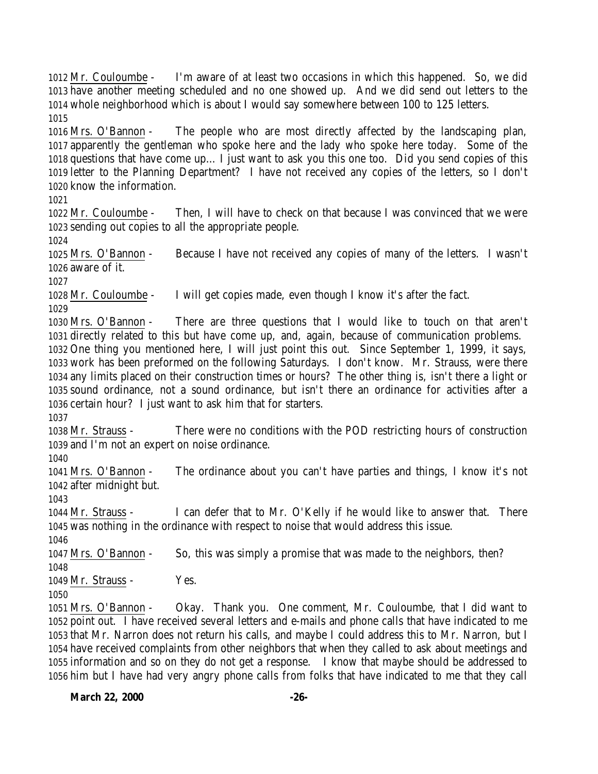Mr. Couloumbe - I'm aware of at least two occasions in which this happened. So, we did have another meeting scheduled and no one showed up. And we did send out letters to the whole neighborhood which is about I would say somewhere between 100 to 125 letters. 

 Mrs. O'Bannon - The people who are most directly affected by the landscaping plan, apparently the gentleman who spoke here and the lady who spoke here today. Some of the questions that have come up… I just want to ask you this one too. Did you send copies of this letter to the Planning Department? I have not received any copies of the letters, so I don't know the information.

 Mr. Couloumbe - Then, I will have to check on that because I was convinced that we were sending out copies to all the appropriate people.

 Mrs. O'Bannon - Because I have not received any copies of many of the letters. I wasn't aware of it.

Mr. Couloumbe - I will get copies made, even though I know it's after the fact.

 Mrs. O'Bannon - There are three questions that I would like to touch on that aren't directly related to this but have come up, and, again, because of communication problems.

 One thing you mentioned here, I will just point this out. Since September 1, 1999, it says, work has been preformed on the following Saturdays. I don't know. Mr. Strauss, were there any limits placed on their construction times or hours? The other thing is, isn't there a light or sound ordinance, not a sound ordinance, but isn't there an ordinance for activities after a certain hour? I just want to ask him that for starters.

 Mr. Strauss - There were no conditions with the POD restricting hours of construction and I'm not an expert on noise ordinance.

 Mrs. O'Bannon - The ordinance about you can't have parties and things, I know it's not after midnight but.

 Mr. Strauss - I can defer that to Mr. O'Kelly if he would like to answer that. There was nothing in the ordinance with respect to noise that would address this issue.

Mrs. O'Bannon - So, this was simply a promise that was made to the neighbors, then?

1049 Mr. Strauss - Yes.

 Mrs. O'Bannon - Okay. Thank you. One comment, Mr. Couloumbe, that I did want to point out. I have received several letters and e-mails and phone calls that have indicated to me that Mr. Narron does not return his calls, and maybe I could address this to Mr. Narron, but I have received complaints from other neighbors that when they called to ask about meetings and information and so on they do not get a response. I know that maybe should be addressed to him but I have had very angry phone calls from folks that have indicated to me that they call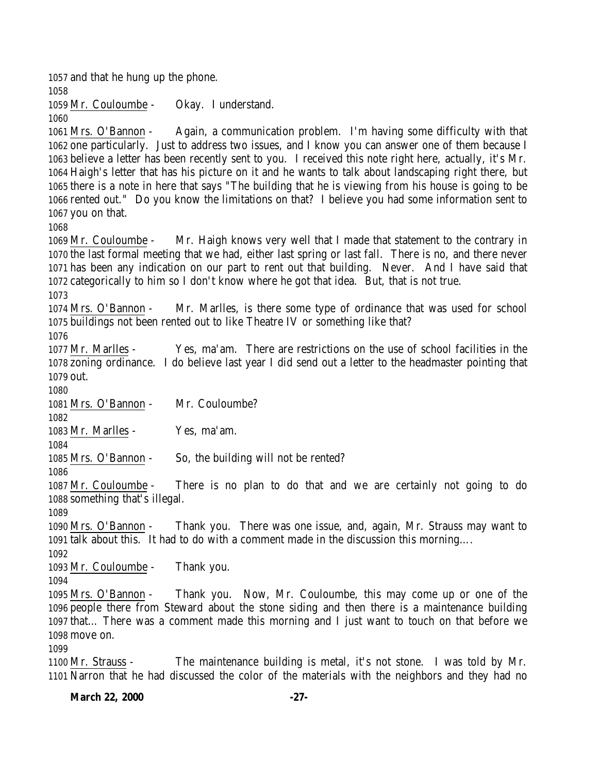and that he hung up the phone. Mr. Couloumbe - Okay. I understand. Mrs. O'Bannon - Again, a communication problem. I'm having some difficulty with that one particularly. Just to address two issues, and I know you can answer one of them because I believe a letter has been recently sent to you. I received this note right here, actually, it's Mr. Haigh's letter that has his picture on it and he wants to talk about landscaping right there, but there is a note in here that says "The building that he is viewing from his house is going to be rented out." Do you know the limitations on that? I believe you had some information sent to you on that. Mr. Couloumbe - Mr. Haigh knows very well that I made that statement to the contrary in the last formal meeting that we had, either last spring or last fall. There is no, and there never has been any indication on our part to rent out that building. Never. And I have said that categorically to him so I don't know where he got that idea. But, that is not true. Mrs. O'Bannon - Mr. Marlles, is there some type of ordinance that was used for school buildings not been rented out to like Theatre IV or something like that? Mr. Marlles - Yes, ma'am. There are restrictions on the use of school facilities in the zoning ordinance. I do believe last year I did send out a letter to the headmaster pointing that out. Mrs. O'Bannon - Mr. Couloumbe? Mr. Marlles - Yes, ma'am. Mrs. O'Bannon - So, the building will not be rented? Mr. Couloumbe - There is no plan to do that and we are certainly not going to do something that's illegal. Mrs. O'Bannon - Thank you. There was one issue, and, again, Mr. Strauss may want to talk about this. It had to do with a comment made in the discussion this morning…. Mr. Couloumbe - Thank you. Mrs. O'Bannon - Thank you. Now, Mr. Couloumbe, this may come up or one of the people there from Steward about the stone siding and then there is a maintenance building that… There was a comment made this morning and I just want to touch on that before we move on. Mr. Strauss - The maintenance building is metal, it's not stone. I was told by Mr. Narron that he had discussed the color of the materials with the neighbors and they had no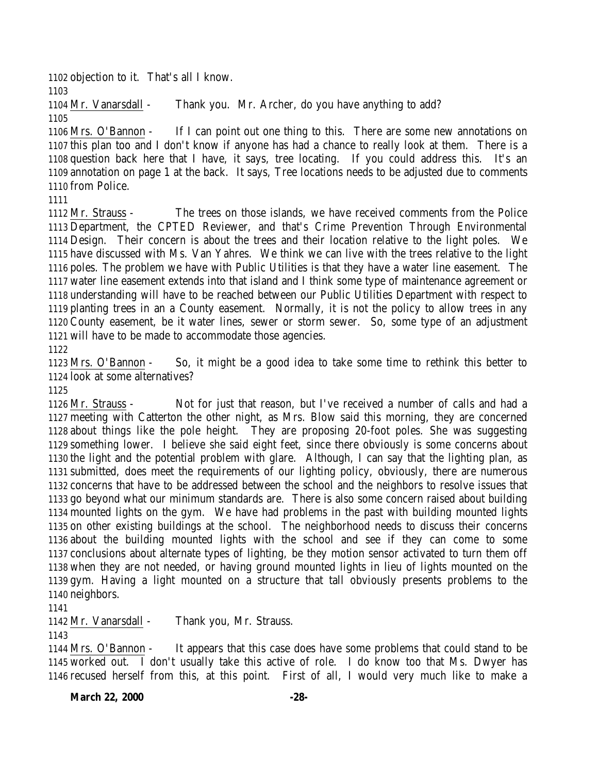objection to it. That's all I know.

 Mr. Vanarsdall - Thank you. Mr. Archer, do you have anything to add? 

 Mrs. O'Bannon - If I can point out one thing to this. There are some new annotations on this plan too and I don't know if anyone has had a chance to really look at them. There is a question back here that I have, it says, tree locating. If you could address this. It's an annotation on page 1 at the back. It says, Tree locations needs to be adjusted due to comments from Police.

 Mr. Strauss - The trees on those islands, we have received comments from the Police Department, the CPTED Reviewer, and that's Crime Prevention Through Environmental Design. Their concern is about the trees and their location relative to the light poles. We have discussed with Ms. Van Yahres. We think we can live with the trees relative to the light poles. The problem we have with Public Utilities is that they have a water line easement. The water line easement extends into that island and I think some type of maintenance agreement or understanding will have to be reached between our Public Utilities Department with respect to planting trees in an a County easement. Normally, it is not the policy to allow trees in any County easement, be it water lines, sewer or storm sewer. So, some type of an adjustment will have to be made to accommodate those agencies.

 Mrs. O'Bannon - So, it might be a good idea to take some time to rethink this better to look at some alternatives?

 Mr. Strauss - Not for just that reason, but I've received a number of calls and had a meeting with Catterton the other night, as Mrs. Blow said this morning, they are concerned about things like the pole height. They are proposing 20-foot poles. She was suggesting something lower. I believe she said eight feet, since there obviously is some concerns about the light and the potential problem with glare. Although, I can say that the lighting plan, as submitted, does meet the requirements of our lighting policy, obviously, there are numerous concerns that have to be addressed between the school and the neighbors to resolve issues that go beyond what our minimum standards are. There is also some concern raised about building mounted lights on the gym. We have had problems in the past with building mounted lights on other existing buildings at the school. The neighborhood needs to discuss their concerns about the building mounted lights with the school and see if they can come to some conclusions about alternate types of lighting, be they motion sensor activated to turn them off when they are not needed, or having ground mounted lights in lieu of lights mounted on the gym. Having a light mounted on a structure that tall obviously presents problems to the neighbors.

Mr. Vanarsdall - Thank you, Mr. Strauss.

 Mrs. O'Bannon - It appears that this case does have some problems that could stand to be worked out. I don't usually take this active of role. I do know too that Ms. Dwyer has recused herself from this, at this point. First of all, I would very much like to make a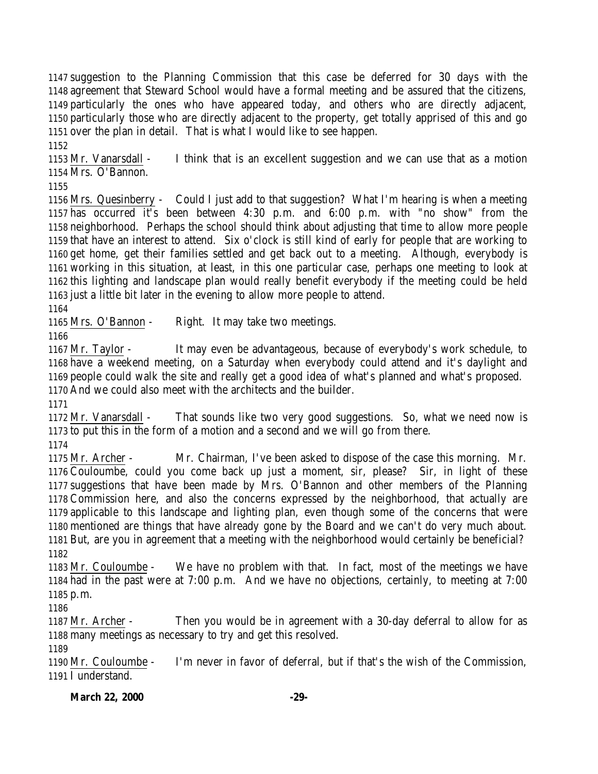suggestion to the Planning Commission that this case be deferred for 30 days with the agreement that Steward School would have a formal meeting and be assured that the citizens, particularly the ones who have appeared today, and others who are directly adjacent, particularly those who are directly adjacent to the property, get totally apprised of this and go over the plan in detail. That is what I would like to see happen.

 Mr. Vanarsdall - I think that is an excellent suggestion and we can use that as a motion Mrs. O'Bannon.

 Mrs. Quesinberry - Could I just add to that suggestion? What I'm hearing is when a meeting has occurred it's been between 4:30 p.m. and 6:00 p.m. with "no show" from the neighborhood. Perhaps the school should think about adjusting that time to allow more people that have an interest to attend. Six o'clock is still kind of early for people that are working to get home, get their families settled and get back out to a meeting. Although, everybody is working in this situation, at least, in this one particular case, perhaps one meeting to look at this lighting and landscape plan would really benefit everybody if the meeting could be held just a little bit later in the evening to allow more people to attend.

Mrs. O'Bannon - Right. It may take two meetings.

 Mr. Taylor - It may even be advantageous, because of everybody's work schedule, to have a weekend meeting, on a Saturday when everybody could attend and it's daylight and people could walk the site and really get a good idea of what's planned and what's proposed. And we could also meet with the architects and the builder.

 Mr. Vanarsdall - That sounds like two very good suggestions. So, what we need now is to put this in the form of a motion and a second and we will go from there.

 Mr. Archer - Mr. Chairman, I've been asked to dispose of the case this morning. Mr. Couloumbe, could you come back up just a moment, sir, please? Sir, in light of these suggestions that have been made by Mrs. O'Bannon and other members of the Planning Commission here, and also the concerns expressed by the neighborhood, that actually are applicable to this landscape and lighting plan, even though some of the concerns that were mentioned are things that have already gone by the Board and we can't do very much about. But, are you in agreement that a meeting with the neighborhood would certainly be beneficial? 

 Mr. Couloumbe - We have no problem with that. In fact, most of the meetings we have had in the past were at 7:00 p.m. And we have no objections, certainly, to meeting at 7:00 p.m.

 Mr. Archer - Then you would be in agreement with a 30-day deferral to allow for as many meetings as necessary to try and get this resolved.

 Mr. Couloumbe - I'm never in favor of deferral, but if that's the wish of the Commission, I understand.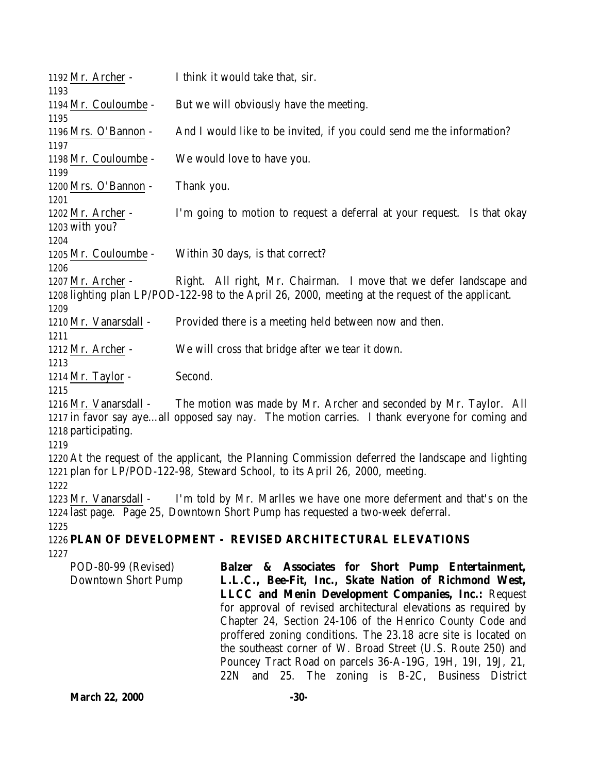| 1192 Mr. Archer -                                            | I think it would take that, sir.                                                                                                                                                                                                                                                                                                                                                                                                                                                                                                                       |  |  |  |
|--------------------------------------------------------------|--------------------------------------------------------------------------------------------------------------------------------------------------------------------------------------------------------------------------------------------------------------------------------------------------------------------------------------------------------------------------------------------------------------------------------------------------------------------------------------------------------------------------------------------------------|--|--|--|
| 1193<br>1194 Mr. Couloumbe -                                 | But we will obviously have the meeting.                                                                                                                                                                                                                                                                                                                                                                                                                                                                                                                |  |  |  |
| 1195<br>1196 Mrs. O'Bannon -                                 | And I would like to be invited, if you could send me the information?                                                                                                                                                                                                                                                                                                                                                                                                                                                                                  |  |  |  |
| 1197<br>1198 Mr. Couloumbe -<br>1199                         | We would love to have you.                                                                                                                                                                                                                                                                                                                                                                                                                                                                                                                             |  |  |  |
| 1200 Mrs. O'Bannon -                                         | Thank you.                                                                                                                                                                                                                                                                                                                                                                                                                                                                                                                                             |  |  |  |
| 1201<br>1202 Mr. Archer -<br>1203 with you?                  | I'm going to motion to request a deferral at your request. Is that okay                                                                                                                                                                                                                                                                                                                                                                                                                                                                                |  |  |  |
| 1204<br>1205 Mr. Couloumbe -<br>1206                         | Within 30 days, is that correct?                                                                                                                                                                                                                                                                                                                                                                                                                                                                                                                       |  |  |  |
| 1207 Mr. Archer -<br>1209                                    | Right. All right, Mr. Chairman. I move that we defer landscape and<br>1208 lighting plan LP/POD-122-98 to the April 26, 2000, meeting at the request of the applicant.                                                                                                                                                                                                                                                                                                                                                                                 |  |  |  |
| 1210 Mr. Vanarsdall -<br>1211                                | Provided there is a meeting held between now and then.                                                                                                                                                                                                                                                                                                                                                                                                                                                                                                 |  |  |  |
| 1212 Mr. Archer -                                            | We will cross that bridge after we tear it down.                                                                                                                                                                                                                                                                                                                                                                                                                                                                                                       |  |  |  |
| 1213<br>1214 Mr. Taylor -                                    | Second.                                                                                                                                                                                                                                                                                                                                                                                                                                                                                                                                                |  |  |  |
| 1215<br>1216 Mr. Vanarsdall -<br>1218 participating.<br>1219 | The motion was made by Mr. Archer and seconded by Mr. Taylor. All<br>1217 in favor say ayeall opposed say nay. The motion carries. I thank everyone for coming and                                                                                                                                                                                                                                                                                                                                                                                     |  |  |  |
|                                                              | 1220 At the request of the applicant, the Planning Commission deferred the landscape and lighting<br>1221 plan for LP/POD-122-98, Steward School, to its April 26, 2000, meeting.                                                                                                                                                                                                                                                                                                                                                                      |  |  |  |
| 1222<br>1223 Mr. Vanarsdall -<br>1225                        | I'm told by Mr. Marlles we have one more deferment and that's on the<br>1224 last page. Page 25, Downtown Short Pump has requested a two-week deferral.                                                                                                                                                                                                                                                                                                                                                                                                |  |  |  |
|                                                              | 1226 PLAN OF DEVELOPMENT - REVISED ARCHITECTURAL ELEVATIONS                                                                                                                                                                                                                                                                                                                                                                                                                                                                                            |  |  |  |
| 1227                                                         |                                                                                                                                                                                                                                                                                                                                                                                                                                                                                                                                                        |  |  |  |
| POD-80-99 (Revised)<br>Downtown Short Pump                   | Balzer & Associates for Short Pump Entertainment,<br>L.L.C., Bee-Fit, Inc., Skate Nation of Richmond West,<br>LLCC and Menin Development Companies, Inc.: Request<br>for approval of revised architectural elevations as required by<br>Chapter 24, Section 24-106 of the Henrico County Code and<br>proffered zoning conditions. The 23.18 acre site is located on<br>the southeast corner of W. Broad Street (U.S. Route 250) and<br>Pouncey Tract Road on parcels 36-A-19G, 19H, 19I, 19J, 21,<br>22N and 25. The zoning is B-2C, Business District |  |  |  |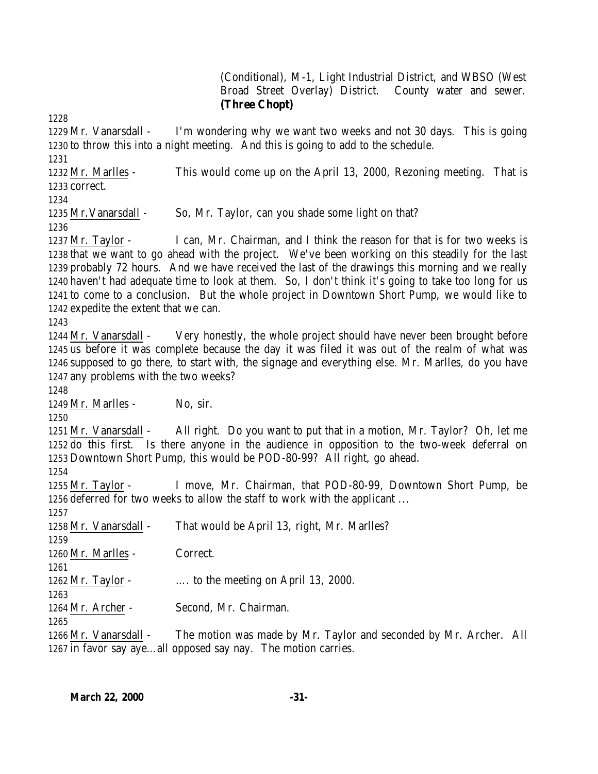(Conditional), M-1, Light Industrial District, and WBSO (West Broad Street Overlay) District. County water and sewer. **(Three Chopt)**

 Mr. Vanarsdall - I'm wondering why we want two weeks and not 30 days. This is going to throw this into a night meeting. And this is going to add to the schedule. 

 Mr. Marlles - This would come up on the April 13, 2000, Rezoning meeting. That is correct.

Mr.Vanarsdall - So, Mr. Taylor, can you shade some light on that?

 Mr. Taylor - I can, Mr. Chairman, and I think the reason for that is for two weeks is that we want to go ahead with the project. We've been working on this steadily for the last probably 72 hours. And we have received the last of the drawings this morning and we really haven't had adequate time to look at them. So, I don't think it's going to take too long for us to come to a conclusion. But the whole project in Downtown Short Pump, we would like to expedite the extent that we can.

 Mr. Vanarsdall - Very honestly, the whole project should have never been brought before us before it was complete because the day it was filed it was out of the realm of what was supposed to go there, to start with, the signage and everything else. Mr. Marlles, do you have any problems with the two weeks?

1249 Mr. Marlles - No, sir.

 Mr. Vanarsdall - All right. Do you want to put that in a motion, Mr. Taylor? Oh, let me do this first. Is there anyone in the audience in opposition to the two-week deferral on Downtown Short Pump, this would be POD-80-99? All right, go ahead.

 Mr. Taylor - I move, Mr. Chairman, that POD-80-99, Downtown Short Pump, be deferred for two weeks to allow the staff to work with the applicant ...

 Mr. Vanarsdall - That would be April 13, right, Mr. Marlles? Mr. Marlles - Correct. Mr. Taylor - …. to the meeting on April 13, 2000. 

Mr. Archer - Second, Mr. Chairman.

 Mr. Vanarsdall - The motion was made by Mr. Taylor and seconded by Mr. Archer. All in favor say aye…all opposed say nay. The motion carries.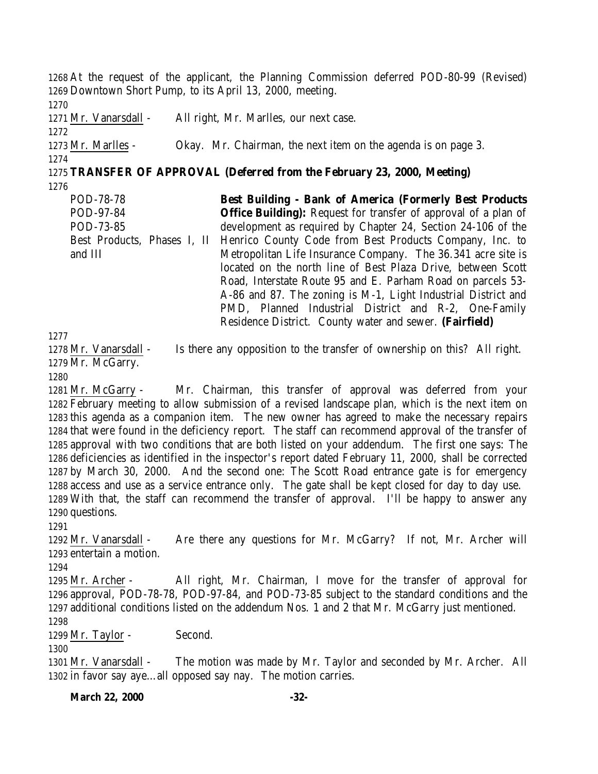At the request of the applicant, the Planning Commission deferred POD-80-99 (Revised) Downtown Short Pump, to its April 13, 2000, meeting. Mr. Vanarsdall - All right, Mr. Marlles, our next case. Mr. Marlles - Okay. Mr. Chairman, the next item on the agenda is on page 3. **TRANSFER OF APPROVAL (Deferred from the February 23, 2000, Meeting)**

POD-78-78 POD-97-84 POD-73-85 Best Products, Phases I, II and III **Best Building - Bank of America (Formerly Best Products Office Building):** Request for transfer of approval of a plan of development as required by Chapter 24, Section 24-106 of the Henrico County Code from Best Products Company, Inc. to Metropolitan Life Insurance Company. The 36.341 acre site is located on the north line of Best Plaza Drive, between Scott Road, Interstate Route 95 and E. Parham Road on parcels 53- A-86 and 87. The zoning is M-1, Light Industrial District and PMD, Planned Industrial District and R-2, One-Family Residence District. County water and sewer. **(Fairfield)**

 Mr. Vanarsdall - Is there any opposition to the transfer of ownership on this? All right. Mr. McGarry.

 Mr. McGarry - Mr. Chairman, this transfer of approval was deferred from your February meeting to allow submission of a revised landscape plan, which is the next item on this agenda as a companion item. The new owner has agreed to make the necessary repairs that were found in the deficiency report. The staff can recommend approval of the transfer of approval with two conditions that are both listed on your addendum. The first one says: The deficiencies as identified in the inspector's report dated February 11, 2000, shall be corrected by March 30, 2000. And the second one: The Scott Road entrance gate is for emergency access and use as a service entrance only. The gate shall be kept closed for day to day use. With that, the staff can recommend the transfer of approval. I'll be happy to answer any questions.

 Mr. Vanarsdall - Are there any questions for Mr. McGarry? If not, Mr. Archer will entertain a motion.

 Mr. Archer - All right, Mr. Chairman, I move for the transfer of approval for approval, POD-78-78, POD-97-84, and POD-73-85 subject to the standard conditions and the additional conditions listed on the addendum Nos. 1 and 2 that Mr. McGarry just mentioned. 

Mr. Taylor - Second.

 Mr. Vanarsdall - The motion was made by Mr. Taylor and seconded by Mr. Archer. All in favor say aye…all opposed say nay. The motion carries.

**March 22, 2000 -32-**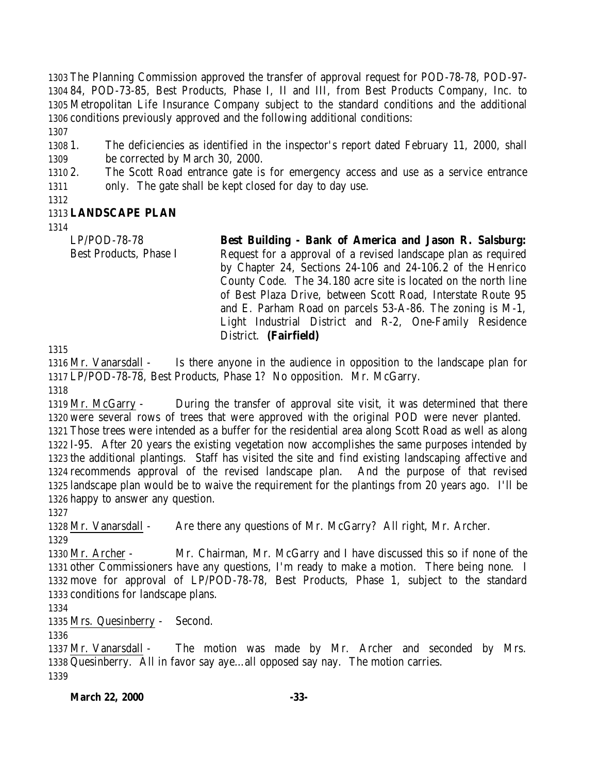The Planning Commission approved the transfer of approval request for POD-78-78, POD-97- 84, POD-73-85, Best Products, Phase I, II and III, from Best Products Company, Inc. to Metropolitan Life Insurance Company subject to the standard conditions and the additional conditions previously approved and the following additional conditions: 

 1. The deficiencies as identified in the inspector's report dated February 11, 2000, shall be corrected by March 30, 2000.

 2. The Scott Road entrance gate is for emergency access and use as a service entrance only. The gate shall be kept closed for day to day use.

## **LANDSCAPE PLAN**

LP/POD-78-78 Best Products, Phase I **Best Building - Bank of America and Jason R. Salsburg:** Request for a approval of a revised landscape plan as required by Chapter 24, Sections 24-106 and 24-106.2 of the Henrico County Code. The 34.180 acre site is located on the north line of Best Plaza Drive, between Scott Road, Interstate Route 95 and E. Parham Road on parcels 53-A-86. The zoning is M-1, Light Industrial District and R-2, One-Family Residence District. **(Fairfield)** 

 Mr. Vanarsdall - Is there anyone in the audience in opposition to the landscape plan for LP/POD-78-78, Best Products, Phase 1? No opposition. Mr. McGarry.

 Mr. McGarry - During the transfer of approval site visit, it was determined that there were several rows of trees that were approved with the original POD were never planted. Those trees were intended as a buffer for the residential area along Scott Road as well as along I-95. After 20 years the existing vegetation now accomplishes the same purposes intended by the additional plantings. Staff has visited the site and find existing landscaping affective and recommends approval of the revised landscape plan. And the purpose of that revised landscape plan would be to waive the requirement for the plantings from 20 years ago. I'll be happy to answer any question.

Mr. Vanarsdall - Are there any questions of Mr. McGarry? All right, Mr. Archer.

 Mr. Archer - Mr. Chairman, Mr. McGarry and I have discussed this so if none of the other Commissioners have any questions, I'm ready to make a motion. There being none. I move for approval of LP/POD-78-78, Best Products, Phase 1, subject to the standard conditions for landscape plans.

Mrs. Quesinberry - Second.

 Mr. Vanarsdall - The motion was made by Mr. Archer and seconded by Mrs. Quesinberry. All in favor say aye…all opposed say nay. The motion carries.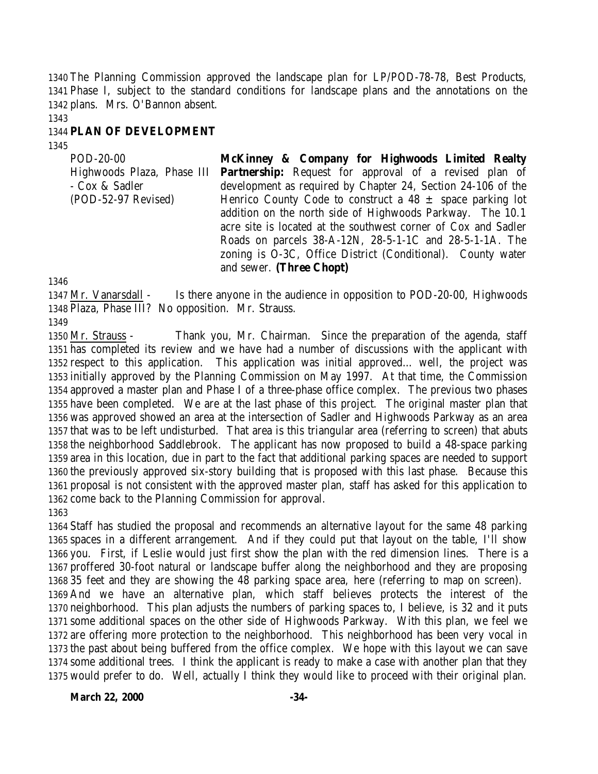The Planning Commission approved the landscape plan for LP/POD-78-78, Best Products, Phase I, subject to the standard conditions for landscape plans and the annotations on the plans. Mrs. O'Bannon absent.

### **PLAN OF DEVELOPMENT**

POD-20-00 Highwoods Plaza, Phase III **Partnership:** Request for approval of a revised plan of - Cox & Sadler (POD-52-97 Revised) **McKinney & Company for Highwoods Limited Realty** development as required by Chapter 24, Section 24-106 of the Henrico County Code to construct a  $48 \pm$  space parking lot addition on the north side of Highwoods Parkway. The 10.1 acre site is located at the southwest corner of Cox and Sadler Roads on parcels 38-A-12N, 28-5-1-1C and 28-5-1-1A. The zoning is O-3C, Office District (Conditional). County water and sewer. **(Three Chopt)**

 Mr. Vanarsdall - Is there anyone in the audience in opposition to POD-20-00, Highwoods Plaza, Phase III? No opposition. Mr. Strauss.

 Mr. Strauss - Thank you, Mr. Chairman. Since the preparation of the agenda, staff has completed its review and we have had a number of discussions with the applicant with respect to this application. This application was initial approved… well, the project was initially approved by the Planning Commission on May 1997. At that time, the Commission approved a master plan and Phase I of a three-phase office complex. The previous two phases have been completed. We are at the last phase of this project. The original master plan that was approved showed an area at the intersection of Sadler and Highwoods Parkway as an area that was to be left undisturbed. That area is this triangular area (referring to screen) that abuts the neighborhood Saddlebrook. The applicant has now proposed to build a 48-space parking area in this location, due in part to the fact that additional parking spaces are needed to support the previously approved six-story building that is proposed with this last phase. Because this proposal is not consistent with the approved master plan, staff has asked for this application to come back to the Planning Commission for approval. 

 Staff has studied the proposal and recommends an alternative layout for the same 48 parking spaces in a different arrangement. And if they could put that layout on the table, I'll show you. First, if Leslie would just first show the plan with the red dimension lines. There is a proffered 30-foot natural or landscape buffer along the neighborhood and they are proposing

 35 feet and they are showing the 48 parking space area, here (referring to map on screen). And we have an alternative plan, which staff believes protects the interest of the neighborhood. This plan adjusts the numbers of parking spaces to, I believe, is 32 and it puts some additional spaces on the other side of Highwoods Parkway. With this plan, we feel we are offering more protection to the neighborhood. This neighborhood has been very vocal in the past about being buffered from the office complex. We hope with this layout we can save some additional trees. I think the applicant is ready to make a case with another plan that they would prefer to do. Well, actually I think they would like to proceed with their original plan.

**March 22, 2000 -34**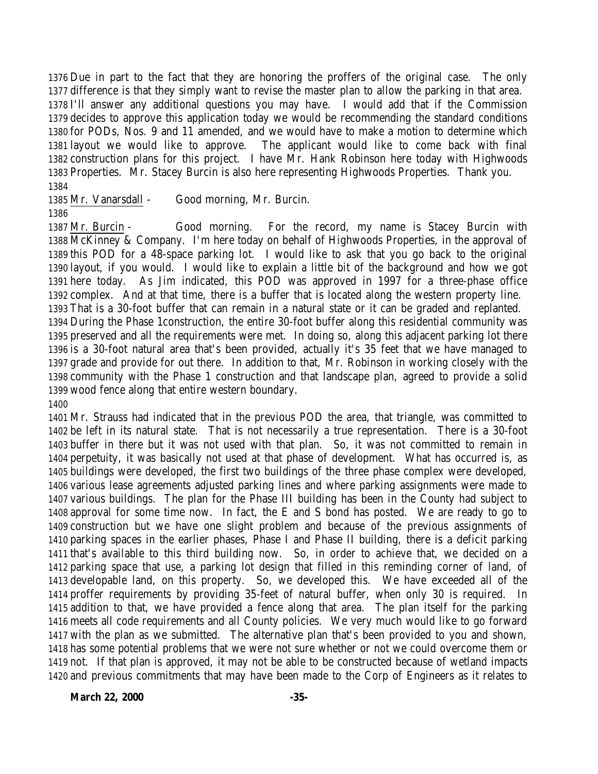Due in part to the fact that they are honoring the proffers of the original case. The only difference is that they simply want to revise the master plan to allow the parking in that area. I'll answer any additional questions you may have. I would add that if the Commission decides to approve this application today we would be recommending the standard conditions for PODs, Nos. 9 and 11 amended, and we would have to make a motion to determine which layout we would like to approve. The applicant would like to come back with final construction plans for this project. I have Mr. Hank Robinson here today with Highwoods Properties. Mr. Stacey Burcin is also here representing Highwoods Properties. Thank you. 

Mr. Vanarsdall - Good morning, Mr. Burcin.

 Mr. Burcin - Good morning. For the record, my name is Stacey Burcin with McKinney & Company. I'm here today on behalf of Highwoods Properties, in the approval of this POD for a 48-space parking lot. I would like to ask that you go back to the original layout, if you would. I would like to explain a little bit of the background and how we got here today. As Jim indicated, this POD was approved in 1997 for a three-phase office complex. And at that time, there is a buffer that is located along the western property line. That is a 30-foot buffer that can remain in a natural state or it can be graded and replanted. During the Phase 1construction, the entire 30-foot buffer along this residential community was preserved and all the requirements were met. In doing so, along this adjacent parking lot there is a 30-foot natural area that's been provided, actually it's 35 feet that we have managed to grade and provide for out there. In addition to that, Mr. Robinson in working closely with the community with the Phase 1 construction and that landscape plan, agreed to provide a solid wood fence along that entire western boundary.

 Mr. Strauss had indicated that in the previous POD the area, that triangle, was committed to be left in its natural state. That is not necessarily a true representation. There is a 30-foot buffer in there but it was not used with that plan. So, it was not committed to remain in perpetuity, it was basically not used at that phase of development. What has occurred is, as buildings were developed, the first two buildings of the three phase complex were developed, various lease agreements adjusted parking lines and where parking assignments were made to various buildings. The plan for the Phase III building has been in the County had subject to approval for some time now. In fact, the E and S bond has posted. We are ready to go to construction but we have one slight problem and because of the previous assignments of parking spaces in the earlier phases, Phase I and Phase II building, there is a deficit parking that's available to this third building now. So, in order to achieve that, we decided on a parking space that use, a parking lot design that filled in this reminding corner of land, of developable land, on this property. So, we developed this. We have exceeded all of the proffer requirements by providing 35-feet of natural buffer, when only 30 is required. In addition to that, we have provided a fence along that area. The plan itself for the parking meets all code requirements and all County policies. We very much would like to go forward with the plan as we submitted. The alternative plan that's been provided to you and shown, has some potential problems that we were not sure whether or not we could overcome them or not. If that plan is approved, it may not be able to be constructed because of wetland impacts and previous commitments that may have been made to the Corp of Engineers as it relates to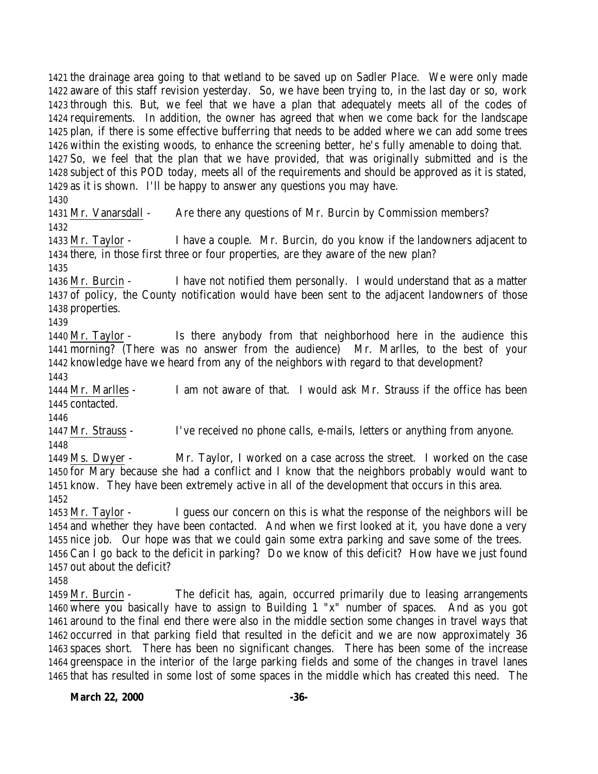the drainage area going to that wetland to be saved up on Sadler Place. We were only made aware of this staff revision yesterday. So, we have been trying to, in the last day or so, work through this. But, we feel that we have a plan that adequately meets all of the codes of requirements. In addition, the owner has agreed that when we come back for the landscape plan, if there is some effective bufferring that needs to be added where we can add some trees within the existing woods, to enhance the screening better, he's fully amenable to doing that. So, we feel that the plan that we have provided, that was originally submitted and is the subject of this POD today, meets all of the requirements and should be approved as it is stated, as it is shown. I'll be happy to answer any questions you may have.

 Mr. Vanarsdall - Are there any questions of Mr. Burcin by Commission members? 

 Mr. Taylor - I have a couple. Mr. Burcin, do you know if the landowners adjacent to there, in those first three or four properties, are they aware of the new plan?

 Mr. Burcin - I have not notified them personally. I would understand that as a matter of policy, the County notification would have been sent to the adjacent landowners of those properties.

 Mr. Taylor - Is there anybody from that neighborhood here in the audience this morning? (There was no answer from the audience) Mr. Marlles, to the best of your knowledge have we heard from any of the neighbors with regard to that development?

 Mr. Marlles - I am not aware of that. I would ask Mr. Strauss if the office has been contacted.

 Mr. Strauss - I've received no phone calls, e-mails, letters or anything from anyone. 

 Ms. Dwyer - Mr. Taylor, I worked on a case across the street. I worked on the case for Mary because she had a conflict and I know that the neighbors probably would want to know. They have been extremely active in all of the development that occurs in this area. 

 Mr. Taylor - I guess our concern on this is what the response of the neighbors will be and whether they have been contacted. And when we first looked at it, you have done a very nice job. Our hope was that we could gain some extra parking and save some of the trees. Can I go back to the deficit in parking? Do we know of this deficit? How have we just found out about the deficit?

 Mr. Burcin - The deficit has, again, occurred primarily due to leasing arrangements where you basically have to assign to Building 1 "x" number of spaces. And as you got around to the final end there were also in the middle section some changes in travel ways that occurred in that parking field that resulted in the deficit and we are now approximately 36 spaces short. There has been no significant changes. There has been some of the increase greenspace in the interior of the large parking fields and some of the changes in travel lanes that has resulted in some lost of some spaces in the middle which has created this need. The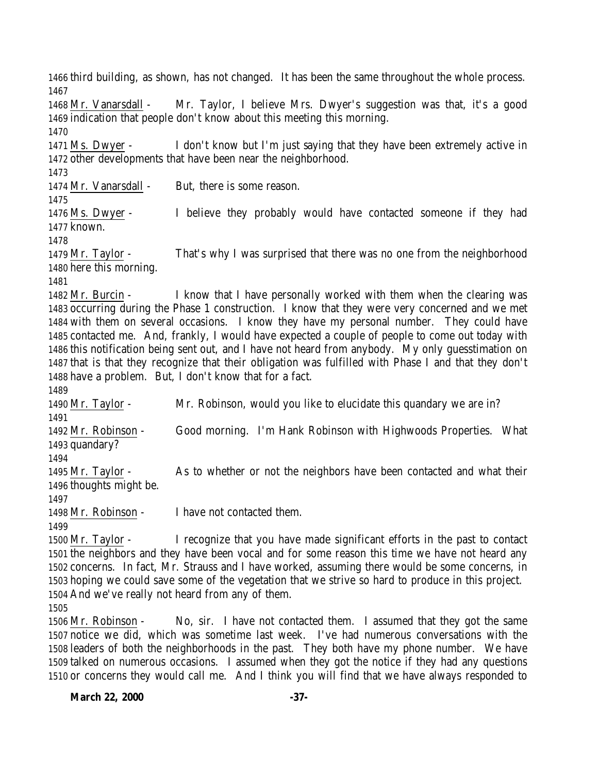third building, as shown, has not changed. It has been the same throughout the whole process. Mr. Vanarsdall - Mr. Taylor, I believe Mrs. Dwyer's suggestion was that, it's a good indication that people don't know about this meeting this morning. Ms. Dwyer - I don't know but I'm just saying that they have been extremely active in other developments that have been near the neighborhood. Mr. Vanarsdall - But, there is some reason. Ms. Dwyer - I believe they probably would have contacted someone if they had known. Mr. Taylor - That's why I was surprised that there was no one from the neighborhood here this morning. Mr. Burcin - I know that I have personally worked with them when the clearing was occurring during the Phase 1 construction. I know that they were very concerned and we met with them on several occasions. I know they have my personal number. They could have contacted me. And, frankly, I would have expected a couple of people to come out today with this notification being sent out, and I have not heard from anybody. My only guesstimation on that is that they recognize that their obligation was fulfilled with Phase I and that they don't have a problem. But, I don't know that for a fact. Mr. Taylor - Mr. Robinson, would you like to elucidate this quandary we are in? Mr. Robinson - Good morning. I'm Hank Robinson with Highwoods Properties. What quandary? Mr. Taylor - As to whether or not the neighbors have been contacted and what their thoughts might be. Mr. Robinson - I have not contacted them. Mr. Taylor - I recognize that you have made significant efforts in the past to contact the neighbors and they have been vocal and for some reason this time we have not heard any concerns. In fact, Mr. Strauss and I have worked, assuming there would be some concerns, in hoping we could save some of the vegetation that we strive so hard to produce in this project. And we've really not heard from any of them. Mr. Robinson - No, sir. I have not contacted them. I assumed that they got the same notice we did, which was sometime last week. I've had numerous conversations with the leaders of both the neighborhoods in the past. They both have my phone number. We have

 talked on numerous occasions. I assumed when they got the notice if they had any questions or concerns they would call me. And I think you will find that we have always responded to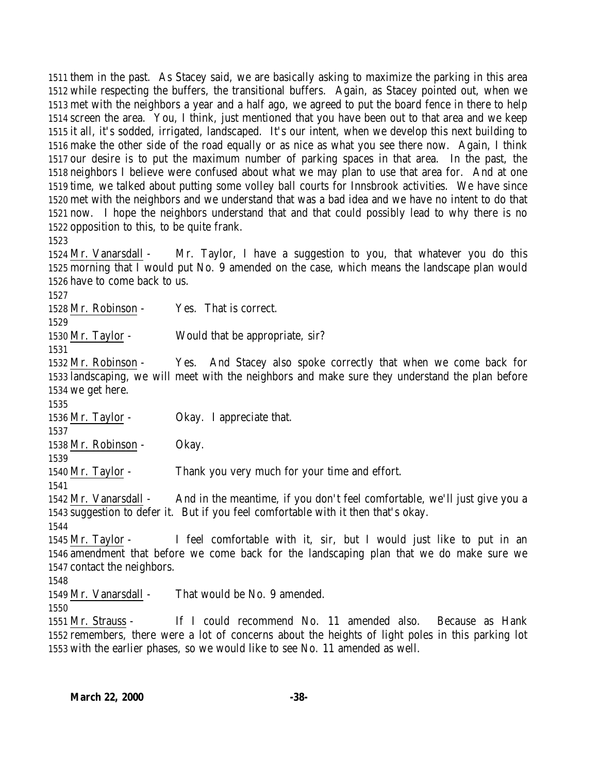them in the past. As Stacey said, we are basically asking to maximize the parking in this area while respecting the buffers, the transitional buffers. Again, as Stacey pointed out, when we met with the neighbors a year and a half ago, we agreed to put the board fence in there to help screen the area. You, I think, just mentioned that you have been out to that area and we keep it all, it's sodded, irrigated, landscaped. It's our intent, when we develop this next building to make the other side of the road equally or as nice as what you see there now. Again, I think our desire is to put the maximum number of parking spaces in that area. In the past, the neighbors I believe were confused about what we may plan to use that area for. And at one time, we talked about putting some volley ball courts for Innsbrook activities. We have since met with the neighbors and we understand that was a bad idea and we have no intent to do that now. I hope the neighbors understand that and that could possibly lead to why there is no opposition to this, to be quite frank.

 Mr. Vanarsdall - Mr. Taylor, I have a suggestion to you, that whatever you do this morning that I would put No. 9 amended on the case, which means the landscape plan would have to come back to us.

Mr. Robinson - Yes. That is correct.

Mr. Taylor - Would that be appropriate, sir?

 Mr. Robinson - Yes. And Stacey also spoke correctly that when we come back for landscaping, we will meet with the neighbors and make sure they understand the plan before we get here.

Mr. Taylor - Okay. I appreciate that.

Mr. Robinson - Okay.

Mr. Taylor - Thank you very much for your time and effort.

 Mr. Vanarsdall - And in the meantime, if you don't feel comfortable, we'll just give you a suggestion to defer it. But if you feel comfortable with it then that's okay.

 Mr. Taylor - I feel comfortable with it, sir, but I would just like to put in an amendment that before we come back for the landscaping plan that we do make sure we contact the neighbors.

Mr. Vanarsdall - That would be No. 9 amended.

 Mr. Strauss - If I could recommend No. 11 amended also. Because as Hank remembers, there were a lot of concerns about the heights of light poles in this parking lot with the earlier phases, so we would like to see No. 11 amended as well.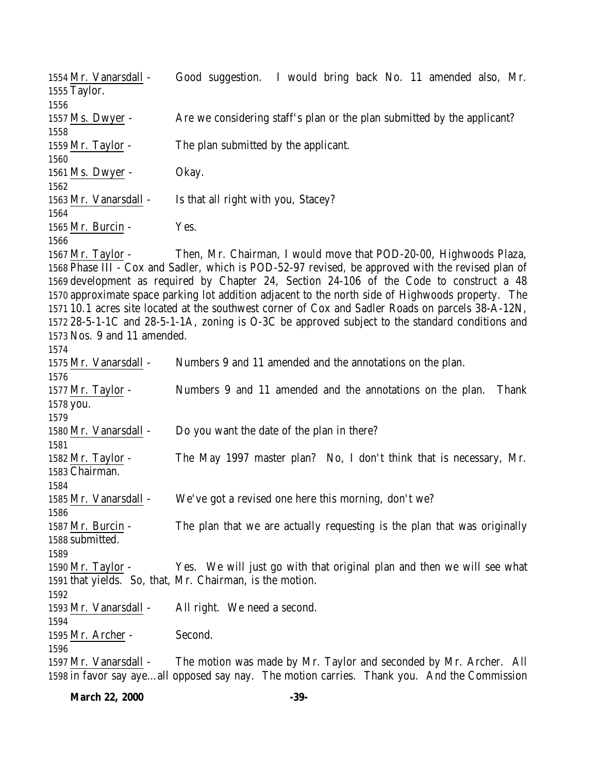| 1554 Mr. Vanarsdall -<br>1555 Taylor. | Good suggestion. I would bring back No. 11 amended also, Mr.                                      |
|---------------------------------------|---------------------------------------------------------------------------------------------------|
| 1556                                  |                                                                                                   |
| 1557 Ms. Dwyer -                      | Are we considering staff's plan or the plan submitted by the applicant?                           |
| 1558                                  |                                                                                                   |
| $1559$ Mr. Taylor -                   | The plan submitted by the applicant.                                                              |
| 1560                                  |                                                                                                   |
| 1561 Ms. Dwyer -                      | Okay.                                                                                             |
| 1562                                  |                                                                                                   |
| 1563 Mr. Vanarsdall -                 | Is that all right with you, Stacey?                                                               |
| 1564                                  |                                                                                                   |
| 1565 Mr. Burcin -                     | Yes.                                                                                              |
| 1566                                  |                                                                                                   |
| $1567$ Mr. Taylor -                   | Then, Mr. Chairman, I would move that POD-20-00, Highwoods Plaza,                                 |
|                                       | 1568 Phase III - Cox and Sadler, which is POD-52-97 revised, be approved with the revised plan of |
|                                       | 1569 development as required by Chapter 24, Section 24-106 of the Code to construct a 48          |
|                                       | 1570 approximate space parking lot addition adjacent to the north side of Highwoods property. The |
|                                       | 1571 10.1 acres site located at the southwest corner of Cox and Sadler Roads on parcels 38-A-12N, |
|                                       |                                                                                                   |
|                                       | 1572 28-5-1-1C and 28-5-1-1A, zoning is O-3C be approved subject to the standard conditions and   |
| 1573 Nos. 9 and 11 amended.           |                                                                                                   |
| 1574                                  |                                                                                                   |
| 1575 Mr. Vanarsdall -                 | Numbers 9 and 11 amended and the annotations on the plan.                                         |
| 1576                                  |                                                                                                   |
| 1577 Mr. Taylor -                     | Numbers 9 and 11 amended and the annotations on the plan.<br>Thank                                |
| 1578 you.                             |                                                                                                   |
| 1579                                  |                                                                                                   |
| 1580 Mr. Vanarsdall -                 | Do you want the date of the plan in there?                                                        |
| 1581                                  |                                                                                                   |
| $1582$ Mr. Taylor -                   | The May 1997 master plan? No, I don't think that is necessary, Mr.                                |
| 1583 Chairman.                        |                                                                                                   |
| 1584                                  |                                                                                                   |
| 1585 Mr. Vanarsdall -                 | We've got a revised one here this morning, don't we?                                              |
| 1586                                  |                                                                                                   |
| 1587 Mr. Burcin -                     | The plan that we are actually requesting is the plan that was originally                          |
| 1588 submitted.                       |                                                                                                   |
|                                       |                                                                                                   |
| 1589                                  |                                                                                                   |
| $1590$ Mr. Taylor -                   | Yes. We will just go with that original plan and then we will see what                            |
|                                       | 1591 that yields. So, that, Mr. Chairman, is the motion.                                          |
| 1592                                  |                                                                                                   |
| 1593 Mr. Vanarsdall -                 | All right. We need a second.                                                                      |
| 1594                                  |                                                                                                   |
| 1595 Mr. Archer -                     | Second.                                                                                           |
| 1596                                  |                                                                                                   |
|                                       |                                                                                                   |
| 1597 Mr. Vanarsdall -                 | The motion was made by Mr. Taylor and seconded by Mr. Archer. All                                 |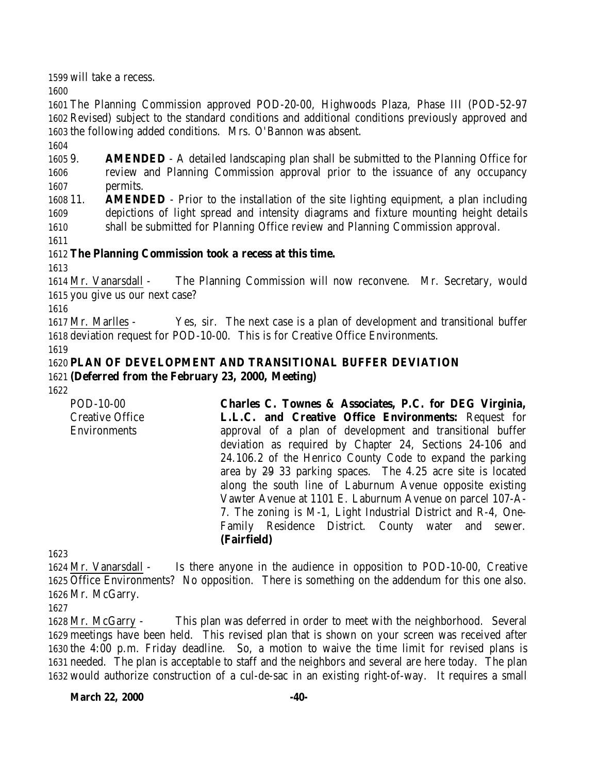will take a recess.

 The Planning Commission approved POD-20-00, Highwoods Plaza, Phase III (POD-52-97 Revised) subject to the standard conditions and additional conditions previously approved and the following added conditions. Mrs. O'Bannon was absent.

 9. **AMENDED** - A detailed landscaping plan shall be submitted to the Planning Office for review and Planning Commission approval prior to the issuance of any occupancy permits.

 11. **AMENDED** - Prior to the installation of the site lighting equipment, a plan including depictions of light spread and intensity diagrams and fixture mounting height details shall be submitted for Planning Office review and Planning Commission approval.

## **The Planning Commission took a recess at this time.**

 Mr. Vanarsdall - The Planning Commission will now reconvene. Mr. Secretary, would you give us our next case?

 Mr. Marlles - Yes, sir. The next case is a plan of development and transitional buffer deviation request for POD-10-00. This is for Creative Office Environments.

## **PLAN OF DEVELOPMENT AND TRANSITIONAL BUFFER DEVIATION (Deferred from the February 23, 2000, Meeting)**

POD-10-00 Creative Office Environments **Charles C. Townes & Associates, P.C. for DEG Virginia, L.L.C. and Creative Office Environments:** Request for approval of a plan of development and transitional buffer deviation as required by Chapter 24, Sections 24-106 and 24.106.2 of the Henrico County Code to expand the parking area by 29 33 parking spaces. The 4.25 acre site is located along the south line of Laburnum Avenue opposite existing Vawter Avenue at 1101 E. Laburnum Avenue on parcel 107-A-7. The zoning is M-1, Light Industrial District and R-4, One-Family Residence District. County water and sewer. **(Fairfield)**

 Mr. Vanarsdall - Is there anyone in the audience in opposition to POD-10-00, Creative Office Environments? No opposition. There is something on the addendum for this one also. Mr. McGarry.

 Mr. McGarry - This plan was deferred in order to meet with the neighborhood. Several meetings have been held. This revised plan that is shown on your screen was received after the 4:00 p.m. Friday deadline. So, a motion to waive the time limit for revised plans is needed. The plan is acceptable to staff and the neighbors and several are here today. The plan would authorize construction of a cul-de-sac in an existing right-of-way. It requires a small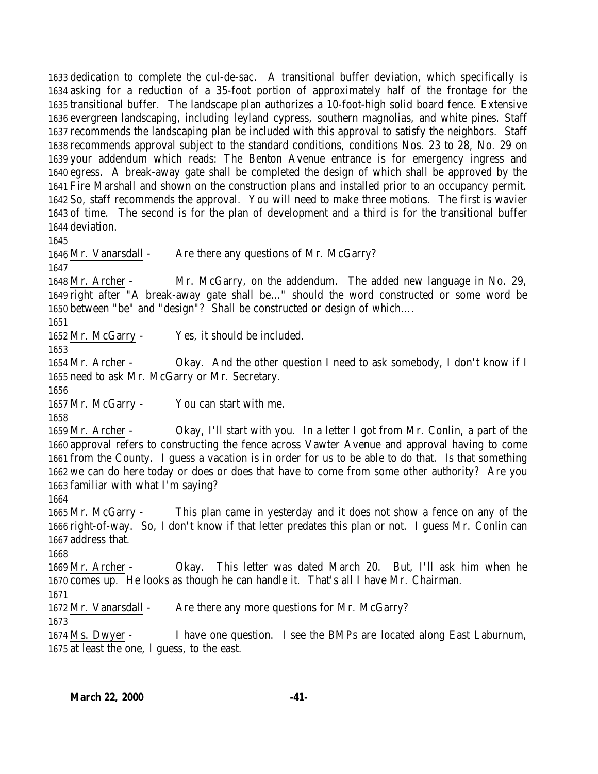dedication to complete the cul-de-sac. A transitional buffer deviation, which specifically is asking for a reduction of a 35-foot portion of approximately half of the frontage for the transitional buffer. The landscape plan authorizes a 10-foot-high solid board fence. Extensive evergreen landscaping, including leyland cypress, southern magnolias, and white pines. Staff recommends the landscaping plan be included with this approval to satisfy the neighbors. Staff recommends approval subject to the standard conditions, conditions Nos. 23 to 28, No. 29 on your addendum which reads: The Benton Avenue entrance is for emergency ingress and egress. A break-away gate shall be completed the design of which shall be approved by the Fire Marshall and shown on the construction plans and installed prior to an occupancy permit. So, staff recommends the approval. You will need to make three motions. The first is wavier of time. The second is for the plan of development and a third is for the transitional buffer deviation.

1646 Mr. Vanarsdall - Are there any questions of Mr. McGarry?

 Mr. Archer - Mr. McGarry, on the addendum. The added new language in No. 29, right after "A break-away gate shall be…" should the word constructed or some word be between "be" and "design"? Shall be constructed or design of which….

Mr. McGarry - Yes, it should be included.

 Mr. Archer - Okay. And the other question I need to ask somebody, I don't know if I need to ask Mr. McGarry or Mr. Secretary.

Mr. McGarry - You can start with me.

 Mr. Archer - Okay, I'll start with you. In a letter I got from Mr. Conlin, a part of the approval refers to constructing the fence across Vawter Avenue and approval having to come from the County. I guess a vacation is in order for us to be able to do that. Is that something we can do here today or does or does that have to come from some other authority? Are you familiar with what I'm saying?

 Mr. McGarry - This plan came in yesterday and it does not show a fence on any of the right-of-way. So, I don't know if that letter predates this plan or not. I guess Mr. Conlin can address that.

 Mr. Archer - Okay. This letter was dated March 20. But, I'll ask him when he comes up. He looks as though he can handle it. That's all I have Mr. Chairman.

Mr. Vanarsdall - Are there any more questions for Mr. McGarry?

 Ms. Dwyer - I have one question. I see the BMPs are located along East Laburnum, at least the one, I guess, to the east.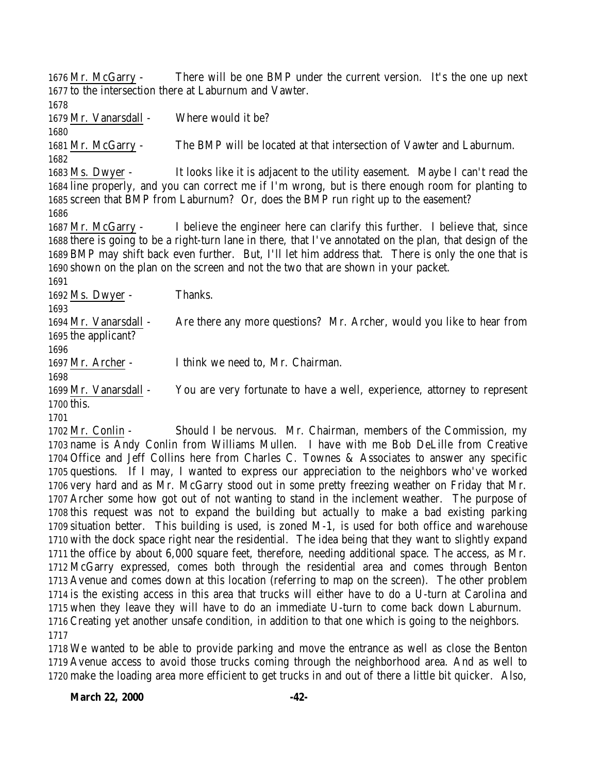Mr. McGarry - There will be one BMP under the current version. It's the one up next to the intersection there at Laburnum and Vawter. 1679 Mr. Vanarsdall - Where would it be? Mr. McGarry - The BMP will be located at that intersection of Vawter and Laburnum. Ms. Dwyer - It looks like it is adjacent to the utility easement. Maybe I can't read the line properly, and you can correct me if I'm wrong, but is there enough room for planting to screen that BMP from Laburnum? Or, does the BMP run right up to the easement? Mr. McGarry - I believe the engineer here can clarify this further. I believe that, since there is going to be a right-turn lane in there, that I've annotated on the plan, that design of the BMP may shift back even further. But, I'll let him address that. There is only the one that is shown on the plan on the screen and not the two that are shown in your packet. Ms. Dwyer - Thanks. Mr. Vanarsdall - Are there any more questions? Mr. Archer, would you like to hear from the applicant? Mr. Archer - I think we need to, Mr. Chairman. Mr. Vanarsdall - You are very fortunate to have a well, experience, attorney to represent this. Mr. Conlin - Should I be nervous. Mr. Chairman, members of the Commission, my

 name is Andy Conlin from Williams Mullen. I have with me Bob DeLille from Creative Office and Jeff Collins here from Charles C. Townes & Associates to answer any specific questions. If I may, I wanted to express our appreciation to the neighbors who've worked very hard and as Mr. McGarry stood out in some pretty freezing weather on Friday that Mr. Archer some how got out of not wanting to stand in the inclement weather. The purpose of this request was not to expand the building but actually to make a bad existing parking situation better. This building is used, is zoned M-1, is used for both office and warehouse with the dock space right near the residential. The idea being that they want to slightly expand the office by about 6,000 square feet, therefore, needing additional space. The access, as Mr. McGarry expressed, comes both through the residential area and comes through Benton Avenue and comes down at this location (referring to map on the screen). The other problem is the existing access in this area that trucks will either have to do a U-turn at Carolina and when they leave they will have to do an immediate U-turn to come back down Laburnum. Creating yet another unsafe condition, in addition to that one which is going to the neighbors. 

 We wanted to be able to provide parking and move the entrance as well as close the Benton Avenue access to avoid those trucks coming through the neighborhood area. And as well to make the loading area more efficient to get trucks in and out of there a little bit quicker. Also,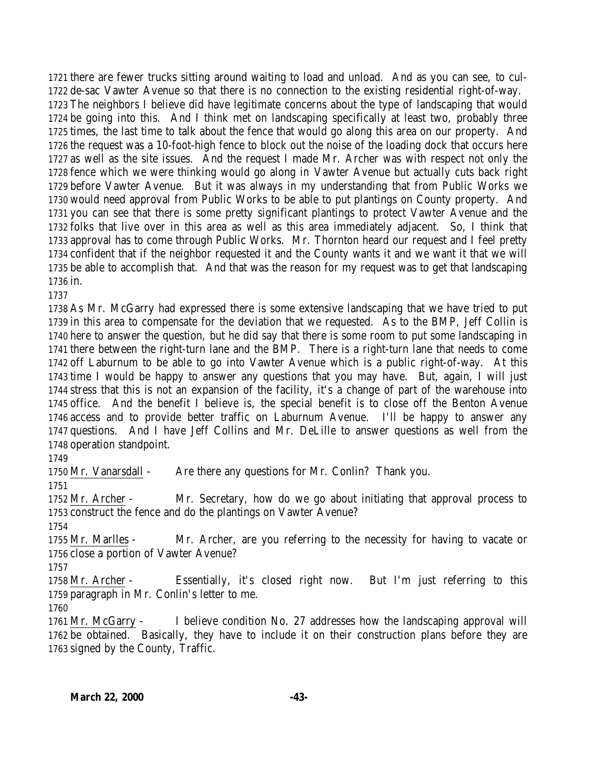there are fewer trucks sitting around waiting to load and unload. And as you can see, to cul- de-sac Vawter Avenue so that there is no connection to the existing residential right-of-way. The neighbors I believe did have legitimate concerns about the type of landscaping that would be going into this. And I think met on landscaping specifically at least two, probably three times, the last time to talk about the fence that would go along this area on our property. And the request was a 10-foot-high fence to block out the noise of the loading dock that occurs here as well as the site issues. And the request I made Mr. Archer was with respect not only the fence which we were thinking would go along in Vawter Avenue but actually cuts back right before Vawter Avenue. But it was always in my understanding that from Public Works we would need approval from Public Works to be able to put plantings on County property. And you can see that there is some pretty significant plantings to protect Vawter Avenue and the folks that live over in this area as well as this area immediately adjacent. So, I think that approval has to come through Public Works. Mr. Thornton heard our request and I feel pretty confident that if the neighbor requested it and the County wants it and we want it that we will be able to accomplish that. And that was the reason for my request was to get that landscaping in.

 As Mr. McGarry had expressed there is some extensive landscaping that we have tried to put in this area to compensate for the deviation that we requested. As to the BMP, Jeff Collin is here to answer the question, but he did say that there is some room to put some landscaping in there between the right-turn lane and the BMP. There is a right-turn lane that needs to come off Laburnum to be able to go into Vawter Avenue which is a public right-of-way. At this time I would be happy to answer any questions that you may have. But, again, I will just stress that this is not an expansion of the facility, it's a change of part of the warehouse into office. And the benefit I believe is, the special benefit is to close off the Benton Avenue access and to provide better traffic on Laburnum Avenue. I'll be happy to answer any questions. And I have Jeff Collins and Mr. DeLille to answer questions as well from the operation standpoint.

Mr. Vanarsdall - Are there any questions for Mr. Conlin? Thank you.

 Mr. Archer - Mr. Secretary, how do we go about initiating that approval process to construct the fence and do the plantings on Vawter Avenue?

 Mr. Marlles - Mr. Archer, are you referring to the necessity for having to vacate or close a portion of Vawter Avenue?

 Mr. Archer - Essentially, it's closed right now. But I'm just referring to this paragraph in Mr. Conlin's letter to me.

 Mr. McGarry - I believe condition No. 27 addresses how the landscaping approval will be obtained. Basically, they have to include it on their construction plans before they are signed by the County, Traffic.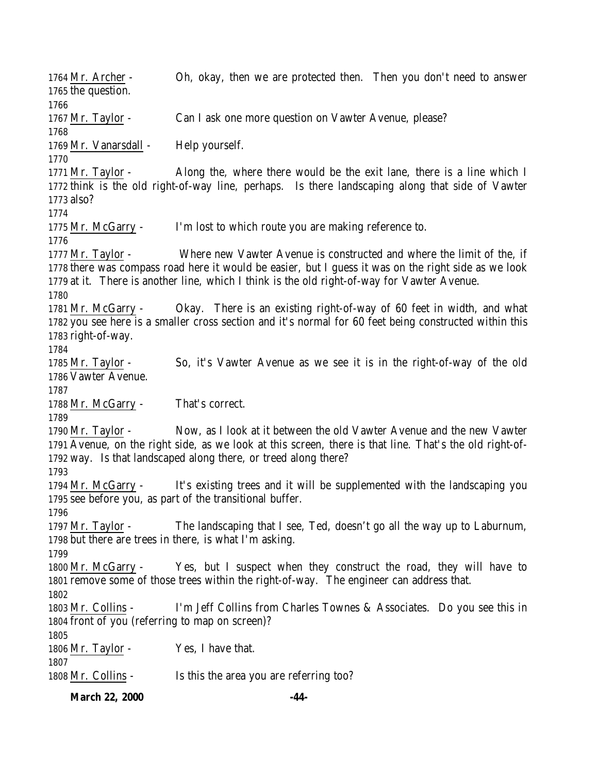Mr. Archer - Oh, okay, then we are protected then. Then you don't need to answer the question. Mr. Taylor - Can I ask one more question on Vawter Avenue, please? 1769 Mr. Vanarsdall - Help yourself. Mr. Taylor - Along the, where there would be the exit lane, there is a line which I think is the old right-of-way line, perhaps. Is there landscaping along that side of Vawter also? Mr. McGarry - I'm lost to which route you are making reference to. Mr. Taylor - Where new Vawter Avenue is constructed and where the limit of the, if there was compass road here it would be easier, but I guess it was on the right side as we look at it. There is another line, which I think is the old right-of-way for Vawter Avenue. Mr. McGarry - Okay. There is an existing right-of-way of 60 feet in width, and what you see here is a smaller cross section and it's normal for 60 feet being constructed within this right-of-way. Mr. Taylor - So, it's Vawter Avenue as we see it is in the right-of-way of the old Vawter Avenue. Mr. McGarry - That's correct. Mr. Taylor - Now, as I look at it between the old Vawter Avenue and the new Vawter Avenue, on the right side, as we look at this screen, there is that line. That's the old right-of- way. Is that landscaped along there, or treed along there? Mr. McGarry - It's existing trees and it will be supplemented with the landscaping you see before you, as part of the transitional buffer. Mr. Taylor - The landscaping that I see, Ted, doesn't go all the way up to Laburnum, but there are trees in there, is what I'm asking. 1800 Mr. McGarry - Yes, but I suspect when they construct the road, they will have to remove some of those trees within the right-of-way. The engineer can address that. Mr. Collins - I'm Jeff Collins from Charles Townes & Associates. Do you see this in front of you (referring to map on screen)? 1806 Mr. Taylor - Yes, I have that. Mr. Collins - Is this the area you are referring too?

**March 22, 2000 -44-**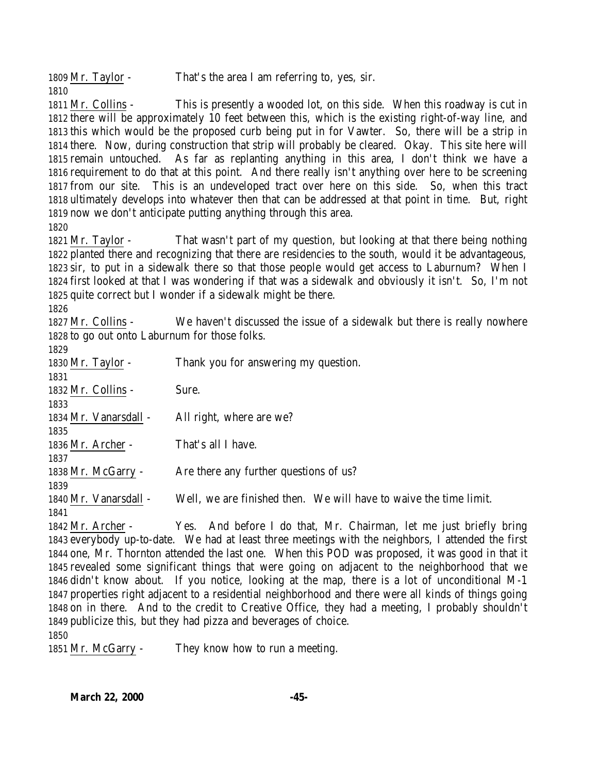1809 Mr. Taylor - That's the area I am referring to, yes, sir. 

 Mr. Collins - This is presently a wooded lot, on this side. When this roadway is cut in there will be approximately 10 feet between this, which is the existing right-of-way line, and this which would be the proposed curb being put in for Vawter. So, there will be a strip in there. Now, during construction that strip will probably be cleared. Okay. This site here will remain untouched. As far as replanting anything in this area, I don't think we have a requirement to do that at this point. And there really isn't anything over here to be screening from our site. This is an undeveloped tract over here on this side. So, when this tract ultimately develops into whatever then that can be addressed at that point in time. But, right now we don't anticipate putting anything through this area. 

 Mr. Taylor - That wasn't part of my question, but looking at that there being nothing planted there and recognizing that there are residencies to the south, would it be advantageous, sir, to put in a sidewalk there so that those people would get access to Laburnum? When I first looked at that I was wondering if that was a sidewalk and obviously it isn't. So, I'm not quite correct but I wonder if a sidewalk might be there.

 Mr. Collins - We haven't discussed the issue of a sidewalk but there is really nowhere to go out onto Laburnum for those folks.

| 1829                  |                                                                                                    |
|-----------------------|----------------------------------------------------------------------------------------------------|
| $1830$ Mr. Taylor -   | Thank you for answering my question.                                                               |
| 1831                  |                                                                                                    |
| 1832 Mr. Collins -    | Sure.                                                                                              |
| 1833                  |                                                                                                    |
| 1834 Mr. Vanarsdall - | All right, where are we?                                                                           |
| 1835                  |                                                                                                    |
| 1836 Mr. Archer -     | That's all I have.                                                                                 |
| 1837                  |                                                                                                    |
| 1838 Mr. McGarry -    | Are there any further questions of us?                                                             |
| 1839                  |                                                                                                    |
| 1840 Mr. Vanarsdall - | Well, we are finished then. We will have to waive the time limit.                                  |
| 1841                  |                                                                                                    |
| 1842 Mr. Archer -     | Yes. And before I do that, Mr. Chairman, let me just briefly bring                                 |
|                       | 1843 everybody up-to-date. We had at least three meetings with the neighbors, I attended the first |
|                       | 1844 one, Mr. Thornton attended the last one. When this POD was proposed, it was good in that it   |

 one, Mr. Thornton attended the last one. When this POD was proposed, it was good in that it revealed some significant things that were going on adjacent to the neighborhood that we didn't know about. If you notice, looking at the map, there is a lot of unconditional M-1 properties right adjacent to a residential neighborhood and there were all kinds of things going on in there. And to the credit to Creative Office, they had a meeting, I probably shouldn't publicize this, but they had pizza and beverages of choice.

Mr. McGarry - They know how to run a meeting.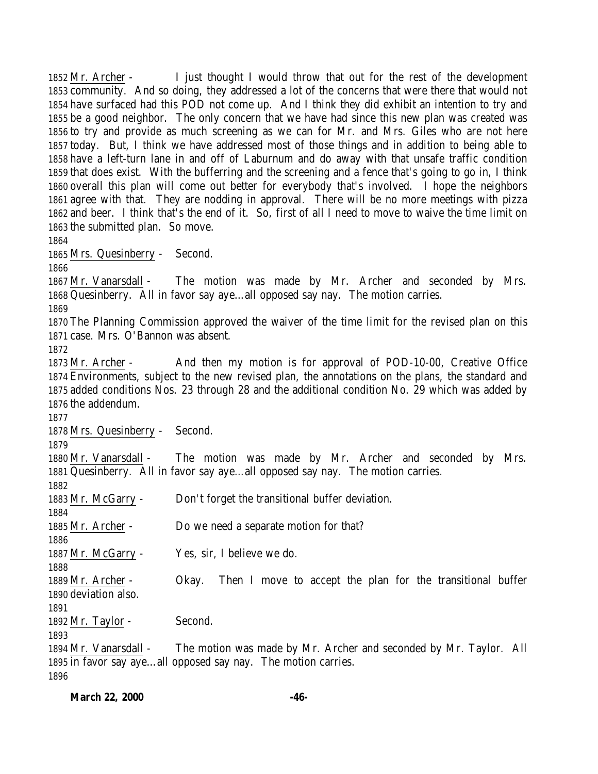Mr. Archer - I just thought I would throw that out for the rest of the development community. And so doing, they addressed a lot of the concerns that were there that would not have surfaced had this POD not come up. And I think they did exhibit an intention to try and be a good neighbor. The only concern that we have had since this new plan was created was to try and provide as much screening as we can for Mr. and Mrs. Giles who are not here today. But, I think we have addressed most of those things and in addition to being able to have a left-turn lane in and off of Laburnum and do away with that unsafe traffic condition that does exist. With the bufferring and the screening and a fence that's going to go in, I think overall this plan will come out better for everybody that's involved. I hope the neighbors agree with that. They are nodding in approval. There will be no more meetings with pizza and beer. I think that's the end of it. So, first of all I need to move to waive the time limit on the submitted plan. So move. Mrs. Quesinberry - Second. Mr. Vanarsdall - The motion was made by Mr. Archer and seconded by Mrs. Quesinberry. All in favor say aye…all opposed say nay. The motion carries. The Planning Commission approved the waiver of the time limit for the revised plan on this case. Mrs. O'Bannon was absent. Mr. Archer - And then my motion is for approval of POD-10-00, Creative Office Environments, subject to the new revised plan, the annotations on the plans, the standard and added conditions Nos. 23 through 28 and the additional condition No. 29 which was added by the addendum. Mrs. Quesinberry - Second. Mr. Vanarsdall - The motion was made by Mr. Archer and seconded by Mrs. Quesinberry. All in favor say aye…all opposed say nay. The motion carries. Mr. McGarry - Don't forget the transitional buffer deviation. Mr. Archer - Do we need a separate motion for that? Mr. McGarry - Yes, sir, I believe we do. Mr. Archer - Okay. Then I move to accept the plan for the transitional buffer deviation also. 1892 Mr. Taylor - Second. Mr. Vanarsdall - The motion was made by Mr. Archer and seconded by Mr. Taylor. All in favor say aye…all opposed say nay. The motion carries.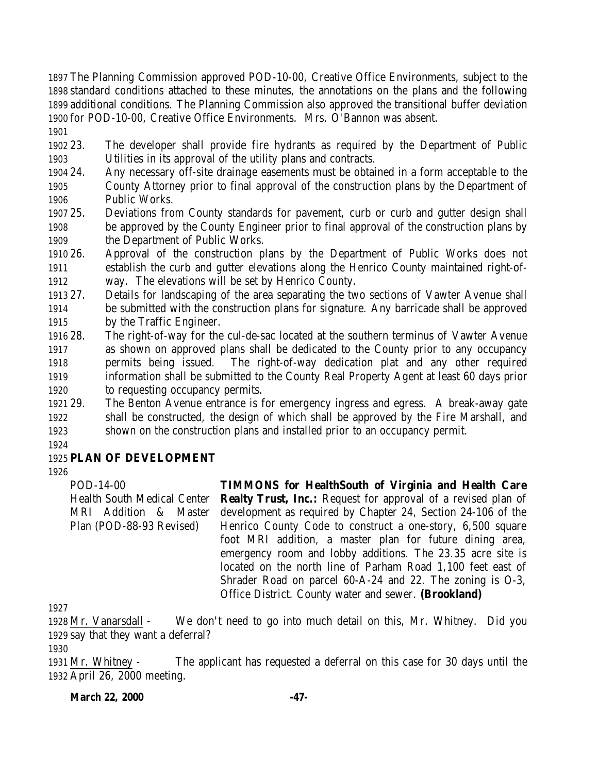The Planning Commission approved POD-10-00, Creative Office Environments, subject to the standard conditions attached to these minutes, the annotations on the plans and the following additional conditions. The Planning Commission also approved the transitional buffer deviation for POD-10-00, Creative Office Environments. Mrs. O'Bannon was absent.

 23. The developer shall provide fire hydrants as required by the Department of Public Utilities in its approval of the utility plans and contracts.

- 24. Any necessary off-site drainage easements must be obtained in a form acceptable to the County Attorney prior to final approval of the construction plans by the Department of Public Works.
- 25. Deviations from County standards for pavement, curb or curb and gutter design shall be approved by the County Engineer prior to final approval of the construction plans by the Department of Public Works.
- 26. Approval of the construction plans by the Department of Public Works does not establish the curb and gutter elevations along the Henrico County maintained right-of-way. The elevations will be set by Henrico County.
- 27. Details for landscaping of the area separating the two sections of Vawter Avenue shall be submitted with the construction plans for signature. Any barricade shall be approved by the Traffic Engineer.
- 28. The right-of-way for the cul-de-sac located at the southern terminus of Vawter Avenue as shown on approved plans shall be dedicated to the County prior to any occupancy permits being issued. The right-of-way dedication plat and any other required information shall be submitted to the County Real Property Agent at least 60 days prior to requesting occupancy permits.
- 29. The Benton Avenue entrance is for emergency ingress and egress. A break-away gate shall be constructed, the design of which shall be approved by the Fire Marshall, and shown on the construction plans and installed prior to an occupancy permit.

# **PLAN OF DEVELOPMENT**

POD-14-00 Health South Medical Center MRI Addition & Master Plan (POD-88-93 Revised) **TIMMONS for HealthSouth of Virginia and Health Care Realty Trust, Inc.:** Request for approval of a revised plan of development as required by Chapter 24, Section 24-106 of the Henrico County Code to construct a one-story, 6,500 square foot MRI addition, a master plan for future dining area, emergency room and lobby additions. The 23.35 acre site is located on the north line of Parham Road 1,100 feet east of Shrader Road on parcel 60-A-24 and 22. The zoning is O-3, Office District. County water and sewer. **(Brookland)**

 Mr. Vanarsdall - We don't need to go into much detail on this, Mr. Whitney. Did you say that they want a deferral?

 Mr. Whitney - The applicant has requested a deferral on this case for 30 days until the April 26, 2000 meeting.

**March 22, 2000 -47-**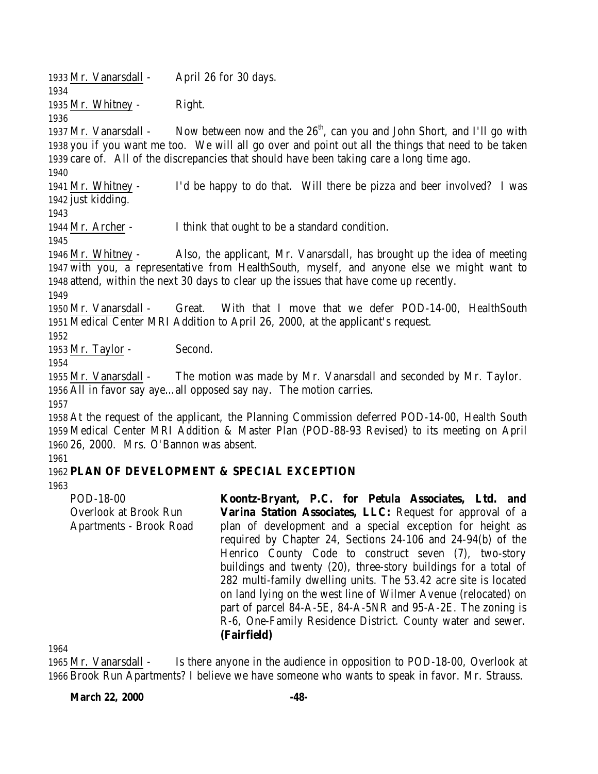Mr. Vanarsdall - April 26 for 30 days.

Mr. Whitney - Right.

1937 Mr. Vanarsdall - Now between now and the  $26<sup>th</sup>$ , can you and John Short, and I'll go with you if you want me too. We will all go over and point out all the things that need to be taken care of. All of the discrepancies that should have been taking care a long time ago.

 Mr. Whitney - I'd be happy to do that. Will there be pizza and beer involved? I was just kidding.

Mr. Archer - I think that ought to be a standard condition.

 Mr. Whitney - Also, the applicant, Mr. Vanarsdall, has brought up the idea of meeting with you, a representative from HealthSouth, myself, and anyone else we might want to attend, within the next 30 days to clear up the issues that have come up recently.

 Mr. Vanarsdall - Great. With that I move that we defer POD-14-00, HealthSouth Medical Center MRI Addition to April 26, 2000, at the applicant's request.

1953 Mr. Taylor - Second.

 Mr. Vanarsdall - The motion was made by Mr. Vanarsdall and seconded by Mr. Taylor. All in favor say aye…all opposed say nay. The motion carries.

 At the request of the applicant, the Planning Commission deferred POD-14-00, Health South Medical Center MRI Addition & Master Plan (POD-88-93 Revised) to its meeting on April 26, 2000. Mrs. O'Bannon was absent.

## **PLAN OF DEVELOPMENT & SPECIAL EXCEPTION**

POD-18-00 Overlook at Brook Run Apartments - Brook Road **Koontz-Bryant, P.C. for Petula Associates, Ltd. and Varina Station Associates, LLC:** Request for approval of a plan of development and a special exception for height as required by Chapter 24, Sections 24-106 and 24-94(b) of the Henrico County Code to construct seven (7), two-story buildings and twenty (20), three-story buildings for a total of 282 multi-family dwelling units. The 53.42 acre site is located on land lying on the west line of Wilmer Avenue (relocated) on part of parcel 84-A-5E, 84-A-5NR and 95-A-2E. The zoning is R-6, One-Family Residence District. County water and sewer. **(Fairfield)**

 Mr. Vanarsdall - Is there anyone in the audience in opposition to POD-18-00, Overlook at Brook Run Apartments? I believe we have someone who wants to speak in favor. Mr. Strauss.

**March 22, 2000 -48-**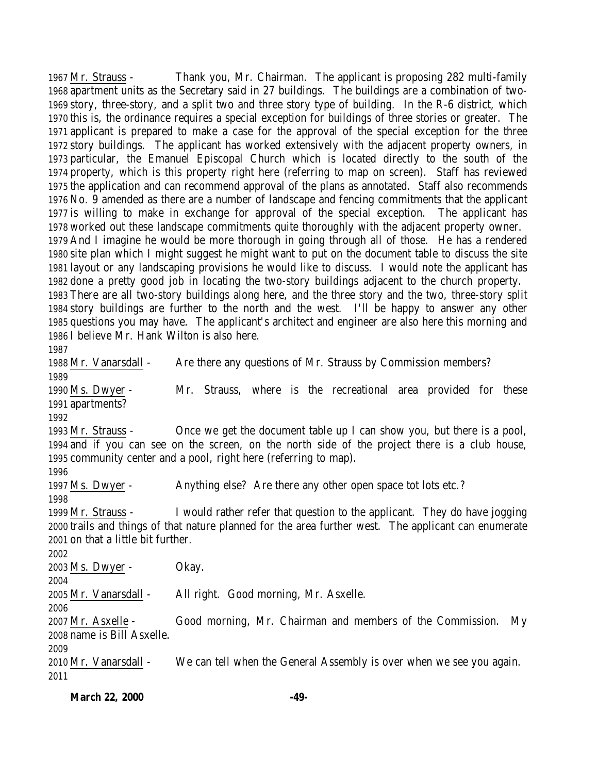Mr. Strauss - Thank you, Mr. Chairman. The applicant is proposing 282 multi-family apartment units as the Secretary said in 27 buildings. The buildings are a combination of two- story, three-story, and a split two and three story type of building. In the R-6 district, which this is, the ordinance requires a special exception for buildings of three stories or greater. The applicant is prepared to make a case for the approval of the special exception for the three story buildings. The applicant has worked extensively with the adjacent property owners, in particular, the Emanuel Episcopal Church which is located directly to the south of the property, which is this property right here (referring to map on screen). Staff has reviewed the application and can recommend approval of the plans as annotated. Staff also recommends No. 9 amended as there are a number of landscape and fencing commitments that the applicant is willing to make in exchange for approval of the special exception. The applicant has worked out these landscape commitments quite thoroughly with the adjacent property owner. And I imagine he would be more thorough in going through all of those. He has a rendered site plan which I might suggest he might want to put on the document table to discuss the site layout or any landscaping provisions he would like to discuss. I would note the applicant has done a pretty good job in locating the two-story buildings adjacent to the church property. There are all two-story buildings along here, and the three story and the two, three-story split story buildings are further to the north and the west. I'll be happy to answer any other questions you may have. The applicant's architect and engineer are also here this morning and I believe Mr. Hank Wilton is also here. Mr. Vanarsdall - Are there any questions of Mr. Strauss by Commission members? Ms. Dwyer - Mr. Strauss, where is the recreational area provided for these apartments? Mr. Strauss - Once we get the document table up I can show you, but there is a pool, and if you can see on the screen, on the north side of the project there is a club house, community center and a pool, right here (referring to map). Ms. Dwyer - Anything else? Are there any other open space tot lots etc.? Mr. Strauss - I would rather refer that question to the applicant. They do have jogging trails and things of that nature planned for the area further west. The applicant can enumerate on that a little bit further. Ms. Dwyer - Okay. Mr. Vanarsdall - All right. Good morning, Mr. Asxelle. Mr. Asxelle - Good morning, Mr. Chairman and members of the Commission. My name is Bill Asxelle. Mr. Vanarsdall - We can tell when the General Assembly is over when we see you again.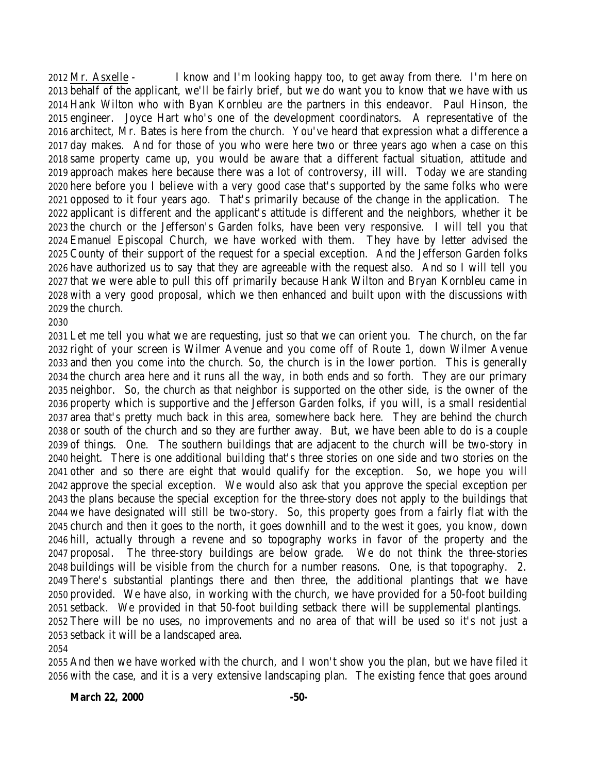Mr. Asxelle - I know and I'm looking happy too, to get away from there. I'm here on behalf of the applicant, we'll be fairly brief, but we do want you to know that we have with us Hank Wilton who with Byan Kornbleu are the partners in this endeavor. Paul Hinson, the engineer. Joyce Hart who's one of the development coordinators. A representative of the architect, Mr. Bates is here from the church. You've heard that expression what a difference a day makes. And for those of you who were here two or three years ago when a case on this same property came up, you would be aware that a different factual situation, attitude and approach makes here because there was a lot of controversy, ill will. Today we are standing here before you I believe with a very good case that's supported by the same folks who were opposed to it four years ago. That's primarily because of the change in the application. The applicant is different and the applicant's attitude is different and the neighbors, whether it be the church or the Jefferson's Garden folks, have been very responsive. I will tell you that Emanuel Episcopal Church, we have worked with them. They have by letter advised the County of their support of the request for a special exception. And the Jefferson Garden folks have authorized us to say that they are agreeable with the request also. And so I will tell you that we were able to pull this off primarily because Hank Wilton and Bryan Kornbleu came in with a very good proposal, which we then enhanced and built upon with the discussions with the church.

#### 

 Let me tell you what we are requesting, just so that we can orient you. The church, on the far right of your screen is Wilmer Avenue and you come off of Route 1, down Wilmer Avenue and then you come into the church. So, the church is in the lower portion. This is generally the church area here and it runs all the way, in both ends and so forth. They are our primary neighbor. So, the church as that neighbor is supported on the other side, is the owner of the property which is supportive and the Jefferson Garden folks, if you will, is a small residential area that's pretty much back in this area, somewhere back here. They are behind the church or south of the church and so they are further away. But, we have been able to do is a couple of things. One. The southern buildings that are adjacent to the church will be two-story in height. There is one additional building that's three stories on one side and two stories on the other and so there are eight that would qualify for the exception. So, we hope you will approve the special exception. We would also ask that you approve the special exception per the plans because the special exception for the three-story does not apply to the buildings that we have designated will still be two-story. So, this property goes from a fairly flat with the church and then it goes to the north, it goes downhill and to the west it goes, you know, down hill, actually through a revene and so topography works in favor of the property and the proposal. The three-story buildings are below grade. We do not think the three-stories buildings will be visible from the church for a number reasons. One, is that topography. 2. There's substantial plantings there and then three, the additional plantings that we have provided. We have also, in working with the church, we have provided for a 50-foot building setback. We provided in that 50-foot building setback there will be supplemental plantings. There will be no uses, no improvements and no area of that will be used so it's not just a setback it will be a landscaped area.

 And then we have worked with the church, and I won't show you the plan, but we have filed it with the case, and it is a very extensive landscaping plan. The existing fence that goes around

#### **March 22, 2000 -50-**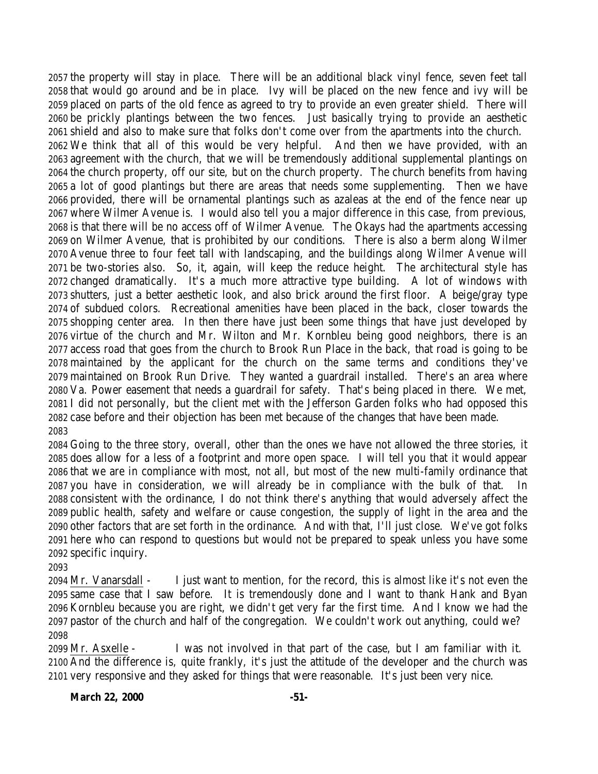the property will stay in place. There will be an additional black vinyl fence, seven feet tall that would go around and be in place. Ivy will be placed on the new fence and ivy will be placed on parts of the old fence as agreed to try to provide an even greater shield. There will be prickly plantings between the two fences. Just basically trying to provide an aesthetic shield and also to make sure that folks don't come over from the apartments into the church. We think that all of this would be very helpful. And then we have provided, with an agreement with the church, that we will be tremendously additional supplemental plantings on the church property, off our site, but on the church property. The church benefits from having a lot of good plantings but there are areas that needs some supplementing. Then we have provided, there will be ornamental plantings such as azaleas at the end of the fence near up where Wilmer Avenue is. I would also tell you a major difference in this case, from previous, is that there will be no access off of Wilmer Avenue. The Okays had the apartments accessing on Wilmer Avenue, that is prohibited by our conditions. There is also a berm along Wilmer Avenue three to four feet tall with landscaping, and the buildings along Wilmer Avenue will be two-stories also. So, it, again, will keep the reduce height. The architectural style has changed dramatically. It's a much more attractive type building. A lot of windows with shutters, just a better aesthetic look, and also brick around the first floor. A beige/gray type of subdued colors. Recreational amenities have been placed in the back, closer towards the shopping center area. In then there have just been some things that have just developed by virtue of the church and Mr. Wilton and Mr. Kornbleu being good neighbors, there is an access road that goes from the church to Brook Run Place in the back, that road is going to be maintained by the applicant for the church on the same terms and conditions they've maintained on Brook Run Drive. They wanted a guardrail installed. There's an area where Va. Power easement that needs a guardrail for safety. That's being placed in there. We met, I did not personally, but the client met with the Jefferson Garden folks who had opposed this case before and their objection has been met because of the changes that have been made. 

 Going to the three story, overall, other than the ones we have not allowed the three stories, it does allow for a less of a footprint and more open space. I will tell you that it would appear that we are in compliance with most, not all, but most of the new multi-family ordinance that you have in consideration, we will already be in compliance with the bulk of that. In consistent with the ordinance, I do not think there's anything that would adversely affect the public health, safety and welfare or cause congestion, the supply of light in the area and the other factors that are set forth in the ordinance. And with that, I'll just close. We've got folks here who can respond to questions but would not be prepared to speak unless you have some specific inquiry.

 Mr. Vanarsdall - I just want to mention, for the record, this is almost like it's not even the same case that I saw before. It is tremendously done and I want to thank Hank and Byan Kornbleu because you are right, we didn't get very far the first time. And I know we had the pastor of the church and half of the congregation. We couldn't work out anything, could we? 

 Mr. Asxelle - I was not involved in that part of the case, but I am familiar with it. And the difference is, quite frankly, it's just the attitude of the developer and the church was very responsive and they asked for things that were reasonable. It's just been very nice.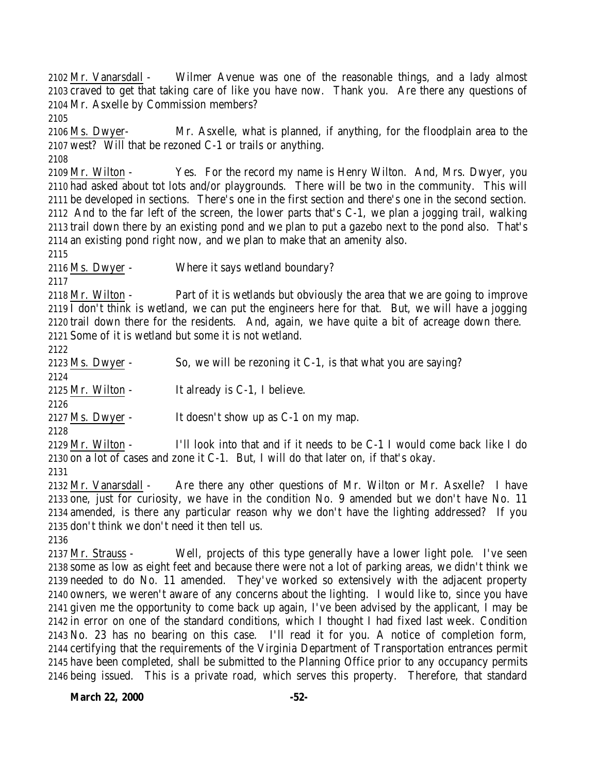Mr. Vanarsdall - Wilmer Avenue was one of the reasonable things, and a lady almost craved to get that taking care of like you have now. Thank you. Are there any questions of Mr. Asxelle by Commission members?

 Ms. Dwyer- Mr. Asxelle, what is planned, if anything, for the floodplain area to the west? Will that be rezoned C-1 or trails or anything.

 Mr. Wilton - Yes. For the record my name is Henry Wilton. And, Mrs. Dwyer, you had asked about tot lots and/or playgrounds. There will be two in the community. This will be developed in sections. There's one in the first section and there's one in the second section. And to the far left of the screen, the lower parts that's C-1, we plan a jogging trail, walking trail down there by an existing pond and we plan to put a gazebo next to the pond also. That's an existing pond right now, and we plan to make that an amenity also.

Ms. Dwyer - Where it says wetland boundary?

 Mr. Wilton - Part of it is wetlands but obviously the area that we are going to improve I don't think is wetland, we can put the engineers here for that. But, we will have a jogging trail down there for the residents. And, again, we have quite a bit of acreage down there. Some of it is wetland but some it is not wetland.

 Ms. Dwyer - So, we will be rezoning it C-1, is that what you are saying? Mr. Wilton - It already is C-1, I believe. Ms. Dwyer - It doesn't show up as C-1 on my map. 

 Mr. Wilton - I'll look into that and if it needs to be C-1 I would come back like I do on a lot of cases and zone it C-1. But, I will do that later on, if that's okay.

 Mr. Vanarsdall - Are there any other questions of Mr. Wilton or Mr. Asxelle? I have one, just for curiosity, we have in the condition No. 9 amended but we don't have No. 11 amended, is there any particular reason why we don't have the lighting addressed? If you don't think we don't need it then tell us.

 Mr. Strauss - Well, projects of this type generally have a lower light pole. I've seen some as low as eight feet and because there were not a lot of parking areas, we didn't think we needed to do No. 11 amended. They've worked so extensively with the adjacent property owners, we weren't aware of any concerns about the lighting. I would like to, since you have given me the opportunity to come back up again, I've been advised by the applicant, I may be in error on one of the standard conditions, which I thought I had fixed last week. Condition No. 23 has no bearing on this case. I'll read it for you. A notice of completion form, certifying that the requirements of the Virginia Department of Transportation entrances permit have been completed, shall be submitted to the Planning Office prior to any occupancy permits being issued. This is a private road, which serves this property. Therefore, that standard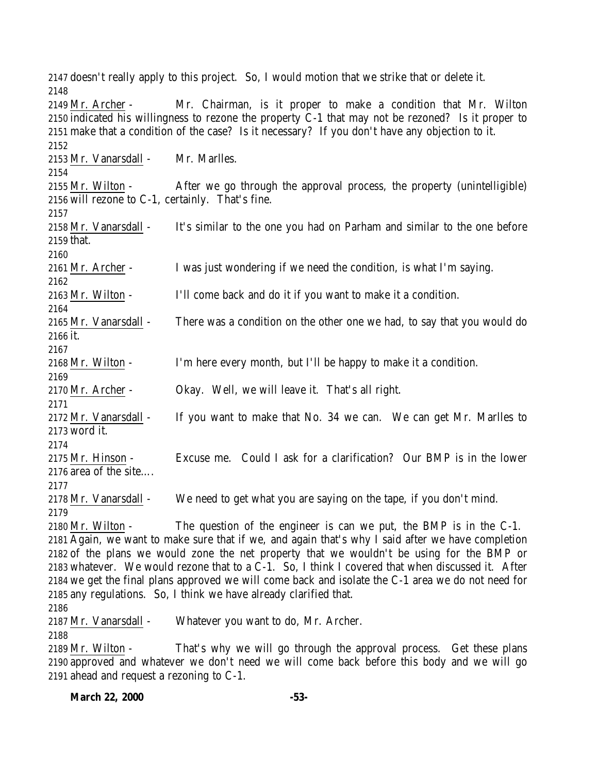doesn't really apply to this project. So, I would motion that we strike that or delete it. Mr. Archer - Mr. Chairman, is it proper to make a condition that Mr. Wilton indicated his willingness to rezone the property C-1 that may not be rezoned? Is it proper to make that a condition of the case? Is it necessary? If you don't have any objection to it. Mr. Vanarsdall - Mr. Marlles. Mr. Wilton - After we go through the approval process, the property (unintelligible) will rezone to C-1, certainly. That's fine. 2158 Mr. Vanarsdall - It's similar to the one you had on Parham and similar to the one before that. Mr. Archer - I was just wondering if we need the condition, is what I'm saying. Mr. Wilton - I'll come back and do it if you want to make it a condition. Mr. Vanarsdall - There was a condition on the other one we had, to say that you would do it. Mr. Wilton - I'm here every month, but I'll be happy to make it a condition. Mr. Archer - Okay. Well, we will leave it. That's all right. Mr. Vanarsdall - If you want to make that No. 34 we can. We can get Mr. Marlles to word it. Mr. Hinson - Excuse me. Could I ask for a clarification? Our BMP is in the lower area of the site…. Mr. Vanarsdall - We need to get what you are saying on the tape, if you don't mind. Mr. Wilton - The question of the engineer is can we put, the BMP is in the C-1. Again, we want to make sure that if we, and again that's why I said after we have completion of the plans we would zone the net property that we wouldn't be using for the BMP or whatever. We would rezone that to a C-1. So, I think I covered that when discussed it. After we get the final plans approved we will come back and isolate the C-1 area we do not need for any regulations. So, I think we have already clarified that. Mr. Vanarsdall - Whatever you want to do, Mr. Archer. Mr. Wilton - That's why we will go through the approval process. Get these plans approved and whatever we don't need we will come back before this body and we will go ahead and request a rezoning to C-1.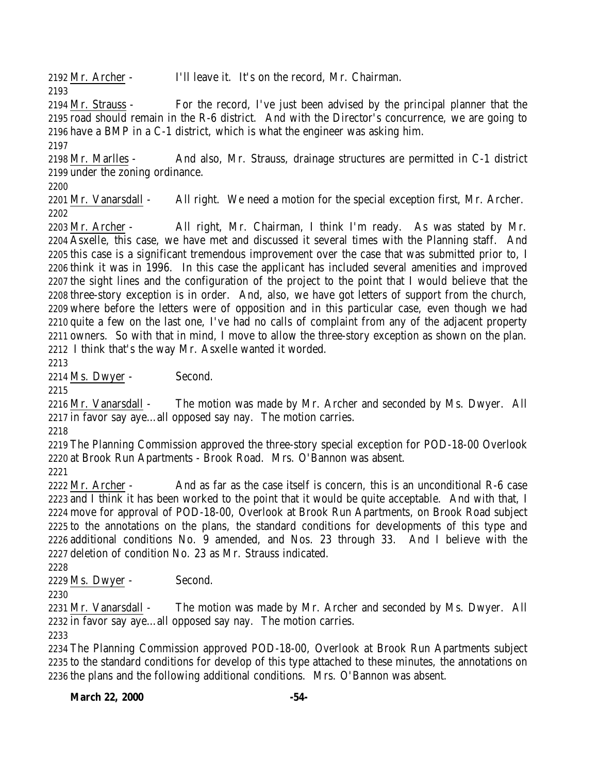Mr. Archer - I'll leave it. It's on the record, Mr. Chairman. 

 Mr. Strauss - For the record, I've just been advised by the principal planner that the road should remain in the R-6 district. And with the Director's concurrence, we are going to have a BMP in a C-1 district, which is what the engineer was asking him. 

 Mr. Marlles - And also, Mr. Strauss, drainage structures are permitted in C-1 district under the zoning ordinance.

 Mr. Vanarsdall - All right. We need a motion for the special exception first, Mr. Archer. 

 Mr. Archer - All right, Mr. Chairman, I think I'm ready. As was stated by Mr. Asxelle, this case, we have met and discussed it several times with the Planning staff. And this case is a significant tremendous improvement over the case that was submitted prior to, I think it was in 1996. In this case the applicant has included several amenities and improved the sight lines and the configuration of the project to the point that I would believe that the three-story exception is in order. And, also, we have got letters of support from the church, where before the letters were of opposition and in this particular case, even though we had quite a few on the last one, I've had no calls of complaint from any of the adjacent property owners. So with that in mind, I move to allow the three-story exception as shown on the plan. I think that's the way Mr. Asxelle wanted it worded.

Ms. Dwyer - Second.

2216 Mr. Vanarsdall - The motion was made by Mr. Archer and seconded by Ms. Dwyer. All in favor say aye…all opposed say nay. The motion carries.

 The Planning Commission approved the three-story special exception for POD-18-00 Overlook at Brook Run Apartments - Brook Road. Mrs. O'Bannon was absent.

 Mr. Archer - And as far as the case itself is concern, this is an unconditional R-6 case and I think it has been worked to the point that it would be quite acceptable. And with that, I move for approval of POD-18-00, Overlook at Brook Run Apartments, on Brook Road subject to the annotations on the plans, the standard conditions for developments of this type and additional conditions No. 9 amended, and Nos. 23 through 33. And I believe with the deletion of condition No. 23 as Mr. Strauss indicated.

Ms. Dwyer - Second.

 Mr. Vanarsdall - The motion was made by Mr. Archer and seconded by Ms. Dwyer. All in favor say aye…all opposed say nay. The motion carries.

 The Planning Commission approved POD-18-00, Overlook at Brook Run Apartments subject to the standard conditions for develop of this type attached to these minutes, the annotations on the plans and the following additional conditions. Mrs. O'Bannon was absent.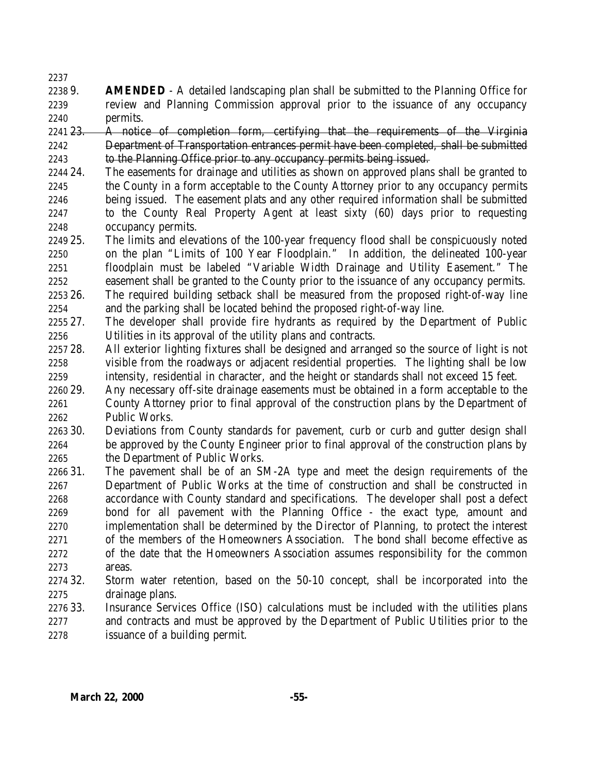- 9. **AMENDED** A detailed landscaping plan shall be submitted to the Planning Office for review and Planning Commission approval prior to the issuance of any occupancy permits.
- 2241 23. A notice of completion form, certifying that the requirements of the Virginia Department of Transportation entrances permit have been completed, shall be submitted 2243 to the Planning Office prior to any occupancy permits being issued.
- 24. The easements for drainage and utilities as shown on approved plans shall be granted to the County in a form acceptable to the County Attorney prior to any occupancy permits being issued. The easement plats and any other required information shall be submitted to the County Real Property Agent at least sixty (60) days prior to requesting occupancy permits.
- 25. The limits and elevations of the 100-year frequency flood shall be conspicuously noted on the plan "Limits of 100 Year Floodplain." In addition, the delineated 100-year floodplain must be labeled "Variable Width Drainage and Utility Easement." The easement shall be granted to the County prior to the issuance of any occupancy permits.
- 26. The required building setback shall be measured from the proposed right-of-way line and the parking shall be located behind the proposed right-of-way line.
- 27. The developer shall provide fire hydrants as required by the Department of Public Utilities in its approval of the utility plans and contracts.
- 28. All exterior lighting fixtures shall be designed and arranged so the source of light is not visible from the roadways or adjacent residential properties. The lighting shall be low intensity, residential in character, and the height or standards shall not exceed 15 feet.
- 29. Any necessary off-site drainage easements must be obtained in a form acceptable to the County Attorney prior to final approval of the construction plans by the Department of Public Works.
- 30. Deviations from County standards for pavement, curb or curb and gutter design shall be approved by the County Engineer prior to final approval of the construction plans by the Department of Public Works.
- 31. The pavement shall be of an SM-2A type and meet the design requirements of the Department of Public Works at the time of construction and shall be constructed in accordance with County standard and specifications. The developer shall post a defect bond for all pavement with the Planning Office - the exact type, amount and implementation shall be determined by the Director of Planning, to protect the interest of the members of the Homeowners Association. The bond shall become effective as of the date that the Homeowners Association assumes responsibility for the common areas.
- 32. Storm water retention, based on the 50-10 concept, shall be incorporated into the drainage plans.
- 33. Insurance Services Office (ISO) calculations must be included with the utilities plans and contracts and must be approved by the Department of Public Utilities prior to the issuance of a building permit.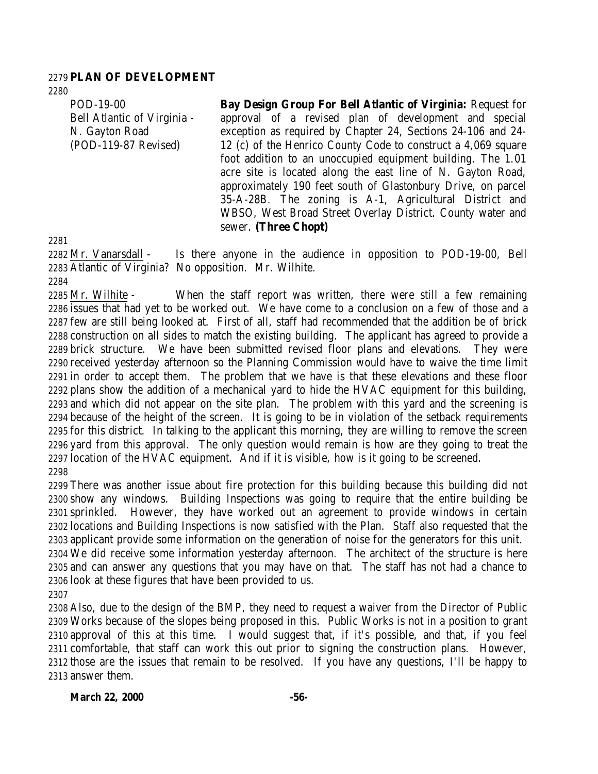#### **PLAN OF DEVELOPMENT**

POD-19-00 Bell Atlantic of Virginia - N. Gayton Road (POD-119-87 Revised)

**Bay Design Group For Bell Atlantic of Virginia:** Request for approval of a revised plan of development and special exception as required by Chapter 24, Sections 24-106 and 24- 12 (c) of the Henrico County Code to construct a 4,069 square foot addition to an unoccupied equipment building. The 1.01 acre site is located along the east line of N. Gayton Road, approximately 190 feet south of Glastonbury Drive, on parcel 35-A-28B. The zoning is A-1, Agricultural District and WBSO, West Broad Street Overlay District. County water and sewer. **(Three Chopt)**

 Mr. Vanarsdall - Is there anyone in the audience in opposition to POD-19-00, Bell Atlantic of Virginia? No opposition. Mr. Wilhite.

 Mr. Wilhite - When the staff report was written, there were still a few remaining issues that had yet to be worked out. We have come to a conclusion on a few of those and a few are still being looked at. First of all, staff had recommended that the addition be of brick construction on all sides to match the existing building. The applicant has agreed to provide a brick structure. We have been submitted revised floor plans and elevations. They were received yesterday afternoon so the Planning Commission would have to waive the time limit in order to accept them. The problem that we have is that these elevations and these floor plans show the addition of a mechanical yard to hide the HVAC equipment for this building, and which did not appear on the site plan. The problem with this yard and the screening is because of the height of the screen. It is going to be in violation of the setback requirements for this district. In talking to the applicant this morning, they are willing to remove the screen yard from this approval. The only question would remain is how are they going to treat the location of the HVAC equipment. And if it is visible, how is it going to be screened. 

 There was another issue about fire protection for this building because this building did not show any windows. Building Inspections was going to require that the entire building be sprinkled. However, they have worked out an agreement to provide windows in certain locations and Building Inspections is now satisfied with the Plan. Staff also requested that the applicant provide some information on the generation of noise for the generators for this unit. We did receive some information yesterday afternoon. The architect of the structure is here and can answer any questions that you may have on that. The staff has not had a chance to

 look at these figures that have been provided to us. 

 Also, due to the design of the BMP, they need to request a waiver from the Director of Public Works because of the slopes being proposed in this. Public Works is not in a position to grant approval of this at this time. I would suggest that, if it's possible, and that, if you feel comfortable, that staff can work this out prior to signing the construction plans. However, those are the issues that remain to be resolved. If you have any questions, I'll be happy to answer them.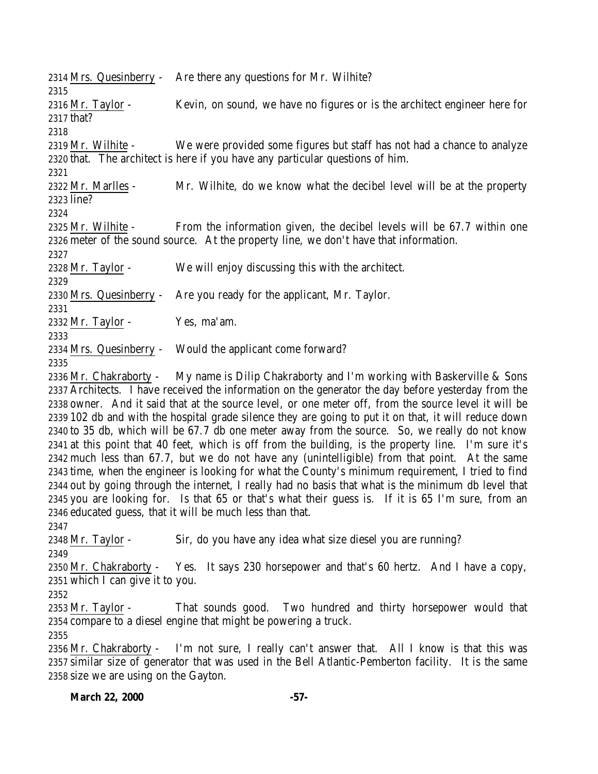Mrs. Quesinberry - Are there any questions for Mr. Wilhite? Mr. Taylor - Kevin, on sound, we have no figures or is the architect engineer here for that? Mr. Wilhite - We were provided some figures but staff has not had a chance to analyze that. The architect is here if you have any particular questions of him. Mr. Marlles - Mr. Wilhite, do we know what the decibel level will be at the property line? Mr. Wilhite - From the information given, the decibel levels will be 67.7 within one meter of the sound source. At the property line, we don't have that information. Mr. Taylor - We will enjoy discussing this with the architect. Mrs. Quesinberry - Are you ready for the applicant, Mr. Taylor. Mr. Taylor - Yes, ma'am. Mrs. Quesinberry - Would the applicant come forward? 

 Mr. Chakraborty - My name is Dilip Chakraborty and I'm working with Baskerville & Sons Architects. I have received the information on the generator the day before yesterday from the owner. And it said that at the source level, or one meter off, from the source level it will be 102 db and with the hospital grade silence they are going to put it on that, it will reduce down to 35 db, which will be 67.7 db one meter away from the source. So, we really do not know at this point that 40 feet, which is off from the building, is the property line. I'm sure it's much less than 67.7, but we do not have any (unintelligible) from that point. At the same time, when the engineer is looking for what the County's minimum requirement, I tried to find out by going through the internet, I really had no basis that what is the minimum db level that you are looking for. Is that 65 or that's what their guess is. If it is 65 I'm sure, from an educated guess, that it will be much less than that.

Mr. Taylor - Sir, do you have any idea what size diesel you are running?

 Mr. Chakraborty - Yes. It says 230 horsepower and that's 60 hertz. And I have a copy, which I can give it to you.

 Mr. Taylor - That sounds good. Two hundred and thirty horsepower would that compare to a diesel engine that might be powering a truck.

 Mr. Chakraborty - I'm not sure, I really can't answer that. All I know is that this was similar size of generator that was used in the Bell Atlantic-Pemberton facility. It is the same size we are using on the Gayton.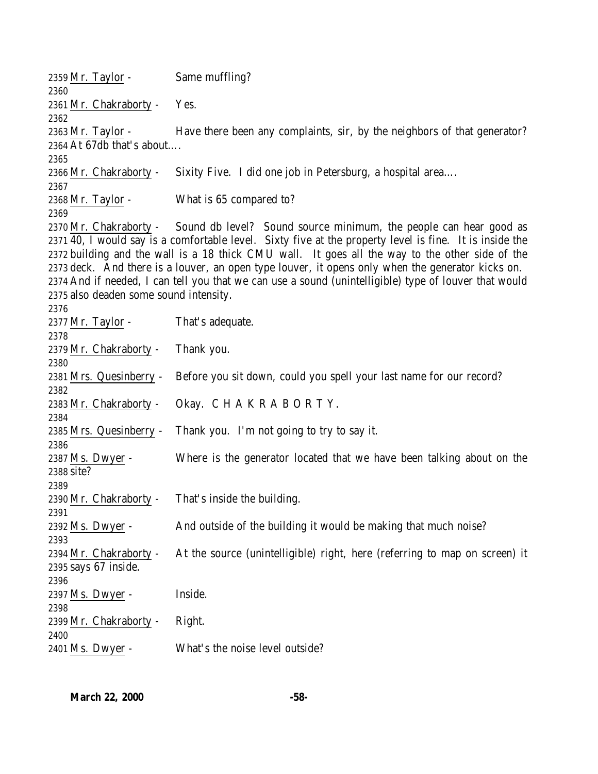Mr. Taylor - Same muffling? Mr. Chakraborty - Yes. Mr. Taylor - Have there been any complaints, sir, by the neighbors of that generator? At 67db that's about…. Mr. Chakraborty - Sixity Five. I did one job in Petersburg, a hospital area…. Mr. Taylor - What is 65 compared to? 2370 Mr. Chakraborty - Sound db level? Sound source minimum, the people can hear good as 40, I would say is a comfortable level. Sixty five at the property level is fine. It is inside the building and the wall is a 18 thick CMU wall. It goes all the way to the other side of the deck. And there is a louver, an open type louver, it opens only when the generator kicks on. And if needed, I can tell you that we can use a sound (unintelligible) type of louver that would also deaden some sound intensity. 2377 Mr. Taylor - That's adequate. Mr. Chakraborty - Thank you. Mrs. Quesinberry - Before you sit down, could you spell your last name for our record? Mr. Chakraborty - Okay. C H A K R A B O R T Y. Mrs. Quesinberry - Thank you. I'm not going to try to say it. Ms. Dwyer - Where is the generator located that we have been talking about on the site? Mr. Chakraborty - That's inside the building. 2392 Ms. Dwyer - And outside of the building it would be making that much noise? Mr. Chakraborty - At the source (unintelligible) right, here (referring to map on screen) it says 67 inside. Ms. Dwyer - Inside. Mr. Chakraborty - Right. Ms. Dwyer - What's the noise level outside?

**March 22, 2000 -58-**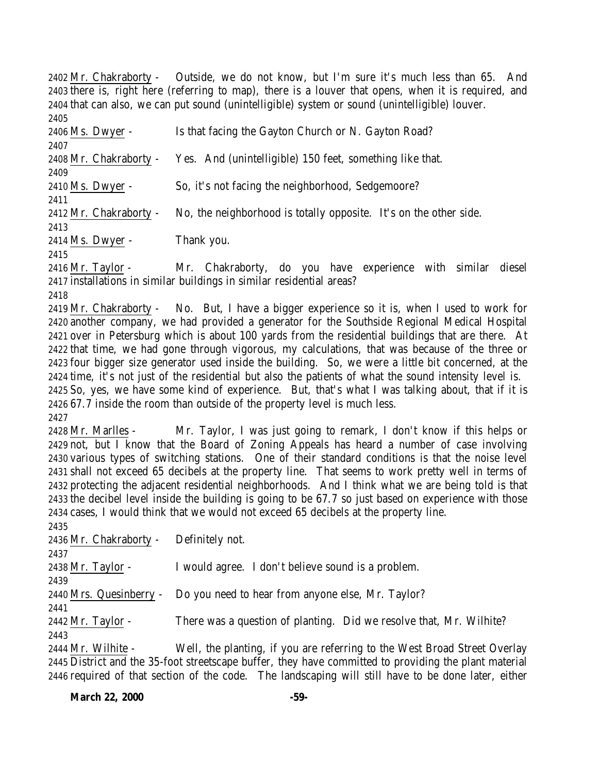Mr. Chakraborty - Outside, we do not know, but I'm sure it's much less than 65. And there is, right here (referring to map), there is a louver that opens, when it is required, and that can also, we can put sound (unintelligible) system or sound (unintelligible) louver. 

| 64 U J                 |                                                                   |
|------------------------|-------------------------------------------------------------------|
| 2406 Ms. Dwyer -       | Is that facing the Gayton Church or N. Gayton Road?               |
| 2407                   |                                                                   |
| 2408 Mr. Chakraborty - | Yes. And (unintelligible) 150 feet, something like that.          |
| 2409                   |                                                                   |
| 2410 Ms. Dwyer -       | So, it's not facing the neighborhood, Sedgemoore?                 |
| 2411                   |                                                                   |
| 2412 Mr. Chakraborty - | No, the neighborhood is totally opposite. It's on the other side. |
| 2413                   |                                                                   |
| 2414 Ms. Dwyer -       | Thank you.                                                        |
|                        |                                                                   |

 Mr. Taylor - Mr. Chakraborty, do you have experience with similar diesel installations in similar buildings in similar residential areas?

 Mr. Chakraborty - No. But, I have a bigger experience so it is, when I used to work for another company, we had provided a generator for the Southside Regional Medical Hospital over in Petersburg which is about 100 yards from the residential buildings that are there. At that time, we had gone through vigorous, my calculations, that was because of the three or four bigger size generator used inside the building. So, we were a little bit concerned, at the time, it's not just of the residential but also the patients of what the sound intensity level is. So, yes, we have some kind of experience. But, that's what I was talking about, that if it is 67.7 inside the room than outside of the property level is much less. 

 Mr. Marlles - Mr. Taylor, I was just going to remark, I don't know if this helps or not, but I know that the Board of Zoning Appeals has heard a number of case involving various types of switching stations. One of their standard conditions is that the noise level shall not exceed 65 decibels at the property line. That seems to work pretty well in terms of protecting the adjacent residential neighborhoods. And I think what we are being told is that the decibel level inside the building is going to be 67.7 so just based on experience with those cases, I would think that we would not exceed 65 decibels at the property line.

Mr. Chakraborty - Definitely not.

Mr. Taylor - I would agree. I don't believe sound is a problem.

Mrs. Quesinberry - Do you need to hear from anyone else, Mr. Taylor?

2442 Mr. Taylor - There was a question of planting. Did we resolve that, Mr. Wilhite? 

 Mr. Wilhite - Well, the planting, if you are referring to the West Broad Street Overlay District and the 35-foot streetscape buffer, they have committed to providing the plant material required of that section of the code. The landscaping will still have to be done later, either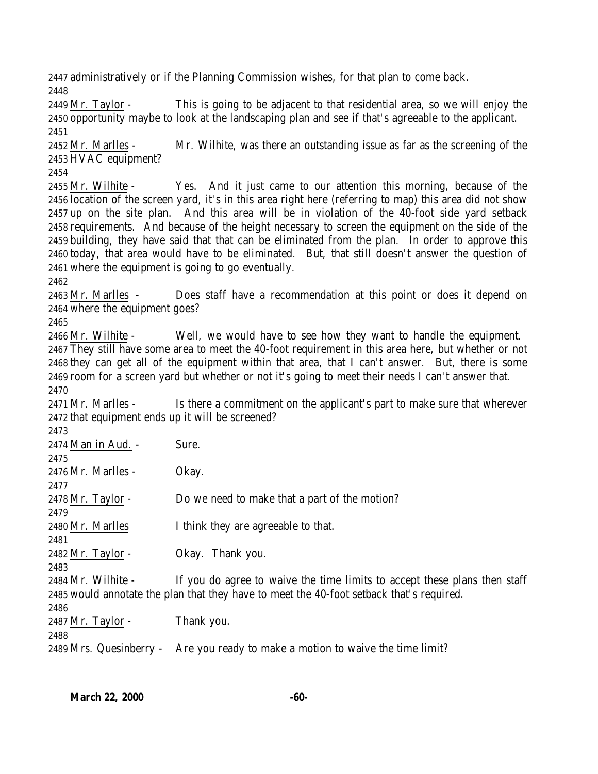administratively or if the Planning Commission wishes, for that plan to come back. 

 Mr. Taylor - This is going to be adjacent to that residential area, so we will enjoy the opportunity maybe to look at the landscaping plan and see if that's agreeable to the applicant. 

 Mr. Marlles - Mr. Wilhite, was there an outstanding issue as far as the screening of the HVAC equipment?

 Mr. Wilhite - Yes. And it just came to our attention this morning, because of the location of the screen yard, it's in this area right here (referring to map) this area did not show up on the site plan. And this area will be in violation of the 40-foot side yard setback requirements. And because of the height necessary to screen the equipment on the side of the building, they have said that that can be eliminated from the plan. In order to approve this today, that area would have to be eliminated. But, that still doesn't answer the question of where the equipment is going to go eventually.

 Mr. Marlles - Does staff have a recommendation at this point or does it depend on where the equipment goes?

 Mr. Wilhite - Well, we would have to see how they want to handle the equipment. They still have some area to meet the 40-foot requirement in this area here, but whether or not they can get all of the equipment within that area, that I can't answer. But, there is some room for a screen yard but whether or not it's going to meet their needs I can't answer that. 

 Mr. Marlles - Is there a commitment on the applicant's part to make sure that wherever that equipment ends up it will be screened?

| 2473                                                                                     |                                                                           |  |
|------------------------------------------------------------------------------------------|---------------------------------------------------------------------------|--|
| 2474 Man in Aud. -                                                                       | Sure.                                                                     |  |
| 2475                                                                                     |                                                                           |  |
| 2476 Mr. Marlles -                                                                       | Okay.                                                                     |  |
| 2477                                                                                     |                                                                           |  |
| $2478$ Mr. Taylor -                                                                      | Do we need to make that a part of the motion?                             |  |
| 2479                                                                                     |                                                                           |  |
| 2480 Mr. Marlles                                                                         | I think they are agreeable to that.                                       |  |
| 2481                                                                                     |                                                                           |  |
| $2482$ Mr. Taylor -                                                                      | Okay. Thank you.                                                          |  |
| 2483                                                                                     |                                                                           |  |
| 2484 Mr. Wilhite -                                                                       | If you do agree to waive the time limits to accept these plans then staff |  |
| 2485 would annotate the plan that they have to meet the 40-foot setback that's required. |                                                                           |  |
| 2486                                                                                     |                                                                           |  |
| $2487$ Mr. Taylor -                                                                      | Thank you.                                                                |  |
| 2488                                                                                     |                                                                           |  |
| 2489 Mrs. Quesinberry -                                                                  | Are you ready to make a motion to waive the time limit?                   |  |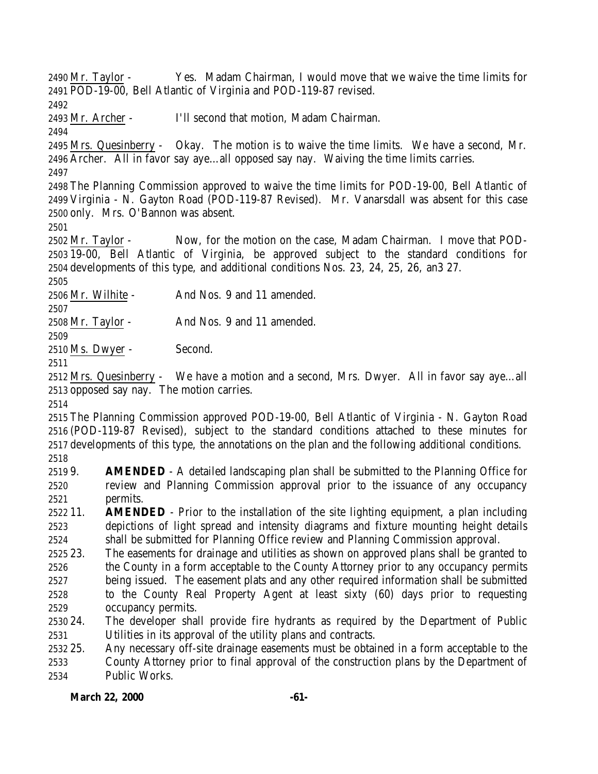Mr. Taylor - Yes. Madam Chairman, I would move that we waive the time limits for POD-19-00, Bell Atlantic of Virginia and POD-119-87 revised.

Mr. Archer - I'll second that motion, Madam Chairman.

 Mrs. Quesinberry - Okay. The motion is to waive the time limits. We have a second, Mr. Archer. All in favor say aye…all opposed say nay. Waiving the time limits carries.

 The Planning Commission approved to waive the time limits for POD-19-00, Bell Atlantic of Virginia - N. Gayton Road (POD-119-87 Revised). Mr. Vanarsdall was absent for this case only. Mrs. O'Bannon was absent.

 Mr. Taylor - Now, for the motion on the case, Madam Chairman. I move that POD- 19-00, Bell Atlantic of Virginia, be approved subject to the standard conditions for developments of this type, and additional conditions Nos. 23, 24, 25, 26, an3 27. 

Mr. Wilhite - And Nos. 9 and 11 amended.

Mr. Taylor - And Nos. 9 and 11 amended.

Ms. Dwyer - Second.

 Mrs. Quesinberry - We have a motion and a second, Mrs. Dwyer. All in favor say aye…all opposed say nay. The motion carries.

 The Planning Commission approved POD-19-00, Bell Atlantic of Virginia - N. Gayton Road (POD-119-87 Revised), subject to the standard conditions attached to these minutes for developments of this type, the annotations on the plan and the following additional conditions. 

- 9. **AMENDED** A detailed landscaping plan shall be submitted to the Planning Office for review and Planning Commission approval prior to the issuance of any occupancy permits.
- 11. **AMENDED** Prior to the installation of the site lighting equipment, a plan including depictions of light spread and intensity diagrams and fixture mounting height details shall be submitted for Planning Office review and Planning Commission approval.
- 23. The easements for drainage and utilities as shown on approved plans shall be granted to the County in a form acceptable to the County Attorney prior to any occupancy permits being issued. The easement plats and any other required information shall be submitted to the County Real Property Agent at least sixty (60) days prior to requesting occupancy permits.
- 24. The developer shall provide fire hydrants as required by the Department of Public Utilities in its approval of the utility plans and contracts.
- 25. Any necessary off-site drainage easements must be obtained in a form acceptable to the County Attorney prior to final approval of the construction plans by the Department of Public Works.

## March 22, 2000 -61-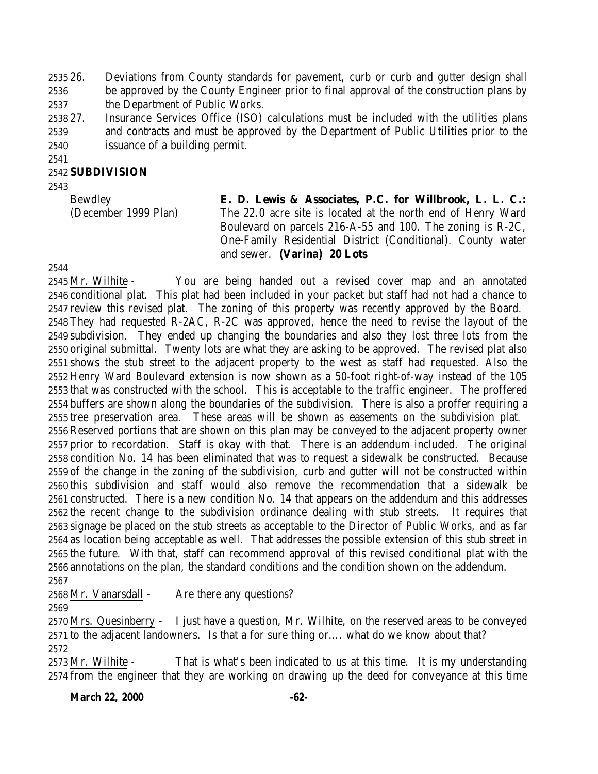26. Deviations from County standards for pavement, curb or curb and gutter design shall be approved by the County Engineer prior to final approval of the construction plans by the Department of Public Works.

 27. Insurance Services Office (ISO) calculations must be included with the utilities plans and contracts and must be approved by the Department of Public Utilities prior to the issuance of a building permit.

#### **SUBDIVISION**

Bewdley (December 1999 Plan) **E. D. Lewis & Associates, P.C. for Willbrook, L. L. C.:** The 22.0 acre site is located at the north end of Henry Ward Boulevard on parcels 216-A-55 and 100. The zoning is R-2C, One-Family Residential District (Conditional). County water and sewer. **(Varina) 20 Lots**

 Mr. Wilhite - You are being handed out a revised cover map and an annotated conditional plat. This plat had been included in your packet but staff had not had a chance to review this revised plat. The zoning of this property was recently approved by the Board. They had requested R-2AC, R-2C was approved, hence the need to revise the layout of the subdivision. They ended up changing the boundaries and also they lost three lots from the original submittal. Twenty lots are what they are asking to be approved. The revised plat also shows the stub street to the adjacent property to the west as staff had requested. Also the Henry Ward Boulevard extension is now shown as a 50-foot right-of-way instead of the 105 that was constructed with the school. This is acceptable to the traffic engineer. The proffered buffers are shown along the boundaries of the subdivision. There is also a proffer requiring a tree preservation area. These areas will be shown as easements on the subdivision plat. Reserved portions that are shown on this plan may be conveyed to the adjacent property owner prior to recordation. Staff is okay with that. There is an addendum included. The original condition No. 14 has been eliminated that was to request a sidewalk be constructed. Because of the change in the zoning of the subdivision, curb and gutter will not be constructed within this subdivision and staff would also remove the recommendation that a sidewalk be constructed. There is a new condition No. 14 that appears on the addendum and this addresses the recent change to the subdivision ordinance dealing with stub streets. It requires that signage be placed on the stub streets as acceptable to the Director of Public Works, and as far as location being acceptable as well. That addresses the possible extension of this stub street in the future. With that, staff can recommend approval of this revised conditional plat with the annotations on the plan, the standard conditions and the condition shown on the addendum. 

2568 Mr. Vanarsdall - Are there any questions?

 Mrs. Quesinberry - I just have a question, Mr. Wilhite, on the reserved areas to be conveyed to the adjacent landowners. Is that a for sure thing or…. what do we know about that? 

 Mr. Wilhite - That is what's been indicated to us at this time. It is my understanding from the engineer that they are working on drawing up the deed for conveyance at this time

March 22, 2000 -62-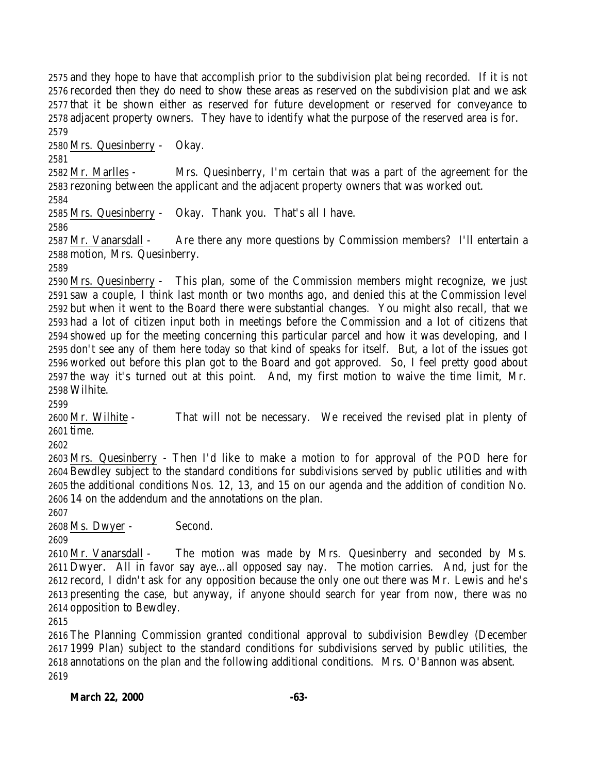and they hope to have that accomplish prior to the subdivision plat being recorded. If it is not recorded then they do need to show these areas as reserved on the subdivision plat and we ask that it be shown either as reserved for future development or reserved for conveyance to adjacent property owners. They have to identify what the purpose of the reserved area is for. 

Mrs. Quesinberry - Okay.

 Mr. Marlles - Mrs. Quesinberry, I'm certain that was a part of the agreement for the rezoning between the applicant and the adjacent property owners that was worked out.

Mrs. Quesinberry - Okay. Thank you. That's all I have.

 Mr. Vanarsdall - Are there any more questions by Commission members? I'll entertain a motion, Mrs. Quesinberry.

 Mrs. Quesinberry - This plan, some of the Commission members might recognize, we just saw a couple, I think last month or two months ago, and denied this at the Commission level but when it went to the Board there were substantial changes. You might also recall, that we had a lot of citizen input both in meetings before the Commission and a lot of citizens that showed up for the meeting concerning this particular parcel and how it was developing, and I don't see any of them here today so that kind of speaks for itself. But, a lot of the issues got worked out before this plan got to the Board and got approved. So, I feel pretty good about the way it's turned out at this point. And, my first motion to waive the time limit, Mr. Wilhite.

 Mr. Wilhite - That will not be necessary. We received the revised plat in plenty of time.

 Mrs. Quesinberry - Then I'd like to make a motion to for approval of the POD here for Bewdley subject to the standard conditions for subdivisions served by public utilities and with the additional conditions Nos. 12, 13, and 15 on our agenda and the addition of condition No. 14 on the addendum and the annotations on the plan.

Ms. Dwyer - Second.

 Mr. Vanarsdall - The motion was made by Mrs. Quesinberry and seconded by Ms. Dwyer. All in favor say aye…all opposed say nay. The motion carries. And, just for the record, I didn't ask for any opposition because the only one out there was Mr. Lewis and he's presenting the case, but anyway, if anyone should search for year from now, there was no opposition to Bewdley.

 The Planning Commission granted conditional approval to subdivision Bewdley (December 1999 Plan) subject to the standard conditions for subdivisions served by public utilities, the annotations on the plan and the following additional conditions. Mrs. O'Bannon was absent.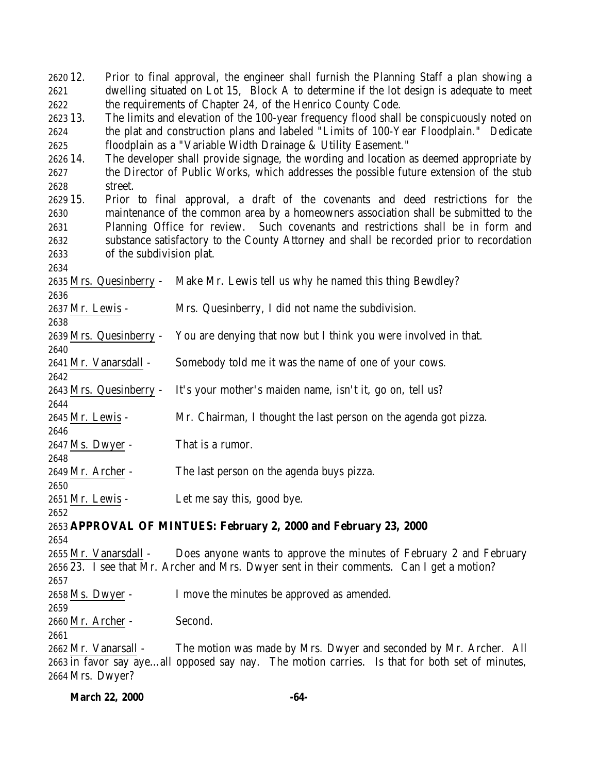| 2620 12.                  | Prior to final approval, the engineer shall furnish the Planning Staff a plan showing a        |
|---------------------------|------------------------------------------------------------------------------------------------|
| 2621                      | dwelling situated on Lot 15, Block A to determine if the lot design is adequate to meet        |
| 2622                      | the requirements of Chapter 24, of the Henrico County Code.                                    |
| 2623 13.                  | The limits and elevation of the 100-year frequency flood shall be conspicuously noted on       |
| 2624                      | the plat and construction plans and labeled "Limits of 100-Year Floodplain." Dedicate          |
| 2625                      | floodplain as a "Variable Width Drainage & Utility Easement."                                  |
| 2626 14.                  | The developer shall provide signage, the wording and location as deemed appropriate by         |
| 2627                      | the Director of Public Works, which addresses the possible future extension of the stub        |
| 2628<br>street.           |                                                                                                |
| 2629 15.                  | Prior to final approval, a draft of the covenants and deed restrictions for the                |
| 2630                      | maintenance of the common area by a homeowners association shall be submitted to the           |
| 2631                      | Planning Office for review. Such covenants and restrictions shall be in form and               |
| 2632                      | substance satisfactory to the County Attorney and shall be recorded prior to recordation       |
| 2633                      | of the subdivision plat.                                                                       |
| 2634                      |                                                                                                |
| 2635 Mrs. Quesinberry -   | Make Mr. Lewis tell us why he named this thing Bewdley?                                        |
| 2636                      |                                                                                                |
| 2637 Mr. Lewis -          | Mrs. Quesinberry, I did not name the subdivision.                                              |
| 2638                      |                                                                                                |
| 2639 Mrs. Quesinberry -   | You are denying that now but I think you were involved in that.                                |
| 2640                      |                                                                                                |
| 2641 Mr. Vanarsdall -     | Somebody told me it was the name of one of your cows.                                          |
| 2642                      |                                                                                                |
| 2643 Mrs. Quesinberry -   | It's your mother's maiden name, isn't it, go on, tell us?                                      |
| 2644                      |                                                                                                |
| 2645 Mr. Lewis -          | Mr. Chairman, I thought the last person on the agenda got pizza.                               |
| 2646                      |                                                                                                |
| 2647 Ms. Dwyer -          | That is a rumor.                                                                               |
| 2648<br>2649 Mr. Archer - | The last person on the agenda buys pizza.                                                      |
| 2650                      |                                                                                                |
| 2651 Mr. Lewis -          | Let me say this, good bye.                                                                     |
| 2652                      |                                                                                                |
|                           | 2653 APPROVAL OF MINTUES: February 2, 2000 and February 23, 2000                               |
| 2654                      |                                                                                                |
| 2655 Mr. Vanarsdall -     | Does anyone wants to approve the minutes of February 2 and February                            |
|                           | 2656 23. I see that Mr. Archer and Mrs. Dwyer sent in their comments. Can I get a motion?      |
| 2657                      |                                                                                                |
| 2658 Ms. Dwyer -          | I move the minutes be approved as amended.                                                     |
| 2659                      |                                                                                                |
| 2660 Mr. Archer -         | Second.                                                                                        |
| 2661                      |                                                                                                |
| 2662 Mr. Vanarsall -      | The motion was made by Mrs. Dwyer and seconded by Mr. Archer. All                              |
|                           | 2663 in favor say ayeall opposed say nay. The motion carries. Is that for both set of minutes, |
| 2664 Mrs. Dwyer?          |                                                                                                |
|                           |                                                                                                |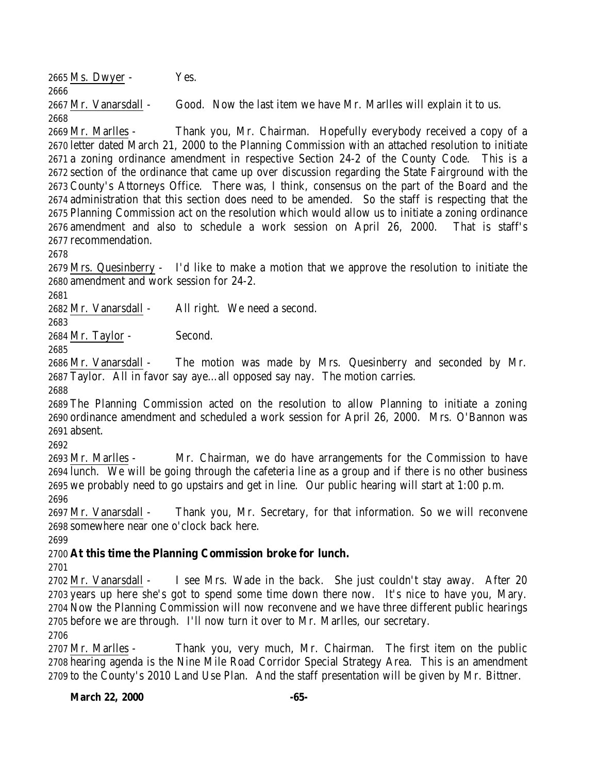Ms. Dwyer - Yes. 

 Mr. Vanarsdall - Good. Now the last item we have Mr. Marlles will explain it to us. 

 Mr. Marlles - Thank you, Mr. Chairman. Hopefully everybody received a copy of a letter dated March 21, 2000 to the Planning Commission with an attached resolution to initiate a zoning ordinance amendment in respective Section 24-2 of the County Code. This is a section of the ordinance that came up over discussion regarding the State Fairground with the County's Attorneys Office. There was, I think, consensus on the part of the Board and the administration that this section does need to be amended. So the staff is respecting that the Planning Commission act on the resolution which would allow us to initiate a zoning ordinance amendment and also to schedule a work session on April 26, 2000. That is staff's recommendation.

 Mrs. Quesinberry - I'd like to make a motion that we approve the resolution to initiate the amendment and work session for 24-2.

Mr. Vanarsdall - All right. We need a second.

 

Mr. Taylor - Second.

 Mr. Vanarsdall - The motion was made by Mrs. Quesinberry and seconded by Mr. Taylor. All in favor say aye…all opposed say nay. The motion carries.

 The Planning Commission acted on the resolution to allow Planning to initiate a zoning ordinance amendment and scheduled a work session for April 26, 2000. Mrs. O'Bannon was absent.

 Mr. Marlles - Mr. Chairman, we do have arrangements for the Commission to have lunch. We will be going through the cafeteria line as a group and if there is no other business we probably need to go upstairs and get in line. Our public hearing will start at 1:00 p.m. 

 Mr. Vanarsdall - Thank you, Mr. Secretary, for that information. So we will reconvene somewhere near one o'clock back here.

## **At this time the Planning Commission broke for lunch.**

 Mr. Vanarsdall - I see Mrs. Wade in the back. She just couldn't stay away. After 20 years up here she's got to spend some time down there now. It's nice to have you, Mary. Now the Planning Commission will now reconvene and we have three different public hearings before we are through. I'll now turn it over to Mr. Marlles, our secretary. 

 Mr. Marlles - Thank you, very much, Mr. Chairman. The first item on the public hearing agenda is the Nine Mile Road Corridor Special Strategy Area. This is an amendment to the County's 2010 Land Use Plan. And the staff presentation will be given by Mr. Bittner.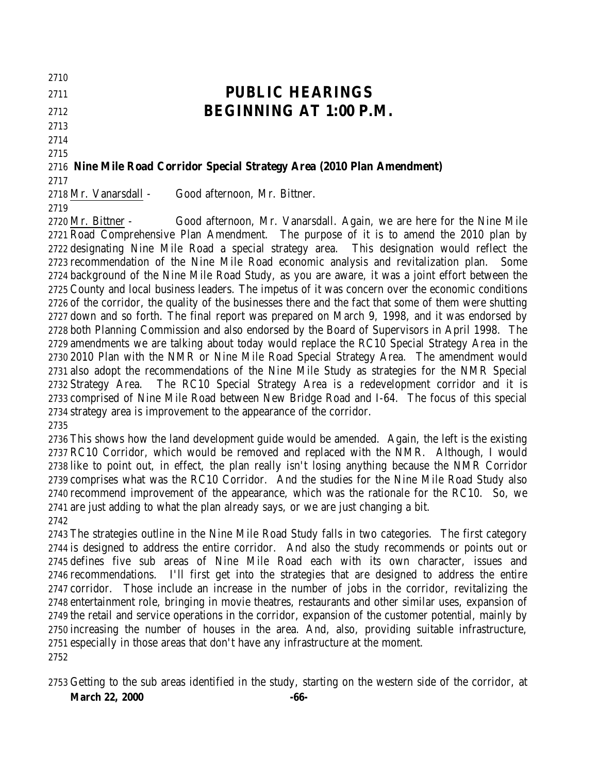**PUBLIC HEARINGS**

# **BEGINNING AT 1:00 P.M.**

# **Nine Mile Road Corridor Special Strategy Area (2010 Plan Amendment)**

Mr. Vanarsdall - Good afternoon, Mr. Bittner.

 Mr. Bittner - Good afternoon, Mr. Vanarsdall. Again, we are here for the Nine Mile Road Comprehensive Plan Amendment. The purpose of it is to amend the 2010 plan by designating Nine Mile Road a special strategy area. This designation would reflect the recommendation of the Nine Mile Road economic analysis and revitalization plan. Some background of the Nine Mile Road Study, as you are aware, it was a joint effort between the County and local business leaders. The impetus of it was concern over the economic conditions of the corridor, the quality of the businesses there and the fact that some of them were shutting down and so forth. The final report was prepared on March 9, 1998, and it was endorsed by both Planning Commission and also endorsed by the Board of Supervisors in April 1998. The amendments we are talking about today would replace the RC10 Special Strategy Area in the 2010 Plan with the NMR or Nine Mile Road Special Strategy Area. The amendment would also adopt the recommendations of the Nine Mile Study as strategies for the NMR Special Strategy Area. The RC10 Special Strategy Area is a redevelopment corridor and it is comprised of Nine Mile Road between New Bridge Road and I-64. The focus of this special strategy area is improvement to the appearance of the corridor. 

 This shows how the land development guide would be amended. Again, the left is the existing RC10 Corridor, which would be removed and replaced with the NMR. Although, I would like to point out, in effect, the plan really isn't losing anything because the NMR Corridor comprises what was the RC10 Corridor. And the studies for the Nine Mile Road Study also recommend improvement of the appearance, which was the rationale for the RC10. So, we are just adding to what the plan already says, or we are just changing a bit. 

 The strategies outline in the Nine Mile Road Study falls in two categories. The first category is designed to address the entire corridor. And also the study recommends or points out or defines five sub areas of Nine Mile Road each with its own character, issues and recommendations. I'll first get into the strategies that are designed to address the entire corridor. Those include an increase in the number of jobs in the corridor, revitalizing the entertainment role, bringing in movie theatres, restaurants and other similar uses, expansion of the retail and service operations in the corridor, expansion of the customer potential, mainly by increasing the number of houses in the area. And, also, providing suitable infrastructure, especially in those areas that don't have any infrastructure at the moment. 

**March 22, 2000 -66-**Getting to the sub areas identified in the study, starting on the western side of the corridor, at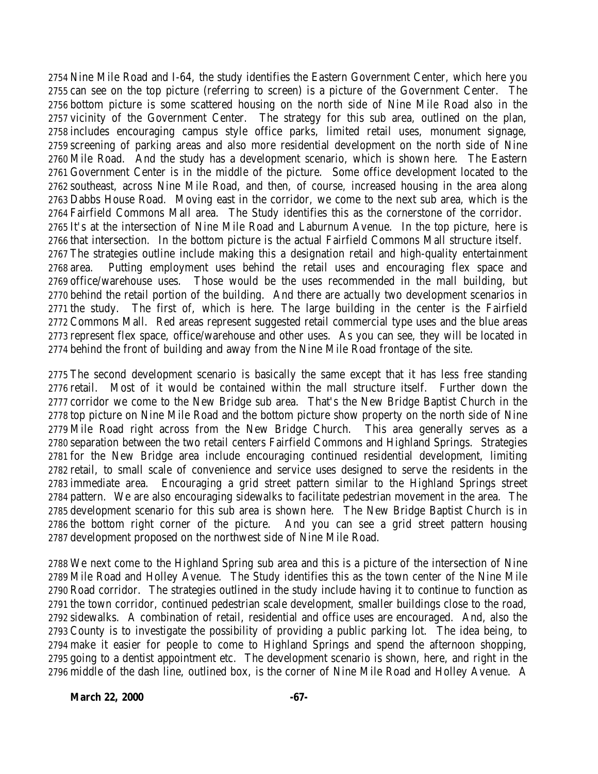Nine Mile Road and I-64, the study identifies the Eastern Government Center, which here you can see on the top picture (referring to screen) is a picture of the Government Center. The bottom picture is some scattered housing on the north side of Nine Mile Road also in the vicinity of the Government Center. The strategy for this sub area, outlined on the plan, includes encouraging campus style office parks, limited retail uses, monument signage, screening of parking areas and also more residential development on the north side of Nine Mile Road. And the study has a development scenario, which is shown here. The Eastern Government Center is in the middle of the picture. Some office development located to the southeast, across Nine Mile Road, and then, of course, increased housing in the area along Dabbs House Road. Moving east in the corridor, we come to the next sub area, which is the Fairfield Commons Mall area. The Study identifies this as the cornerstone of the corridor. It's at the intersection of Nine Mile Road and Laburnum Avenue. In the top picture, here is that intersection. In the bottom picture is the actual Fairfield Commons Mall structure itself. The strategies outline include making this a designation retail and high-quality entertainment area. Putting employment uses behind the retail uses and encouraging flex space and office/warehouse uses. Those would be the uses recommended in the mall building, but behind the retail portion of the building. And there are actually two development scenarios in the study. The first of, which is here. The large building in the center is the Fairfield Commons Mall. Red areas represent suggested retail commercial type uses and the blue areas represent flex space, office/warehouse and other uses. As you can see, they will be located in behind the front of building and away from the Nine Mile Road frontage of the site.

 The second development scenario is basically the same except that it has less free standing retail. Most of it would be contained within the mall structure itself. Further down the corridor we come to the New Bridge sub area. That's the New Bridge Baptist Church in the top picture on Nine Mile Road and the bottom picture show property on the north side of Nine Mile Road right across from the New Bridge Church. This area generally serves as a separation between the two retail centers Fairfield Commons and Highland Springs. Strategies for the New Bridge area include encouraging continued residential development, limiting retail, to small scale of convenience and service uses designed to serve the residents in the immediate area. Encouraging a grid street pattern similar to the Highland Springs street pattern. We are also encouraging sidewalks to facilitate pedestrian movement in the area. The development scenario for this sub area is shown here. The New Bridge Baptist Church is in the bottom right corner of the picture. And you can see a grid street pattern housing development proposed on the northwest side of Nine Mile Road.

 We next come to the Highland Spring sub area and this is a picture of the intersection of Nine Mile Road and Holley Avenue. The Study identifies this as the town center of the Nine Mile Road corridor. The strategies outlined in the study include having it to continue to function as the town corridor, continued pedestrian scale development, smaller buildings close to the road, sidewalks. A combination of retail, residential and office uses are encouraged. And, also the County is to investigate the possibility of providing a public parking lot. The idea being, to make it easier for people to come to Highland Springs and spend the afternoon shopping, going to a dentist appointment etc. The development scenario is shown, here, and right in the middle of the dash line, outlined box, is the corner of Nine Mile Road and Holley Avenue. A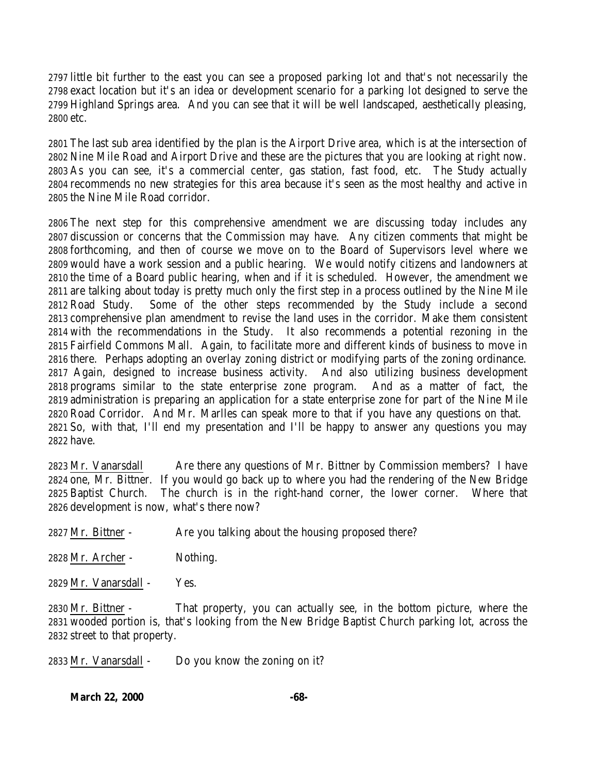little bit further to the east you can see a proposed parking lot and that's not necessarily the exact location but it's an idea or development scenario for a parking lot designed to serve the Highland Springs area. And you can see that it will be well landscaped, aesthetically pleasing, etc.

 The last sub area identified by the plan is the Airport Drive area, which is at the intersection of Nine Mile Road and Airport Drive and these are the pictures that you are looking at right now. As you can see, it's a commercial center, gas station, fast food, etc. The Study actually recommends no new strategies for this area because it's seen as the most healthy and active in the Nine Mile Road corridor.

 The next step for this comprehensive amendment we are discussing today includes any discussion or concerns that the Commission may have. Any citizen comments that might be forthcoming, and then of course we move on to the Board of Supervisors level where we would have a work session and a public hearing. We would notify citizens and landowners at the time of a Board public hearing, when and if it is scheduled. However, the amendment we are talking about today is pretty much only the first step in a process outlined by the Nine Mile Road Study. Some of the other steps recommended by the Study include a second comprehensive plan amendment to revise the land uses in the corridor. Make them consistent with the recommendations in the Study. It also recommends a potential rezoning in the Fairfield Commons Mall. Again, to facilitate more and different kinds of business to move in there. Perhaps adopting an overlay zoning district or modifying parts of the zoning ordinance. Again, designed to increase business activity. And also utilizing business development programs similar to the state enterprise zone program. And as a matter of fact, the administration is preparing an application for a state enterprise zone for part of the Nine Mile Road Corridor. And Mr. Marlles can speak more to that if you have any questions on that. So, with that, I'll end my presentation and I'll be happy to answer any questions you may have.

 Mr. Vanarsdall Are there any questions of Mr. Bittner by Commission members? I have one, Mr. Bittner. If you would go back up to where you had the rendering of the New Bridge Baptist Church. The church is in the right-hand corner, the lower corner. Where that development is now, what's there now?

Mr. Bittner - Are you talking about the housing proposed there?

Mr. Archer - Nothing.

Mr. Vanarsdall - Yes.

 Mr. Bittner - That property, you can actually see, in the bottom picture, where the wooded portion is, that's looking from the New Bridge Baptist Church parking lot, across the street to that property.

Mr. Vanarsdall - Do you know the zoning on it?

**March 22, 2000 -68-**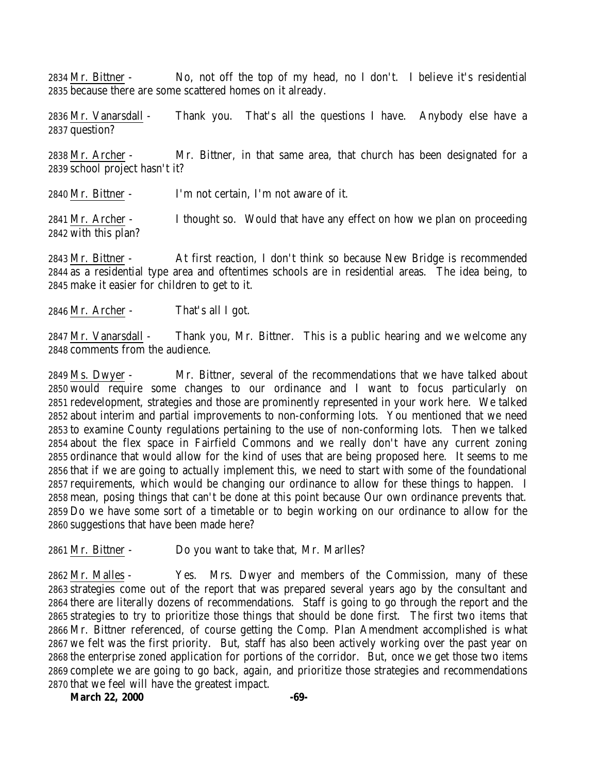2834 Mr. Bittner - No, not off the top of my head, no I don't. I believe it's residential because there are some scattered homes on it already.

2836 Mr. Vanarsdall - Thank you. That's all the questions I have. Anybody else have a question?

 Mr. Archer - Mr. Bittner, in that same area, that church has been designated for a school project hasn't it?

Mr. Bittner - I'm not certain, I'm not aware of it.

2841 Mr. Archer - I thought so. Would that have any effect on how we plan on proceeding with this plan?

 Mr. Bittner - At first reaction, I don't think so because New Bridge is recommended as a residential type area and oftentimes schools are in residential areas. The idea being, to make it easier for children to get to it.

Mr. Archer - That's all I got.

 Mr. Vanarsdall - Thank you, Mr. Bittner. This is a public hearing and we welcome any comments from the audience.

 Ms. Dwyer - Mr. Bittner, several of the recommendations that we have talked about would require some changes to our ordinance and I want to focus particularly on redevelopment, strategies and those are prominently represented in your work here. We talked about interim and partial improvements to non-conforming lots. You mentioned that we need to examine County regulations pertaining to the use of non-conforming lots. Then we talked about the flex space in Fairfield Commons and we really don't have any current zoning ordinance that would allow for the kind of uses that are being proposed here. It seems to me that if we are going to actually implement this, we need to start with some of the foundational requirements, which would be changing our ordinance to allow for these things to happen. I mean, posing things that can't be done at this point because Our own ordinance prevents that. Do we have some sort of a timetable or to begin working on our ordinance to allow for the suggestions that have been made here?

Mr. Bittner - Do you want to take that, Mr. Marlles?

 Mr. Malles - Yes. Mrs. Dwyer and members of the Commission, many of these strategies come out of the report that was prepared several years ago by the consultant and there are literally dozens of recommendations. Staff is going to go through the report and the strategies to try to prioritize those things that should be done first. The first two items that Mr. Bittner referenced, of course getting the Comp. Plan Amendment accomplished is what we felt was the first priority. But, staff has also been actively working over the past year on the enterprise zoned application for portions of the corridor. But, once we get those two items complete we are going to go back, again, and prioritize those strategies and recommendations that we feel will have the greatest impact.

March 22, 2000 - 69-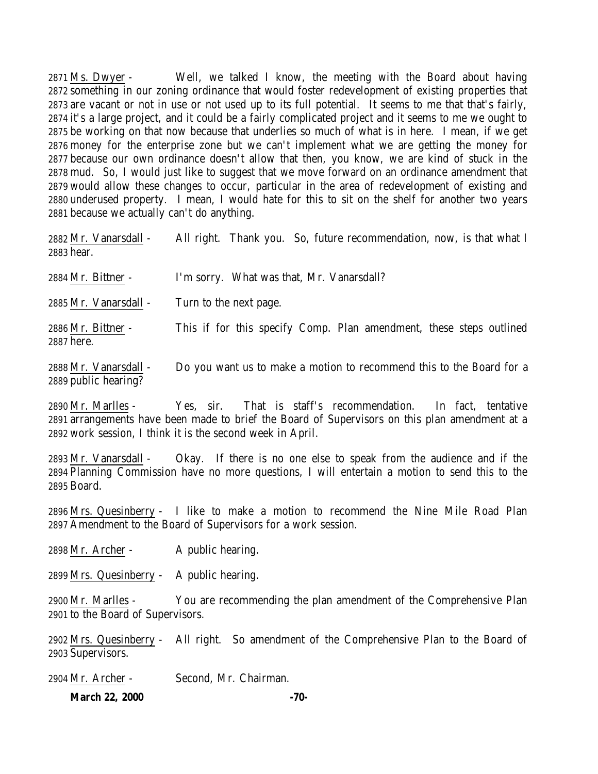Ms. Dwyer - Well, we talked I know, the meeting with the Board about having something in our zoning ordinance that would foster redevelopment of existing properties that are vacant or not in use or not used up to its full potential. It seems to me that that's fairly, it's a large project, and it could be a fairly complicated project and it seems to me we ought to be working on that now because that underlies so much of what is in here. I mean, if we get money for the enterprise zone but we can't implement what we are getting the money for because our own ordinance doesn't allow that then, you know, we are kind of stuck in the mud. So, I would just like to suggest that we move forward on an ordinance amendment that would allow these changes to occur, particular in the area of redevelopment of existing and underused property. I mean, I would hate for this to sit on the shelf for another two years because we actually can't do anything.

| 2882 Mr. Vanarsdall -<br>2883 hear. | All right. Thank you. So, future recommendation, now, is that what I |
|-------------------------------------|----------------------------------------------------------------------|
| 2884 Mr. Bittner -                  | I'm sorry. What was that, Mr. Vanarsdall?                            |
| 2885 Mr. Vanarsdall -               | Turn to the next page.                                               |
| 2886 Mr. Bittner -<br>2887 here.    | This if for this specify Comp. Plan amendment, these steps outlined  |
| - 9888 Mr. Vanarsdall               | Do you want us to make a motion to recommend this to the Board for a |

 Mr. Vanarsdall - Do you want us to make a motion to recommend this to the Board for a public hearing?

 Mr. Marlles - Yes, sir. That is staff's recommendation. In fact, tentative arrangements have been made to brief the Board of Supervisors on this plan amendment at a work session, I think it is the second week in April.

 Mr. Vanarsdall - Okay. If there is no one else to speak from the audience and if the Planning Commission have no more questions, I will entertain a motion to send this to the Board.

 Mrs. Quesinberry - I like to make a motion to recommend the Nine Mile Road Plan Amendment to the Board of Supervisors for a work session.

2898 Mr. Archer - A public hearing.

Mrs. Quesinberry - A public hearing.

 Mr. Marlles - You are recommending the plan amendment of the Comprehensive Plan to the Board of Supervisors.

 Mrs. Quesinberry - All right. So amendment of the Comprehensive Plan to the Board of Supervisors.

Mr. Archer - Second, Mr. Chairman.

**March 22, 2000 -70-**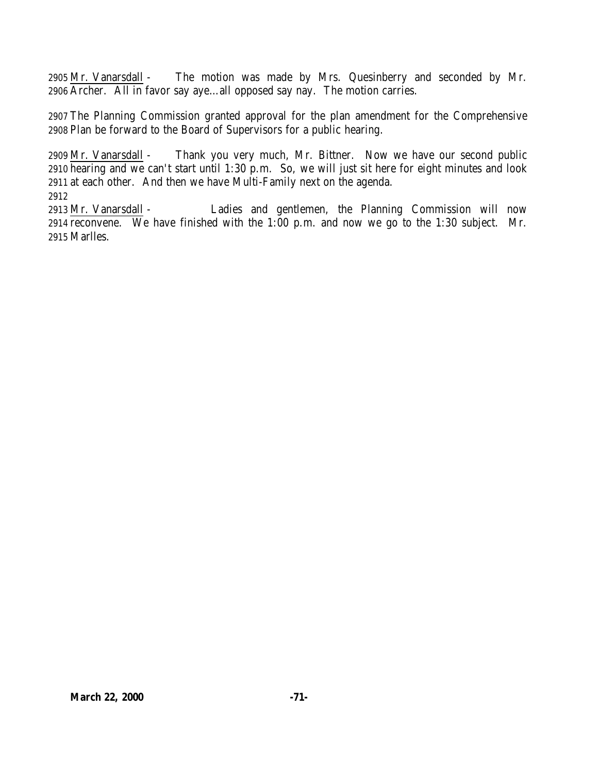Mr. Vanarsdall - The motion was made by Mrs. Quesinberry and seconded by Mr. Archer. All in favor say aye…all opposed say nay. The motion carries.

 The Planning Commission granted approval for the plan amendment for the Comprehensive Plan be forward to the Board of Supervisors for a public hearing.

 Mr. Vanarsdall - Thank you very much, Mr. Bittner. Now we have our second public hearing and we can't start until 1:30 p.m. So, we will just sit here for eight minutes and look at each other. And then we have Multi-Family next on the agenda. 

 Mr. Vanarsdall - Ladies and gentlemen, the Planning Commission will now reconvene. We have finished with the 1:00 p.m. and now we go to the 1:30 subject. Mr. Marlles.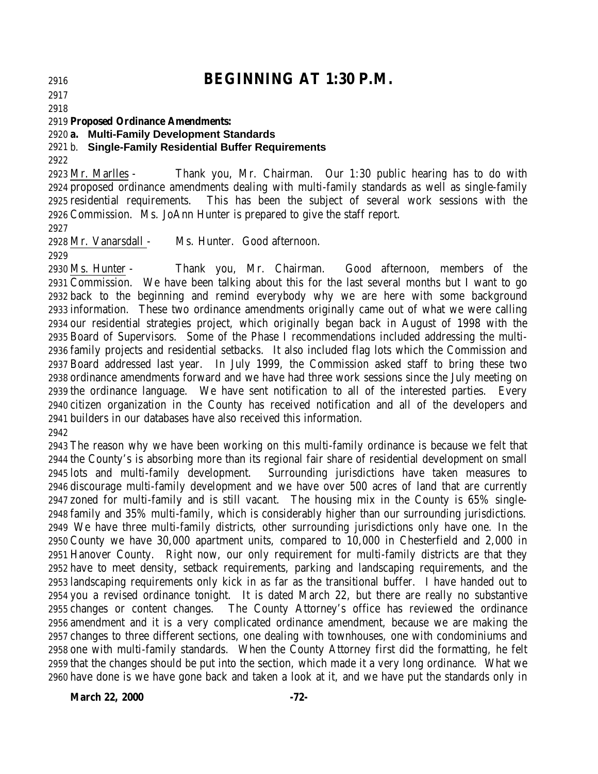# **BEGINNING AT 1:30 P.M.**

 

#### **Proposed Ordinance Amendments:**

**a. Multi-Family Development Standards**

### b. **Single-Family Residential Buffer Requirements**

 Mr. Marlles - Thank you, Mr. Chairman. Our 1:30 public hearing has to do with proposed ordinance amendments dealing with multi-family standards as well as single-family residential requirements. This has been the subject of several work sessions with the Commission. Ms. JoAnn Hunter is prepared to give the staff report.

Mr. Vanarsdall - Ms. Hunter. Good afternoon.

 Ms. Hunter - Thank you, Mr. Chairman. Good afternoon, members of the Commission. We have been talking about this for the last several months but I want to go back to the beginning and remind everybody why we are here with some background information. These two ordinance amendments originally came out of what we were calling our residential strategies project, which originally began back in August of 1998 with the Board of Supervisors. Some of the Phase I recommendations included addressing the multi- family projects and residential setbacks. It also included flag lots which the Commission and Board addressed last year. In July 1999, the Commission asked staff to bring these two ordinance amendments forward and we have had three work sessions since the July meeting on the ordinance language. We have sent notification to all of the interested parties. Every citizen organization in the County has received notification and all of the developers and builders in our databases have also received this information.

 The reason why we have been working on this multi-family ordinance is because we felt that the County's is absorbing more than its regional fair share of residential development on small lots and multi-family development. Surrounding jurisdictions have taken measures to discourage multi-family development and we have over 500 acres of land that are currently zoned for multi-family and is still vacant. The housing mix in the County is 65% single- family and 35% multi-family, which is considerably higher than our surrounding jurisdictions. We have three multi-family districts, other surrounding jurisdictions only have one. In the County we have 30,000 apartment units, compared to 10,000 in Chesterfield and 2,000 in Hanover County. Right now, our only requirement for multi-family districts are that they have to meet density, setback requirements, parking and landscaping requirements, and the landscaping requirements only kick in as far as the transitional buffer. I have handed out to you a revised ordinance tonight. It is dated March 22, but there are really no substantive changes or content changes. The County Attorney's office has reviewed the ordinance amendment and it is a very complicated ordinance amendment, because we are making the changes to three different sections, one dealing with townhouses, one with condominiums and one with multi-family standards. When the County Attorney first did the formatting, he felt that the changes should be put into the section, which made it a very long ordinance. What we have done is we have gone back and taken a look at it, and we have put the standards only in

**March 22, 2000 -72-**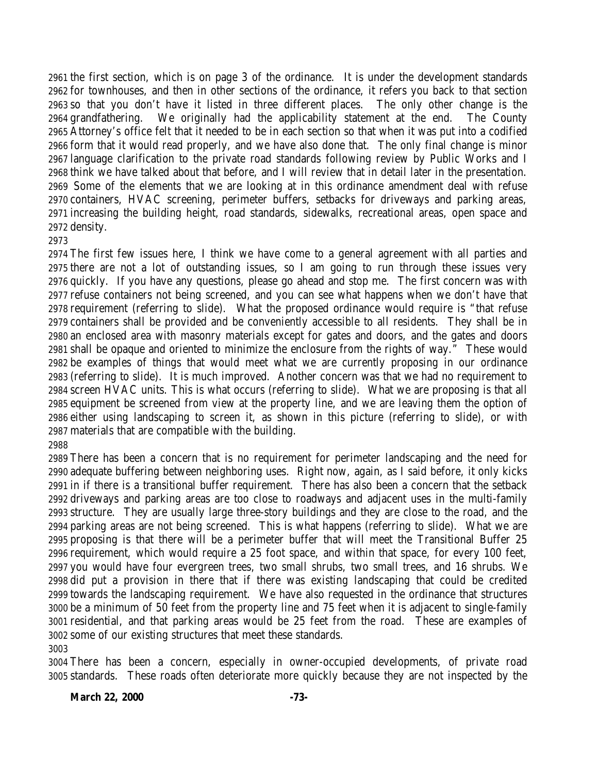the first section, which is on page 3 of the ordinance. It is under the development standards for townhouses, and then in other sections of the ordinance, it refers you back to that section so that you don't have it listed in three different places. The only other change is the grandfathering. We originally had the applicability statement at the end. The County Attorney's office felt that it needed to be in each section so that when it was put into a codified form that it would read properly, and we have also done that. The only final change is minor language clarification to the private road standards following review by Public Works and I think we have talked about that before, and I will review that in detail later in the presentation. Some of the elements that we are looking at in this ordinance amendment deal with refuse containers, HVAC screening, perimeter buffers, setbacks for driveways and parking areas, increasing the building height, road standards, sidewalks, recreational areas, open space and density.

## 

 The first few issues here, I think we have come to a general agreement with all parties and there are not a lot of outstanding issues, so I am going to run through these issues very quickly. If you have any questions, please go ahead and stop me. The first concern was with refuse containers not being screened, and you can see what happens when we don't have that requirement (referring to slide). What the proposed ordinance would require is "that refuse containers shall be provided and be conveniently accessible to all residents. They shall be in an enclosed area with masonry materials except for gates and doors, and the gates and doors shall be opaque and oriented to minimize the enclosure from the rights of way." These would be examples of things that would meet what we are currently proposing in our ordinance (referring to slide). It is much improved. Another concern was that we had no requirement to screen HVAC units. This is what occurs (referring to slide). What we are proposing is that all equipment be screened from view at the property line, and we are leaving them the option of either using landscaping to screen it, as shown in this picture (referring to slide), or with materials that are compatible with the building.

## 

 There has been a concern that is no requirement for perimeter landscaping and the need for adequate buffering between neighboring uses. Right now, again, as I said before, it only kicks in if there is a transitional buffer requirement. There has also been a concern that the setback driveways and parking areas are too close to roadways and adjacent uses in the multi-family structure. They are usually large three-story buildings and they are close to the road, and the parking areas are not being screened. This is what happens (referring to slide). What we are proposing is that there will be a perimeter buffer that will meet the Transitional Buffer 25 requirement, which would require a 25 foot space, and within that space, for every 100 feet, you would have four evergreen trees, two small shrubs, two small trees, and 16 shrubs. We did put a provision in there that if there was existing landscaping that could be credited towards the landscaping requirement. We have also requested in the ordinance that structures be a minimum of 50 feet from the property line and 75 feet when it is adjacent to single-family residential, and that parking areas would be 25 feet from the road. These are examples of some of our existing structures that meet these standards.

 There has been a concern, especially in owner-occupied developments, of private road standards. These roads often deteriorate more quickly because they are not inspected by the

## **March 22, 2000 -73-**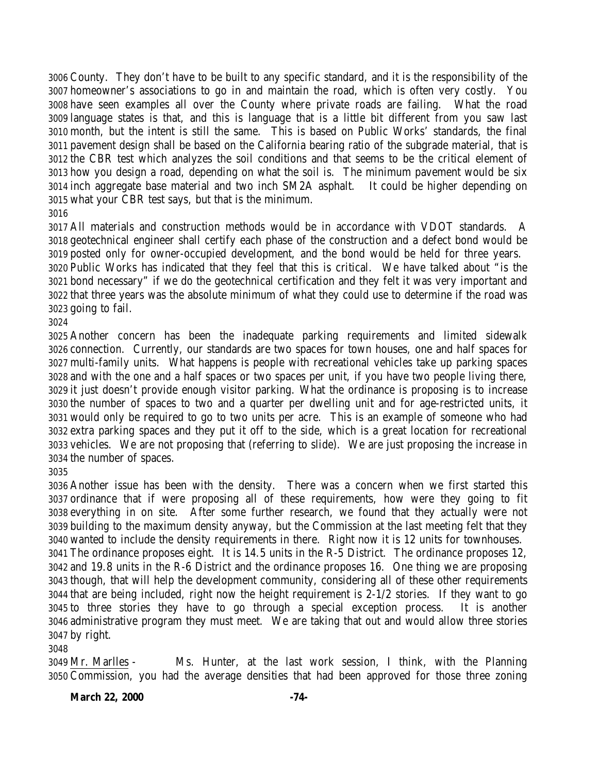County. They don't have to be built to any specific standard, and it is the responsibility of the homeowner's associations to go in and maintain the road, which is often very costly. You have seen examples all over the County where private roads are failing. What the road language states is that, and this is language that is a little bit different from you saw last month, but the intent is still the same. This is based on Public Works' standards, the final pavement design shall be based on the California bearing ratio of the subgrade material, that is the CBR test which analyzes the soil conditions and that seems to be the critical element of how you design a road, depending on what the soil is. The minimum pavement would be six inch aggregate base material and two inch SM2A asphalt. It could be higher depending on what your CBR test says, but that is the minimum. 

 All materials and construction methods would be in accordance with VDOT standards. A geotechnical engineer shall certify each phase of the construction and a defect bond would be posted only for owner-occupied development, and the bond would be held for three years. Public Works has indicated that they feel that this is critical. We have talked about "is the bond necessary" if we do the geotechnical certification and they felt it was very important and that three years was the absolute minimum of what they could use to determine if the road was going to fail.

 Another concern has been the inadequate parking requirements and limited sidewalk connection. Currently, our standards are two spaces for town houses, one and half spaces for multi-family units. What happens is people with recreational vehicles take up parking spaces and with the one and a half spaces or two spaces per unit, if you have two people living there, it just doesn't provide enough visitor parking. What the ordinance is proposing is to increase the number of spaces to two and a quarter per dwelling unit and for age-restricted units, it would only be required to go to two units per acre. This is an example of someone who had extra parking spaces and they put it off to the side, which is a great location for recreational vehicles. We are not proposing that (referring to slide). We are just proposing the increase in the number of spaces.

 Another issue has been with the density. There was a concern when we first started this ordinance that if were proposing all of these requirements, how were they going to fit everything in on site. After some further research, we found that they actually were not building to the maximum density anyway, but the Commission at the last meeting felt that they wanted to include the density requirements in there. Right now it is 12 units for townhouses. The ordinance proposes eight. It is 14.5 units in the R-5 District. The ordinance proposes 12, and 19.8 units in the R-6 District and the ordinance proposes 16. One thing we are proposing though, that will help the development community, considering all of these other requirements that are being included, right now the height requirement is 2-1/2 stories. If they want to go to three stories they have to go through a special exception process. It is another

 by right. 

 Mr. Marlles - Ms. Hunter, at the last work session, I think, with the Planning Commission, you had the average densities that had been approved for those three zoning

administrative program they must meet. We are taking that out and would allow three stories

**March 22, 2000 -74-**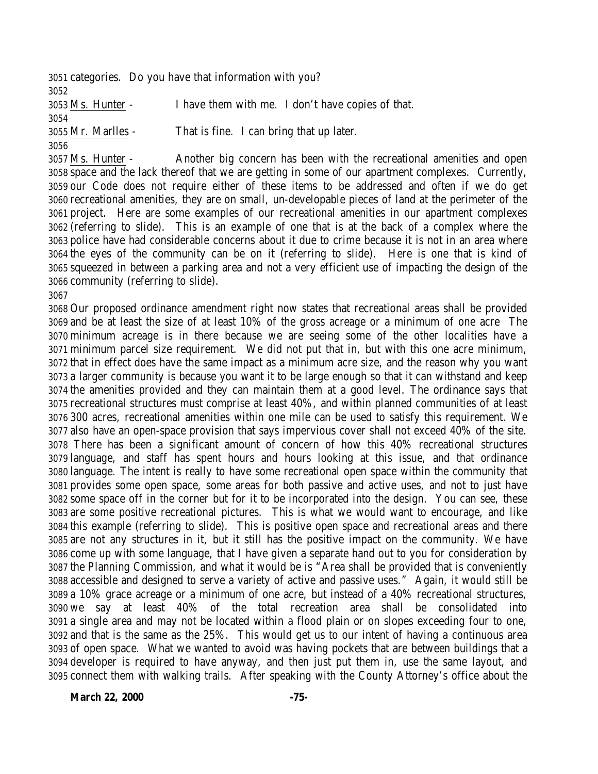categories. Do you have that information with you? Ms. Hunter - I have them with me. I don't have copies of that. Mr. Marlles - That is fine. I can bring that up later.

 Ms. Hunter - Another big concern has been with the recreational amenities and open space and the lack thereof that we are getting in some of our apartment complexes. Currently, our Code does not require either of these items to be addressed and often if we do get recreational amenities, they are on small, un-developable pieces of land at the perimeter of the project. Here are some examples of our recreational amenities in our apartment complexes (referring to slide). This is an example of one that is at the back of a complex where the police have had considerable concerns about it due to crime because it is not in an area where the eyes of the community can be on it (referring to slide). Here is one that is kind of squeezed in between a parking area and not a very efficient use of impacting the design of the community (referring to slide).

 Our proposed ordinance amendment right now states that recreational areas shall be provided and be at least the size of at least 10% of the gross acreage or a minimum of one acre The minimum acreage is in there because we are seeing some of the other localities have a minimum parcel size requirement. We did not put that in, but with this one acre minimum, that in effect does have the same impact as a minimum acre size, and the reason why you want a larger community is because you want it to be large enough so that it can withstand and keep the amenities provided and they can maintain them at a good level. The ordinance says that recreational structures must comprise at least 40%, and within planned communities of at least 300 acres, recreational amenities within one mile can be used to satisfy this requirement. We also have an open-space provision that says impervious cover shall not exceed 40% of the site. There has been a significant amount of concern of how this 40% recreational structures language, and staff has spent hours and hours looking at this issue, and that ordinance language. The intent is really to have some recreational open space within the community that provides some open space, some areas for both passive and active uses, and not to just have some space off in the corner but for it to be incorporated into the design. You can see, these are some positive recreational pictures. This is what we would want to encourage, and like this example (referring to slide). This is positive open space and recreational areas and there are not any structures in it, but it still has the positive impact on the community. We have come up with some language, that I have given a separate hand out to you for consideration by the Planning Commission, and what it would be is "Area shall be provided that is conveniently accessible and designed to serve a variety of active and passive uses." Again, it would still be a 10% grace acreage or a minimum of one acre, but instead of a 40% recreational structures, we say at least 40% of the total recreation area shall be consolidated into a single area and may not be located within a flood plain or on slopes exceeding four to one, and that is the same as the 25%. This would get us to our intent of having a continuous area of open space. What we wanted to avoid was having pockets that are between buildings that a developer is required to have anyway, and then just put them in, use the same layout, and connect them with walking trails. After speaking with the County Attorney's office about the

**March 22, 2000 -75-**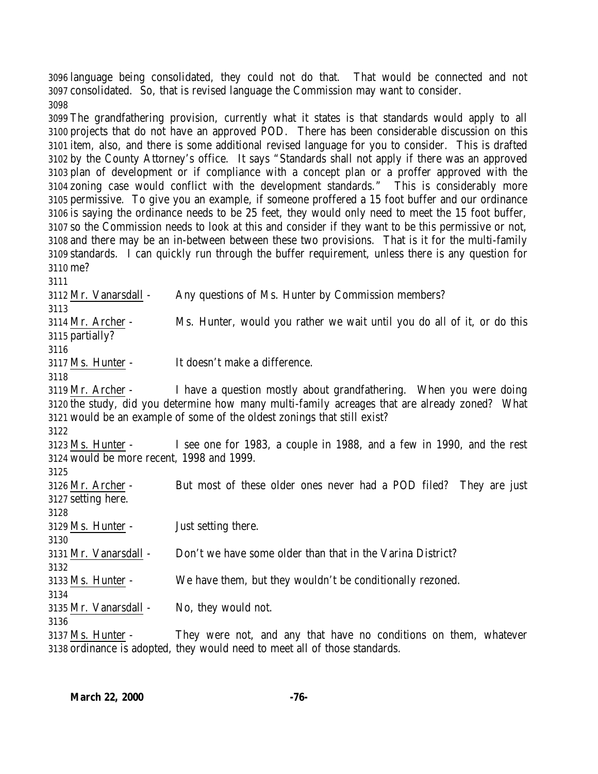language being consolidated, they could not do that. That would be connected and not consolidated. So, that is revised language the Commission may want to consider. 

 The grandfathering provision, currently what it states is that standards would apply to all projects that do not have an approved POD. There has been considerable discussion on this item, also, and there is some additional revised language for you to consider. This is drafted by the County Attorney's office. It says "Standards shall not apply if there was an approved plan of development or if compliance with a concept plan or a proffer approved with the zoning case would conflict with the development standards." This is considerably more permissive. To give you an example, if someone proffered a 15 foot buffer and our ordinance is saying the ordinance needs to be 25 feet, they would only need to meet the 15 foot buffer, so the Commission needs to look at this and consider if they want to be this permissive or not, and there may be an in-between between these two provisions. That is it for the multi-family standards. I can quickly run through the buffer requirement, unless there is any question for me?

 Mr. Vanarsdall - Any questions of Ms. Hunter by Commission members? Mr. Archer - Ms. Hunter, would you rather we wait until you do all of it, or do this partially? Ms. Hunter - It doesn't make a difference. Mr. Archer - I have a question mostly about grandfathering. When you were doing the study, did you determine how many multi-family acreages that are already zoned? What would be an example of some of the oldest zonings that still exist? Ms. Hunter - I see one for 1983, a couple in 1988, and a few in 1990, and the rest would be more recent, 1998 and 1999. Mr. Archer - But most of these older ones never had a POD filed? They are just setting here. Ms. Hunter - Just setting there. Mr. Vanarsdall - Don't we have some older than that in the Varina District? Ms. Hunter - We have them, but they wouldn't be conditionally rezoned. Mr. Vanarsdall - No, they would not. Ms. Hunter - They were not, and any that have no conditions on them, whatever ordinance is adopted, they would need to meet all of those standards.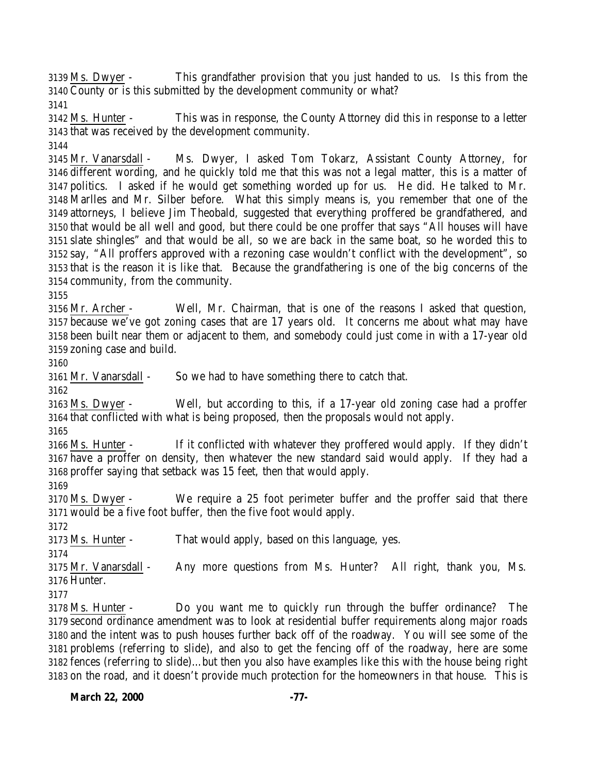Ms. Dwyer - This grandfather provision that you just handed to us. Is this from the County or is this submitted by the development community or what?

 Ms. Hunter - This was in response, the County Attorney did this in response to a letter that was received by the development community.

 Mr. Vanarsdall - Ms. Dwyer, I asked Tom Tokarz, Assistant County Attorney, for different wording, and he quickly told me that this was not a legal matter, this is a matter of politics. I asked if he would get something worded up for us. He did. He talked to Mr. Marlles and Mr. Silber before. What this simply means is, you remember that one of the attorneys, I believe Jim Theobald, suggested that everything proffered be grandfathered, and that would be all well and good, but there could be one proffer that says "All houses will have slate shingles" and that would be all, so we are back in the same boat, so he worded this to say, "All proffers approved with a rezoning case wouldn't conflict with the development", so that is the reason it is like that. Because the grandfathering is one of the big concerns of the community, from the community.

 Mr. Archer - Well, Mr. Chairman, that is one of the reasons I asked that question, because we've got zoning cases that are 17 years old. It concerns me about what may have been built near them or adjacent to them, and somebody could just come in with a 17-year old zoning case and build.

Mr. Vanarsdall - So we had to have something there to catch that.

 Ms. Dwyer - Well, but according to this, if a 17-year old zoning case had a proffer that conflicted with what is being proposed, then the proposals would not apply.

 Ms. Hunter - If it conflicted with whatever they proffered would apply. If they didn't have a proffer on density, then whatever the new standard said would apply. If they had a proffer saying that setback was 15 feet, then that would apply.

 Ms. Dwyer - We require a 25 foot perimeter buffer and the proffer said that there would be a five foot buffer, then the five foot would apply.

Ms. Hunter - That would apply, based on this language, yes.

 Mr. Vanarsdall - Any more questions from Ms. Hunter? All right, thank you, Ms. Hunter.

 Ms. Hunter - Do you want me to quickly run through the buffer ordinance? The second ordinance amendment was to look at residential buffer requirements along major roads and the intent was to push houses further back off of the roadway. You will see some of the problems (referring to slide), and also to get the fencing off of the roadway, here are some fences (referring to slide)…but then you also have examples like this with the house being right on the road, and it doesn't provide much protection for the homeowners in that house. This is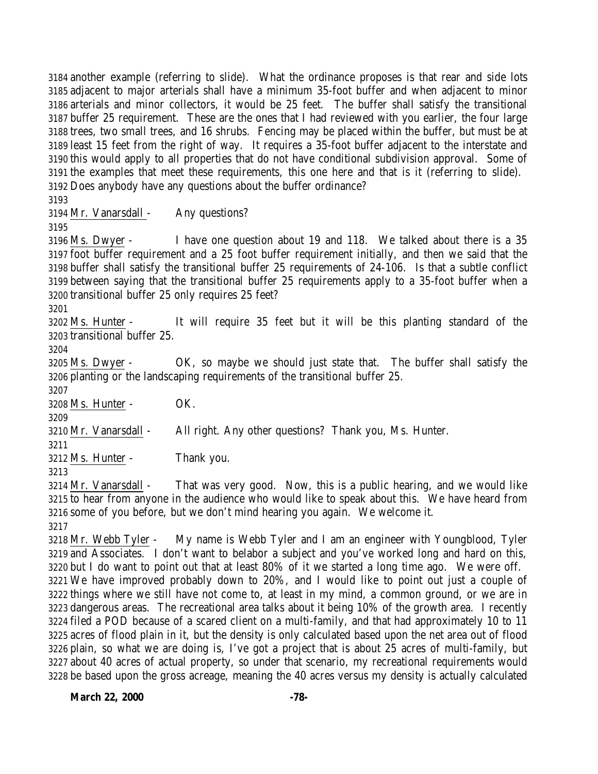another example (referring to slide). What the ordinance proposes is that rear and side lots adjacent to major arterials shall have a minimum 35-foot buffer and when adjacent to minor arterials and minor collectors, it would be 25 feet. The buffer shall satisfy the transitional buffer 25 requirement. These are the ones that I had reviewed with you earlier, the four large trees, two small trees, and 16 shrubs. Fencing may be placed within the buffer, but must be at least 15 feet from the right of way. It requires a 35-foot buffer adjacent to the interstate and this would apply to all properties that do not have conditional subdivision approval. Some of the examples that meet these requirements, this one here and that is it (referring to slide). Does anybody have any questions about the buffer ordinance?

Mr. Vanarsdall - Any questions?

 Ms. Dwyer - I have one question about 19 and 118. We talked about there is a 35 foot buffer requirement and a 25 foot buffer requirement initially, and then we said that the buffer shall satisfy the transitional buffer 25 requirements of 24-106. Is that a subtle conflict between saying that the transitional buffer 25 requirements apply to a 35-foot buffer when a transitional buffer 25 only requires 25 feet?

 Ms. Hunter - It will require 35 feet but it will be this planting standard of the transitional buffer 25.

 Ms. Dwyer - OK, so maybe we should just state that. The buffer shall satisfy the planting or the landscaping requirements of the transitional buffer 25.

Ms. Hunter - OK.

 Mr. Vanarsdall - All right. Any other questions? Thank you, Ms. Hunter.

Ms. Hunter - Thank you.

 Mr. Vanarsdall - That was very good. Now, this is a public hearing, and we would like to hear from anyone in the audience who would like to speak about this. We have heard from some of you before, but we don't mind hearing you again. We welcome it.

 Mr. Webb Tyler - My name is Webb Tyler and I am an engineer with Youngblood, Tyler and Associates. I don't want to belabor a subject and you've worked long and hard on this, but I do want to point out that at least 80% of it we started a long time ago. We were off. We have improved probably down to 20%, and I would like to point out just a couple of things where we still have not come to, at least in my mind, a common ground, or we are in dangerous areas. The recreational area talks about it being 10% of the growth area. I recently filed a POD because of a scared client on a multi-family, and that had approximately 10 to 11 acres of flood plain in it, but the density is only calculated based upon the net area out of flood plain, so what we are doing is, I've got a project that is about 25 acres of multi-family, but about 40 acres of actual property, so under that scenario, my recreational requirements would be based upon the gross acreage, meaning the 40 acres versus my density is actually calculated

March 22, 2000 -78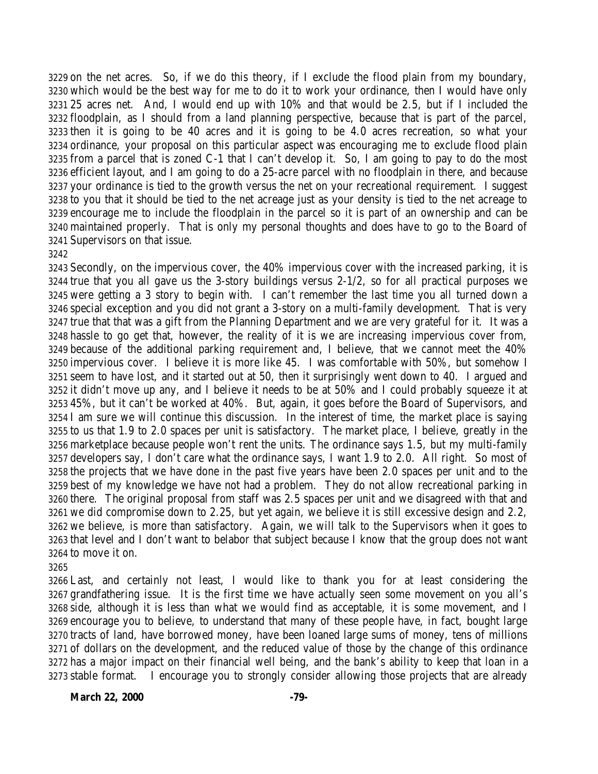on the net acres. So, if we do this theory, if I exclude the flood plain from my boundary, which would be the best way for me to do it to work your ordinance, then I would have only 25 acres net. And, I would end up with 10% and that would be 2.5, but if I included the floodplain, as I should from a land planning perspective, because that is part of the parcel, then it is going to be 40 acres and it is going to be 4.0 acres recreation, so what your ordinance, your proposal on this particular aspect was encouraging me to exclude flood plain from a parcel that is zoned C-1 that I can't develop it. So, I am going to pay to do the most efficient layout, and I am going to do a 25-acre parcel with no floodplain in there, and because your ordinance is tied to the growth versus the net on your recreational requirement. I suggest to you that it should be tied to the net acreage just as your density is tied to the net acreage to encourage me to include the floodplain in the parcel so it is part of an ownership and can be maintained properly. That is only my personal thoughts and does have to go to the Board of Supervisors on that issue.

#### 

 Secondly, on the impervious cover, the 40% impervious cover with the increased parking, it is true that you all gave us the 3-story buildings versus 2-1/2, so for all practical purposes we were getting a 3 story to begin with. I can't remember the last time you all turned down a special exception and you did not grant a 3-story on a multi-family development. That is very true that that was a gift from the Planning Department and we are very grateful for it. It was a hassle to go get that, however, the reality of it is we are increasing impervious cover from, because of the additional parking requirement and, I believe, that we cannot meet the 40% impervious cover. I believe it is more like 45. I was comfortable with 50%, but somehow I seem to have lost, and it started out at 50, then it surprisingly went down to 40. I argued and it didn't move up any, and I believe it needs to be at 50% and I could probably squeeze it at 45%, but it can't be worked at 40%. But, again, it goes before the Board of Supervisors, and I am sure we will continue this discussion. In the interest of time, the market place is saying to us that 1.9 to 2.0 spaces per unit is satisfactory. The market place, I believe, greatly in the marketplace because people won't rent the units. The ordinance says 1.5, but my multi-family developers say, I don't care what the ordinance says, I want 1.9 to 2.0. All right. So most of the projects that we have done in the past five years have been 2.0 spaces per unit and to the best of my knowledge we have not had a problem. They do not allow recreational parking in there. The original proposal from staff was 2.5 spaces per unit and we disagreed with that and we did compromise down to 2.25, but yet again, we believe it is still excessive design and 2.2, we believe, is more than satisfactory. Again, we will talk to the Supervisors when it goes to that level and I don't want to belabor that subject because I know that the group does not want to move it on.

 Last, and certainly not least, I would like to thank you for at least considering the grandfathering issue. It is the first time we have actually seen some movement on you all's side, although it is less than what we would find as acceptable, it is some movement, and I encourage you to believe, to understand that many of these people have, in fact, bought large tracts of land, have borrowed money, have been loaned large sums of money, tens of millions of dollars on the development, and the reduced value of those by the change of this ordinance has a major impact on their financial well being, and the bank's ability to keep that loan in a stable format. I encourage you to strongly consider allowing those projects that are already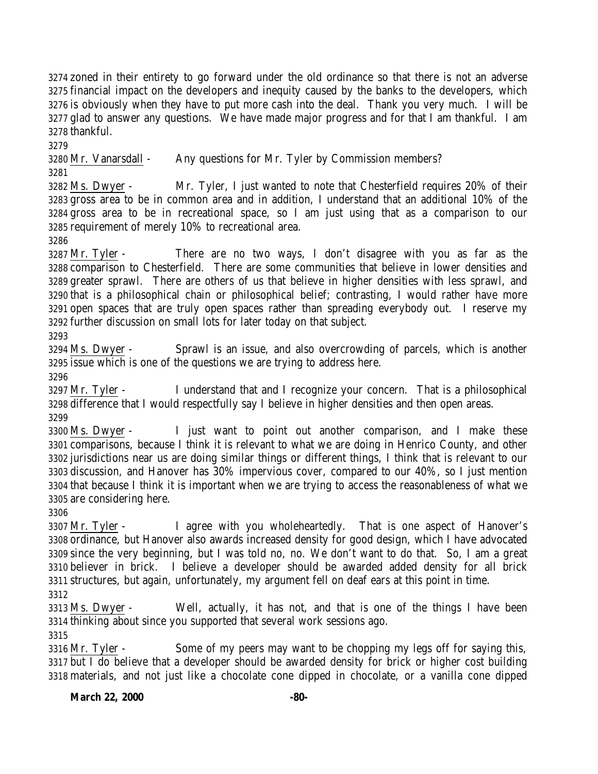zoned in their entirety to go forward under the old ordinance so that there is not an adverse financial impact on the developers and inequity caused by the banks to the developers, which is obviously when they have to put more cash into the deal. Thank you very much. I will be glad to answer any questions. We have made major progress and for that I am thankful. I am thankful.

 Mr. Vanarsdall - Any questions for Mr. Tyler by Commission members? 

 Ms. Dwyer - Mr. Tyler, I just wanted to note that Chesterfield requires 20% of their gross area to be in common area and in addition, I understand that an additional 10% of the gross area to be in recreational space, so I am just using that as a comparison to our requirement of merely 10% to recreational area.

 Mr. Tyler - There are no two ways, I don't disagree with you as far as the comparison to Chesterfield. There are some communities that believe in lower densities and greater sprawl. There are others of us that believe in higher densities with less sprawl, and that is a philosophical chain or philosophical belief; contrasting, I would rather have more open spaces that are truly open spaces rather than spreading everybody out. I reserve my further discussion on small lots for later today on that subject.

 Ms. Dwyer - Sprawl is an issue, and also overcrowding of parcels, which is another issue which is one of the questions we are trying to address here.

 Mr. Tyler - I understand that and I recognize your concern. That is a philosophical difference that I would respectfully say I believe in higher densities and then open areas. 

 Ms. Dwyer - I just want to point out another comparison, and I make these comparisons, because I think it is relevant to what we are doing in Henrico County, and other jurisdictions near us are doing similar things or different things, I think that is relevant to our discussion, and Hanover has 30% impervious cover, compared to our 40%, so I just mention that because I think it is important when we are trying to access the reasonableness of what we are considering here.

 Mr. Tyler - I agree with you wholeheartedly. That is one aspect of Hanover's ordinance, but Hanover also awards increased density for good design, which I have advocated since the very beginning, but I was told no, no. We don't want to do that. So, I am a great believer in brick. I believe a developer should be awarded added density for all brick structures, but again, unfortunately, my argument fell on deaf ears at this point in time. 

 Ms. Dwyer - Well, actually, it has not, and that is one of the things I have been thinking about since you supported that several work sessions ago.

 Mr. Tyler - Some of my peers may want to be chopping my legs off for saying this, but I do believe that a developer should be awarded density for brick or higher cost building materials, and not just like a chocolate cone dipped in chocolate, or a vanilla cone dipped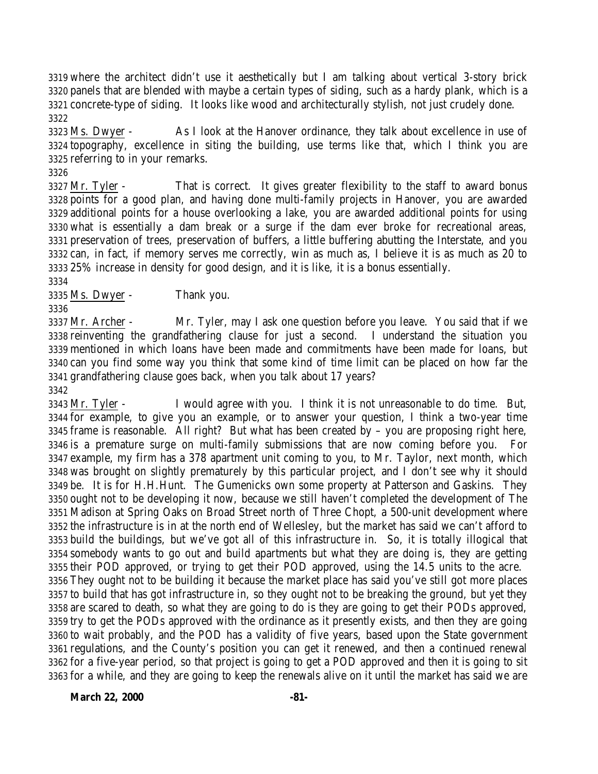where the architect didn't use it aesthetically but I am talking about vertical 3-story brick panels that are blended with maybe a certain types of siding, such as a hardy plank, which is a concrete-type of siding. It looks like wood and architecturally stylish, not just crudely done. 

 Ms. Dwyer - As I look at the Hanover ordinance, they talk about excellence in use of topography, excellence in siting the building, use terms like that, which I think you are referring to in your remarks.

 Mr. Tyler - That is correct. It gives greater flexibility to the staff to award bonus points for a good plan, and having done multi-family projects in Hanover, you are awarded additional points for a house overlooking a lake, you are awarded additional points for using what is essentially a dam break or a surge if the dam ever broke for recreational areas, preservation of trees, preservation of buffers, a little buffering abutting the Interstate, and you can, in fact, if memory serves me correctly, win as much as, I believe it is as much as 20 to 25% increase in density for good design, and it is like, it is a bonus essentially. 

Ms. Dwyer - Thank you.

 Mr. Archer - Mr. Tyler, may I ask one question before you leave. You said that if we reinventing the grandfathering clause for just a second. I understand the situation you mentioned in which loans have been made and commitments have been made for loans, but can you find some way you think that some kind of time limit can be placed on how far the grandfathering clause goes back, when you talk about 17 years?

 Mr. Tyler - I would agree with you. I think it is not unreasonable to do time. But, for example, to give you an example, or to answer your question, I think a two-year time frame is reasonable. All right? But what has been created by – you are proposing right here, is a premature surge on multi-family submissions that are now coming before you. For example, my firm has a 378 apartment unit coming to you, to Mr. Taylor, next month, which was brought on slightly prematurely by this particular project, and I don't see why it should be. It is for H.H.Hunt. The Gumenicks own some property at Patterson and Gaskins. They ought not to be developing it now, because we still haven't completed the development of The Madison at Spring Oaks on Broad Street north of Three Chopt, a 500-unit development where the infrastructure is in at the north end of Wellesley, but the market has said we can't afford to build the buildings, but we've got all of this infrastructure in. So, it is totally illogical that somebody wants to go out and build apartments but what they are doing is, they are getting their POD approved, or trying to get their POD approved, using the 14.5 units to the acre. They ought not to be building it because the market place has said you've still got more places to build that has got infrastructure in, so they ought not to be breaking the ground, but yet they are scared to death, so what they are going to do is they are going to get their PODs approved, try to get the PODs approved with the ordinance as it presently exists, and then they are going to wait probably, and the POD has a validity of five years, based upon the State government regulations, and the County's position you can get it renewed, and then a continued renewal for a five-year period, so that project is going to get a POD approved and then it is going to sit for a while, and they are going to keep the renewals alive on it until the market has said we are

**March 22, 2000 -81-**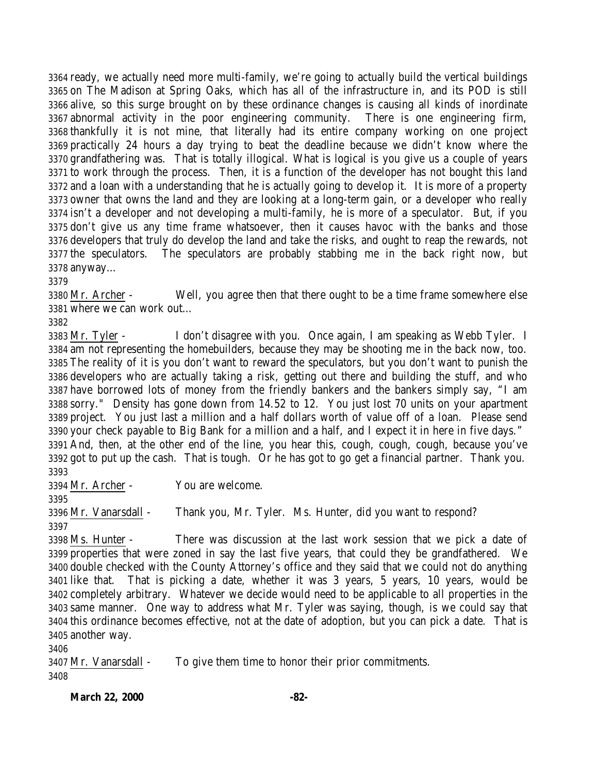ready, we actually need more multi-family, we're going to actually build the vertical buildings on The Madison at Spring Oaks, which has all of the infrastructure in, and its POD is still alive, so this surge brought on by these ordinance changes is causing all kinds of inordinate abnormal activity in the poor engineering community. There is one engineering firm, thankfully it is not mine, that literally had its entire company working on one project practically 24 hours a day trying to beat the deadline because we didn't know where the grandfathering was. That is totally illogical. What is logical is you give us a couple of years to work through the process. Then, it is a function of the developer has not bought this land and a loan with a understanding that he is actually going to develop it. It is more of a property owner that owns the land and they are looking at a long-term gain, or a developer who really isn't a developer and not developing a multi-family, he is more of a speculator. But, if you don't give us any time frame whatsoever, then it causes havoc with the banks and those developers that truly do develop the land and take the risks, and ought to reap the rewards, not the speculators. The speculators are probably stabbing me in the back right now, but anyway…

 Mr. Archer - Well, you agree then that there ought to be a time frame somewhere else where we can work out…

 Mr. Tyler - I don't disagree with you. Once again, I am speaking as Webb Tyler. I am not representing the homebuilders, because they may be shooting me in the back now, too. The reality of it is you don't want to reward the speculators, but you don't want to punish the developers who are actually taking a risk, getting out there and building the stuff, and who have borrowed lots of money from the friendly bankers and the bankers simply say, "I am sorry." Density has gone down from 14.52 to 12. You just lost 70 units on your apartment project. You just last a million and a half dollars worth of value off of a loan. Please send your check payable to Big Bank for a million and a half, and I expect it in here in five days." And, then, at the other end of the line, you hear this, cough, cough, cough, because you've got to put up the cash. That is tough. Or he has got to go get a financial partner. Thank you. 

Mr. Archer - You are welcome.

 Mr. Vanarsdall - Thank you, Mr. Tyler. Ms. Hunter, did you want to respond? 

 Ms. Hunter - There was discussion at the last work session that we pick a date of properties that were zoned in say the last five years, that could they be grandfathered. We double checked with the County Attorney's office and they said that we could not do anything like that. That is picking a date, whether it was 3 years, 5 years, 10 years, would be completely arbitrary. Whatever we decide would need to be applicable to all properties in the same manner. One way to address what Mr. Tyler was saying, though, is we could say that this ordinance becomes effective, not at the date of adoption, but you can pick a date. That is another way.

 Mr. Vanarsdall - To give them time to honor their prior commitments. 

**March 22, 2000 -82-**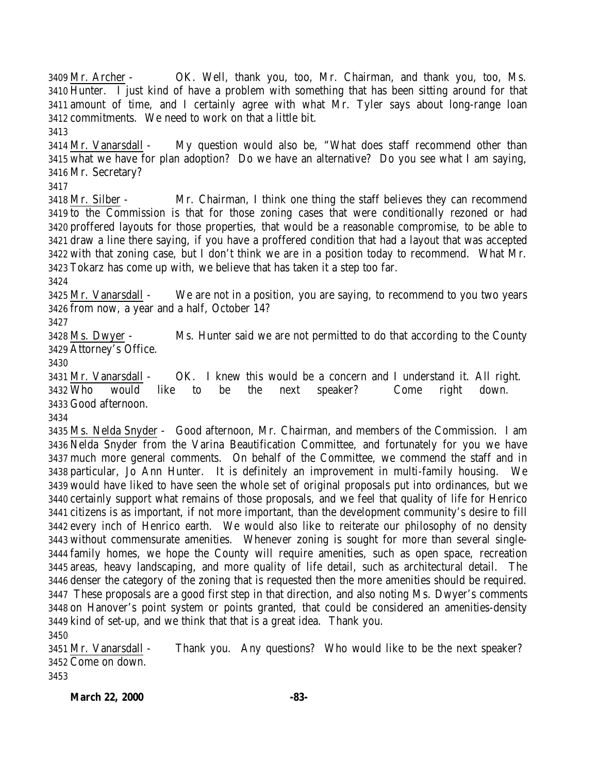Mr. Archer - OK. Well, thank you, too, Mr. Chairman, and thank you, too, Ms. Hunter. I just kind of have a problem with something that has been sitting around for that amount of time, and I certainly agree with what Mr. Tyler says about long-range loan commitments. We need to work on that a little bit. Mr. Vanarsdall - My question would also be, "What does staff recommend other than what we have for plan adoption? Do we have an alternative? Do you see what I am saying, Mr. Secretary? Mr. Silber - Mr. Chairman, I think one thing the staff believes they can recommend to the Commission is that for those zoning cases that were conditionally rezoned or had proffered layouts for those properties, that would be a reasonable compromise, to be able to draw a line there saying, if you have a proffered condition that had a layout that was accepted with that zoning case, but I don't think we are in a position today to recommend. What Mr. Tokarz has come up with, we believe that has taken it a step too far. Mr. Vanarsdall - We are not in a position, you are saying, to recommend to you two years from now, a year and a half, October 14? Ms. Dwyer - Ms. Hunter said we are not permitted to do that according to the County Attorney's Office. Mr. Vanarsdall - OK. I knew this would be a concern and I understand it. All right. Who would like to be the next speaker? Come right down. Good afternoon. Ms. Nelda Snyder - Good afternoon, Mr. Chairman, and members of the Commission. I am Nelda Snyder from the Varina Beautification Committee, and fortunately for you we have much more general comments. On behalf of the Committee, we commend the staff and in particular, Jo Ann Hunter. It is definitely an improvement in multi-family housing. We would have liked to have seen the whole set of original proposals put into ordinances, but we certainly support what remains of those proposals, and we feel that quality of life for Henrico citizens is as important, if not more important, than the development community's desire to fill every inch of Henrico earth. We would also like to reiterate our philosophy of no density without commensurate amenities. Whenever zoning is sought for more than several single- family homes, we hope the County will require amenities, such as open space, recreation areas, heavy landscaping, and more quality of life detail, such as architectural detail. The denser the category of the zoning that is requested then the more amenities should be required. These proposals are a good first step in that direction, and also noting Ms. Dwyer's comments on Hanover's point system or points granted, that could be considered an amenities-density kind of set-up, and we think that that is a great idea. Thank you. Mr. Vanarsdall - Thank you. Any questions? Who would like to be the next speaker? Come on down.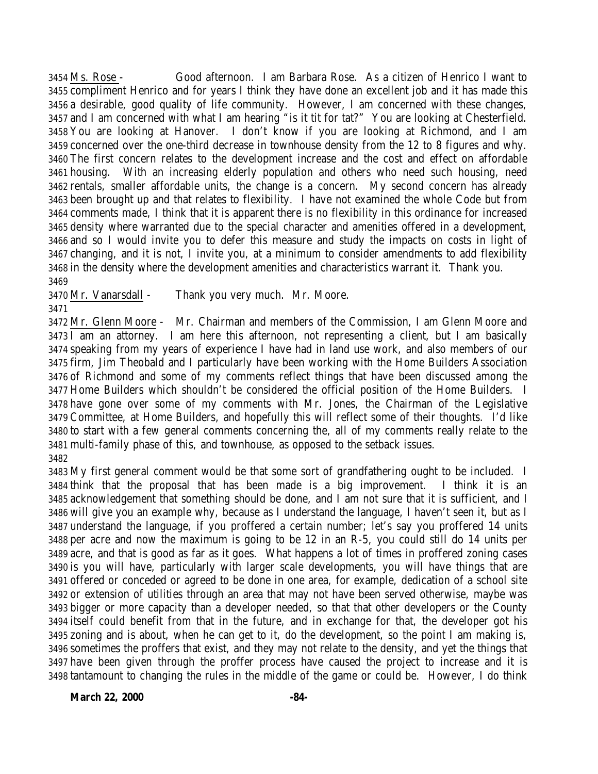Ms. Rose - Good afternoon. I am Barbara Rose. As a citizen of Henrico I want to compliment Henrico and for years I think they have done an excellent job and it has made this a desirable, good quality of life community. However, I am concerned with these changes, and I am concerned with what I am hearing "is it tit for tat?" You are looking at Chesterfield. You are looking at Hanover. I don't know if you are looking at Richmond, and I am concerned over the one-third decrease in townhouse density from the 12 to 8 figures and why. The first concern relates to the development increase and the cost and effect on affordable housing. With an increasing elderly population and others who need such housing, need rentals, smaller affordable units, the change is a concern. My second concern has already been brought up and that relates to flexibility. I have not examined the whole Code but from comments made, I think that it is apparent there is no flexibility in this ordinance for increased density where warranted due to the special character and amenities offered in a development, and so I would invite you to defer this measure and study the impacts on costs in light of changing, and it is not, I invite you, at a minimum to consider amendments to add flexibility in the density where the development amenities and characteristics warrant it. Thank you. 

Mr. Vanarsdall - Thank you very much. Mr. Moore.

 Mr. Glenn Moore - Mr. Chairman and members of the Commission, I am Glenn Moore and  $3473 \overline{1}$  am an attorney. I am here this afternoon, not representing a client, but I am basically speaking from my years of experience I have had in land use work, and also members of our firm, Jim Theobald and I particularly have been working with the Home Builders Association of Richmond and some of my comments reflect things that have been discussed among the Home Builders which shouldn't be considered the official position of the Home Builders. I have gone over some of my comments with Mr. Jones, the Chairman of the Legislative Committee, at Home Builders, and hopefully this will reflect some of their thoughts. I'd like to start with a few general comments concerning the, all of my comments really relate to the multi-family phase of this, and townhouse, as opposed to the setback issues. 

 My first general comment would be that some sort of grandfathering ought to be included. I think that the proposal that has been made is a big improvement. I think it is an acknowledgement that something should be done, and I am not sure that it is sufficient, and I will give you an example why, because as I understand the language, I haven't seen it, but as I understand the language, if you proffered a certain number; let's say you proffered 14 units per acre and now the maximum is going to be 12 in an R-5, you could still do 14 units per acre, and that is good as far as it goes. What happens a lot of times in proffered zoning cases is you will have, particularly with larger scale developments, you will have things that are offered or conceded or agreed to be done in one area, for example, dedication of a school site or extension of utilities through an area that may not have been served otherwise, maybe was bigger or more capacity than a developer needed, so that that other developers or the County itself could benefit from that in the future, and in exchange for that, the developer got his zoning and is about, when he can get to it, do the development, so the point I am making is, sometimes the proffers that exist, and they may not relate to the density, and yet the things that have been given through the proffer process have caused the project to increase and it is tantamount to changing the rules in the middle of the game or could be. However, I do think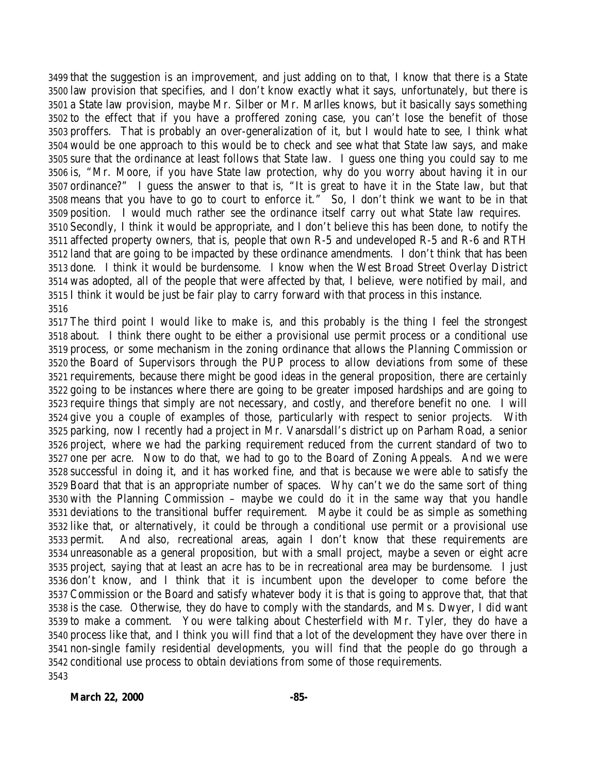that the suggestion is an improvement, and just adding on to that, I know that there is a State law provision that specifies, and I don't know exactly what it says, unfortunately, but there is a State law provision, maybe Mr. Silber or Mr. Marlles knows, but it basically says something to the effect that if you have a proffered zoning case, you can't lose the benefit of those proffers. That is probably an over-generalization of it, but I would hate to see, I think what would be one approach to this would be to check and see what that State law says, and make sure that the ordinance at least follows that State law. I guess one thing you could say to me is, "Mr. Moore, if you have State law protection, why do you worry about having it in our ordinance?" I guess the answer to that is, "It is great to have it in the State law, but that means that you have to go to court to enforce it." So, I don't think we want to be in that position. I would much rather see the ordinance itself carry out what State law requires. Secondly, I think it would be appropriate, and I don't believe this has been done, to notify the 3511 affected property owners, that is, people that own  $R-5$  and undeveloped  $R-5$  and  $R-6$  and  $RTH$  land that are going to be impacted by these ordinance amendments. I don't think that has been done. I think it would be burdensome. I know when the West Broad Street Overlay District was adopted, all of the people that were affected by that, I believe, were notified by mail, and I think it would be just be fair play to carry forward with that process in this instance. 

 The third point I would like to make is, and this probably is the thing I feel the strongest about. I think there ought to be either a provisional use permit process or a conditional use process, or some mechanism in the zoning ordinance that allows the Planning Commission or the Board of Supervisors through the PUP process to allow deviations from some of these requirements, because there might be good ideas in the general proposition, there are certainly going to be instances where there are going to be greater imposed hardships and are going to require things that simply are not necessary, and costly, and therefore benefit no one. I will give you a couple of examples of those, particularly with respect to senior projects. With parking, now I recently had a project in Mr. Vanarsdall's district up on Parham Road, a senior project, where we had the parking requirement reduced from the current standard of two to one per acre. Now to do that, we had to go to the Board of Zoning Appeals. And we were successful in doing it, and it has worked fine, and that is because we were able to satisfy the Board that that is an appropriate number of spaces. Why can't we do the same sort of thing with the Planning Commission – maybe we could do it in the same way that you handle deviations to the transitional buffer requirement. Maybe it could be as simple as something like that, or alternatively, it could be through a conditional use permit or a provisional use permit. And also, recreational areas, again I don't know that these requirements are unreasonable as a general proposition, but with a small project, maybe a seven or eight acre project, saying that at least an acre has to be in recreational area may be burdensome. I just don't know, and I think that it is incumbent upon the developer to come before the Commission or the Board and satisfy whatever body it is that is going to approve that, that that is the case. Otherwise, they do have to comply with the standards, and Ms. Dwyer, I did want to make a comment. You were talking about Chesterfield with Mr. Tyler, they do have a process like that, and I think you will find that a lot of the development they have over there in non-single family residential developments, you will find that the people do go through a conditional use process to obtain deviations from some of those requirements.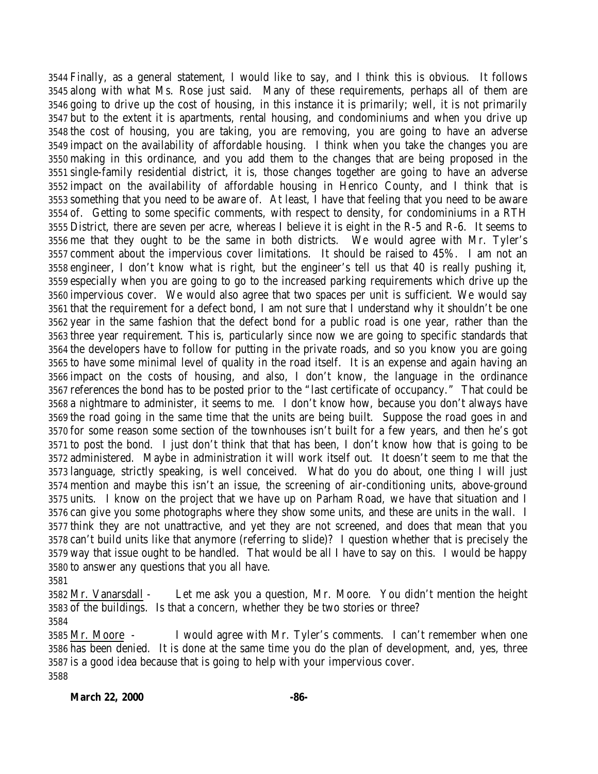Finally, as a general statement, I would like to say, and I think this is obvious. It follows along with what Ms. Rose just said. Many of these requirements, perhaps all of them are going to drive up the cost of housing, in this instance it is primarily; well, it is not primarily but to the extent it is apartments, rental housing, and condominiums and when you drive up the cost of housing, you are taking, you are removing, you are going to have an adverse impact on the availability of affordable housing. I think when you take the changes you are making in this ordinance, and you add them to the changes that are being proposed in the single-family residential district, it is, those changes together are going to have an adverse impact on the availability of affordable housing in Henrico County, and I think that is something that you need to be aware of. At least, I have that feeling that you need to be aware of. Getting to some specific comments, with respect to density, for condominiums in a RTH District, there are seven per acre, whereas I believe it is eight in the R-5 and R-6. It seems to me that they ought to be the same in both districts. We would agree with Mr. Tyler's comment about the impervious cover limitations. It should be raised to 45%. I am not an engineer, I don't know what is right, but the engineer's tell us that 40 is really pushing it, especially when you are going to go to the increased parking requirements which drive up the impervious cover. We would also agree that two spaces per unit is sufficient. We would say that the requirement for a defect bond, I am not sure that I understand why it shouldn't be one year in the same fashion that the defect bond for a public road is one year, rather than the three year requirement. This is, particularly since now we are going to specific standards that the developers have to follow for putting in the private roads, and so you know you are going to have some minimal level of quality in the road itself. It is an expense and again having an impact on the costs of housing, and also, I don't know, the language in the ordinance references the bond has to be posted prior to the "last certificate of occupancy." That could be a nightmare to administer, it seems to me. I don't know how, because you don't always have the road going in the same time that the units are being built. Suppose the road goes in and for some reason some section of the townhouses isn't built for a few years, and then he's got to post the bond. I just don't think that that has been, I don't know how that is going to be administered. Maybe in administration it will work itself out. It doesn't seem to me that the language, strictly speaking, is well conceived. What do you do about, one thing I will just mention and maybe this isn't an issue, the screening of air-conditioning units, above-ground units. I know on the project that we have up on Parham Road, we have that situation and I can give you some photographs where they show some units, and these are units in the wall. I think they are not unattractive, and yet they are not screened, and does that mean that you can't build units like that anymore (referring to slide)? I question whether that is precisely the way that issue ought to be handled. That would be all I have to say on this. I would be happy to answer any questions that you all have.

 Mr. Vanarsdall - Let me ask you a question, Mr. Moore. You didn't mention the height of the buildings. Is that a concern, whether they be two stories or three?

 Mr. Moore - I would agree with Mr. Tyler's comments. I can't remember when one has been denied. It is done at the same time you do the plan of development, and, yes, three is a good idea because that is going to help with your impervious cover.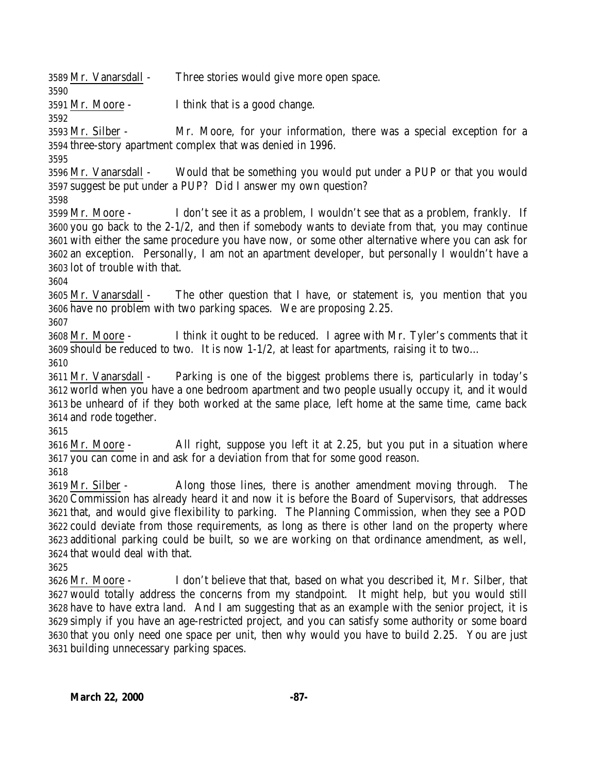Mr. Vanarsdall - Three stories would give more open space.

Mr. Moore - I think that is a good change.

 Mr. Silber - Mr. Moore, for your information, there was a special exception for a three-story apartment complex that was denied in 1996.

 Mr. Vanarsdall - Would that be something you would put under a PUP or that you would suggest be put under a PUP? Did I answer my own question?

 Mr. Moore - I don't see it as a problem, I wouldn't see that as a problem, frankly. If you go back to the 2-1/2, and then if somebody wants to deviate from that, you may continue with either the same procedure you have now, or some other alternative where you can ask for an exception. Personally, I am not an apartment developer, but personally I wouldn't have a lot of trouble with that.

 Mr. Vanarsdall - The other question that I have, or statement is, you mention that you have no problem with two parking spaces. We are proposing 2.25.

 Mr. Moore - I think it ought to be reduced. I agree with Mr. Tyler's comments that it should be reduced to two. It is now 1-1/2, at least for apartments, raising it to two…

 Mr. Vanarsdall - Parking is one of the biggest problems there is, particularly in today's world when you have a one bedroom apartment and two people usually occupy it, and it would be unheard of if they both worked at the same place, left home at the same time, came back and rode together.

 Mr. Moore - All right, suppose you left it at 2.25, but you put in a situation where you can come in and ask for a deviation from that for some good reason. 

 Mr. Silber - Along those lines, there is another amendment moving through. The Commission has already heard it and now it is before the Board of Supervisors, that addresses that, and would give flexibility to parking. The Planning Commission, when they see a POD could deviate from those requirements, as long as there is other land on the property where additional parking could be built, so we are working on that ordinance amendment, as well, that would deal with that.

 Mr. Moore - I don't believe that that, based on what you described it, Mr. Silber, that would totally address the concerns from my standpoint. It might help, but you would still have to have extra land. And I am suggesting that as an example with the senior project, it is simply if you have an age-restricted project, and you can satisfy some authority or some board that you only need one space per unit, then why would you have to build 2.25. You are just building unnecessary parking spaces.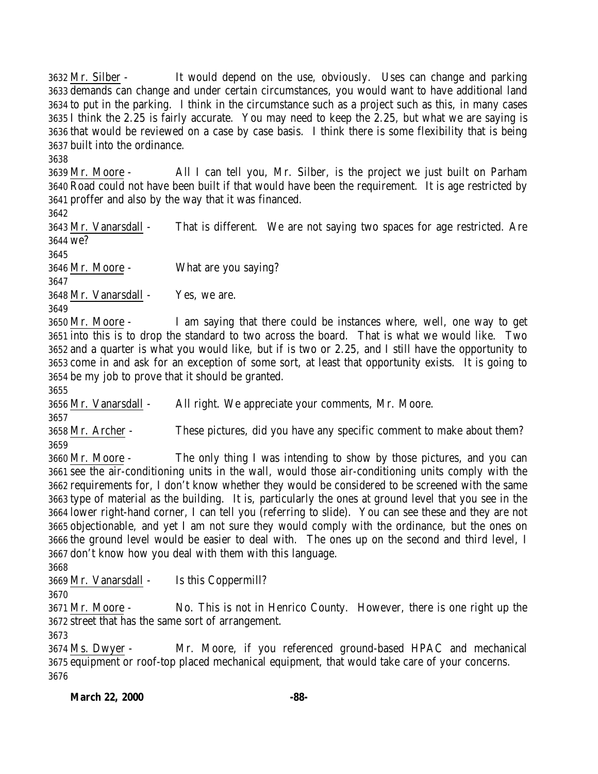Mr. Silber - It would depend on the use, obviously. Uses can change and parking demands can change and under certain circumstances, you would want to have additional land to put in the parking. I think in the circumstance such as a project such as this, in many cases I think the 2.25 is fairly accurate. You may need to keep the 2.25, but what we are saying is that would be reviewed on a case by case basis. I think there is some flexibility that is being built into the ordinance.

 Mr. Moore - All I can tell you, Mr. Silber, is the project we just built on Parham Road could not have been built if that would have been the requirement. It is age restricted by proffer and also by the way that it was financed.

 Mr. Vanarsdall - That is different. We are not saying two spaces for age restricted. Are we? 

 Mr. Moore - What are you saying? 

Mr. Vanarsdall - Yes, we are.

 Mr. Moore - I am saying that there could be instances where, well, one way to get into this is to drop the standard to two across the board. That is what we would like. Two and a quarter is what you would like, but if is two or 2.25, and I still have the opportunity to come in and ask for an exception of some sort, at least that opportunity exists. It is going to be my job to prove that it should be granted.

Mr. Vanarsdall - All right. We appreciate your comments, Mr. Moore.

 Mr. Archer - These pictures, did you have any specific comment to make about them? 

 Mr. Moore - The only thing I was intending to show by those pictures, and you can see the air-conditioning units in the wall, would those air-conditioning units comply with the requirements for, I don't know whether they would be considered to be screened with the same type of material as the building. It is, particularly the ones at ground level that you see in the lower right-hand corner, I can tell you (referring to slide). You can see these and they are not objectionable, and yet I am not sure they would comply with the ordinance, but the ones on the ground level would be easier to deal with. The ones up on the second and third level, I don't know how you deal with them with this language.

Mr. Vanarsdall - Is this Coppermill?

3671 Mr. Moore - No. This is not in Henrico County. However, there is one right up the street that has the same sort of arrangement.

 Ms. Dwyer - Mr. Moore, if you referenced ground-based HPAC and mechanical equipment or roof-top placed mechanical equipment, that would take care of your concerns.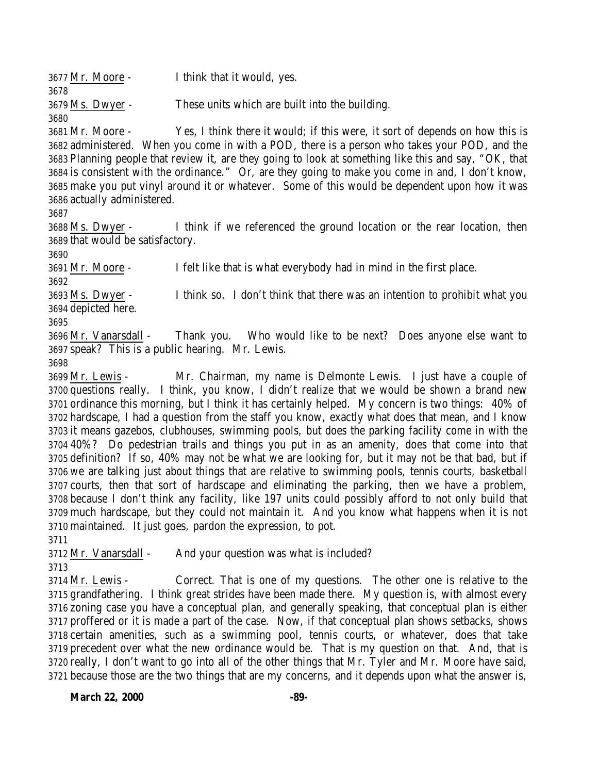| I think that it would, yes.                        |
|----------------------------------------------------|
|                                                    |
| These units which are built into the building.     |
|                                                    |
| Yes, I think there it would; if this were, it sore |
|                                                    |

t of depends on how this is administered. When you come in with a POD, there is a person who takes your POD, and the Planning people that review it, are they going to look at something like this and say, "OK, that is consistent with the ordinance." Or, are they going to make you come in and, I don't know, make you put vinyl around it or whatever. Some of this would be dependent upon how it was actually administered.

 Ms. Dwyer - I think if we referenced the ground location or the rear location, then that would be satisfactory.

Mr. Moore - I felt like that is what everybody had in mind in the first place.

 Ms. Dwyer - I think so. I don't think that there was an intention to prohibit what you depicted here.

 Mr. Vanarsdall - Thank you. Who would like to be next? Does anyone else want to speak? This is a public hearing. Mr. Lewis.

 Mr. Lewis - Mr. Chairman, my name is Delmonte Lewis. I just have a couple of questions really. I think, you know, I didn't realize that we would be shown a brand new ordinance this morning, but I think it has certainly helped. My concern is two things: 40% of hardscape, I had a question from the staff you know, exactly what does that mean, and I know it means gazebos, clubhouses, swimming pools, but does the parking facility come in with the 40%? Do pedestrian trails and things you put in as an amenity, does that come into that definition? If so, 40% may not be what we are looking for, but it may not be that bad, but if we are talking just about things that are relative to swimming pools, tennis courts, basketball courts, then that sort of hardscape and eliminating the parking, then we have a problem, because I don't think any facility, like 197 units could possibly afford to not only build that much hardscape, but they could not maintain it. And you know what happens when it is not maintained. It just goes, pardon the expression, to pot.

Mr. Vanarsdall - And your question was what is included?

 Mr. Lewis - Correct. That is one of my questions. The other one is relative to the grandfathering. I think great strides have been made there. My question is, with almost every zoning case you have a conceptual plan, and generally speaking, that conceptual plan is either proffered or it is made a part of the case. Now, if that conceptual plan shows setbacks, shows certain amenities, such as a swimming pool, tennis courts, or whatever, does that take precedent over what the new ordinance would be. That is my question on that. And, that is really, I don't want to go into all of the other things that Mr. Tyler and Mr. Moore have said, because those are the two things that are my concerns, and it depends upon what the answer is,

**March 22, 2000 -89-**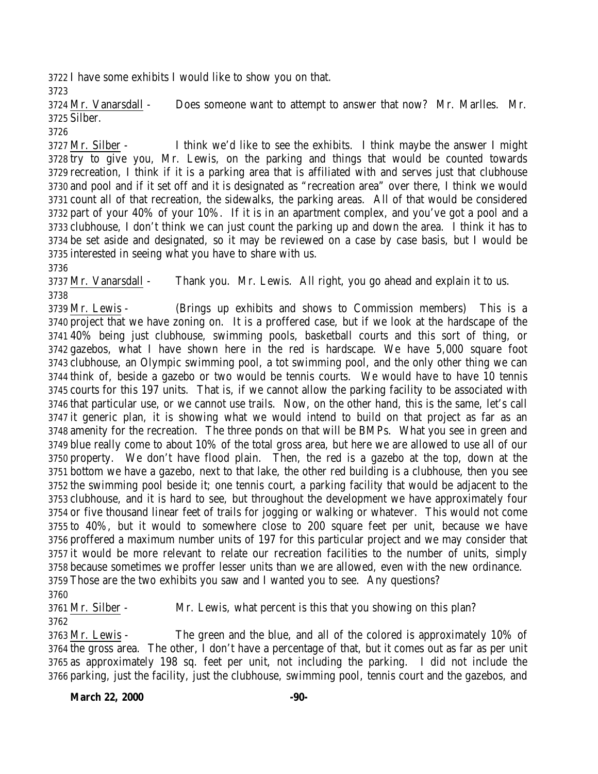I have some exhibits I would like to show you on that.

 Mr. Vanarsdall - Does someone want to attempt to answer that now? Mr. Marlles. Mr. Silber.

 Mr. Silber - I think we'd like to see the exhibits. I think maybe the answer I might try to give you, Mr. Lewis, on the parking and things that would be counted towards recreation, I think if it is a parking area that is affiliated with and serves just that clubhouse and pool and if it set off and it is designated as "recreation area" over there, I think we would count all of that recreation, the sidewalks, the parking areas. All of that would be considered part of your 40% of your 10%. If it is in an apartment complex, and you've got a pool and a clubhouse, I don't think we can just count the parking up and down the area. I think it has to be set aside and designated, so it may be reviewed on a case by case basis, but I would be interested in seeing what you have to share with us.

 Mr. Vanarsdall - Thank you. Mr. Lewis. All right, you go ahead and explain it to us. 

 Mr. Lewis - (Brings up exhibits and shows to Commission members) This is a project that we have zoning on. It is a proffered case, but if we look at the hardscape of the 40% being just clubhouse, swimming pools, basketball courts and this sort of thing, or gazebos, what I have shown here in the red is hardscape. We have 5,000 square foot clubhouse, an Olympic swimming pool, a tot swimming pool, and the only other thing we can think of, beside a gazebo or two would be tennis courts. We would have to have 10 tennis courts for this 197 units. That is, if we cannot allow the parking facility to be associated with that particular use, or we cannot use trails. Now, on the other hand, this is the same, let's call it generic plan, it is showing what we would intend to build on that project as far as an amenity for the recreation. The three ponds on that will be BMPs. What you see in green and blue really come to about 10% of the total gross area, but here we are allowed to use all of our property. We don't have flood plain. Then, the red is a gazebo at the top, down at the bottom we have a gazebo, next to that lake, the other red building is a clubhouse, then you see the swimming pool beside it; one tennis court, a parking facility that would be adjacent to the clubhouse, and it is hard to see, but throughout the development we have approximately four or five thousand linear feet of trails for jogging or walking or whatever. This would not come to 40%, but it would to somewhere close to 200 square feet per unit, because we have proffered a maximum number units of 197 for this particular project and we may consider that it would be more relevant to relate our recreation facilities to the number of units, simply because sometimes we proffer lesser units than we are allowed, even with the new ordinance. Those are the two exhibits you saw and I wanted you to see. Any questions?

 Mr. Silber - Mr. Lewis, what percent is this that you showing on this plan? 

 Mr. Lewis - The green and the blue, and all of the colored is approximately 10% of the gross area. The other, I don't have a percentage of that, but it comes out as far as per unit as approximately 198 sq. feet per unit, not including the parking. I did not include the parking, just the facility, just the clubhouse, swimming pool, tennis court and the gazebos, and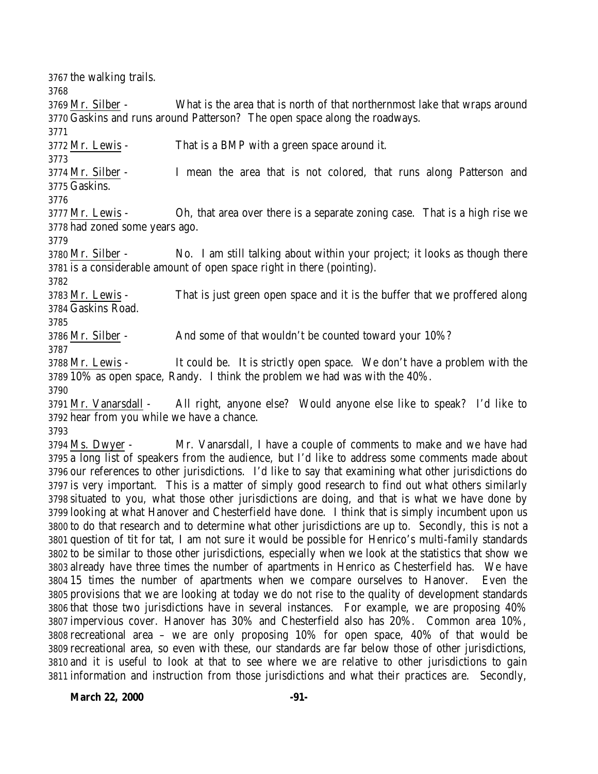the walking trails. Mr. Silber - What is the area that is north of that northernmost lake that wraps around Gaskins and runs around Patterson? The open space along the roadways. Mr. Lewis - That is a BMP with a green space around it. Mr. Silber - I mean the area that is not colored, that runs along Patterson and Gaskins. Mr. Lewis - Oh, that area over there is a separate zoning case. That is a high rise we had zoned some years ago. Mr. Silber - No. I am still talking about within your project; it looks as though there is a considerable amount of open space right in there (pointing). Mr. Lewis - That is just green open space and it is the buffer that we proffered along Gaskins Road. 3786 Mr. Silber - And some of that wouldn't be counted toward your 10%? Mr. Lewis - It could be. It is strictly open space. We don't have a problem with the 10% as open space, Randy. I think the problem we had was with the 40%. Mr. Vanarsdall - All right, anyone else? Would anyone else like to speak? I'd like to hear from you while we have a chance. Ms. Dwyer - Mr. Vanarsdall, I have a couple of comments to make and we have had a long list of speakers from the audience, but I'd like to address some comments made about our references to other jurisdictions. I'd like to say that examining what other jurisdictions do is very important. This is a matter of simply good research to find out what others similarly situated to you, what those other jurisdictions are doing, and that is what we have done by looking at what Hanover and Chesterfield have done. I think that is simply incumbent upon us to do that research and to determine what other jurisdictions are up to. Secondly, this is not a question of tit for tat, I am not sure it would be possible for Henrico's multi-family standards to be similar to those other jurisdictions, especially when we look at the statistics that show we already have three times the number of apartments in Henrico as Chesterfield has. We have 15 times the number of apartments when we compare ourselves to Hanover. Even the provisions that we are looking at today we do not rise to the quality of development standards that those two jurisdictions have in several instances. For example, we are proposing 40% impervious cover. Hanover has 30% and Chesterfield also has 20%. Common area 10%, recreational area – we are only proposing 10% for open space, 40% of that would be recreational area, so even with these, our standards are far below those of other jurisdictions, and it is useful to look at that to see where we are relative to other jurisdictions to gain

information and instruction from those jurisdictions and what their practices are. Secondly,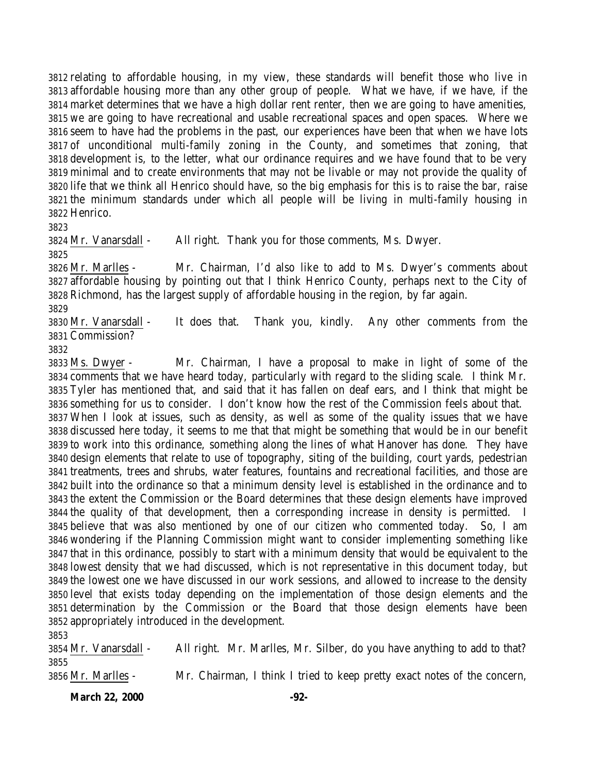relating to affordable housing, in my view, these standards will benefit those who live in affordable housing more than any other group of people. What we have, if we have, if the market determines that we have a high dollar rent renter, then we are going to have amenities, we are going to have recreational and usable recreational spaces and open spaces. Where we seem to have had the problems in the past, our experiences have been that when we have lots of unconditional multi-family zoning in the County, and sometimes that zoning, that development is, to the letter, what our ordinance requires and we have found that to be very minimal and to create environments that may not be livable or may not provide the quality of life that we think all Henrico should have, so the big emphasis for this is to raise the bar, raise the minimum standards under which all people will be living in multi-family housing in Henrico.

Mr. Vanarsdall - All right. Thank you for those comments, Ms. Dwyer.

 Mr. Marlles - Mr. Chairman, I'd also like to add to Ms. Dwyer's comments about affordable housing by pointing out that I think Henrico County, perhaps next to the City of Richmond, has the largest supply of affordable housing in the region, by far again.

 Mr. Vanarsdall - It does that. Thank you, kindly. Any other comments from the Commission?

 Ms. Dwyer - Mr. Chairman, I have a proposal to make in light of some of the comments that we have heard today, particularly with regard to the sliding scale. I think Mr. Tyler has mentioned that, and said that it has fallen on deaf ears, and I think that might be something for us to consider. I don't know how the rest of the Commission feels about that. When I look at issues, such as density, as well as some of the quality issues that we have discussed here today, it seems to me that that might be something that would be in our benefit to work into this ordinance, something along the lines of what Hanover has done. They have design elements that relate to use of topography, siting of the building, court yards, pedestrian treatments, trees and shrubs, water features, fountains and recreational facilities, and those are built into the ordinance so that a minimum density level is established in the ordinance and to the extent the Commission or the Board determines that these design elements have improved the quality of that development, then a corresponding increase in density is permitted. I believe that was also mentioned by one of our citizen who commented today. So, I am wondering if the Planning Commission might want to consider implementing something like that in this ordinance, possibly to start with a minimum density that would be equivalent to the lowest density that we had discussed, which is not representative in this document today, but the lowest one we have discussed in our work sessions, and allowed to increase to the density level that exists today depending on the implementation of those design elements and the determination by the Commission or the Board that those design elements have been appropriately introduced in the development.

 Mr. Vanarsdall - All right. Mr. Marlles, Mr. Silber, do you have anything to add to that? Mr. Marlles - Mr. Chairman, I think I tried to keep pretty exact notes of the concern,

**March 22, 2000 -92-**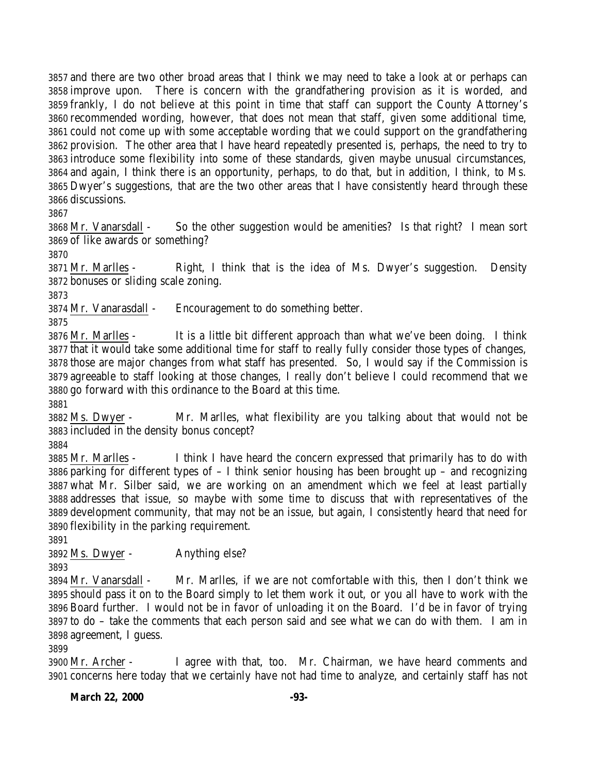and there are two other broad areas that I think we may need to take a look at or perhaps can improve upon. There is concern with the grandfathering provision as it is worded, and frankly, I do not believe at this point in time that staff can support the County Attorney's recommended wording, however, that does not mean that staff, given some additional time, could not come up with some acceptable wording that we could support on the grandfathering provision. The other area that I have heard repeatedly presented is, perhaps, the need to try to introduce some flexibility into some of these standards, given maybe unusual circumstances, and again, I think there is an opportunity, perhaps, to do that, but in addition, I think, to Ms. Dwyer's suggestions, that are the two other areas that I have consistently heard through these discussions.

 Mr. Vanarsdall - So the other suggestion would be amenities? Is that right? I mean sort of like awards or something?

 Mr. Marlles - Right, I think that is the idea of Ms. Dwyer's suggestion. Density bonuses or sliding scale zoning.

Mr. Vanarasdall - Encouragement to do something better.

 Mr. Marlles - It is a little bit different approach than what we've been doing. I think that it would take some additional time for staff to really fully consider those types of changes, those are major changes from what staff has presented. So, I would say if the Commission is agreeable to staff looking at those changes, I really don't believe I could recommend that we go forward with this ordinance to the Board at this time.

 Ms. Dwyer - Mr. Marlles, what flexibility are you talking about that would not be included in the density bonus concept?

 Mr. Marlles - I think I have heard the concern expressed that primarily has to do with parking for different types of – I think senior housing has been brought up – and recognizing what Mr. Silber said, we are working on an amendment which we feel at least partially addresses that issue, so maybe with some time to discuss that with representatives of the development community, that may not be an issue, but again, I consistently heard that need for flexibility in the parking requirement.

Ms. Dwyer - Anything else?

 Mr. Vanarsdall - Mr. Marlles, if we are not comfortable with this, then I don't think we should pass it on to the Board simply to let them work it out, or you all have to work with the Board further. I would not be in favor of unloading it on the Board. I'd be in favor of trying to do – take the comments that each person said and see what we can do with them. I am in agreement, I guess.

 Mr. Archer - I agree with that, too. Mr. Chairman, we have heard comments and concerns here today that we certainly have not had time to analyze, and certainly staff has not

**March 22, 2000 -93-**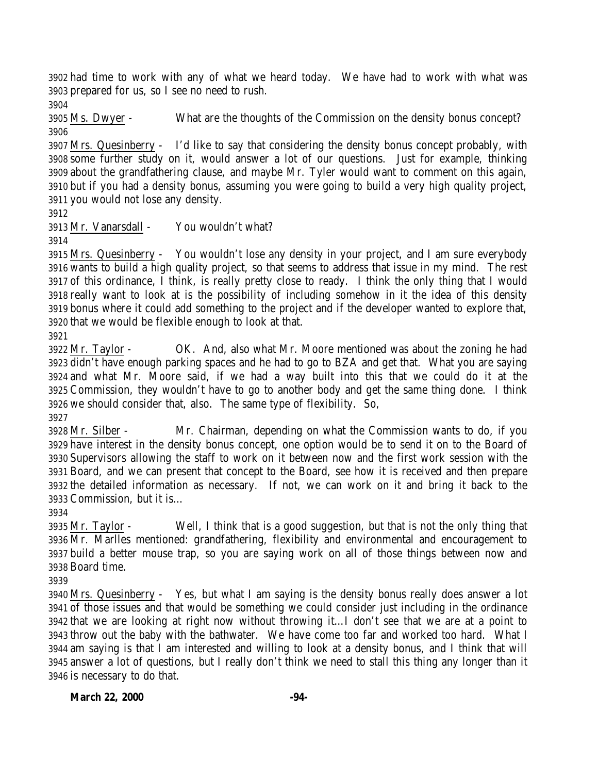had time to work with any of what we heard today. We have had to work with what was prepared for us, so I see no need to rush.

 Ms. Dwyer - What are the thoughts of the Commission on the density bonus concept? 

 Mrs. Quesinberry - I'd like to say that considering the density bonus concept probably, with some further study on it, would answer a lot of our questions. Just for example, thinking about the grandfathering clause, and maybe Mr. Tyler would want to comment on this again, but if you had a density bonus, assuming you were going to build a very high quality project, you would not lose any density.

Mr. Vanarsdall - You wouldn't what?

 Mrs. Quesinberry - You wouldn't lose any density in your project, and I am sure everybody wants to build a high quality project, so that seems to address that issue in my mind. The rest of this ordinance, I think, is really pretty close to ready. I think the only thing that I would really want to look at is the possibility of including somehow in it the idea of this density bonus where it could add something to the project and if the developer wanted to explore that, that we would be flexible enough to look at that.

 Mr. Taylor - OK. And, also what Mr. Moore mentioned was about the zoning he had didn't have enough parking spaces and he had to go to BZA and get that. What you are saying and what Mr. Moore said, if we had a way built into this that we could do it at the Commission, they wouldn't have to go to another body and get the same thing done. I think we should consider that, also. The same type of flexibility. So, 

 Mr. Silber - Mr. Chairman, depending on what the Commission wants to do, if you have interest in the density bonus concept, one option would be to send it on to the Board of Supervisors allowing the staff to work on it between now and the first work session with the Board, and we can present that concept to the Board, see how it is received and then prepare the detailed information as necessary. If not, we can work on it and bring it back to the Commission, but it is…

 Mr. Taylor - Well, I think that is a good suggestion, but that is not the only thing that Mr. Marlles mentioned: grandfathering, flexibility and environmental and encouragement to build a better mouse trap, so you are saying work on all of those things between now and Board time.

 Mrs. Quesinberry - Yes, but what I am saying is the density bonus really does answer a lot of those issues and that would be something we could consider just including in the ordinance that we are looking at right now without throwing it…I don't see that we are at a point to throw out the baby with the bathwater. We have come too far and worked too hard. What I am saying is that I am interested and willing to look at a density bonus, and I think that will answer a lot of questions, but I really don't think we need to stall this thing any longer than it is necessary to do that.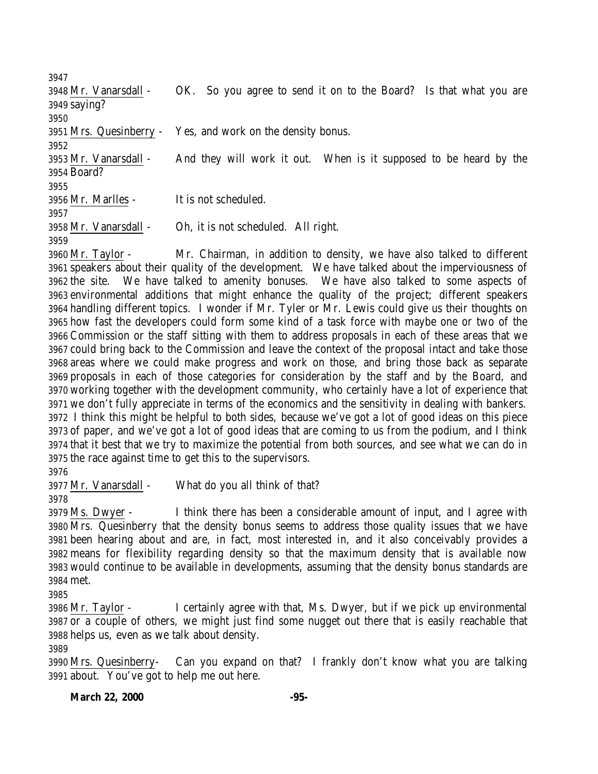Mr. Vanarsdall - OK. So you agree to send it on to the Board? Is that what you are saying? Mrs. Quesinberry - Yes, and work on the density bonus. Mr. Vanarsdall - And they will work it out. When is it supposed to be heard by the Board? Mr. Marlles - It is not scheduled. Mr. Vanarsdall - Oh, it is not scheduled. All right. Mr. Taylor - Mr. Chairman, in addition to density, we have also talked to different

 speakers about their quality of the development. We have talked about the imperviousness of the site. We have talked to amenity bonuses. We have also talked to some aspects of environmental additions that might enhance the quality of the project; different speakers handling different topics. I wonder if Mr. Tyler or Mr. Lewis could give us their thoughts on how fast the developers could form some kind of a task force with maybe one or two of the Commission or the staff sitting with them to address proposals in each of these areas that we could bring back to the Commission and leave the context of the proposal intact and take those areas where we could make progress and work on those, and bring those back as separate proposals in each of those categories for consideration by the staff and by the Board, and working together with the development community, who certainly have a lot of experience that we don't fully appreciate in terms of the economics and the sensitivity in dealing with bankers. I think this might be helpful to both sides, because we've got a lot of good ideas on this piece of paper, and we've got a lot of good ideas that are coming to us from the podium, and I think that it best that we try to maximize the potential from both sources, and see what we can do in the race against time to get this to the supervisors.

Mr. Vanarsdall - What do you all think of that?

 Ms. Dwyer - I think there has been a considerable amount of input, and I agree with Mrs. Quesinberry that the density bonus seems to address those quality issues that we have been hearing about and are, in fact, most interested in, and it also conceivably provides a means for flexibility regarding density so that the maximum density that is available now would continue to be available in developments, assuming that the density bonus standards are met.

 Mr. Taylor - I certainly agree with that, Ms. Dwyer, but if we pick up environmental or a couple of others, we might just find some nugget out there that is easily reachable that helps us, even as we talk about density.

 Mrs. Quesinberry- Can you expand on that? I frankly don't know what you are talking about. You've got to help me out here.

## **March 22, 2000 -95-**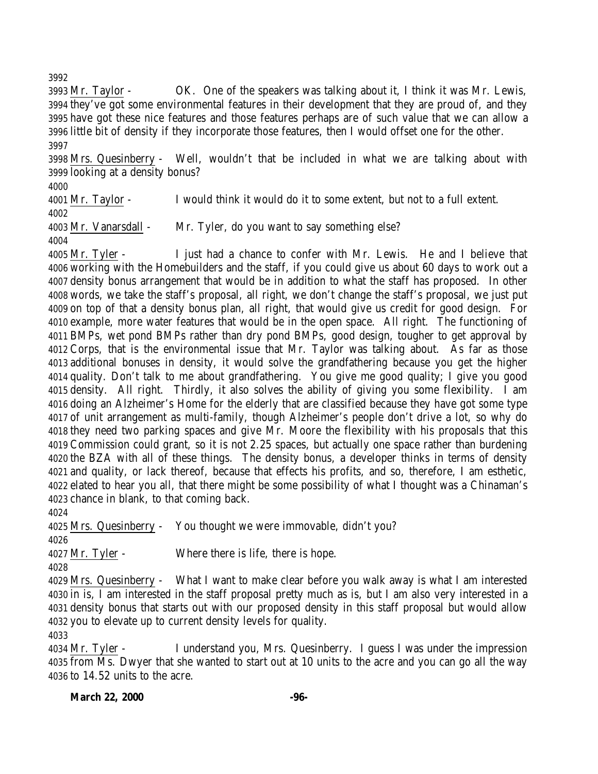Mr. Taylor - OK. One of the speakers was talking about it, I think it was Mr. Lewis, they've got some environmental features in their development that they are proud of, and they have got these nice features and those features perhaps are of such value that we can allow a little bit of density if they incorporate those features, then I would offset one for the other. 

 Mrs. Quesinberry - Well, wouldn't that be included in what we are talking about with looking at a density bonus?

Mr. Taylor - I would think it would do it to some extent, but not to a full extent.

 Mr. Vanarsdall - Mr. Tyler, do you want to say something else?

 Mr. Tyler - I just had a chance to confer with Mr. Lewis. He and I believe that working with the Homebuilders and the staff, if you could give us about 60 days to work out a density bonus arrangement that would be in addition to what the staff has proposed. In other words, we take the staff's proposal, all right, we don't change the staff's proposal, we just put on top of that a density bonus plan, all right, that would give us credit for good design. For example, more water features that would be in the open space. All right. The functioning of BMPs, wet pond BMPs rather than dry pond BMPs, good design, tougher to get approval by Corps, that is the environmental issue that Mr. Taylor was talking about. As far as those additional bonuses in density, it would solve the grandfathering because you get the higher quality. Don't talk to me about grandfathering. You give me good quality; I give you good density. All right. Thirdly, it also solves the ability of giving you some flexibility. I am doing an Alzheimer's Home for the elderly that are classified because they have got some type of unit arrangement as multi-family, though Alzheimer's people don't drive a lot, so why do they need two parking spaces and give Mr. Moore the flexibility with his proposals that this Commission could grant, so it is not 2.25 spaces, but actually one space rather than burdening the BZA with all of these things. The density bonus, a developer thinks in terms of density and quality, or lack thereof, because that effects his profits, and so, therefore, I am esthetic, elated to hear you all, that there might be some possibility of what I thought was a Chinaman's chance in blank, to that coming back.

Mrs. Quesinberry - You thought we were immovable, didn't you?

Mr. Tyler - Where there is life, there is hope.

 Mrs. Quesinberry - What I want to make clear before you walk away is what I am interested in is, I am interested in the staff proposal pretty much as is, but I am also very interested in a density bonus that starts out with our proposed density in this staff proposal but would allow you to elevate up to current density levels for quality.

 Mr. Tyler - I understand you, Mrs. Quesinberry. I guess I was under the impression from Ms. Dwyer that she wanted to start out at 10 units to the acre and you can go all the way to 14.52 units to the acre.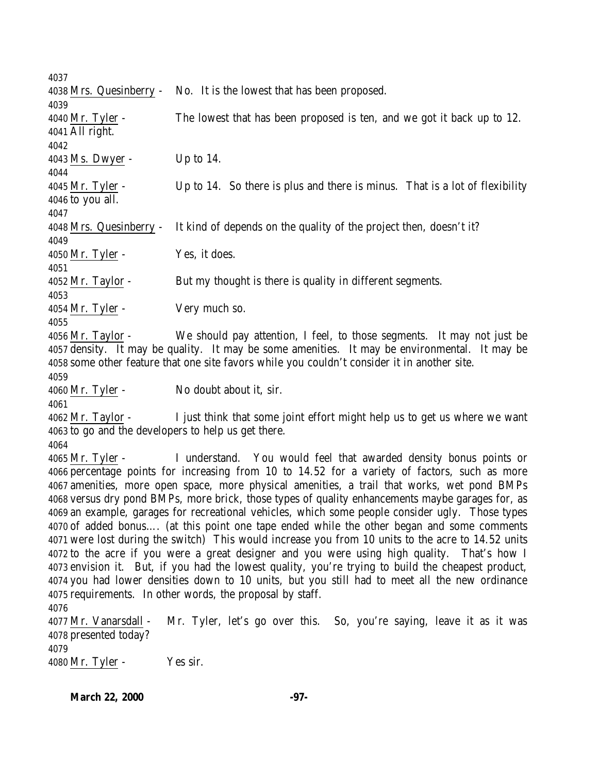Mrs. Quesinberry - No. It is the lowest that has been proposed. Mr. Tyler - The lowest that has been proposed is ten, and we got it back up to 12. All right. Ms. Dwyer - Up to 14. Mr. Tyler - Up to 14. So there is plus and there is minus. That is a lot of flexibility to you all. Mrs. Quesinberry - It kind of depends on the quality of the project then, doesn't it? Mr. Tyler - Yes, it does. Mr. Taylor - But my thought is there is quality in different segments. Mr. Tyler - Very much so. Mr. Taylor - We should pay attention, I feel, to those segments. It may not just be density. It may be quality. It may be some amenities. It may be environmental. It may be some other feature that one site favors while you couldn't consider it in another site. Mr. Tyler - No doubt about it, sir. Mr. Taylor - I just think that some joint effort might help us to get us where we want to go and the developers to help us get there. Mr. Tyler - I understand. You would feel that awarded density bonus points or percentage points for increasing from 10 to 14.52 for a variety of factors, such as more amenities, more open space, more physical amenities, a trail that works, wet pond BMPs versus dry pond BMPs, more brick, those types of quality enhancements maybe garages for, as an example, garages for recreational vehicles, which some people consider ugly. Those types of added bonus…. (at this point one tape ended while the other began and some comments were lost during the switch) This would increase you from 10 units to the acre to 14.52 units to the acre if you were a great designer and you were using high quality. That's how I envision it. But, if you had the lowest quality, you're trying to build the cheapest product, you had lower densities down to 10 units, but you still had to meet all the new ordinance requirements. In other words, the proposal by staff. Mr. Vanarsdall - Mr. Tyler, let's go over this. So, you're saying, leave it as it was presented today? Mr. Tyler - Yes sir.

**March 22, 2000 -97-**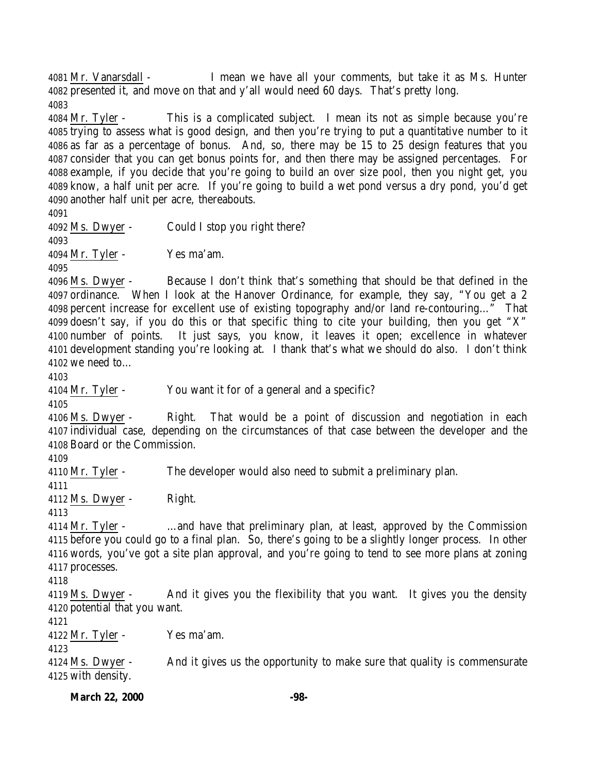Mr. Vanarsdall - I mean we have all your comments, but take it as Ms. Hunter presented it, and move on that and y'all would need 60 days. That's pretty long. 

 Mr. Tyler - This is a complicated subject. I mean its not as simple because you're trying to assess what is good design, and then you're trying to put a quantitative number to it as far as a percentage of bonus. And, so, there may be 15 to 25 design features that you consider that you can get bonus points for, and then there may be assigned percentages. For example, if you decide that you're going to build an over size pool, then you night get, you know, a half unit per acre. If you're going to build a wet pond versus a dry pond, you'd get another half unit per acre, thereabouts.

 Ms. Dwyer - Could I stop you right there? Mr. Tyler - Yes ma'am. Ms. Dwyer - Because I don't think that's something that should be that defined in the ordinance. When I look at the Hanover Ordinance, for example, they say, "You get a 2 percent increase for excellent use of existing topography and/or land re-contouring…" That doesn't say, if you do this or that specific thing to cite your building, then you get "X" number of points. It just says, you know, it leaves it open; excellence in whatever development standing you're looking at. I thank that's what we should do also. I don't think we need to… Mr. Tyler - You want it for of a general and a specific? Ms. Dwyer - Right. That would be a point of discussion and negotiation in each individual case, depending on the circumstances of that case between the developer and the Board or the Commission. Mr. Tyler - The developer would also need to submit a preliminary plan. Ms. Dwyer - Right. Mr. Tyler - …and have that preliminary plan, at least, approved by the Commission before you could go to a final plan. So, there's going to be a slightly longer process. In other words, you've got a site plan approval, and you're going to tend to see more plans at zoning processes. Ms. Dwyer - And it gives you the flexibility that you want. It gives you the density potential that you want. Mr. Tyler - Yes ma'am. Ms. Dwyer - And it gives us the opportunity to make sure that quality is commensurate with density.

March 22, 2000 -98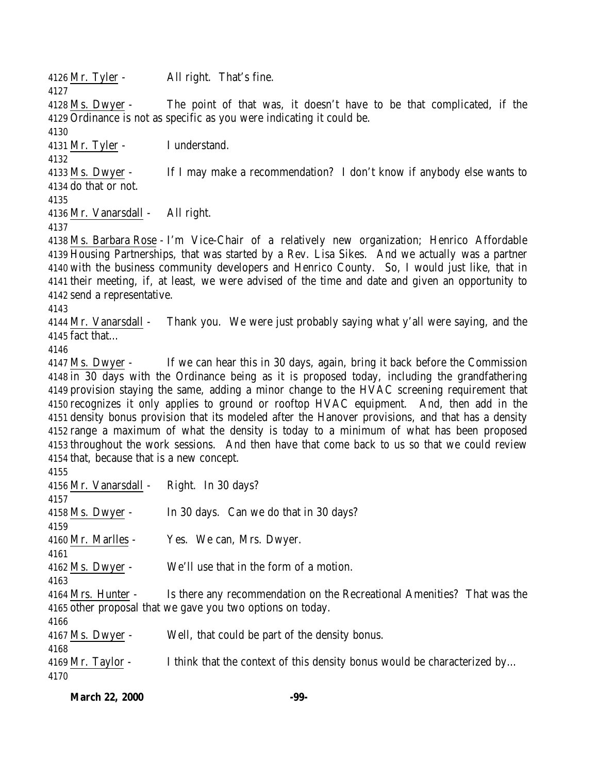Mr. Tyler - All right. That's fine. 

 Ms. Dwyer - The point of that was, it doesn't have to be that complicated, if the Ordinance is not as specific as you were indicating it could be.

Mr. Tyler - I understand.

 Ms. Dwyer - If I may make a recommendation? I don't know if anybody else wants to do that or not.

Mr. Vanarsdall - All right.

 Ms. Barbara Rose - I'm Vice-Chair of a relatively new organization; Henrico Affordable Housing Partnerships, that was started by a Rev. Lisa Sikes. And we actually was a partner with the business community developers and Henrico County. So, I would just like, that in their meeting, if, at least, we were advised of the time and date and given an opportunity to send a representative.

 Mr. Vanarsdall - Thank you. We were just probably saying what y'all were saying, and the fact that…

 Ms. Dwyer - If we can hear this in 30 days, again, bring it back before the Commission in 30 days with the Ordinance being as it is proposed today, including the grandfathering provision staying the same, adding a minor change to the HVAC screening requirement that recognizes it only applies to ground or rooftop HVAC equipment. And, then add in the density bonus provision that its modeled after the Hanover provisions, and that has a density range a maximum of what the density is today to a minimum of what has been proposed throughout the work sessions. And then have that come back to us so that we could review that, because that is a new concept.

| 4156 Mr. Vanarsdall - | Right. In 30 days?                                                       |
|-----------------------|--------------------------------------------------------------------------|
| 4157                  |                                                                          |
| $4158$ Ms. Dwyer -    | In 30 days. Can we do that in 30 days?                                   |
| 4159                  |                                                                          |
| 4160 Mr. Marlles -    | Yes. We can, Mrs. Dwyer.                                                 |
| 4161                  |                                                                          |
| $4162$ Ms. Dwyer -    | We'll use that in the form of a motion.                                  |
| 4163                  |                                                                          |
| 4164 Mrs. Hunter -    | Is there any recommendation on the Recreational Amenities? That was the  |
|                       | 4165 other proposal that we gave you two options on today.               |
| 4166                  |                                                                          |
| $4167$ Ms. Dwyer -    | Well, that could be part of the density bonus.                           |
| 4168                  |                                                                          |
| $4169$ Mr. Taylor -   | I think that the context of this density bonus would be characterized by |
| 4170                  |                                                                          |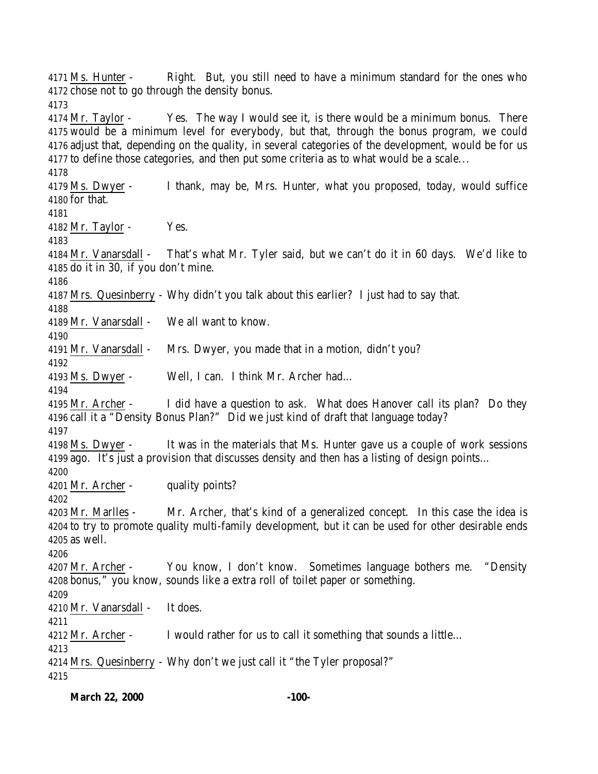Ms. Hunter - Right. But, you still need to have a minimum standard for the ones who chose not to go through the density bonus. Mr. Taylor - Yes. The way I would see it, is there would be a minimum bonus. There would be a minimum level for everybody, but that, through the bonus program, we could adjust that, depending on the quality, in several categories of the development, would be for us to define those categories, and then put some criteria as to what would be a scale... Ms. Dwyer - I thank, may be, Mrs. Hunter, what you proposed, today, would suffice for that. Mr. Taylor - Yes. Mr. Vanarsdall - That's what Mr. Tyler said, but we can't do it in 60 days. We'd like to do it in 30, if you don't mine. Mrs. Quesinberry - Why didn't you talk about this earlier? I just had to say that. Mr. Vanarsdall - We all want to know. Mr. Vanarsdall - Mrs. Dwyer, you made that in a motion, didn't you? Ms. Dwyer - Well, I can. I think Mr. Archer had… Mr. Archer - I did have a question to ask. What does Hanover call its plan? Do they call it a "Density Bonus Plan?" Did we just kind of draft that language today? Ms. Dwyer - It was in the materials that Ms. Hunter gave us a couple of work sessions ago. It's just a provision that discusses density and then has a listing of design points… 4201 Mr. Archer - quality points? Mr. Marlles - Mr. Archer, that's kind of a generalized concept. In this case the idea is to try to promote quality multi-family development, but it can be used for other desirable ends as well. Mr. Archer - You know, I don't know. Sometimes language bothers me. "Density bonus," you know, sounds like a extra roll of toilet paper or something. Mr. Vanarsdall - It does. 4212 Mr. Archer - I would rather for us to call it something that sounds a little... Mrs. Quesinberry - Why don't we just call it "the Tyler proposal?"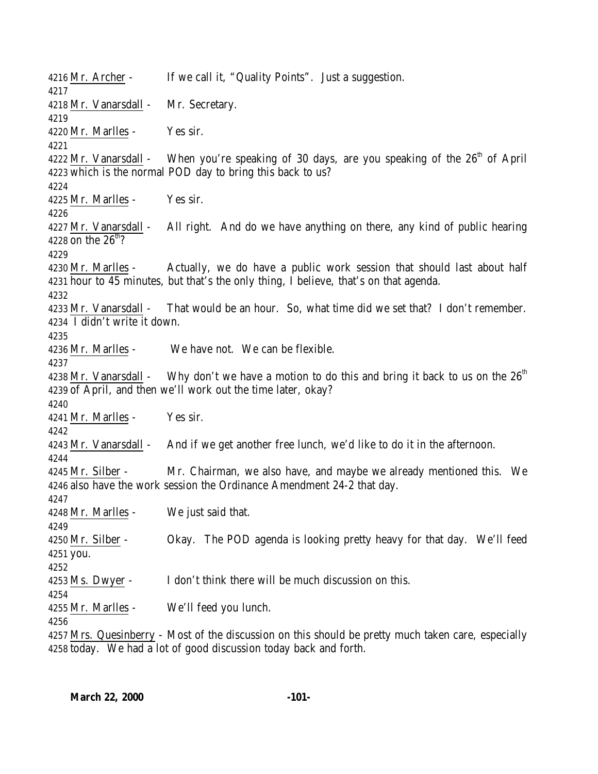Mr. Archer - If we call it, "Quality Points". Just a suggestion. Mr. Vanarsdall - Mr. Secretary. Mr. Marlles - Yes sir. 4222 Mr. Vanarsdall - When you're speaking of 30 days, are you speaking of the  $26<sup>th</sup>$  of April which is the normal POD day to bring this back to us? Mr. Marlles - Yes sir. Mr. Vanarsdall - All right. And do we have anything on there, any kind of public hearing 4228 on the  $26<sup>th</sup>$ ? Mr. Marlles - Actually, we do have a public work session that should last about half hour to 45 minutes, but that's the only thing, I believe, that's on that agenda. Mr. Vanarsdall - That would be an hour. So, what time did we set that? I don't remember. I didn't write it down. Mr. Marlles - We have not. We can be flexible. 4238 Mr. Vanarsdall - Why don't we have a motion to do this and bring it back to us on the  $26<sup>th</sup>$  of April, and then we'll work out the time later, okay? Mr. Marlles - Yes sir. Mr. Vanarsdall - And if we get another free lunch, we'd like to do it in the afternoon. Mr. Silber - Mr. Chairman, we also have, and maybe we already mentioned this. We also have the work session the Ordinance Amendment 24-2 that day. Mr. Marlles - We just said that. Mr. Silber - Okay. The POD agenda is looking pretty heavy for that day. We'll feed you. Ms. Dwyer - I don't think there will be much discussion on this. Mr. Marlles - We'll feed you lunch. Mrs. Quesinberry - Most of the discussion on this should be pretty much taken care, especially today. We had a lot of good discussion today back and forth.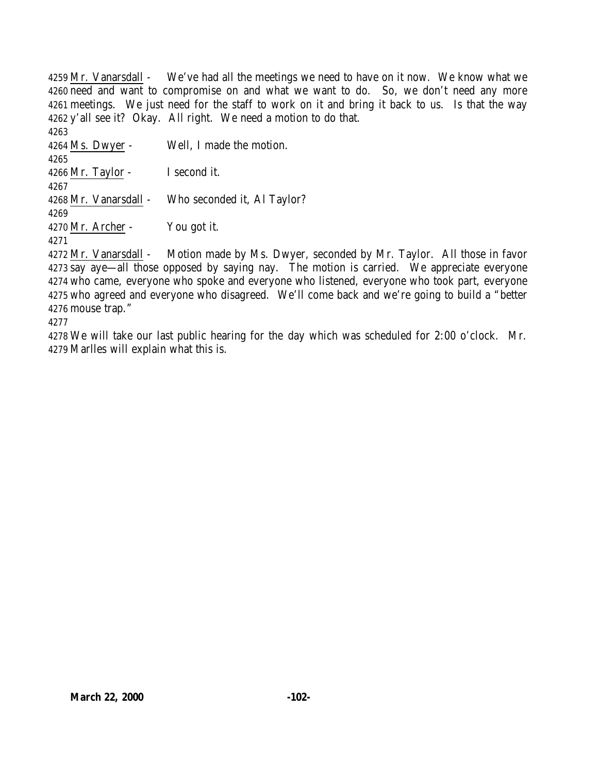Mr. Vanarsdall - We've had all the meetings we need to have on it now. We know what we need and want to compromise on and what we want to do. So, we don't need any more meetings. We just need for the staff to work on it and bring it back to us. Is that the way y'all see it? Okay. All right. We need a motion to do that. Ms. Dwyer - Well, I made the motion. Mr. Taylor - I second it. Mr. Vanarsdall - Who seconded it, Al Taylor? Mr. Archer - You got it. 

 Mr. Vanarsdall - Motion made by Ms. Dwyer, seconded by Mr. Taylor. All those in favor say aye—all those opposed by saying nay. The motion is carried. We appreciate everyone who came, everyone who spoke and everyone who listened, everyone who took part, everyone who agreed and everyone who disagreed. We'll come back and we're going to build a "better mouse trap."

 We will take our last public hearing for the day which was scheduled for 2:00 o'clock. Mr. Marlles will explain what this is.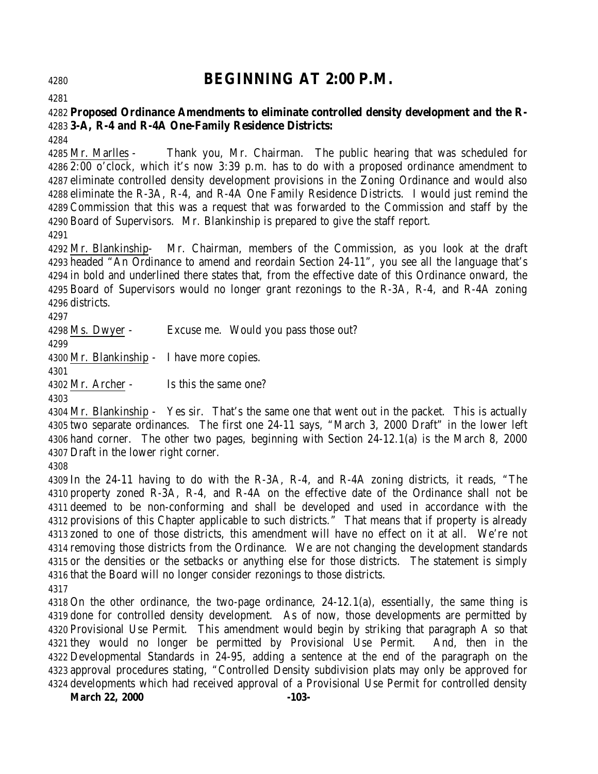# **BEGINNING AT 2:00 P.M.**

# **Proposed Ordinance Amendments to eliminate controlled density development and the R-3-A, R-4 and R-4A One-Family Residence Districts:**

 Mr. Marlles - Thank you, Mr. Chairman. The public hearing that was scheduled for 2:00 o'clock, which it's now 3:39 p.m. has to do with a proposed ordinance amendment to eliminate controlled density development provisions in the Zoning Ordinance and would also eliminate the R-3A, R-4, and R-4A One Family Residence Districts. I would just remind the Commission that this was a request that was forwarded to the Commission and staff by the Board of Supervisors. Mr. Blankinship is prepared to give the staff report.

 Mr. Blankinship- Mr. Chairman, members of the Commission, as you look at the draft headed "An Ordinance to amend and reordain Section 24-11", you see all the language that's in bold and underlined there states that, from the effective date of this Ordinance onward, the Board of Supervisors would no longer grant rezonings to the R-3A, R-4, and R-4A zoning districts.

Ms. Dwyer - Excuse me. Would you pass those out?

Mr. Blankinship - I have more copies.

Mr. Archer - Is this the same one?

 Mr. Blankinship - Yes sir. That's the same one that went out in the packet. This is actually two separate ordinances. The first one 24-11 says, "March 3, 2000 Draft" in the lower left hand corner. The other two pages, beginning with Section 24-12.1(a) is the March 8, 2000 Draft in the lower right corner.

 In the 24-11 having to do with the R-3A, R-4, and R-4A zoning districts, it reads, "The property zoned R-3A, R-4, and R-4A on the effective date of the Ordinance shall not be deemed to be non-conforming and shall be developed and used in accordance with the provisions of this Chapter applicable to such districts." That means that if property is already zoned to one of those districts, this amendment will have no effect on it at all. We're not removing those districts from the Ordinance. We are not changing the development standards or the densities or the setbacks or anything else for those districts. The statement is simply that the Board will no longer consider rezonings to those districts.

 On the other ordinance, the two-page ordinance, 24-12.1(a), essentially, the same thing is done for controlled density development. As of now, those developments are permitted by Provisional Use Permit. This amendment would begin by striking that paragraph A so that they would no longer be permitted by Provisional Use Permit. And, then in the Developmental Standards in 24-95, adding a sentence at the end of the paragraph on the approval procedures stating, "Controlled Density subdivision plats may only be approved for developments which had received approval of a Provisional Use Permit for controlled density

March 22, 2000 -103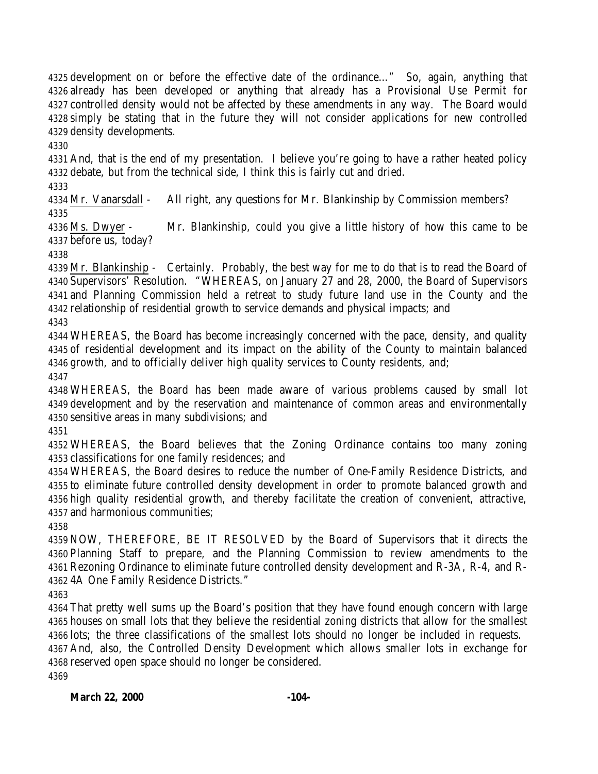development on or before the effective date of the ordinance…" So, again, anything that already has been developed or anything that already has a Provisional Use Permit for controlled density would not be affected by these amendments in any way. The Board would simply be stating that in the future they will not consider applications for new controlled density developments.

 And, that is the end of my presentation. I believe you're going to have a rather heated policy debate, but from the technical side, I think this is fairly cut and dried.

 Mr. Vanarsdall - All right, any questions for Mr. Blankinship by Commission members? 

 Ms. Dwyer - Mr. Blankinship, could you give a little history of how this came to be before us, today?

 Mr. Blankinship - Certainly. Probably, the best way for me to do that is to read the Board of Supervisors' Resolution. "WHEREAS, on January 27 and 28, 2000, the Board of Supervisors and Planning Commission held a retreat to study future land use in the County and the relationship of residential growth to service demands and physical impacts; and

 WHEREAS, the Board has become increasingly concerned with the pace, density, and quality of residential development and its impact on the ability of the County to maintain balanced growth, and to officially deliver high quality services to County residents, and; 

 WHEREAS, the Board has been made aware of various problems caused by small lot development and by the reservation and maintenance of common areas and environmentally sensitive areas in many subdivisions; and

 WHEREAS, the Board believes that the Zoning Ordinance contains too many zoning classifications for one family residences; and

 WHEREAS, the Board desires to reduce the number of One-Family Residence Districts, and to eliminate future controlled density development in order to promote balanced growth and high quality residential growth, and thereby facilitate the creation of convenient, attractive, and harmonious communities;

 NOW, THEREFORE, BE IT RESOLVED by the Board of Supervisors that it directs the Planning Staff to prepare, and the Planning Commission to review amendments to the Rezoning Ordinance to eliminate future controlled density development and R-3A, R-4, and R-4A One Family Residence Districts."

 That pretty well sums up the Board's position that they have found enough concern with large houses on small lots that they believe the residential zoning districts that allow for the smallest lots; the three classifications of the smallest lots should no longer be included in requests. And, also, the Controlled Density Development which allows smaller lots in exchange for reserved open space should no longer be considered.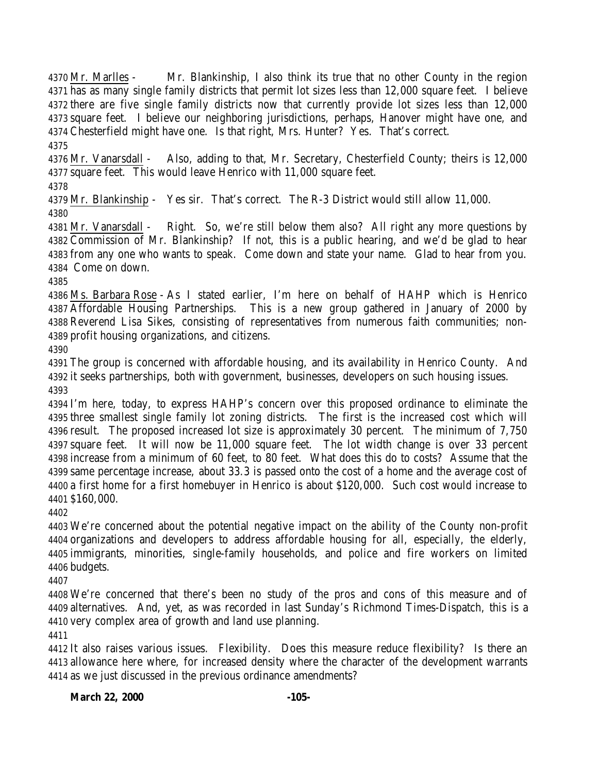Mr. Marlles - Mr. Blankinship, I also think its true that no other County in the region has as many single family districts that permit lot sizes less than 12,000 square feet. I believe there are five single family districts now that currently provide lot sizes less than 12,000 square feet. I believe our neighboring jurisdictions, perhaps, Hanover might have one, and Chesterfield might have one. Is that right, Mrs. Hunter? Yes. That's correct. 

 Mr. Vanarsdall - Also, adding to that, Mr. Secretary, Chesterfield County; theirs is 12,000 square feet. This would leave Henrico with 11,000 square feet.

 Mr. Blankinship - Yes sir. That's correct. The R-3 District would still allow 11,000. 

 Mr. Vanarsdall - Right. So, we're still below them also? All right any more questions by Commission of Mr. Blankinship? If not, this is a public hearing, and we'd be glad to hear from any one who wants to speak. Come down and state your name. Glad to hear from you. Come on down.

 Ms. Barbara Rose - As I stated earlier, I'm here on behalf of HAHP which is Henrico Affordable Housing Partnerships. This is a new group gathered in January of 2000 by Reverend Lisa Sikes, consisting of representatives from numerous faith communities; non-profit housing organizations, and citizens.

 The group is concerned with affordable housing, and its availability in Henrico County. And it seeks partnerships, both with government, businesses, developers on such housing issues. 

 I'm here, today, to express HAHP's concern over this proposed ordinance to eliminate the three smallest single family lot zoning districts. The first is the increased cost which will result. The proposed increased lot size is approximately 30 percent. The minimum of 7,750 square feet. It will now be 11,000 square feet. The lot width change is over 33 percent increase from a minimum of 60 feet, to 80 feet. What does this do to costs? Assume that the same percentage increase, about 33.3 is passed onto the cost of a home and the average cost of a first home for a first homebuyer in Henrico is about \$120,000. Such cost would increase to \$160,000.

 We're concerned about the potential negative impact on the ability of the County non-profit organizations and developers to address affordable housing for all, especially, the elderly, immigrants, minorities, single-family households, and police and fire workers on limited budgets.

 We're concerned that there's been no study of the pros and cons of this measure and of alternatives. And, yet, as was recorded in last Sunday's Richmond Times-Dispatch, this is a very complex area of growth and land use planning.

 It also raises various issues. Flexibility. Does this measure reduce flexibility? Is there an allowance here where, for increased density where the character of the development warrants as we just discussed in the previous ordinance amendments?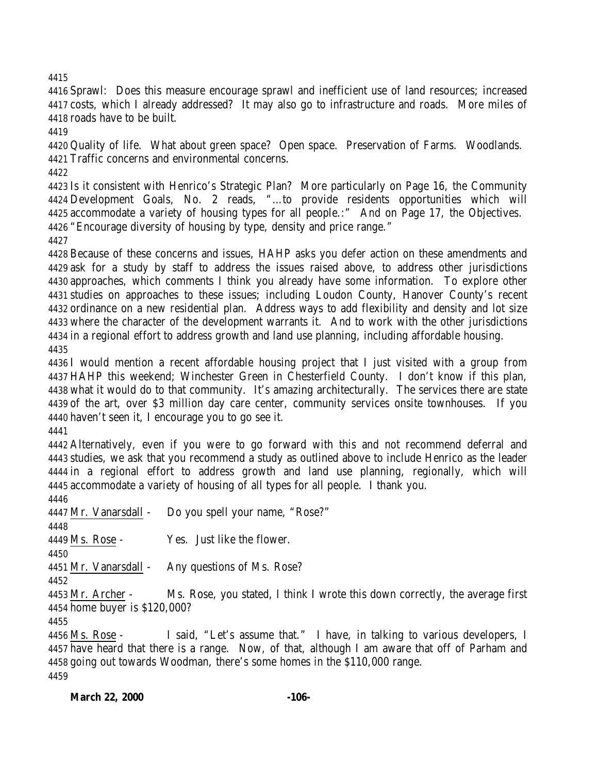Sprawl: Does this measure encourage sprawl and inefficient use of land resources; increased costs, which I already addressed? It may also go to infrastructure and roads. More miles of roads have to be built.

 Quality of life. What about green space? Open space. Preservation of Farms. Woodlands. Traffic concerns and environmental concerns.

 Is it consistent with Henrico's Strategic Plan? More particularly on Page 16, the Community Development Goals, No. 2 reads, "…to provide residents opportunities which will accommodate a variety of housing types for all people.:" And on Page 17, the Objectives. "Encourage diversity of housing by type, density and price range."

 Because of these concerns and issues, HAHP asks you defer action on these amendments and ask for a study by staff to address the issues raised above, to address other jurisdictions approaches, which comments I think you already have some information. To explore other studies on approaches to these issues; including Loudon County, Hanover County's recent ordinance on a new residential plan. Address ways to add flexibility and density and lot size where the character of the development warrants it. And to work with the other jurisdictions in a regional effort to address growth and land use planning, including affordable housing. 

 I would mention a recent affordable housing project that I just visited with a group from HAHP this weekend; Winchester Green in Chesterfield County. I don't know if this plan, what it would do to that community. It's amazing architecturally. The services there are state of the art, over \$3 million day care center, community services onsite townhouses. If you haven't seen it, I encourage you to go see it.

 Alternatively, even if you were to go forward with this and not recommend deferral and studies, we ask that you recommend a study as outlined above to include Henrico as the leader in a regional effort to address growth and land use planning, regionally, which will accommodate a variety of housing of all types for all people. I thank you.

 Mr. Vanarsdall - Do you spell your name, "Rose?" 

Ms. Rose - Yes. Just like the flower.

Mr. Vanarsdall - Any questions of Ms. Rose?

 Mr. Archer - Ms. Rose, you stated, I think I wrote this down correctly, the average first home buyer is \$120,000?

 Ms. Rose - I said, "Let's assume that." I have, in talking to various developers, I have heard that there is a range. Now, of that, although I am aware that off of Parham and going out towards Woodman, there's some homes in the \$110,000 range.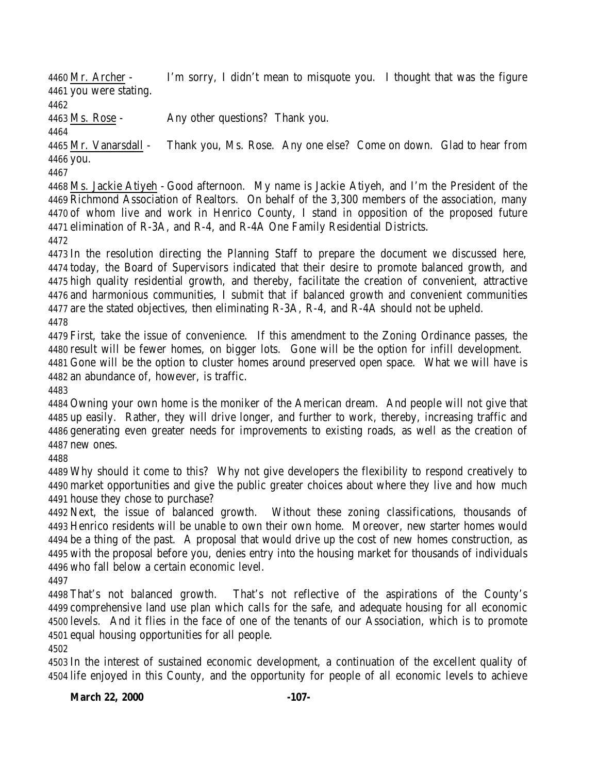Mr. Archer - I'm sorry, I didn't mean to misquote you. I thought that was the figure you were stating.

Ms. Rose - Any other questions? Thank you.

 Mr. Vanarsdall - Thank you, Ms. Rose. Any one else? Come on down. Glad to hear from you.

 Ms. Jackie Atiyeh - Good afternoon. My name is Jackie Atiyeh, and I'm the President of the Richmond Association of Realtors. On behalf of the 3,300 members of the association, many of whom live and work in Henrico County, I stand in opposition of the proposed future elimination of R-3A, and R-4, and R-4A One Family Residential Districts.

 In the resolution directing the Planning Staff to prepare the document we discussed here, today, the Board of Supervisors indicated that their desire to promote balanced growth, and high quality residential growth, and thereby, facilitate the creation of convenient, attractive and harmonious communities, I submit that if balanced growth and convenient communities are the stated objectives, then eliminating R-3A, R-4, and R-4A should not be upheld. 

 First, take the issue of convenience. If this amendment to the Zoning Ordinance passes, the result will be fewer homes, on bigger lots. Gone will be the option for infill development.

 Gone will be the option to cluster homes around preserved open space. What we will have is an abundance of, however, is traffic.

 Owning your own home is the moniker of the American dream. And people will not give that up easily. Rather, they will drive longer, and further to work, thereby, increasing traffic and generating even greater needs for improvements to existing roads, as well as the creation of new ones.

 Why should it come to this? Why not give developers the flexibility to respond creatively to market opportunities and give the public greater choices about where they live and how much house they chose to purchase?

 Next, the issue of balanced growth. Without these zoning classifications, thousands of Henrico residents will be unable to own their own home. Moreover, new starter homes would be a thing of the past. A proposal that would drive up the cost of new homes construction, as with the proposal before you, denies entry into the housing market for thousands of individuals who fall below a certain economic level.

 That's not balanced growth. That's not reflective of the aspirations of the County's comprehensive land use plan which calls for the safe, and adequate housing for all economic levels. And it flies in the face of one of the tenants of our Association, which is to promote equal housing opportunities for all people.

 In the interest of sustained economic development, a continuation of the excellent quality of life enjoyed in this County, and the opportunity for people of all economic levels to achieve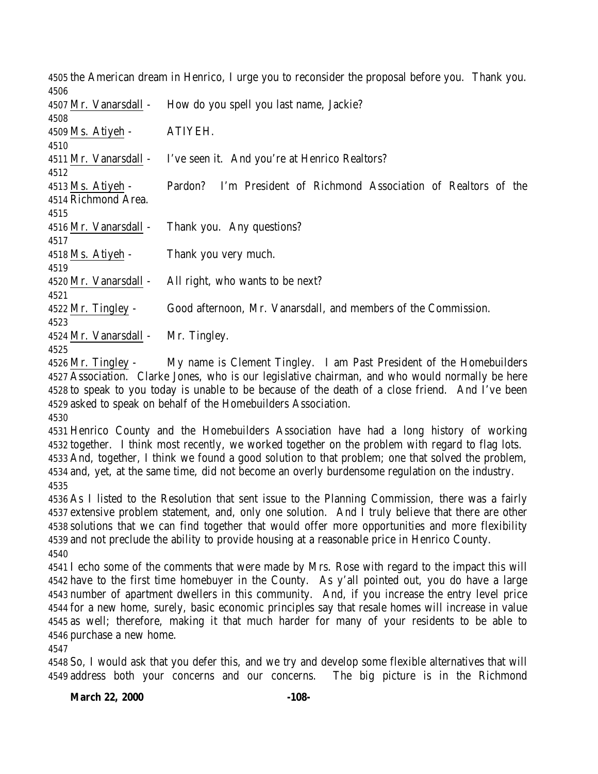the American dream in Henrico, I urge you to reconsider the proposal before you. Thank you. Mr. Vanarsdall - How do you spell you last name, Jackie? Ms. Atiyeh - ATIYEH. 4511 Mr. Vanarsdall - I've seen it. And you're at Henrico Realtors? Ms. Atiyeh - Pardon? I'm President of Richmond Association of Realtors of the Richmond Area. Mr. Vanarsdall - Thank you. Any questions? Ms. Atiyeh - Thank you very much. Mr. Vanarsdall - All right, who wants to be next? Mr. Tingley - Good afternoon, Mr. Vanarsdall, and members of the Commission. Mr. Vanarsdall - Mr. Tingley. 

 Mr. Tingley - My name is Clement Tingley. I am Past President of the Homebuilders Association. Clarke Jones, who is our legislative chairman, and who would normally be here to speak to you today is unable to be because of the death of a close friend. And I've been asked to speak on behalf of the Homebuilders Association. 

 Henrico County and the Homebuilders Association have had a long history of working together. I think most recently, we worked together on the problem with regard to flag lots. And, together, I think we found a good solution to that problem; one that solved the problem, and, yet, at the same time, did not become an overly burdensome regulation on the industry. 

 As I listed to the Resolution that sent issue to the Planning Commission, there was a fairly extensive problem statement, and, only one solution. And I truly believe that there are other solutions that we can find together that would offer more opportunities and more flexibility and not preclude the ability to provide housing at a reasonable price in Henrico County. 

 I echo some of the comments that were made by Mrs. Rose with regard to the impact this will have to the first time homebuyer in the County. As y'all pointed out, you do have a large number of apartment dwellers in this community. And, if you increase the entry level price for a new home, surely, basic economic principles say that resale homes will increase in value as well; therefore, making it that much harder for many of your residents to be able to purchase a new home.

 So, I would ask that you defer this, and we try and develop some flexible alternatives that will address both your concerns and our concerns. The big picture is in the Richmond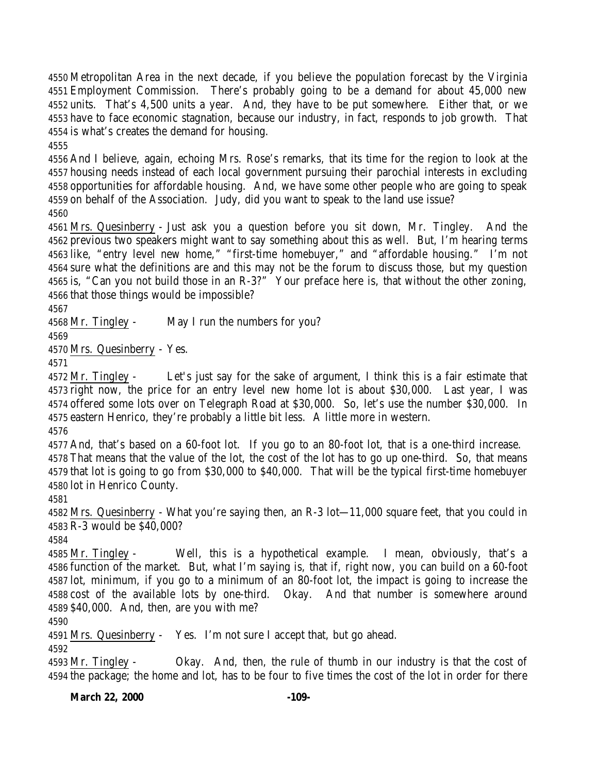Metropolitan Area in the next decade, if you believe the population forecast by the Virginia Employment Commission. There's probably going to be a demand for about 45,000 new units. That's 4,500 units a year. And, they have to be put somewhere. Either that, or we have to face economic stagnation, because our industry, in fact, responds to job growth. That is what's creates the demand for housing.

 And I believe, again, echoing Mrs. Rose's remarks, that its time for the region to look at the housing needs instead of each local government pursuing their parochial interests in excluding opportunities for affordable housing. And, we have some other people who are going to speak on behalf of the Association. Judy, did you want to speak to the land use issue? 

 Mrs. Quesinberry - Just ask you a question before you sit down, Mr. Tingley. And the previous two speakers might want to say something about this as well. But, I'm hearing terms like, "entry level new home," "first-time homebuyer," and "affordable housing." I'm not sure what the definitions are and this may not be the forum to discuss those, but my question is, "Can you not build those in an R-3?" Your preface here is, that without the other zoning, that those things would be impossible?

Mr. Tingley - May I run the numbers for you?

Mrs. Quesinberry - Yes.

 Mr. Tingley - Let's just say for the sake of argument, I think this is a fair estimate that right now, the price for an entry level new home lot is about \$30,000. Last year, I was offered some lots over on Telegraph Road at \$30,000. So, let's use the number \$30,000. In eastern Henrico, they're probably a little bit less. A little more in western.

And, that's based on a 60-foot lot. If you go to an 80-foot lot, that is a one-third increase.

 That means that the value of the lot, the cost of the lot has to go up one-third. So, that means that lot is going to go from \$30,000 to \$40,000. That will be the typical first-time homebuyer lot in Henrico County.

 Mrs. Quesinberry - What you're saying then, an R-3 lot—11,000 square feet, that you could in R-3 would be \$40,000?

 Mr. Tingley - Well, this is a hypothetical example. I mean, obviously, that's a function of the market. But, what I'm saying is, that if, right now, you can build on a 60-foot lot, minimum, if you go to a minimum of an 80-foot lot, the impact is going to increase the cost of the available lots by one-third. Okay. And that number is somewhere around \$40,000. And, then, are you with me?

Mrs. Quesinberry - Yes. I'm not sure I accept that, but go ahead.

 Mr. Tingley - Okay. And, then, the rule of thumb in our industry is that the cost of the package; the home and lot, has to be four to five times the cost of the lot in order for there

**March 22, 2000 -109-**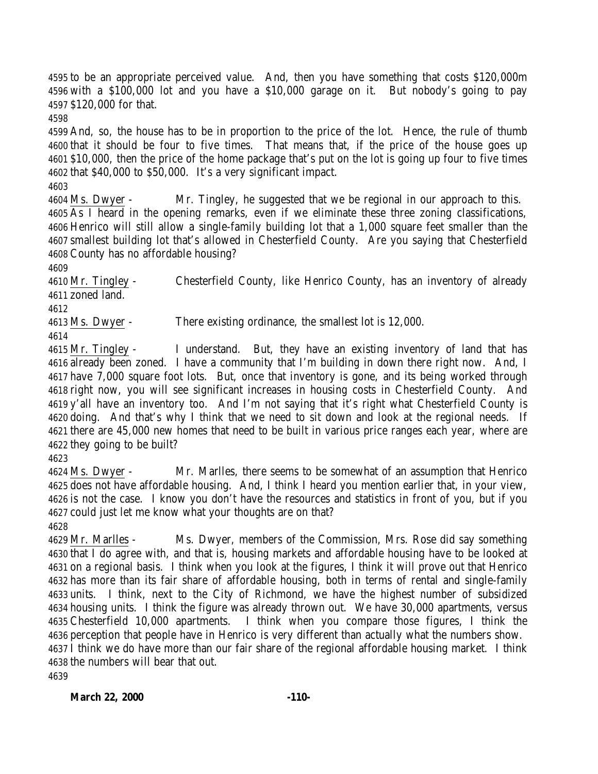to be an appropriate perceived value. And, then you have something that costs \$120,000m with a \$100,000 lot and you have a \$10,000 garage on it. But nobody's going to pay \$120,000 for that.

 And, so, the house has to be in proportion to the price of the lot. Hence, the rule of thumb that it should be four to five times. That means that, if the price of the house goes up \$10,000, then the price of the home package that's put on the lot is going up four to five times that \$40,000 to \$50,000. It's a very significant impact. 

 Ms. Dwyer - Mr. Tingley, he suggested that we be regional in our approach to this. As I heard in the opening remarks, even if we eliminate these three zoning classifications, Henrico will still allow a single-family building lot that a 1,000 square feet smaller than the smallest building lot that's allowed in Chesterfield County. Are you saying that Chesterfield County has no affordable housing?

 Mr. Tingley - Chesterfield County, like Henrico County, has an inventory of already zoned land.

Ms. Dwyer - There existing ordinance, the smallest lot is 12,000.

 Mr. Tingley - I understand. But, they have an existing inventory of land that has already been zoned. I have a community that I'm building in down there right now. And, I have 7,000 square foot lots. But, once that inventory is gone, and its being worked through right now, you will see significant increases in housing costs in Chesterfield County. And y'all have an inventory too. And I'm not saying that it's right what Chesterfield County is doing. And that's why I think that we need to sit down and look at the regional needs. If there are 45,000 new homes that need to be built in various price ranges each year, where are they going to be built?

 Ms. Dwyer - Mr. Marlles, there seems to be somewhat of an assumption that Henrico does not have affordable housing. And, I think I heard you mention earlier that, in your view, is not the case. I know you don't have the resources and statistics in front of you, but if you could just let me know what your thoughts are on that?

 Mr. Marlles - Ms. Dwyer, members of the Commission, Mrs. Rose did say something that I do agree with, and that is, housing markets and affordable housing have to be looked at on a regional basis. I think when you look at the figures, I think it will prove out that Henrico has more than its fair share of affordable housing, both in terms of rental and single-family units. I think, next to the City of Richmond, we have the highest number of subsidized housing units. I think the figure was already thrown out. We have 30,000 apartments, versus Chesterfield 10,000 apartments. I think when you compare those figures, I think the perception that people have in Henrico is very different than actually what the numbers show. I think we do have more than our fair share of the regional affordable housing market. I think the numbers will bear that out.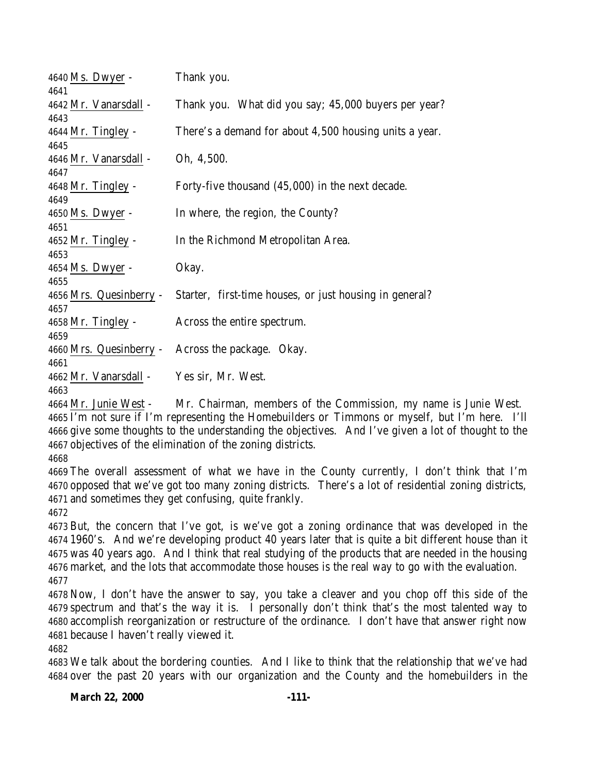| $4640$ Ms. Dwyer -      | Thank you.                                              |
|-------------------------|---------------------------------------------------------|
| 4641                    |                                                         |
| 4642 Mr. Vanarsdall -   | Thank you. What did you say; 45,000 buyers per year?    |
| 4643                    |                                                         |
| $4644$ Mr. Tingley -    | There's a demand for about 4,500 housing units a year.  |
| 4645                    |                                                         |
| 4646 Mr. Vanarsdall -   | Oh, 4,500.                                              |
| 4647                    |                                                         |
| $4648$ Mr. Tingley -    | Forty-five thousand (45,000) in the next decade.        |
| 4649                    |                                                         |
| $4650$ Ms. Dwyer -      | In where, the region, the County?                       |
| 4651                    |                                                         |
| $4652$ Mr. Tingley -    | In the Richmond Metropolitan Area.                      |
| 4653                    |                                                         |
| $4654$ Ms. Dwyer -      | Okay.                                                   |
| 4655                    |                                                         |
| 4656 Mrs. Quesinberry - | Starter, first-time houses, or just housing in general? |
| 4657                    |                                                         |
| $4658$ Mr. Tingley -    | Across the entire spectrum.                             |
| 4659                    |                                                         |
| 4660 Mrs. Quesinberry - | Across the package. Okay.                               |
| 4661                    |                                                         |
| 4662 Mr. Vanarsdall -   | Yes sir, Mr. West.                                      |
| 4663                    |                                                         |

 Mr. Junie West - Mr. Chairman, members of the Commission, my name is Junie West. I'm not sure if I'm representing the Homebuilders or Timmons or myself, but I'm here. I'll give some thoughts to the understanding the objectives. And I've given a lot of thought to the objectives of the elimination of the zoning districts.

 The overall assessment of what we have in the County currently, I don't think that I'm opposed that we've got too many zoning districts. There's a lot of residential zoning districts, and sometimes they get confusing, quite frankly.

 But, the concern that I've got, is we've got a zoning ordinance that was developed in the 1960's. And we're developing product 40 years later that is quite a bit different house than it was 40 years ago. And I think that real studying of the products that are needed in the housing market, and the lots that accommodate those houses is the real way to go with the evaluation. 

 Now, I don't have the answer to say, you take a cleaver and you chop off this side of the spectrum and that's the way it is. I personally don't think that's the most talented way to accomplish reorganization or restructure of the ordinance. I don't have that answer right now because I haven't really viewed it.

 We talk about the bordering counties. And I like to think that the relationship that we've had over the past 20 years with our organization and the County and the homebuilders in the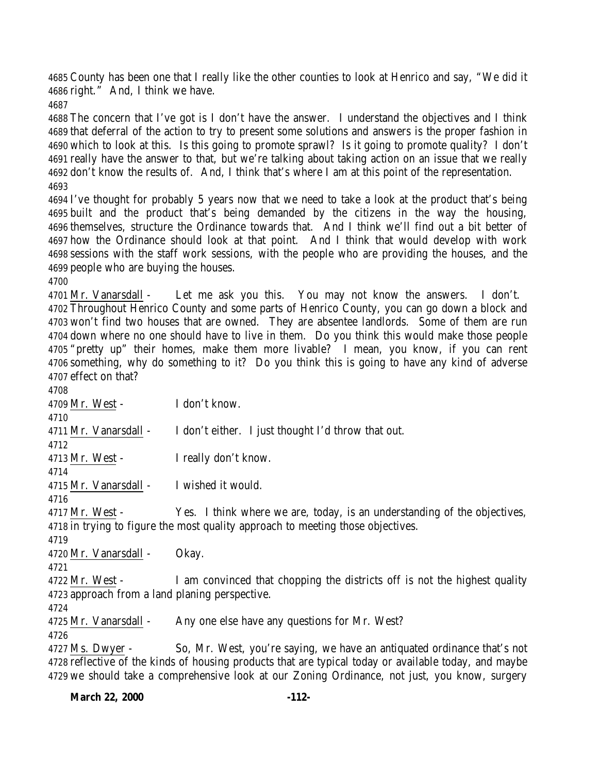County has been one that I really like the other counties to look at Henrico and say, "We did it right." And, I think we have.

 The concern that I've got is I don't have the answer. I understand the objectives and I think that deferral of the action to try to present some solutions and answers is the proper fashion in which to look at this. Is this going to promote sprawl? Is it going to promote quality? I don't really have the answer to that, but we're talking about taking action on an issue that we really don't know the results of. And, I think that's where I am at this point of the representation. 

 I've thought for probably 5 years now that we need to take a look at the product that's being built and the product that's being demanded by the citizens in the way the housing, themselves, structure the Ordinance towards that. And I think we'll find out a bit better of how the Ordinance should look at that point. And I think that would develop with work sessions with the staff work sessions, with the people who are providing the houses, and the people who are buying the houses.

 Mr. Vanarsdall - Let me ask you this. You may not know the answers. I don't. Throughout Henrico County and some parts of Henrico County, you can go down a block and won't find two houses that are owned. They are absentee landlords. Some of them are run down where no one should have to live in them. Do you think this would make those people "pretty up" their homes, make them more livable? I mean, you know, if you can rent something, why do something to it? Do you think this is going to have any kind of adverse effect on that?

 Mr. West - I don't know. 4711 Mr. Vanarsdall - I don't either. I just thought I'd throw that out. Mr. West - I really don't know. Mr. Vanarsdall - I wished it would. 4717 Mr. West - Yes. I think where we are, today, is an understanding of the objectives, in trying to figure the most quality approach to meeting those objectives. Mr. Vanarsdall - Okay. Mr. West - I am convinced that chopping the districts off is not the highest quality approach from a land planing perspective. Mr. Vanarsdall - Any one else have any questions for Mr. West? Ms. Dwyer - So, Mr. West, you're saying, we have an antiquated ordinance that's not reflective of the kinds of housing products that are typical today or available today, and maybe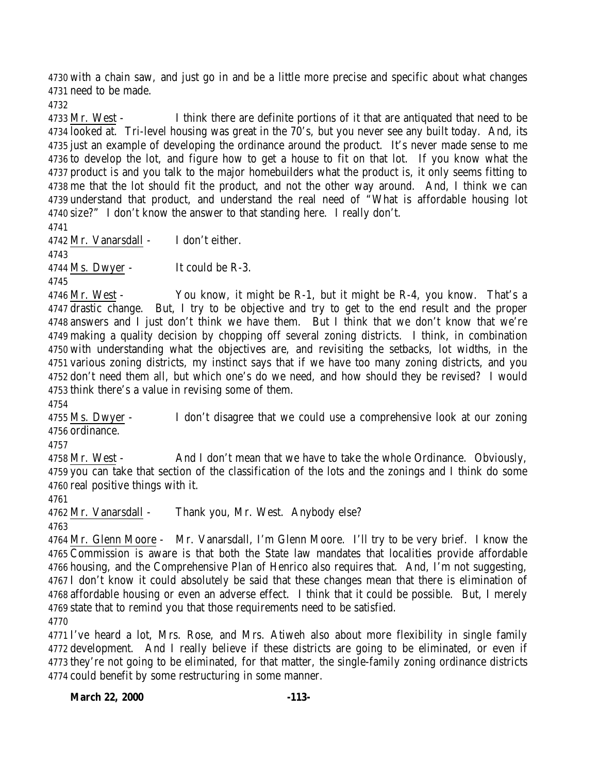with a chain saw, and just go in and be a little more precise and specific about what changes need to be made.

 Mr. West - I think there are definite portions of it that are antiquated that need to be looked at. Tri-level housing was great in the 70's, but you never see any built today. And, its just an example of developing the ordinance around the product. It's never made sense to me to develop the lot, and figure how to get a house to fit on that lot. If you know what the product is and you talk to the major homebuilders what the product is, it only seems fitting to me that the lot should fit the product, and not the other way around. And, I think we can understand that product, and understand the real need of "What is affordable housing lot size?" I don't know the answer to that standing here. I really don't.

 Mr. Vanarsdall - I don't either.

Ms. Dwyer - It could be R-3.

4746 Mr. West - You know, it might be R-1, but it might be R-4, you know. That's a drastic change. But, I try to be objective and try to get to the end result and the proper answers and I just don't think we have them. But I think that we don't know that we're making a quality decision by chopping off several zoning districts. I think, in combination with understanding what the objectives are, and revisiting the setbacks, lot widths, in the various zoning districts, my instinct says that if we have too many zoning districts, and you don't need them all, but which one's do we need, and how should they be revised? I would think there's a value in revising some of them.

 Ms. Dwyer - I don't disagree that we could use a comprehensive look at our zoning ordinance.

 Mr. West - And I don't mean that we have to take the whole Ordinance. Obviously, you can take that section of the classification of the lots and the zonings and I think do some real positive things with it.

Mr. Vanarsdall - Thank you, Mr. West. Anybody else?

 Mr. Glenn Moore - Mr. Vanarsdall, I'm Glenn Moore. I'll try to be very brief. I know the Commission is aware is that both the State law mandates that localities provide affordable housing, and the Comprehensive Plan of Henrico also requires that. And, I'm not suggesting, I don't know it could absolutely be said that these changes mean that there is elimination of affordable housing or even an adverse effect. I think that it could be possible. But, I merely state that to remind you that those requirements need to be satisfied. 

 I've heard a lot, Mrs. Rose, and Mrs. Atiweh also about more flexibility in single family development. And I really believe if these districts are going to be eliminated, or even if they're not going to be eliminated, for that matter, the single-family zoning ordinance districts could benefit by some restructuring in some manner.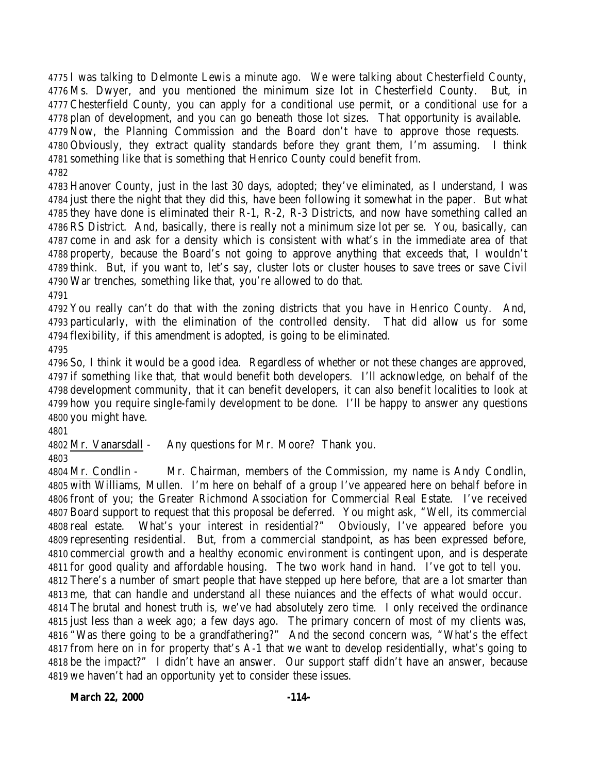I was talking to Delmonte Lewis a minute ago. We were talking about Chesterfield County, Ms. Dwyer, and you mentioned the minimum size lot in Chesterfield County. But, in Chesterfield County, you can apply for a conditional use permit, or a conditional use for a plan of development, and you can go beneath those lot sizes. That opportunity is available. Now, the Planning Commission and the Board don't have to approve those requests.

 Obviously, they extract quality standards before they grant them, I'm assuming. I think something like that is something that Henrico County could benefit from.

 Hanover County, just in the last 30 days, adopted; they've eliminated, as I understand, I was just there the night that they did this, have been following it somewhat in the paper. But what they have done is eliminated their R-1, R-2, R-3 Districts, and now have something called an RS District. And, basically, there is really not a minimum size lot per se. You, basically, can come in and ask for a density which is consistent with what's in the immediate area of that property, because the Board's not going to approve anything that exceeds that, I wouldn't think. But, if you want to, let's say, cluster lots or cluster houses to save trees or save Civil War trenches, something like that, you're allowed to do that.

 You really can't do that with the zoning districts that you have in Henrico County. And, particularly, with the elimination of the controlled density. That did allow us for some flexibility, if this amendment is adopted, is going to be eliminated. 

 So, I think it would be a good idea. Regardless of whether or not these changes are approved, if something like that, that would benefit both developers. I'll acknowledge, on behalf of the development community, that it can benefit developers, it can also benefit localities to look at how you require single-family development to be done. I'll be happy to answer any questions you might have.

Mr. Vanarsdall - Any questions for Mr. Moore? Thank you.

 Mr. Condlin - Mr. Chairman, members of the Commission, my name is Andy Condlin, with Williams, Mullen. I'm here on behalf of a group I've appeared here on behalf before in front of you; the Greater Richmond Association for Commercial Real Estate. I've received Board support to request that this proposal be deferred. You might ask, "Well, its commercial real estate. What's your interest in residential?" Obviously, I've appeared before you representing residential. But, from a commercial standpoint, as has been expressed before, commercial growth and a healthy economic environment is contingent upon, and is desperate for good quality and affordable housing. The two work hand in hand. I've got to tell you. There's a number of smart people that have stepped up here before, that are a lot smarter than me, that can handle and understand all these nuiances and the effects of what would occur. The brutal and honest truth is, we've had absolutely zero time. I only received the ordinance just less than a week ago; a few days ago. The primary concern of most of my clients was, "Was there going to be a grandfathering?" And the second concern was, "What's the effect from here on in for property that's A-1 that we want to develop residentially, what's going to be the impact?" I didn't have an answer. Our support staff didn't have an answer, because we haven't had an opportunity yet to consider these issues.

**March 22, 2000 -114-**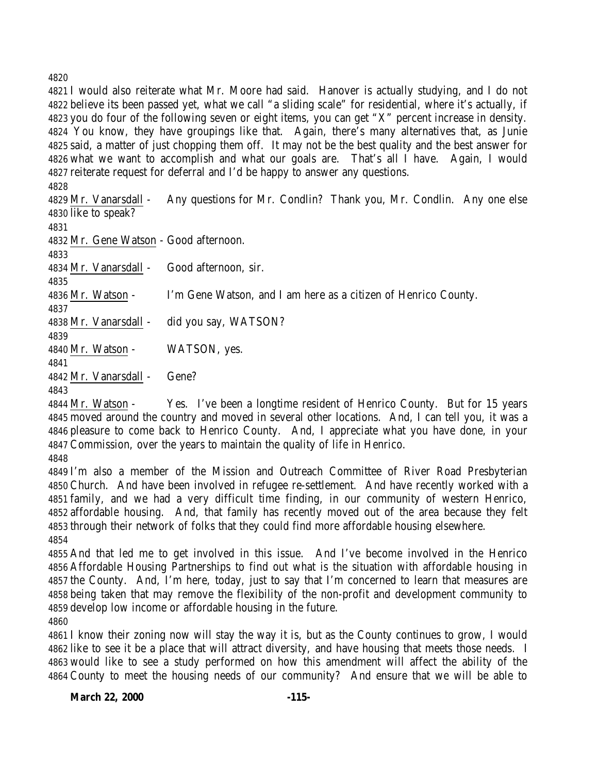I would also reiterate what Mr. Moore had said. Hanover is actually studying, and I do not believe its been passed yet, what we call "a sliding scale" for residential, where it's actually, if you do four of the following seven or eight items, you can get "X" percent increase in density. You know, they have groupings like that. Again, there's many alternatives that, as Junie said, a matter of just chopping them off. It may not be the best quality and the best answer for what we want to accomplish and what our goals are. That's all I have. Again, I would reiterate request for deferral and I'd be happy to answer any questions.

 Mr. Vanarsdall - Any questions for Mr. Condlin? Thank you, Mr. Condlin. Any one else like to speak? Mr. Gene Watson - Good afternoon. Mr. Vanarsdall - Good afternoon, sir. Mr. Watson - I'm Gene Watson, and I am here as a citizen of Henrico County. Mr. Vanarsdall - did you say, WATSON? Mr. Watson - WATSON, yes. Mr. Vanarsdall - Gene?

 Mr. Watson - Yes. I've been a longtime resident of Henrico County. But for 15 years moved around the country and moved in several other locations. And, I can tell you, it was a pleasure to come back to Henrico County. And, I appreciate what you have done, in your Commission, over the years to maintain the quality of life in Henrico.

 I'm also a member of the Mission and Outreach Committee of River Road Presbyterian Church. And have been involved in refugee re-settlement. And have recently worked with a family, and we had a very difficult time finding, in our community of western Henrico, affordable housing. And, that family has recently moved out of the area because they felt through their network of folks that they could find more affordable housing elsewhere. 

 And that led me to get involved in this issue. And I've become involved in the Henrico Affordable Housing Partnerships to find out what is the situation with affordable housing in the County. And, I'm here, today, just to say that I'm concerned to learn that measures are being taken that may remove the flexibility of the non-profit and development community to develop low income or affordable housing in the future.

 I know their zoning now will stay the way it is, but as the County continues to grow, I would like to see it be a place that will attract diversity, and have housing that meets those needs. I would like to see a study performed on how this amendment will affect the ability of the County to meet the housing needs of our community? And ensure that we will be able to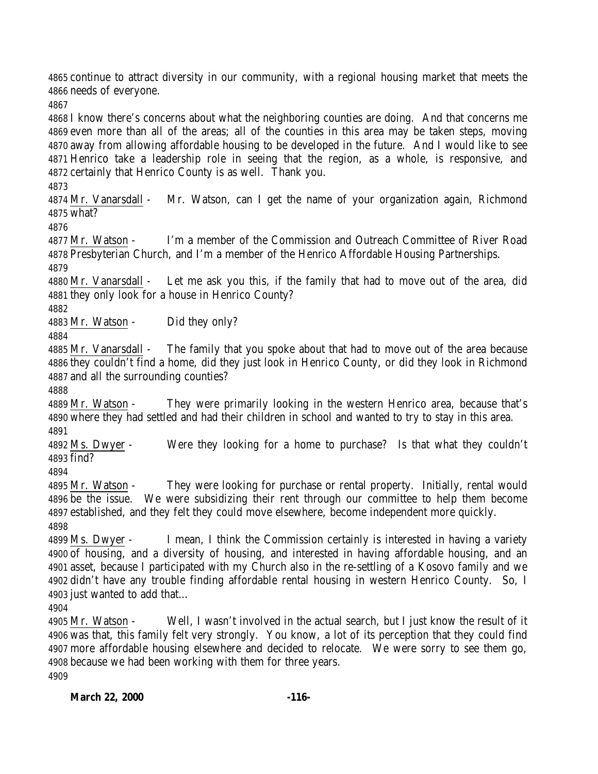continue to attract diversity in our community, with a regional housing market that meets the needs of everyone.

 I know there's concerns about what the neighboring counties are doing. And that concerns me even more than all of the areas; all of the counties in this area may be taken steps, moving away from allowing affordable housing to be developed in the future. And I would like to see Henrico take a leadership role in seeing that the region, as a whole, is responsive, and certainly that Henrico County is as well. Thank you.

 Mr. Vanarsdall - Mr. Watson, can I get the name of your organization again, Richmond what?

 Mr. Watson - I'm a member of the Commission and Outreach Committee of River Road Presbyterian Church, and I'm a member of the Henrico Affordable Housing Partnerships. 

 Mr. Vanarsdall - Let me ask you this, if the family that had to move out of the area, did they only look for a house in Henrico County?

Mr. Watson - Did they only?

4885 Mr. Vanarsdall - The family that you spoke about that had to move out of the area because they couldn't find a home, did they just look in Henrico County, or did they look in Richmond and all the surrounding counties?

 Mr. Watson - They were primarily looking in the western Henrico area, because that's where they had settled and had their children in school and wanted to try to stay in this area. 

 Ms. Dwyer - Were they looking for a home to purchase? Is that what they couldn't find?

 Mr. Watson - They were looking for purchase or rental property. Initially, rental would be the issue. We were subsidizing their rent through our committee to help them become established, and they felt they could move elsewhere, become independent more quickly. 

 Ms. Dwyer - I mean, I think the Commission certainly is interested in having a variety of housing, and a diversity of housing, and interested in having affordable housing, and an asset, because I participated with my Church also in the re-settling of a Kosovo family and we didn't have any trouble finding affordable rental housing in western Henrico County. So, I just wanted to add that…

 Mr. Watson - Well, I wasn't involved in the actual search, but I just know the result of it was that, this family felt very strongly. You know, a lot of its perception that they could find more affordable housing elsewhere and decided to relocate. We were sorry to see them go, because we had been working with them for three years.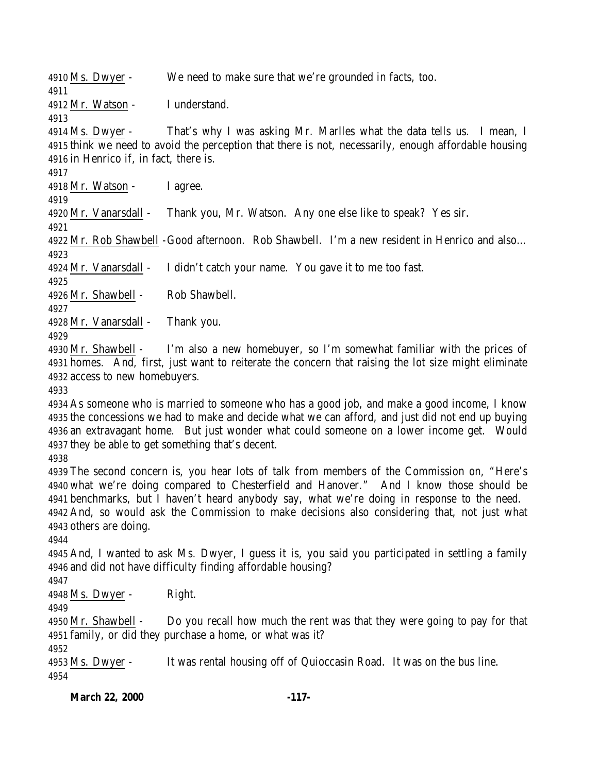Ms. Dwyer - We need to make sure that we're grounded in facts, too. Mr. Watson - I understand. Ms. Dwyer - That's why I was asking Mr. Marlles what the data tells us. I mean, I think we need to avoid the perception that there is not, necessarily, enough affordable housing in Henrico if, in fact, there is. Mr. Watson - I agree. Mr. Vanarsdall - Thank you, Mr. Watson. Any one else like to speak? Yes sir. Mr. Rob Shawbell -Good afternoon. Rob Shawbell. I'm a new resident in Henrico and also… 4924 Mr. Vanarsdall - I didn't catch your name. You gave it to me too fast. Mr. Shawbell - Rob Shawbell. Mr. Vanarsdall - Thank you. Mr. Shawbell - I'm also a new homebuyer, so I'm somewhat familiar with the prices of homes. And, first, just want to reiterate the concern that raising the lot size might eliminate access to new homebuyers. As someone who is married to someone who has a good job, and make a good income, I know the concessions we had to make and decide what we can afford, and just did not end up buying an extravagant home. But just wonder what could someone on a lower income get. Would they be able to get something that's decent. The second concern is, you hear lots of talk from members of the Commission on, "Here's what we're doing compared to Chesterfield and Hanover." And I know those should be benchmarks, but I haven't heard anybody say, what we're doing in response to the need. And, so would ask the Commission to make decisions also considering that, not just what others are doing. And, I wanted to ask Ms. Dwyer, I guess it is, you said you participated in settling a family and did not have difficulty finding affordable housing? Ms. Dwyer - Right. Mr. Shawbell - Do you recall how much the rent was that they were going to pay for that family, or did they purchase a home, or what was it? Ms. Dwyer - It was rental housing off of Quioccasin Road. It was on the bus line.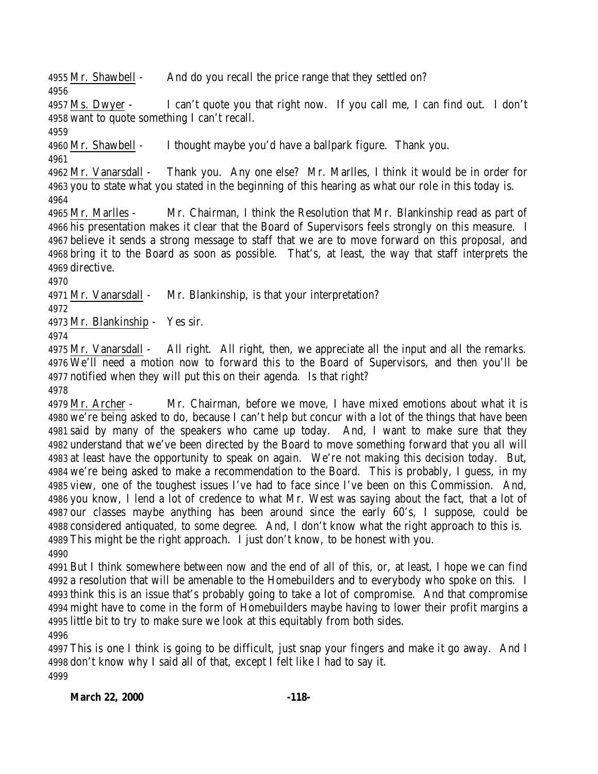Mr. Shawbell - And do you recall the price range that they settled on?

 Ms. Dwyer - I can't quote you that right now. If you call me, I can find out. I don't want to quote something I can't recall.

Mr. Shawbell - I thought maybe you'd have a ballpark figure. Thank you.

 Mr. Vanarsdall - Thank you. Any one else? Mr. Marlles, I think it would be in order for you to state what you stated in the beginning of this hearing as what our role in this today is. 

 Mr. Marlles - Mr. Chairman, I think the Resolution that Mr. Blankinship read as part of his presentation makes it clear that the Board of Supervisors feels strongly on this measure. I believe it sends a strong message to staff that we are to move forward on this proposal, and bring it to the Board as soon as possible. That's, at least, the way that staff interprets the directive.

Mr. Vanarsdall - Mr. Blankinship, is that your interpretation?

Mr. Blankinship - Yes sir.

 Mr. Vanarsdall - All right. All right, then, we appreciate all the input and all the remarks. We'll need a motion now to forward this to the Board of Supervisors, and then you'll be notified when they will put this on their agenda. Is that right?

 Mr. Archer - Mr. Chairman, before we move, I have mixed emotions about what it is we're being asked to do, because I can't help but concur with a lot of the things that have been said by many of the speakers who came up today. And, I want to make sure that they understand that we've been directed by the Board to move something forward that you all will at least have the opportunity to speak on again. We're not making this decision today. But, we're being asked to make a recommendation to the Board. This is probably, I guess, in my view, one of the toughest issues I've had to face since I've been on this Commission. And, you know, I lend a lot of credence to what Mr. West was saying about the fact, that a lot of our classes maybe anything has been around since the early 60's, I suppose, could be considered antiquated, to some degree. And, I don't know what the right approach to this is. This might be the right approach. I just don't know, to be honest with you. 

 But I think somewhere between now and the end of all of this, or, at least, I hope we can find a resolution that will be amenable to the Homebuilders and to everybody who spoke on this. I think this is an issue that's probably going to take a lot of compromise. And that compromise might have to come in the form of Homebuilders maybe having to lower their profit margins a little bit to try to make sure we look at this equitably from both sides. 

 This is one I think is going to be difficult, just snap your fingers and make it go away. And I don't know why I said all of that, except I felt like I had to say it.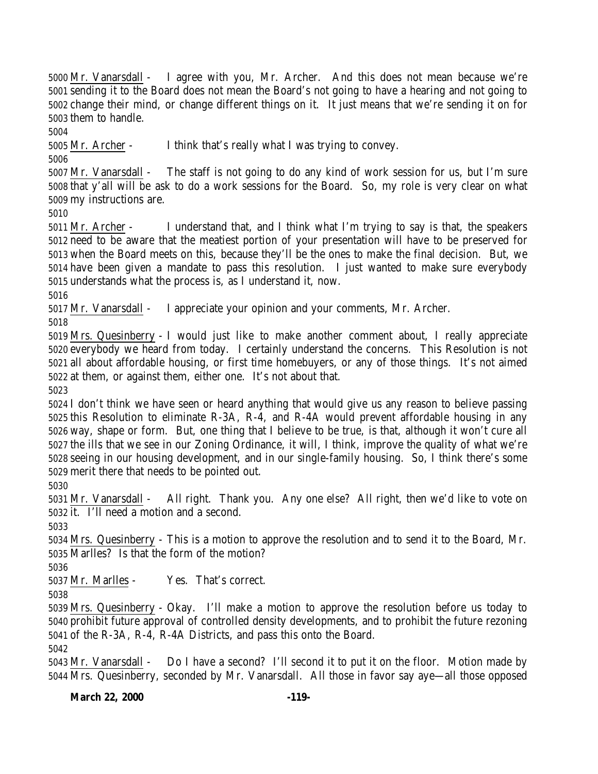Mr. Vanarsdall - I agree with you, Mr. Archer. And this does not mean because we're sending it to the Board does not mean the Board's not going to have a hearing and not going to change their mind, or change different things on it. It just means that we're sending it on for them to handle.

Mr. Archer - I think that's really what I was trying to convey.

 Mr. Vanarsdall - The staff is not going to do any kind of work session for us, but I'm sure that y'all will be ask to do a work sessions for the Board. So, my role is very clear on what my instructions are.

 Mr. Archer - I understand that, and I think what I'm trying to say is that, the speakers need to be aware that the meatiest portion of your presentation will have to be preserved for when the Board meets on this, because they'll be the ones to make the final decision. But, we have been given a mandate to pass this resolution. I just wanted to make sure everybody understands what the process is, as I understand it, now.

Mr. Vanarsdall - I appreciate your opinion and your comments, Mr. Archer.

 Mrs. Quesinberry - I would just like to make another comment about, I really appreciate everybody we heard from today. I certainly understand the concerns. This Resolution is not all about affordable housing, or first time homebuyers, or any of those things. It's not aimed at them, or against them, either one. It's not about that.

 I don't think we have seen or heard anything that would give us any reason to believe passing this Resolution to eliminate R-3A, R-4, and R-4A would prevent affordable housing in any way, shape or form. But, one thing that I believe to be true, is that, although it won't cure all the ills that we see in our Zoning Ordinance, it will, I think, improve the quality of what we're seeing in our housing development, and in our single-family housing. So, I think there's some merit there that needs to be pointed out.

 Mr. Vanarsdall - All right. Thank you. Any one else? All right, then we'd like to vote on it. I'll need a motion and a second.

 Mrs. Quesinberry - This is a motion to approve the resolution and to send it to the Board, Mr. Marlles? Is that the form of the motion?

Mr. Marlles - Yes. That's correct.

 Mrs. Quesinberry - Okay. I'll make a motion to approve the resolution before us today to prohibit future approval of controlled density developments, and to prohibit the future rezoning of the R-3A, R-4, R-4A Districts, and pass this onto the Board.

 Mr. Vanarsdall - Do I have a second? I'll second it to put it on the floor. Motion made by Mrs. Quesinberry, seconded by Mr. Vanarsdall. All those in favor say aye—all those opposed

**March 22, 2000 -119-**